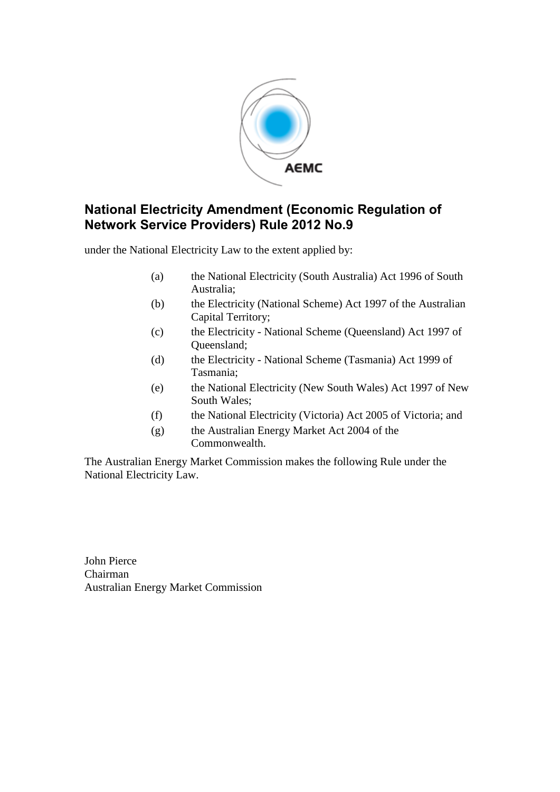

### **National Electricity Amendment (Economic Regulation of Network Service Providers) Rule 2012 No.9**

under the National Electricity Law to the extent applied by:

- (a) the National Electricity (South Australia) Act 1996 of South Australia;
- (b) the Electricity (National Scheme) Act 1997 of the Australian Capital Territory;
- (c) the Electricity National Scheme (Queensland) Act 1997 of Queensland;
- (d) the Electricity National Scheme (Tasmania) Act 1999 of Tasmania;
- (e) the National Electricity (New South Wales) Act 1997 of New South Wales;
- (f) the National Electricity (Victoria) Act 2005 of Victoria; and
- (g) the Australian Energy Market Act 2004 of the Commonwealth.

The Australian Energy Market Commission makes the following Rule under the National Electricity Law.

John Pierce Chairman Australian Energy Market Commission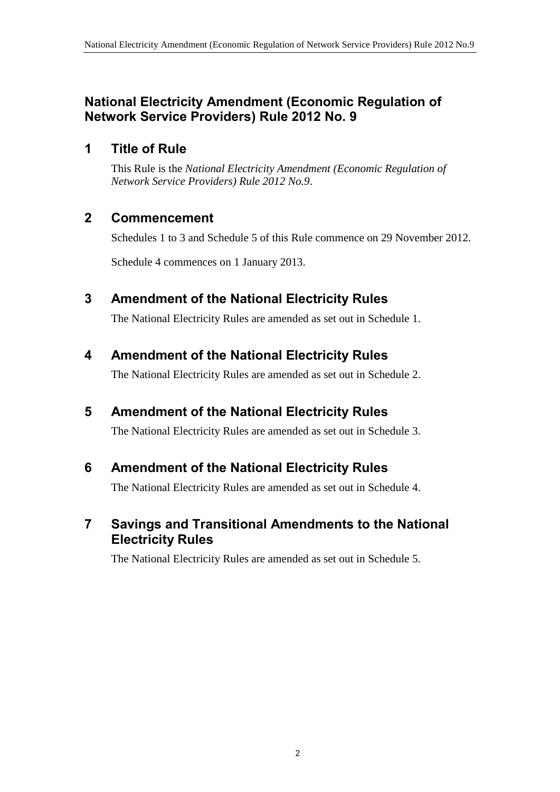### **National Electricity Amendment (Economic Regulation of Network Service Providers) Rule 2012 No. 9**

### **1 Title of Rule**

This Rule is the *National Electricity Amendment (Economic Regulation of Network Service Providers) Rule 2012 No.9*.

## **2 Commencement**

Schedules 1 to 3 and Schedule 5 of this Rule commence on 29 November 2012.

Schedule 4 commences on 1 January 2013.

## <span id="page-1-0"></span>**3 Amendment of the National Electricity Rules**

The National Electricity Rules are amended as set out in [Schedule 1.](#page-2-0)

## **4 Amendment of the National Electricity Rules**

The National Electricity Rules are amended as set out in [Schedule 2.](#page-57-0)

### **5 Amendment of the National Electricity Rules**

The National Electricity Rules are amended as set out in [Schedule 3.](#page-106-0)

### **6 Amendment of the National Electricity Rules**

The National Electricity Rules are amended as set out in [Schedule 4.](#page-112-0)

### **7 Savings and Transitional Amendments to the National Electricity Rules**

The National Electricity Rules are amended as set out in [Schedule 5.](#page-113-0)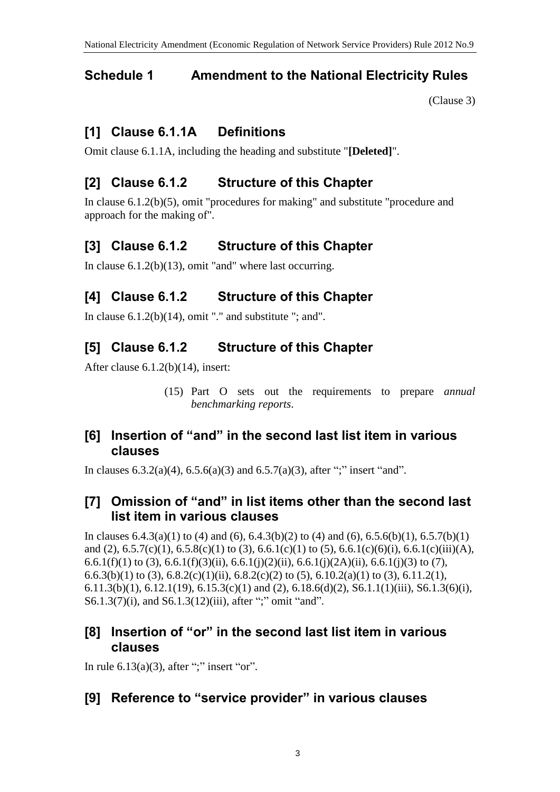## <span id="page-2-0"></span>**Schedule 1 Amendment to the National Electricity Rules**

[\(Clause 3\)](#page-1-0)

# **[1] Clause 6.1.1A Definitions**

Omit clause 6.1.1A, including the heading and substitute "**[Deleted]**".

# **[2] Clause 6.1.2 Structure of this Chapter**

In clause 6.1.2(b)(5), omit "procedures for making" and substitute "procedure and approach for the making of".

# **[3] Clause 6.1.2 Structure of this Chapter**

In clause 6.1.2(b)(13), omit "and" where last occurring.

# **[4] Clause 6.1.2 Structure of this Chapter**

In clause  $6.1.2(b)(14)$ , omit "." and substitute "; and".

# **[5] Clause 6.1.2 Structure of this Chapter**

After clause 6.1.2(b)(14), insert:

(15) Part O sets out the requirements to prepare *annual benchmarking reports*.

### **[6] Insertion of "and" in the second last list item in various clauses**

In clauses  $6.3.2(a)(4)$ ,  $6.5.6(a)(3)$  and  $6.5.7(a)(3)$ , after ";" insert "and".

## **[7] Omission of "and" in list items other than the second last list item in various clauses**

In clauses  $6.4.3(a)(1)$  to  $(4)$  and  $(6)$ ,  $6.4.3(b)(2)$  to  $(4)$  and  $(6)$ ,  $6.5.6(b)(1)$ ,  $6.5.7(b)(1)$ and (2),  $6.5.7(c)(1)$ ,  $6.5.8(c)(1)$  to (3),  $6.6.1(c)(1)$  to (5),  $6.6.1(c)(6)(i)$ ,  $6.6.1(c)(iii)(A)$ , 6.6.1(f)(1) to (3), 6.6.1(f)(3)(ii), 6.6.1(j)(2)(ii), 6.6.1(j)(2A)(ii), 6.6.1(j)(3) to (7), 6.6.3(b)(1) to (3), 6.8.2(c)(1)(ii), 6.8.2(c)(2) to (5), 6.10.2(a)(1) to (3), 6.11.2(1), 6.11.3(b)(1), 6.12.1(19), 6.15.3(c)(1) and (2), 6.18.6(d)(2), S6.1.1(1)(iii), S6.1.3(6)(i), S6.1.3(7)(i), and S6.1.3(12)(iii), after ";" omit "and".

### **[8] Insertion of "or" in the second last list item in various clauses**

In rule  $6.13(a)(3)$ , after ";" insert "or".

# **[9] Reference to "service provider" in various clauses**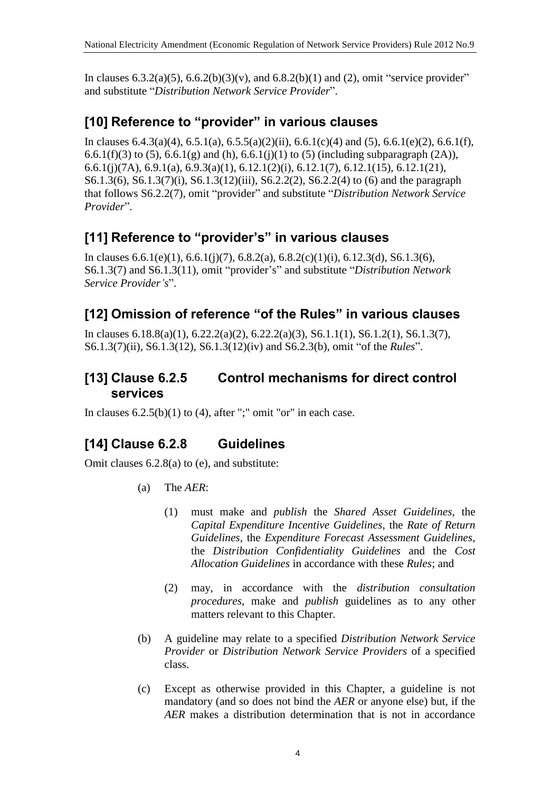In clauses 6.3.2(a)(5), 6.6.2(b)(3)(v), and 6.8.2(b)(1) and (2), omit "service provider" and substitute "*Distribution Network Service Provider*".

## **[10] Reference to "provider" in various clauses**

In clauses  $6.4.3(a)(4)$ ,  $6.5.1(a)$ ,  $6.5.5(a)(2)(ii)$ ,  $6.6.1(c)(4)$  and  $(5)$ ,  $6.6.1(e)(2)$ ,  $6.6.1(f)$ , 6.6.1(f)(3) to (5), 6.6.1(g) and (h), 6.6.1(j)(1) to (5) (including subparagraph (2A)), 6.6.1(j)(7A), 6.9.1(a), 6.9.3(a)(1), 6.12.1(2)(i), 6.12.1(7), 6.12.1(15), 6.12.1(21), S6.1.3(6), S6.1.3(7)(i), S6.1.3(12)(iii), S6.2.2(2), S6.2.2(4) to (6) and the paragraph that follows S6.2.2(7), omit "provider" and substitute "*Distribution Network Service Provider*".

# **[11] Reference to "provider's" in various clauses**

In clauses  $6.6.1(e)(1)$ ,  $6.6.1(i)(7)$ ,  $6.8.2(a)$ ,  $6.8.2(c)(1)(i)$ ,  $6.12.3(d)$ ,  $S6.1.3(6)$ , S6.1.3(7) and S6.1.3(11), omit "provider's" and substitute "*Distribution Network Service Provider's*".

## **[12] Omission of reference "of the Rules" in various clauses**

In clauses 6.18.8(a)(1), 6.22.2(a)(2), 6.22.2(a)(3), S6.1.1(1), S6.1.2(1), S6.1.3(7), S6.1.3(7)(ii), S6.1.3(12), S6.1.3(12)(iv) and S6.2.3(b), omit "of the *Rules*".

## **[13] Clause 6.2.5 Control mechanisms for direct control services**

In clauses  $6.2.5(b)(1)$  to  $(4)$ , after ";" omit "or" in each case.

# **[14] Clause 6.2.8 Guidelines**

Omit clauses 6.2.8(a) to (e), and substitute:

- (a) The *AER*:
	- (1) must make and *publish* the *Shared Asset Guidelines*, the *Capital Expenditure Incentive Guidelines*, the *Rate of Return Guidelines*, the *Expenditure Forecast Assessment Guidelines*, the *Distribution Confidentiality Guidelines* and the *Cost Allocation Guidelines* in accordance with these *Rules*; and
	- (2) may, in accordance with the *distribution consultation procedures*, make and *publish* guidelines as to any other matters relevant to this Chapter.
- (b) A guideline may relate to a specified *Distribution Network Service Provider* or *Distribution Network Service Providers* of a specified class.
- (c) Except as otherwise provided in this Chapter, a guideline is not mandatory (and so does not bind the *AER* or anyone else) but, if the *AER* makes a distribution determination that is not in accordance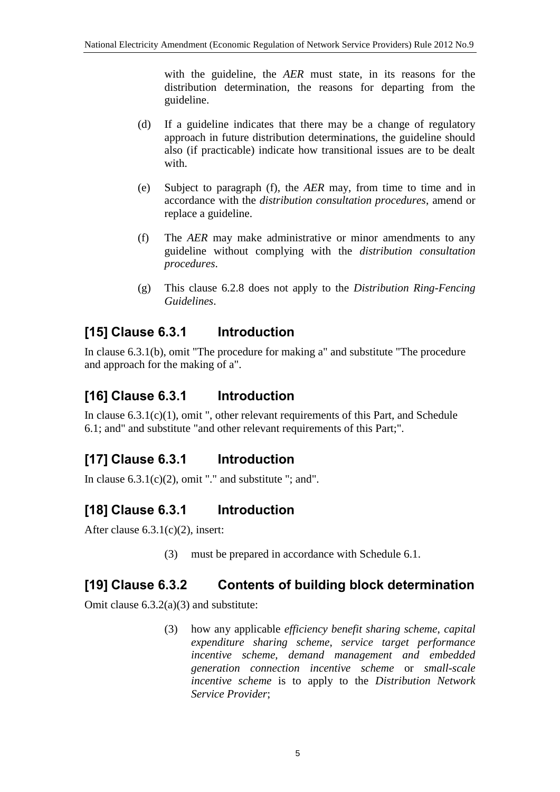with the guideline, the *AER* must state, in its reasons for the distribution determination, the reasons for departing from the guideline.

- (d) If a guideline indicates that there may be a change of regulatory approach in future distribution determinations, the guideline should also (if practicable) indicate how transitional issues are to be dealt with.
- (e) Subject to paragraph (f), the *AER* may, from time to time and in accordance with the *distribution consultation procedures*, amend or replace a guideline.
- (f) The *AER* may make administrative or minor amendments to any guideline without complying with the *distribution consultation procedures*.
- (g) This clause 6.2.8 does not apply to the *Distribution Ring-Fencing Guidelines*.

# **[15] Clause 6.3.1 Introduction**

In clause 6.3.1(b), omit "The procedure for making a" and substitute "The procedure and approach for the making of a".

# **[16] Clause 6.3.1 Introduction**

In clause  $6.3.1(c)(1)$ , omit ", other relevant requirements of this Part, and Schedule 6.1; and" and substitute "and other relevant requirements of this Part;".

# **[17] Clause 6.3.1 Introduction**

In clause  $6.3.1(c)(2)$ , omit "." and substitute "; and".

# **[18] Clause 6.3.1 Introduction**

After clause 6.3.1(c)(2), insert:

(3) must be prepared in accordance with Schedule 6.1.

### **[19] Clause 6.3.2 Contents of building block determination**

Omit clause 6.3.2(a)(3) and substitute:

(3) how any applicable *efficiency benefit sharing scheme*, *capital expenditure sharing scheme*, *service target performance incentive scheme*, *demand management and embedded generation connection incentive scheme* or *small-scale incentive scheme* is to apply to the *Distribution Network Service Provider*;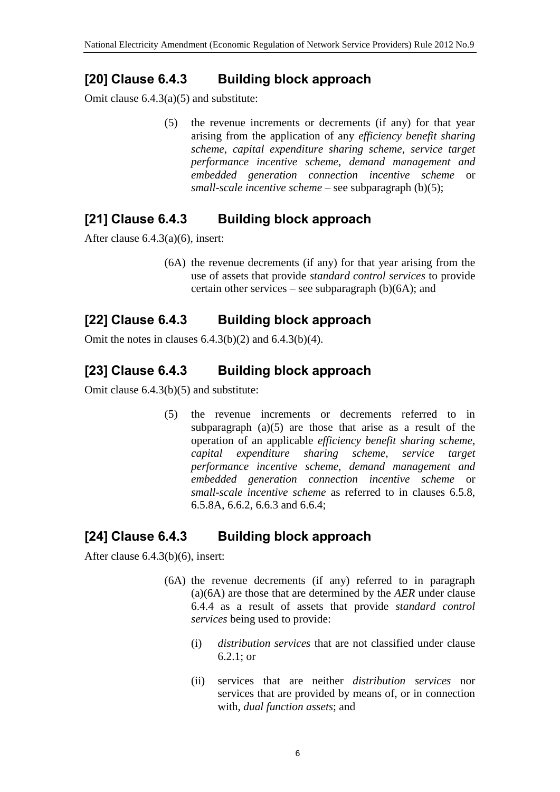## **[20] Clause 6.4.3 Building block approach**

Omit clause 6.4.3(a)(5) and substitute:

(5) the revenue increments or decrements (if any) for that year arising from the application of any *efficiency benefit sharing scheme*, *capital expenditure sharing scheme*, *service target performance incentive scheme*, *demand management and embedded generation connection incentive scheme* or *small-scale incentive scheme* – see subparagraph (b)(5);

# **[21] Clause 6.4.3 Building block approach**

After clause 6.4.3(a)(6), insert:

(6A) the revenue decrements (if any) for that year arising from the use of assets that provide *standard control services* to provide certain other services – see subparagraph  $(b)(6A)$ ; and

## **[22] Clause 6.4.3 Building block approach**

Omit the notes in clauses  $6.4.3(b)(2)$  and  $6.4.3(b)(4)$ .

# **[23] Clause 6.4.3 Building block approach**

Omit clause 6.4.3(b)(5) and substitute:

(5) the revenue increments or decrements referred to in subparagraph  $(a)(5)$  are those that arise as a result of the operation of an applicable *efficiency benefit sharing scheme*, *capital expenditure sharing scheme*, *service target performance incentive scheme*, *demand management and embedded generation connection incentive scheme* or *small-scale incentive scheme* as referred to in clauses 6.5.8, 6.5.8A, 6.6.2, 6.6.3 and 6.6.4;

### **[24] Clause 6.4.3 Building block approach**

After clause 6.4.3(b)(6), insert:

- (6A) the revenue decrements (if any) referred to in paragraph (a)(6A) are those that are determined by the *AER* under clause 6.4.4 as a result of assets that provide *standard control services* being used to provide:
	- (i) *distribution services* that are not classified under clause 6.2.1; or
	- (ii) services that are neither *distribution services* nor services that are provided by means of, or in connection with, *dual function assets*; and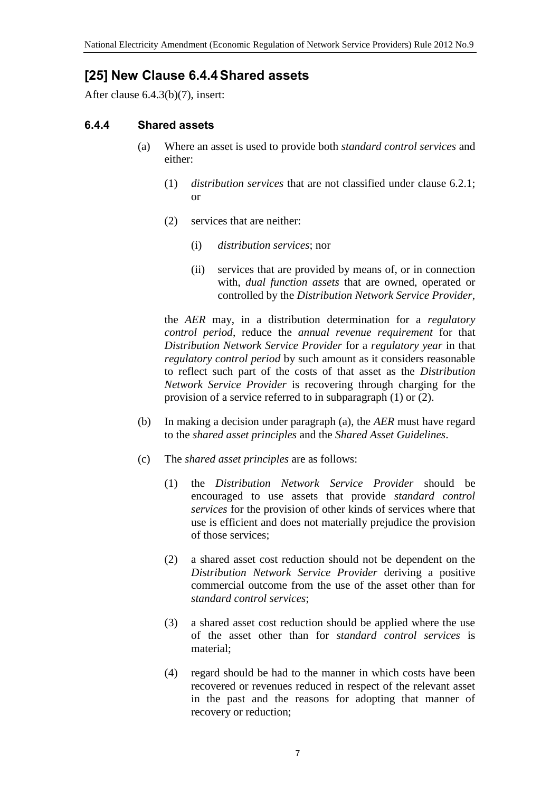## **[25] New Clause 6.4.4Shared assets**

After clause 6.4.3(b)(7), insert:

#### **6.4.4 Shared assets**

- (a) Where an asset is used to provide both *standard control services* and either:
	- (1) *distribution services* that are not classified under clause 6.2.1; or
	- (2) services that are neither:
		- (i) *distribution services*; nor
		- (ii) services that are provided by means of, or in connection with, *dual function assets* that are owned, operated or controlled by the *Distribution Network Service Provider*,

the *AER* may, in a distribution determination for a *regulatory control period*, reduce the *annual revenue requirement* for that *Distribution Network Service Provider* for a *regulatory year* in that *regulatory control period* by such amount as it considers reasonable to reflect such part of the costs of that asset as the *Distribution Network Service Provider* is recovering through charging for the provision of a service referred to in subparagraph (1) or (2).

- (b) In making a decision under paragraph (a), the *AER* must have regard to the *shared asset principles* and the *Shared Asset Guidelines*.
- (c) The *shared asset principles* are as follows:
	- (1) the *Distribution Network Service Provider* should be encouraged to use assets that provide *standard control services* for the provision of other kinds of services where that use is efficient and does not materially prejudice the provision of those services;
	- (2) a shared asset cost reduction should not be dependent on the *Distribution Network Service Provider* deriving a positive commercial outcome from the use of the asset other than for *standard control services*;
	- (3) a shared asset cost reduction should be applied where the use of the asset other than for *standard control services* is material;
	- (4) regard should be had to the manner in which costs have been recovered or revenues reduced in respect of the relevant asset in the past and the reasons for adopting that manner of recovery or reduction;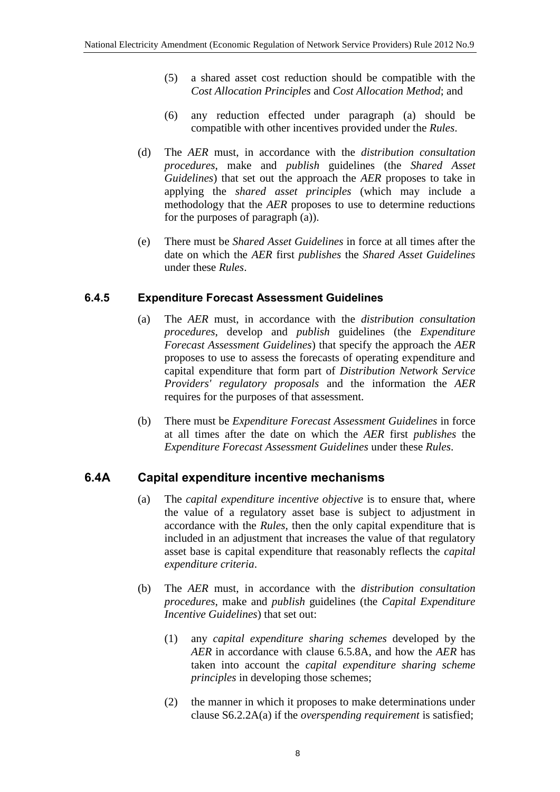- (5) a shared asset cost reduction should be compatible with the *Cost Allocation Principles* and *Cost Allocation Method*; and
- (6) any reduction effected under paragraph (a) should be compatible with other incentives provided under the *Rules*.
- (d) The *AER* must, in accordance with the *distribution consultation procedures*, make and *publish* guidelines (the *Shared Asset Guidelines*) that set out the approach the *AER* proposes to take in applying the *shared asset principles* (which may include a methodology that the *AER* proposes to use to determine reductions for the purposes of paragraph (a)).
- (e) There must be *Shared Asset Guidelines* in force at all times after the date on which the *AER* first *publishes* the *Shared Asset Guidelines* under these *Rules*.

#### **6.4.5 Expenditure Forecast Assessment Guidelines**

- (a) The *AER* must, in accordance with the *distribution consultation procedures*, develop and *publish* guidelines (the *Expenditure Forecast Assessment Guidelines*) that specify the approach the *AER* proposes to use to assess the forecasts of operating expenditure and capital expenditure that form part of *Distribution Network Service Providers' regulatory proposals* and the information the *AER* requires for the purposes of that assessment.
- (b) There must be *Expenditure Forecast Assessment Guidelines* in force at all times after the date on which the *AER* first *publishes* the *Expenditure Forecast Assessment Guidelines* under these *Rules*.

#### **6.4A Capital expenditure incentive mechanisms**

- (a) The *capital expenditure incentive objective* is to ensure that, where the value of a regulatory asset base is subject to adjustment in accordance with the *Rules*, then the only capital expenditure that is included in an adjustment that increases the value of that regulatory asset base is capital expenditure that reasonably reflects the *capital expenditure criteria*.
- (b) The *AER* must, in accordance with the *distribution consultation procedures*, make and *publish* guidelines (the *Capital Expenditure Incentive Guidelines*) that set out:
	- (1) any *capital expenditure sharing schemes* developed by the *AER* in accordance with clause 6.5.8A, and how the *AER* has taken into account the *capital expenditure sharing scheme principles* in developing those schemes;
	- (2) the manner in which it proposes to make determinations under clause S6.2.2A(a) if the *overspending requirement* is satisfied;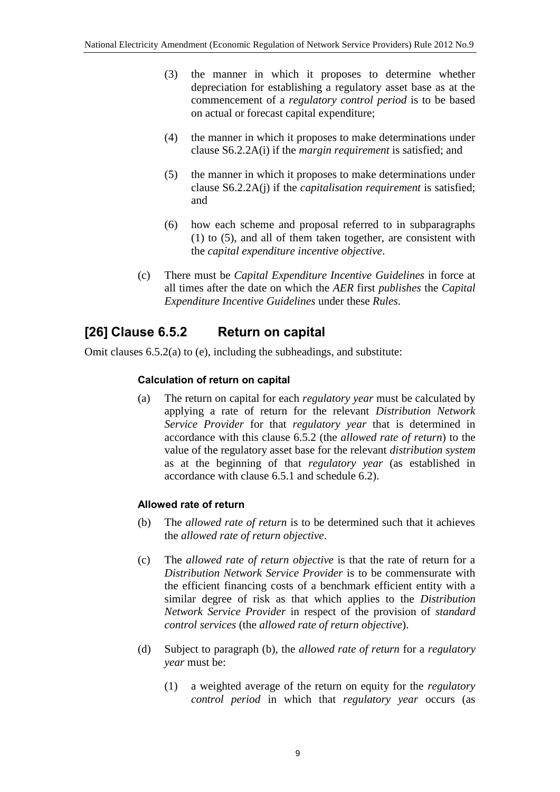- (3) the manner in which it proposes to determine whether depreciation for establishing a regulatory asset base as at the commencement of a *regulatory control period* is to be based on actual or forecast capital expenditure;
- (4) the manner in which it proposes to make determinations under clause S6.2.2A(i) if the *margin requirement* is satisfied; and
- (5) the manner in which it proposes to make determinations under clause S6.2.2A(j) if the *capitalisation requirement* is satisfied; and
- (6) how each scheme and proposal referred to in subparagraphs (1) to (5), and all of them taken together, are consistent with the *capital expenditure incentive objective*.
- (c) There must be *Capital Expenditure Incentive Guidelines* in force at all times after the date on which the *AER* first *publishes* the *Capital Expenditure Incentive Guidelines* under these *Rules*.

### **[26] Clause 6.5.2 Return on capital**

Omit clauses 6.5.2(a) to (e), including the subheadings, and substitute:

#### **Calculation of return on capital**

(a) The return on capital for each *regulatory year* must be calculated by applying a rate of return for the relevant *Distribution Network Service Provider* for that *regulatory year* that is determined in accordance with this clause 6.5.2 (the *allowed rate of return*) to the value of the regulatory asset base for the relevant *distribution system* as at the beginning of that *regulatory year* (as established in accordance with clause 6.5.1 and schedule 6.2).

#### **Allowed rate of return**

- (b) The *allowed rate of return* is to be determined such that it achieves the *allowed rate of return objective*.
- (c) The *allowed rate of return objective* is that the rate of return for a *Distribution Network Service Provider* is to be commensurate with the efficient financing costs of a benchmark efficient entity with a similar degree of risk as that which applies to the *Distribution Network Service Provider* in respect of the provision of *standard control services* (the *allowed rate of return objective*).
- (d) Subject to paragraph (b), the *allowed rate of return* for a *regulatory year* must be:
	- (1) a weighted average of the return on equity for the *regulatory control period* in which that *regulatory year* occurs (as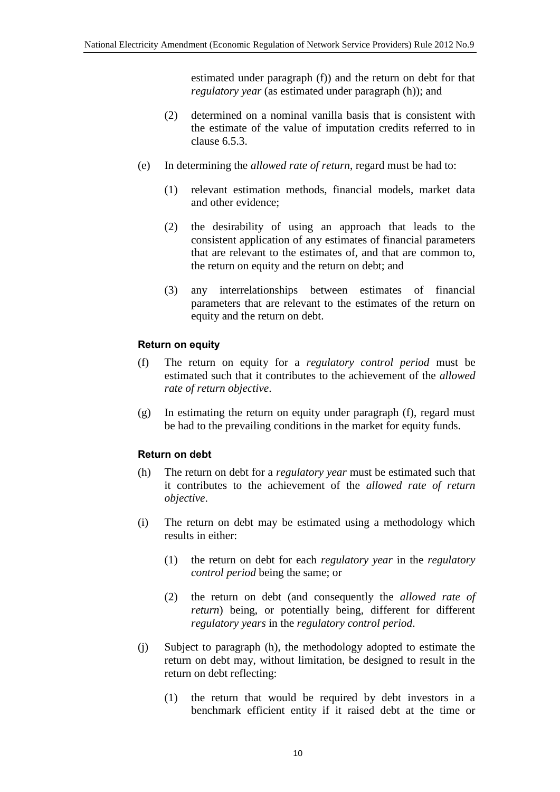estimated under paragraph (f)) and the return on debt for that *regulatory year* (as estimated under paragraph (h)); and

- (2) determined on a nominal vanilla basis that is consistent with the estimate of the value of imputation credits referred to in clause 6.5.3.
- (e) In determining the *allowed rate of return*, regard must be had to:
	- (1) relevant estimation methods, financial models, market data and other evidence;
	- (2) the desirability of using an approach that leads to the consistent application of any estimates of financial parameters that are relevant to the estimates of, and that are common to, the return on equity and the return on debt; and
	- (3) any interrelationships between estimates of financial parameters that are relevant to the estimates of the return on equity and the return on debt.

#### **Return on equity**

- (f) The return on equity for a *regulatory control period* must be estimated such that it contributes to the achievement of the *allowed rate of return objective*.
- (g) In estimating the return on equity under paragraph (f), regard must be had to the prevailing conditions in the market for equity funds.

#### **Return on debt**

- (h) The return on debt for a *regulatory year* must be estimated such that it contributes to the achievement of the *allowed rate of return objective*.
- (i) The return on debt may be estimated using a methodology which results in either:
	- (1) the return on debt for each *regulatory year* in the *regulatory control period* being the same; or
	- (2) the return on debt (and consequently the *allowed rate of return*) being, or potentially being, different for different *regulatory years* in the *regulatory control period*.
- (j) Subject to paragraph (h), the methodology adopted to estimate the return on debt may, without limitation, be designed to result in the return on debt reflecting:
	- (1) the return that would be required by debt investors in a benchmark efficient entity if it raised debt at the time or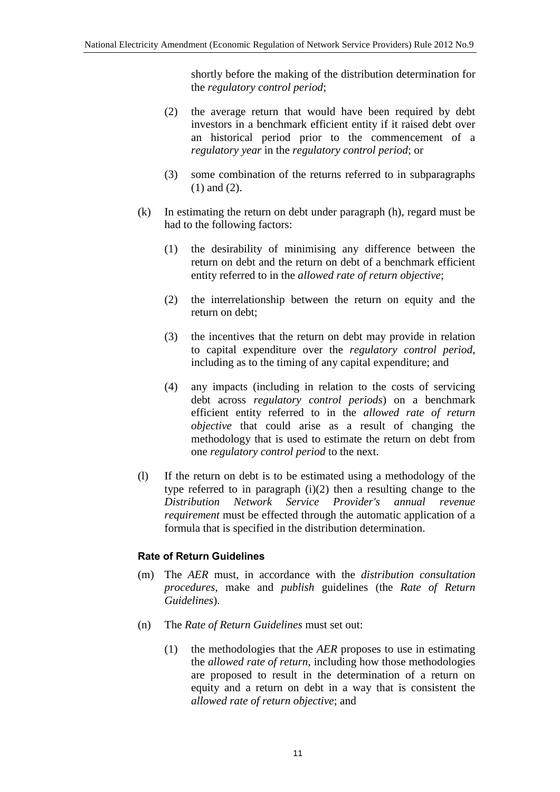shortly before the making of the distribution determination for the *regulatory control period*;

- (2) the average return that would have been required by debt investors in a benchmark efficient entity if it raised debt over an historical period prior to the commencement of a *regulatory year* in the *regulatory control period*; or
- (3) some combination of the returns referred to in subparagraphs (1) and (2).
- (k) In estimating the return on debt under paragraph (h), regard must be had to the following factors:
	- (1) the desirability of minimising any difference between the return on debt and the return on debt of a benchmark efficient entity referred to in the *allowed rate of return objective*;
	- (2) the interrelationship between the return on equity and the return on debt;
	- (3) the incentives that the return on debt may provide in relation to capital expenditure over the *regulatory control period*, including as to the timing of any capital expenditure; and
	- (4) any impacts (including in relation to the costs of servicing debt across *regulatory control periods*) on a benchmark efficient entity referred to in the *allowed rate of return objective* that could arise as a result of changing the methodology that is used to estimate the return on debt from one *regulatory control period* to the next.
- (l) If the return on debt is to be estimated using a methodology of the type referred to in paragraph  $(i)(2)$  then a resulting change to the *Distribution Network Service Provider's annual revenue requirement* must be effected through the automatic application of a formula that is specified in the distribution determination.

#### **Rate of Return Guidelines**

- (m) The *AER* must, in accordance with the *distribution consultation procedures*, make and *publish* guidelines (the *Rate of Return Guidelines*).
- (n) The *Rate of Return Guidelines* must set out:
	- (1) the methodologies that the *AER* proposes to use in estimating the *allowed rate of return*, including how those methodologies are proposed to result in the determination of a return on equity and a return on debt in a way that is consistent the *allowed rate of return objective*; and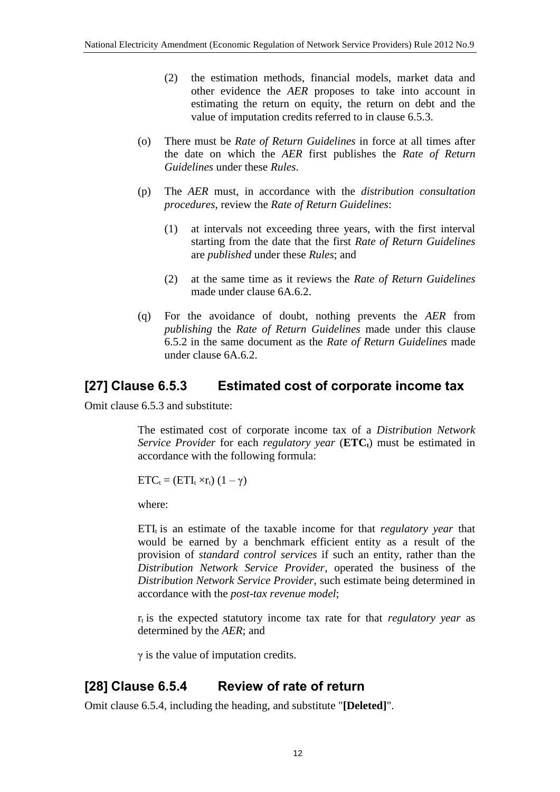- (2) the estimation methods, financial models, market data and other evidence the *AER* proposes to take into account in estimating the return on equity, the return on debt and the value of imputation credits referred to in clause 6.5.3.
- (o) There must be *Rate of Return Guidelines* in force at all times after the date on which the *AER* first publishes the *Rate of Return Guidelines* under these *Rules*.
- (p) The *AER* must, in accordance with the *distribution consultation procedures*, review the *Rate of Return Guidelines*:
	- (1) at intervals not exceeding three years, with the first interval starting from the date that the first *Rate of Return Guidelines* are *published* under these *Rules*; and
	- (2) at the same time as it reviews the *Rate of Return Guidelines* made under clause 6A.6.2.
- (q) For the avoidance of doubt, nothing prevents the *AER* from *publishing* the *Rate of Return Guidelines* made under this clause 6.5.2 in the same document as the *Rate of Return Guidelines* made under clause 6A.6.2.

### **[27] Clause 6.5.3 Estimated cost of corporate income tax**

Omit clause 6.5.3 and substitute:

The estimated cost of corporate income tax of a *Distribution Network Service Provider* for each *regulatory year* (**ETCt**) must be estimated in accordance with the following formula:

 $ETC_t = (ETI_t \times r_t) (1 - \gamma)$ 

where:

 $ETI<sub>t</sub>$  is an estimate of the taxable income for that *regulatory year* that would be earned by a benchmark efficient entity as a result of the provision of *standard control services* if such an entity, rather than the *Distribution Network Service Provider*, operated the business of the *Distribution Network Service Provider*, such estimate being determined in accordance with the *post-tax revenue model*;

 $r_t$  is the expected statutory income tax rate for that *regulatory year* as determined by the *AER*; and

 $\gamma$  is the value of imputation credits.

### **[28] Clause 6.5.4 Review of rate of return**

Omit clause 6.5.4, including the heading, and substitute "**[Deleted]**".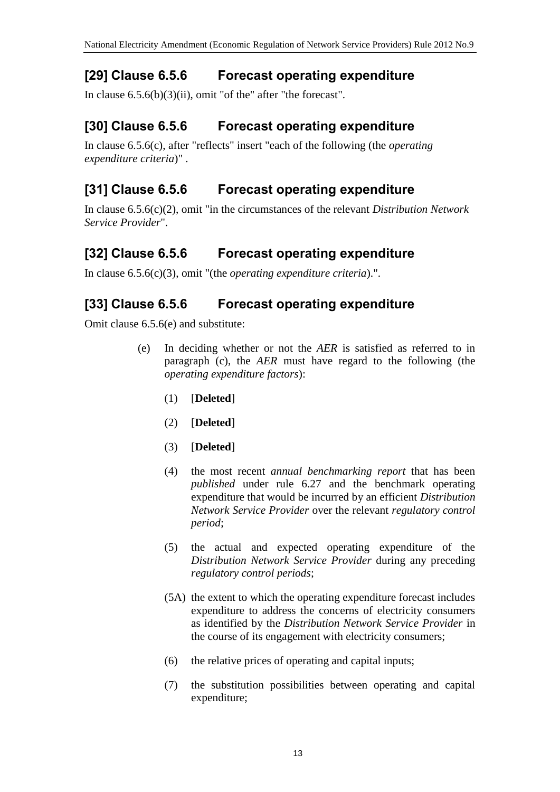## **[29] Clause 6.5.6 Forecast operating expenditure**

In clause 6.5.6(b)(3)(ii), omit "of the" after "the forecast".

## **[30] Clause 6.5.6 Forecast operating expenditure**

In clause 6.5.6(c), after "reflects" insert "each of the following (the *operating expenditure criteria*)" .

## **[31] Clause 6.5.6 Forecast operating expenditure**

In clause 6.5.6(c)(2), omit "in the circumstances of the relevant *Distribution Network Service Provider*".

## **[32] Clause 6.5.6 Forecast operating expenditure**

In clause 6.5.6(c)(3), omit "(the *operating expenditure criteria*).".

## **[33] Clause 6.5.6 Forecast operating expenditure**

Omit clause 6.5.6(e) and substitute:

- (e) In deciding whether or not the *AER* is satisfied as referred to in paragraph (c), the *AER* must have regard to the following (the *operating expenditure factors*):
	- (1) [**Deleted**]
	- (2) [**Deleted**]
	- (3) [**Deleted**]
	- (4) the most recent *annual benchmarking report* that has been *published* under rule 6.27 and the benchmark operating expenditure that would be incurred by an efficient *Distribution Network Service Provider* over the relevant *regulatory control period*;
	- (5) the actual and expected operating expenditure of the *Distribution Network Service Provider* during any preceding *regulatory control periods*;
	- (5A) the extent to which the operating expenditure forecast includes expenditure to address the concerns of electricity consumers as identified by the *Distribution Network Service Provider* in the course of its engagement with electricity consumers;
	- (6) the relative prices of operating and capital inputs;
	- (7) the substitution possibilities between operating and capital expenditure;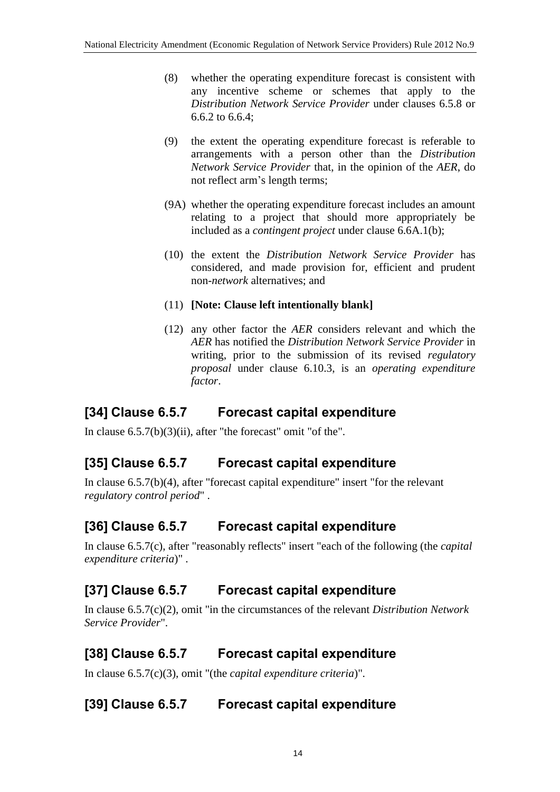- (8) whether the operating expenditure forecast is consistent with any incentive scheme or schemes that apply to the *Distribution Network Service Provider* under clauses 6.5.8 or 6.6.2 to 6.6.4;
- (9) the extent the operating expenditure forecast is referable to arrangements with a person other than the *Distribution Network Service Provider* that, in the opinion of the *AER*, do not reflect arm's length terms;
- (9A) whether the operating expenditure forecast includes an amount relating to a project that should more appropriately be included as a *contingent project* under clause 6.6A.1(b);
- (10) the extent the *Distribution Network Service Provider* has considered, and made provision for, efficient and prudent non-*network* alternatives; and
- (11) **[Note: Clause left intentionally blank]**
- (12) any other factor the *AER* considers relevant and which the *AER* has notified the *Distribution Network Service Provider* in writing, prior to the submission of its revised *regulatory proposal* under clause 6.10.3, is an *operating expenditure factor*.

# **[34] Clause 6.5.7 Forecast capital expenditure**

In clause 6.5.7(b)(3)(ii), after "the forecast" omit "of the".

# **[35] Clause 6.5.7 Forecast capital expenditure**

In clause 6.5.7(b)(4), after "forecast capital expenditure" insert "for the relevant *regulatory control period*" .

# **[36] Clause 6.5.7 Forecast capital expenditure**

In clause 6.5.7(c), after "reasonably reflects" insert "each of the following (the *capital expenditure criteria*)" .

# **[37] Clause 6.5.7 Forecast capital expenditure**

In clause 6.5.7(c)(2), omit "in the circumstances of the relevant *Distribution Network Service Provider*".

# **[38] Clause 6.5.7 Forecast capital expenditure**

In clause 6.5.7(c)(3), omit "(the *capital expenditure criteria*)".

# **[39] Clause 6.5.7 Forecast capital expenditure**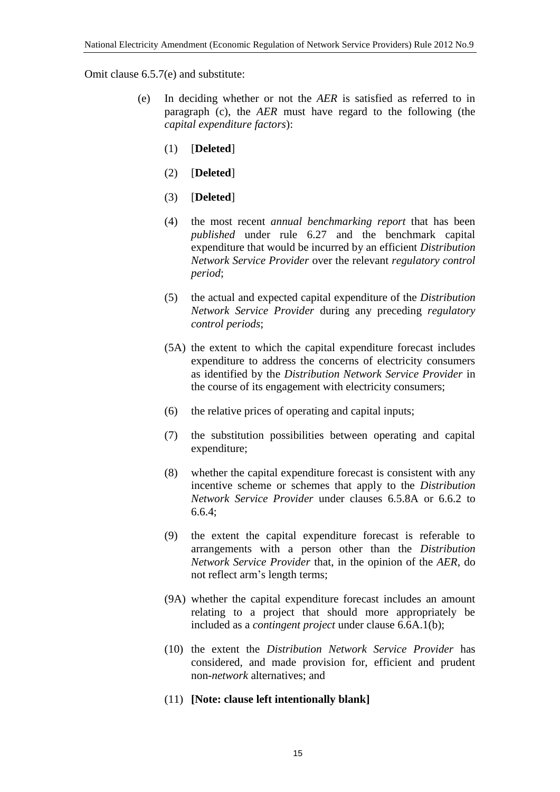Omit clause 6.5.7(e) and substitute:

- (e) In deciding whether or not the *AER* is satisfied as referred to in paragraph (c), the *AER* must have regard to the following (the *capital expenditure factors*):
	- (1) [**Deleted**]
	- (2) [**Deleted**]
	- (3) [**Deleted**]
	- (4) the most recent *annual benchmarking report* that has been *published* under rule 6.27 and the benchmark capital expenditure that would be incurred by an efficient *Distribution Network Service Provider* over the relevant *regulatory control period*;
	- (5) the actual and expected capital expenditure of the *Distribution Network Service Provider* during any preceding *regulatory control periods*;
	- (5A) the extent to which the capital expenditure forecast includes expenditure to address the concerns of electricity consumers as identified by the *Distribution Network Service Provider* in the course of its engagement with electricity consumers;
	- (6) the relative prices of operating and capital inputs;
	- (7) the substitution possibilities between operating and capital expenditure;
	- (8) whether the capital expenditure forecast is consistent with any incentive scheme or schemes that apply to the *Distribution Network Service Provider* under clauses 6.5.8A or 6.6.2 to 6.6.4;
	- (9) the extent the capital expenditure forecast is referable to arrangements with a person other than the *Distribution Network Service Provider* that, in the opinion of the *AER*, do not reflect arm's length terms;
	- (9A) whether the capital expenditure forecast includes an amount relating to a project that should more appropriately be included as a *contingent project* under clause 6.6A.1(b);
	- (10) the extent the *Distribution Network Service Provider* has considered, and made provision for, efficient and prudent non-*network* alternatives; and
	- (11) **[Note: clause left intentionally blank]**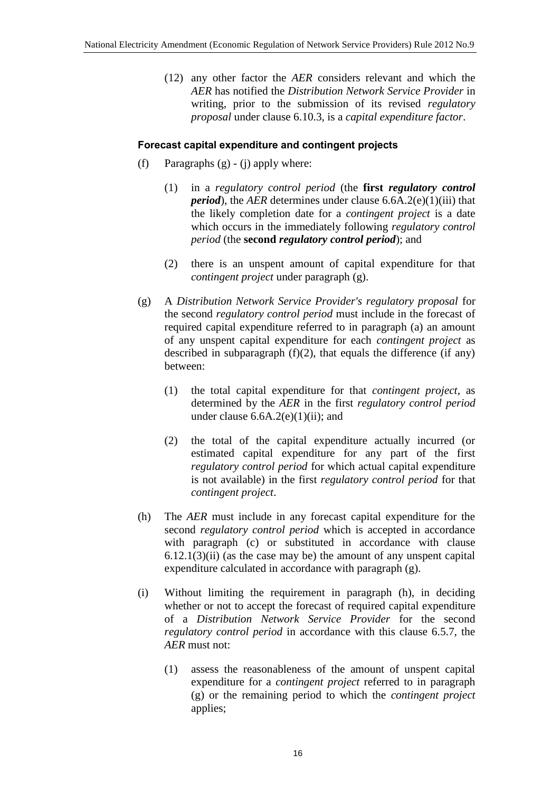(12) any other factor the *AER* considers relevant and which the *AER* has notified the *Distribution Network Service Provider* in writing, prior to the submission of its revised *regulatory proposal* under clause 6.10.3, is a *capital expenditure factor*.

#### **Forecast capital expenditure and contingent projects**

- (f) Paragraphs  $(g) (i)$  apply where:
	- (1) in a *regulatory control period* (the **first** *regulatory control period*), the *AER* determines under clause 6.6A.2(e)(1)(iii) that the likely completion date for a *contingent project* is a date which occurs in the immediately following *regulatory control period* (the **second** *regulatory control period*); and
	- (2) there is an unspent amount of capital expenditure for that *contingent project* under paragraph (g).
- (g) A *Distribution Network Service Provider's regulatory proposal* for the second *regulatory control period* must include in the forecast of required capital expenditure referred to in paragraph (a) an amount of any unspent capital expenditure for each *contingent project* as described in subparagraph  $(f)(2)$ , that equals the difference (if any) between:
	- (1) the total capital expenditure for that *contingent project*, as determined by the *AER* in the first *regulatory control period* under clause  $6.6A.2(e)(1)(ii)$ ; and
	- (2) the total of the capital expenditure actually incurred (or estimated capital expenditure for any part of the first *regulatory control period* for which actual capital expenditure is not available) in the first *regulatory control period* for that *contingent project*.
- (h) The *AER* must include in any forecast capital expenditure for the second *regulatory control period* which is accepted in accordance with paragraph (c) or substituted in accordance with clause  $6.12.1(3)(ii)$  (as the case may be) the amount of any unspent capital expenditure calculated in accordance with paragraph (g).
- (i) Without limiting the requirement in paragraph (h), in deciding whether or not to accept the forecast of required capital expenditure of a *Distribution Network Service Provider* for the second *regulatory control period* in accordance with this clause 6.5.7, the *AER* must not:
	- (1) assess the reasonableness of the amount of unspent capital expenditure for a *contingent project* referred to in paragraph (g) or the remaining period to which the *contingent project* applies;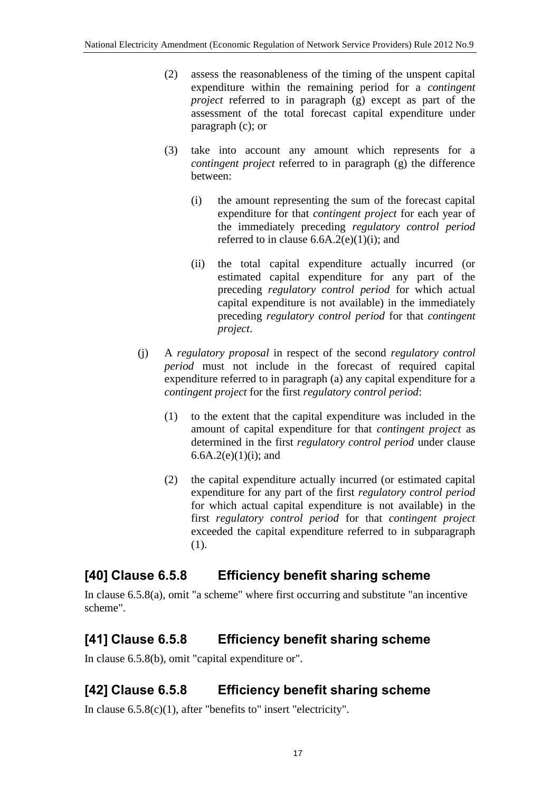- (2) assess the reasonableness of the timing of the unspent capital expenditure within the remaining period for a *contingent project* referred to in paragraph (g) except as part of the assessment of the total forecast capital expenditure under paragraph (c); or
- (3) take into account any amount which represents for a *contingent project* referred to in paragraph (g) the difference between:
	- (i) the amount representing the sum of the forecast capital expenditure for that *contingent project* for each year of the immediately preceding *regulatory control period* referred to in clause  $6.6A.2(e)(1)(i)$ ; and
	- (ii) the total capital expenditure actually incurred (or estimated capital expenditure for any part of the preceding *regulatory control period* for which actual capital expenditure is not available) in the immediately preceding *regulatory control period* for that *contingent project*.
- (j) A *regulatory proposal* in respect of the second *regulatory control period* must not include in the forecast of required capital expenditure referred to in paragraph (a) any capital expenditure for a *contingent project* for the first *regulatory control period*:
	- (1) to the extent that the capital expenditure was included in the amount of capital expenditure for that *contingent project* as determined in the first *regulatory control period* under clause 6.6A.2(e)(1)(i); and
	- (2) the capital expenditure actually incurred (or estimated capital expenditure for any part of the first *regulatory control period* for which actual capital expenditure is not available) in the first *regulatory control period* for that *contingent project* exceeded the capital expenditure referred to in subparagraph (1).

### **[40] Clause 6.5.8 Efficiency benefit sharing scheme**

In clause 6.5.8(a), omit "a scheme" where first occurring and substitute "an incentive scheme".

# **[41] Clause 6.5.8 Efficiency benefit sharing scheme**

In clause 6.5.8(b), omit "capital expenditure or".

# **[42] Clause 6.5.8 Efficiency benefit sharing scheme**

In clause 6.5.8(c)(1), after "benefits to" insert "electricity".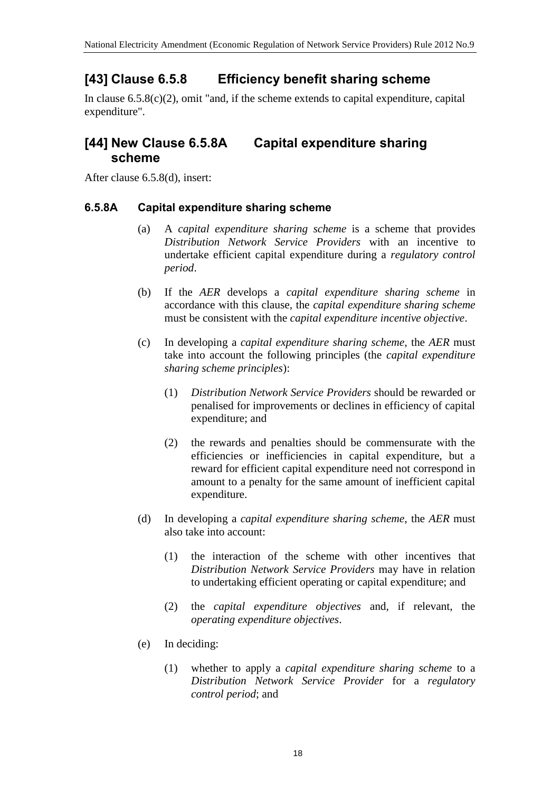# **[43] Clause 6.5.8 Efficiency benefit sharing scheme**

In clause  $6.5.8(c)(2)$ , omit "and, if the scheme extends to capital expenditure, capital expenditure".

#### **[44] New Clause 6.5.8A Capital expenditure sharing scheme**

After clause 6.5.8(d), insert:

#### **6.5.8A Capital expenditure sharing scheme**

- (a) A *capital expenditure sharing scheme* is a scheme that provides *Distribution Network Service Providers* with an incentive to undertake efficient capital expenditure during a *regulatory control period*.
- (b) If the *AER* develops a *capital expenditure sharing scheme* in accordance with this clause, the *capital expenditure sharing scheme* must be consistent with the *capital expenditure incentive objective*.
- (c) In developing a *capital expenditure sharing scheme*, the *AER* must take into account the following principles (the *capital expenditure sharing scheme principles*):
	- (1) *Distribution Network Service Providers* should be rewarded or penalised for improvements or declines in efficiency of capital expenditure; and
	- (2) the rewards and penalties should be commensurate with the efficiencies or inefficiencies in capital expenditure, but a reward for efficient capital expenditure need not correspond in amount to a penalty for the same amount of inefficient capital expenditure.
- (d) In developing a *capital expenditure sharing scheme*, the *AER* must also take into account:
	- (1) the interaction of the scheme with other incentives that *Distribution Network Service Providers* may have in relation to undertaking efficient operating or capital expenditure; and
	- (2) the *capital expenditure objectives* and, if relevant, the *operating expenditure objectives*.
- (e) In deciding:
	- (1) whether to apply a *capital expenditure sharing scheme* to a *Distribution Network Service Provider* for a *regulatory control period*; and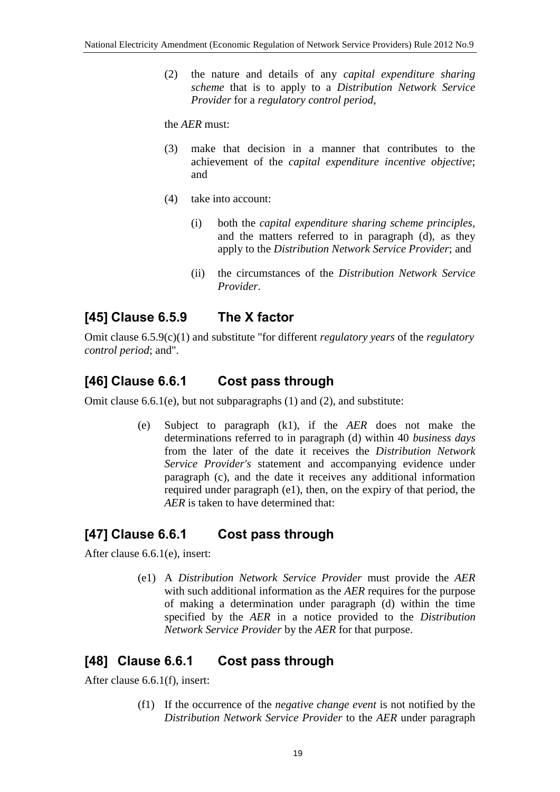(2) the nature and details of any *capital expenditure sharing scheme* that is to apply to a *Distribution Network Service Provider* for a *regulatory control period*,

the *AER* must:

- (3) make that decision in a manner that contributes to the achievement of the *capital expenditure incentive objective*; and
- (4) take into account:
	- (i) both the *capital expenditure sharing scheme principles*, and the matters referred to in paragraph (d), as they apply to the *Distribution Network Service Provider*; and
	- (ii) the circumstances of the *Distribution Network Service Provider*.

# **[45] Clause 6.5.9 The X factor**

Omit clause 6.5.9(c)(1) and substitute "for different *regulatory years* of the *regulatory control period*; and".

# **[46] Clause 6.6.1 Cost pass through**

Omit clause 6.6.1(e), but not subparagraphs (1) and (2), and substitute:

(e) Subject to paragraph (k1), if the *AER* does not make the determinations referred to in paragraph (d) within 40 *business days* from the later of the date it receives the *Distribution Network Service Provider's* statement and accompanying evidence under paragraph (c), and the date it receives any additional information required under paragraph (e1), then, on the expiry of that period, the *AER* is taken to have determined that:

### **[47] Clause 6.6.1 Cost pass through**

After clause 6.6.1(e), insert:

(e1) A *Distribution Network Service Provider* must provide the *AER* with such additional information as the *AER* requires for the purpose of making a determination under paragraph (d) within the time specified by the *AER* in a notice provided to the *Distribution Network Service Provider* by the *AER* for that purpose.

### **[48] Clause 6.6.1 Cost pass through**

After clause 6.6.1(f), insert:

(f1) If the occurrence of the *negative change event* is not notified by the *Distribution Network Service Provider* to the *AER* under paragraph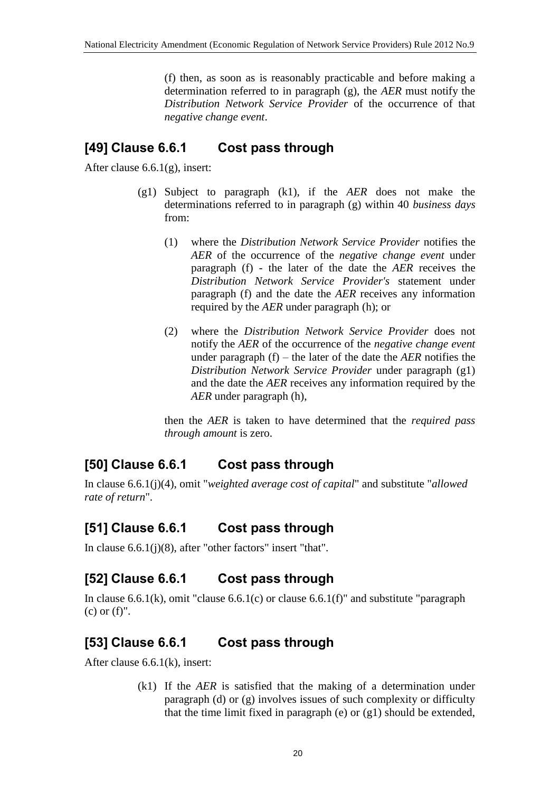(f) then, as soon as is reasonably practicable and before making a determination referred to in paragraph (g), the *AER* must notify the *Distribution Network Service Provider* of the occurrence of that *negative change event*.

## **[49] Clause 6.6.1 Cost pass through**

After clause 6.6.1(g), insert:

- (g1) Subject to paragraph (k1), if the *AER* does not make the determinations referred to in paragraph (g) within 40 *business days* from:
	- (1) where the *Distribution Network Service Provider* notifies the *AER* of the occurrence of the *negative change event* under paragraph (f) - the later of the date the *AER* receives the *Distribution Network Service Provider's* statement under paragraph (f) and the date the *AER* receives any information required by the *AER* under paragraph (h); or
	- (2) where the *Distribution Network Service Provider* does not notify the *AER* of the occurrence of the *negative change event* under paragraph (f) – the later of the date the *AER* notifies the *Distribution Network Service Provider* under paragraph (g1) and the date the *AER* receives any information required by the *AER* under paragraph (h),

then the *AER* is taken to have determined that the *required pass through amount* is zero.

# **[50] Clause 6.6.1 Cost pass through**

In clause 6.6.1(j)(4), omit "*weighted average cost of capital*" and substitute "*allowed rate of return*".

# **[51] Clause 6.6.1 Cost pass through**

In clause 6.6.1(j)(8), after "other factors" insert "that".

# **[52] Clause 6.6.1 Cost pass through**

In clause 6.6.1(k), omit "clause 6.6.1(c) or clause 6.6.1(f)" and substitute "paragraph (c) or (f)".

# **[53] Clause 6.6.1 Cost pass through**

After clause 6.6.1(k), insert:

(k1) If the *AER* is satisfied that the making of a determination under paragraph (d) or (g) involves issues of such complexity or difficulty that the time limit fixed in paragraph (e) or (g1) should be extended,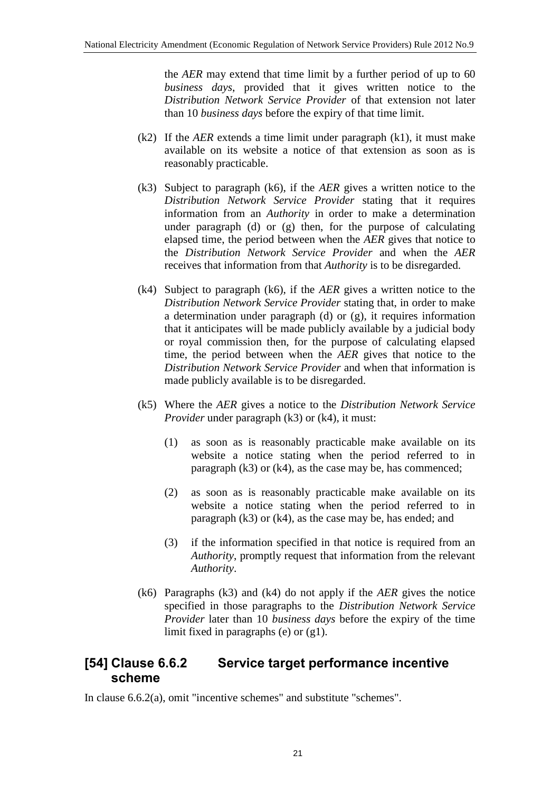the *AER* may extend that time limit by a further period of up to 60 *business days*, provided that it gives written notice to the *Distribution Network Service Provider* of that extension not later than 10 *business days* before the expiry of that time limit.

- (k2) If the *AER* extends a time limit under paragraph (k1), it must make available on its website a notice of that extension as soon as is reasonably practicable.
- (k3) Subject to paragraph (k6), if the *AER* gives a written notice to the *Distribution Network Service Provider* stating that it requires information from an *Authority* in order to make a determination under paragraph (d) or (g) then, for the purpose of calculating elapsed time, the period between when the *AER* gives that notice to the *Distribution Network Service Provider* and when the *AER* receives that information from that *Authority* is to be disregarded.
- (k4) Subject to paragraph (k6), if the *AER* gives a written notice to the *Distribution Network Service Provider* stating that, in order to make a determination under paragraph (d) or (g), it requires information that it anticipates will be made publicly available by a judicial body or royal commission then, for the purpose of calculating elapsed time, the period between when the *AER* gives that notice to the *Distribution Network Service Provider* and when that information is made publicly available is to be disregarded.
- (k5) Where the *AER* gives a notice to the *Distribution Network Service Provider* under paragraph (k3) or (k4), it must:
	- (1) as soon as is reasonably practicable make available on its website a notice stating when the period referred to in paragraph  $(k3)$  or  $(k4)$ , as the case may be, has commenced;
	- (2) as soon as is reasonably practicable make available on its website a notice stating when the period referred to in paragraph (k3) or (k4), as the case may be, has ended; and
	- (3) if the information specified in that notice is required from an *Authority*, promptly request that information from the relevant *Authority*.
- (k6) Paragraphs (k3) and (k4) do not apply if the *AER* gives the notice specified in those paragraphs to the *Distribution Network Service Provider* later than 10 *business days* before the expiry of the time limit fixed in paragraphs (e) or (g1).

### **[54] Clause 6.6.2 Service target performance incentive scheme**

In clause 6.6.2(a), omit "incentive schemes" and substitute "schemes".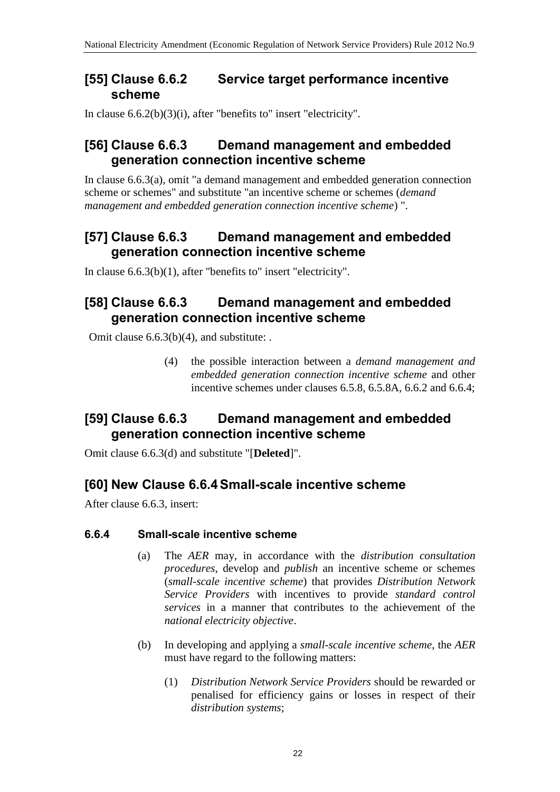#### **[55] Clause 6.6.2 Service target performance incentive scheme**

In clause 6.6.2(b)(3)(i), after "benefits to" insert "electricity".

#### **[56] Clause 6.6.3 Demand management and embedded generation connection incentive scheme**

In clause 6.6.3(a), omit "a demand management and embedded generation connection scheme or schemes" and substitute "an incentive scheme or schemes (*demand management and embedded generation connection incentive scheme*) ".

### **[57] Clause 6.6.3 Demand management and embedded generation connection incentive scheme**

In clause 6.6.3(b)(1), after "benefits to" insert "electricity".

### **[58] Clause 6.6.3 Demand management and embedded generation connection incentive scheme**

Omit clause 6.6.3(b)(4), and substitute: .

(4) the possible interaction between a *demand management and embedded generation connection incentive scheme* and other incentive schemes under clauses 6.5.8, 6.5.8A, 6.6.2 and 6.6.4;

## **[59] Clause 6.6.3 Demand management and embedded generation connection incentive scheme**

Omit clause 6.6.3(d) and substitute "[**Deleted**]".

# **[60] New Clause 6.6.4Small-scale incentive scheme**

After clause 6.6.3, insert:

#### **6.6.4 Small-scale incentive scheme**

- (a) The *AER* may, in accordance with the *distribution consultation procedures*, develop and *publish* an incentive scheme or schemes (*small-scale incentive scheme*) that provides *Distribution Network Service Providers* with incentives to provide *standard control services* in a manner that contributes to the achievement of the *national electricity objective*.
- (b) In developing and applying a *small-scale incentive scheme*, the *AER* must have regard to the following matters:
	- (1) *Distribution Network Service Providers* should be rewarded or penalised for efficiency gains or losses in respect of their *distribution systems*;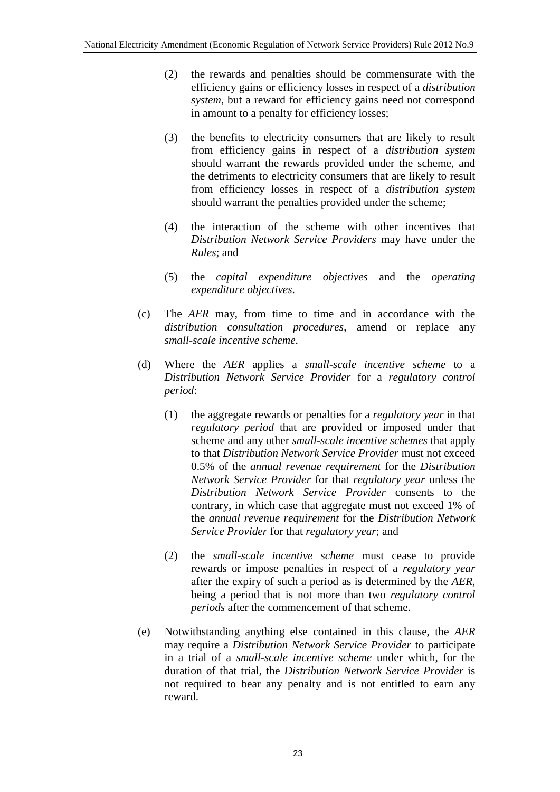- (2) the rewards and penalties should be commensurate with the efficiency gains or efficiency losses in respect of a *distribution system*, but a reward for efficiency gains need not correspond in amount to a penalty for efficiency losses;
- (3) the benefits to electricity consumers that are likely to result from efficiency gains in respect of a *distribution system*  should warrant the rewards provided under the scheme, and the detriments to electricity consumers that are likely to result from efficiency losses in respect of a *distribution system* should warrant the penalties provided under the scheme;
- (4) the interaction of the scheme with other incentives that *Distribution Network Service Providers* may have under the *Rules*; and
- (5) the *capital expenditure objectives* and the *operating expenditure objectives*.
- (c) The *AER* may, from time to time and in accordance with the *distribution consultation procedures*, amend or replace any *small-scale incentive scheme*.
- (d) Where the *AER* applies a *small-scale incentive scheme* to a *Distribution Network Service Provider* for a *regulatory control period*:
	- (1) the aggregate rewards or penalties for a *regulatory year* in that *regulatory period* that are provided or imposed under that scheme and any other *small-scale incentive schemes* that apply to that *Distribution Network Service Provider* must not exceed 0.5% of the *annual revenue requirement* for the *Distribution Network Service Provider* for that *regulatory year* unless the *Distribution Network Service Provider* consents to the contrary, in which case that aggregate must not exceed 1% of the *annual revenue requirement* for the *Distribution Network Service Provider* for that *regulatory year*; and
	- (2) the *small-scale incentive scheme* must cease to provide rewards or impose penalties in respect of a *regulatory year* after the expiry of such a period as is determined by the *AER*, being a period that is not more than two *regulatory control periods* after the commencement of that scheme.
- (e) Notwithstanding anything else contained in this clause, the *AER* may require a *Distribution Network Service Provider* to participate in a trial of a *small-scale incentive scheme* under which, for the duration of that trial, the *Distribution Network Service Provider* is not required to bear any penalty and is not entitled to earn any reward.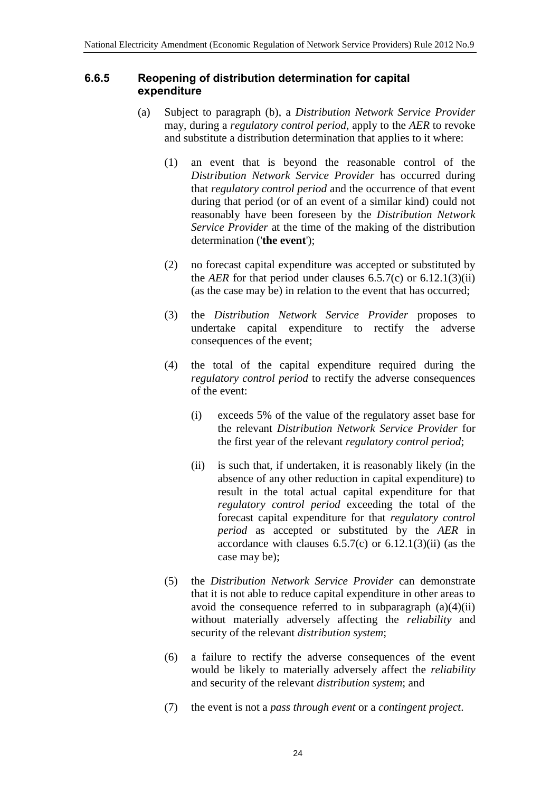#### **6.6.5 Reopening of distribution determination for capital expenditure**

- (a) Subject to paragraph (b), a *Distribution Network Service Provider* may, during a *regulatory control period*, apply to the *AER* to revoke and substitute a distribution determination that applies to it where:
	- (1) an event that is beyond the reasonable control of the *Distribution Network Service Provider* has occurred during that *regulatory control period* and the occurrence of that event during that period (or of an event of a similar kind) could not reasonably have been foreseen by the *Distribution Network Service Provider* at the time of the making of the distribution determination ('**the event**');
	- (2) no forecast capital expenditure was accepted or substituted by the *AER* for that period under clauses  $6.5.7(c)$  or  $6.12.1(3)(ii)$ (as the case may be) in relation to the event that has occurred;
	- (3) the *Distribution Network Service Provider* proposes to undertake capital expenditure to rectify the adverse consequences of the event;
	- (4) the total of the capital expenditure required during the *regulatory control period* to rectify the adverse consequences of the event:
		- (i) exceeds 5% of the value of the regulatory asset base for the relevant *Distribution Network Service Provider* for the first year of the relevant *regulatory control period*;
		- (ii) is such that, if undertaken, it is reasonably likely (in the absence of any other reduction in capital expenditure) to result in the total actual capital expenditure for that *regulatory control period* exceeding the total of the forecast capital expenditure for that *regulatory control period* as accepted or substituted by the *AER* in accordance with clauses  $6.5.7(c)$  or  $6.12.1(3)(ii)$  (as the case may be);
	- (5) the *Distribution Network Service Provider* can demonstrate that it is not able to reduce capital expenditure in other areas to avoid the consequence referred to in subparagraph  $(a)(4)(ii)$ without materially adversely affecting the *reliability* and security of the relevant *distribution system*;
	- (6) a failure to rectify the adverse consequences of the event would be likely to materially adversely affect the *reliability* and security of the relevant *distribution system*; and
	- (7) the event is not a *pass through event* or a *contingent project*.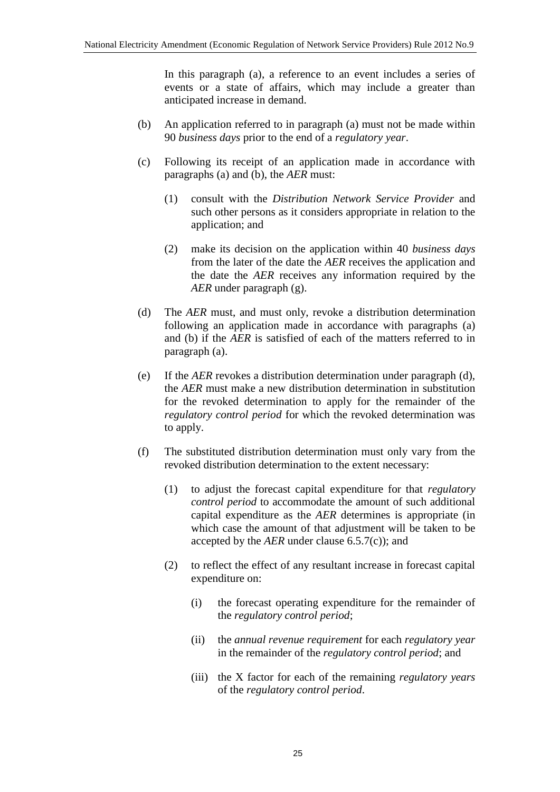In this paragraph (a), a reference to an event includes a series of events or a state of affairs, which may include a greater than anticipated increase in demand.

- (b) An application referred to in paragraph (a) must not be made within 90 *business days* prior to the end of a *regulatory year*.
- (c) Following its receipt of an application made in accordance with paragraphs (a) and (b), the *AER* must:
	- (1) consult with the *Distribution Network Service Provider* and such other persons as it considers appropriate in relation to the application; and
	- (2) make its decision on the application within 40 *business days* from the later of the date the *AER* receives the application and the date the *AER* receives any information required by the *AER* under paragraph (g).
- (d) The *AER* must, and must only, revoke a distribution determination following an application made in accordance with paragraphs (a) and (b) if the *AER* is satisfied of each of the matters referred to in paragraph (a).
- (e) If the *AER* revokes a distribution determination under paragraph (d), the *AER* must make a new distribution determination in substitution for the revoked determination to apply for the remainder of the *regulatory control period* for which the revoked determination was to apply.
- (f) The substituted distribution determination must only vary from the revoked distribution determination to the extent necessary:
	- (1) to adjust the forecast capital expenditure for that *regulatory control period* to accommodate the amount of such additional capital expenditure as the *AER* determines is appropriate (in which case the amount of that adjustment will be taken to be accepted by the *AER* under clause 6.5.7(c)); and
	- (2) to reflect the effect of any resultant increase in forecast capital expenditure on:
		- (i) the forecast operating expenditure for the remainder of the *regulatory control period*;
		- (ii) the *annual revenue requirement* for each *regulatory year* in the remainder of the *regulatory control period*; and
		- (iii) the X factor for each of the remaining *regulatory years* of the *regulatory control period*.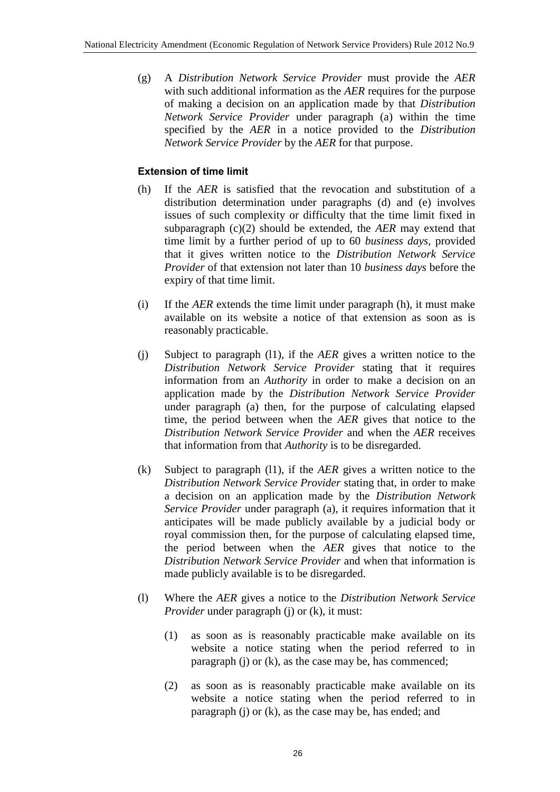(g) A *Distribution Network Service Provider* must provide the *AER* with such additional information as the *AER* requires for the purpose of making a decision on an application made by that *Distribution Network Service Provider* under paragraph (a) within the time specified by the *AER* in a notice provided to the *Distribution Network Service Provider* by the *AER* for that purpose.

#### **Extension of time limit**

- (h) If the *AER* is satisfied that the revocation and substitution of a distribution determination under paragraphs (d) and (e) involves issues of such complexity or difficulty that the time limit fixed in subparagraph (c)(2) should be extended, the *AER* may extend that time limit by a further period of up to 60 *business days*, provided that it gives written notice to the *Distribution Network Service Provider* of that extension not later than 10 *business days* before the expiry of that time limit.
- (i) If the *AER* extends the time limit under paragraph (h), it must make available on its website a notice of that extension as soon as is reasonably practicable.
- (j) Subject to paragraph (l1), if the *AER* gives a written notice to the *Distribution Network Service Provider* stating that it requires information from an *Authority* in order to make a decision on an application made by the *Distribution Network Service Provider* under paragraph (a) then, for the purpose of calculating elapsed time, the period between when the *AER* gives that notice to the *Distribution Network Service Provider* and when the *AER* receives that information from that *Authority* is to be disregarded.
- (k) Subject to paragraph (l1), if the *AER* gives a written notice to the *Distribution Network Service Provider* stating that, in order to make a decision on an application made by the *Distribution Network Service Provider* under paragraph (a), it requires information that it anticipates will be made publicly available by a judicial body or royal commission then, for the purpose of calculating elapsed time, the period between when the *AER* gives that notice to the *Distribution Network Service Provider* and when that information is made publicly available is to be disregarded.
- (l) Where the *AER* gives a notice to the *Distribution Network Service Provider* under paragraph (j) or (k), it must:
	- (1) as soon as is reasonably practicable make available on its website a notice stating when the period referred to in paragraph (j) or (k), as the case may be, has commenced;
	- (2) as soon as is reasonably practicable make available on its website a notice stating when the period referred to in paragraph (j) or (k), as the case may be, has ended; and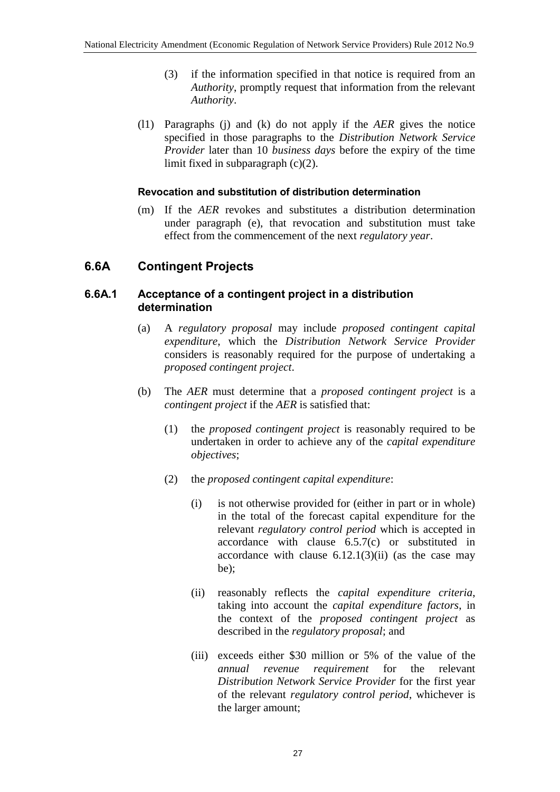- (3) if the information specified in that notice is required from an *Authority*, promptly request that information from the relevant *Authority*.
- (l1) Paragraphs (j) and (k) do not apply if the *AER* gives the notice specified in those paragraphs to the *Distribution Network Service Provider* later than 10 *business days* before the expiry of the time limit fixed in subparagraph (c)(2).

#### **Revocation and substitution of distribution determination**

(m) If the *AER* revokes and substitutes a distribution determination under paragraph (e), that revocation and substitution must take effect from the commencement of the next *regulatory year*.

#### **6.6A Contingent Projects**

#### **6.6A.1 Acceptance of a contingent project in a distribution determination**

- (a) A *regulatory proposal* may include *proposed contingent capital expenditure*, which the *Distribution Network Service Provider* considers is reasonably required for the purpose of undertaking a *proposed contingent project*.
- (b) The *AER* must determine that a *proposed contingent project* is a *contingent project* if the *AER* is satisfied that:
	- (1) the *proposed contingent project* is reasonably required to be undertaken in order to achieve any of the *capital expenditure objectives*;
	- (2) the *proposed contingent capital expenditure*:
		- (i) is not otherwise provided for (either in part or in whole) in the total of the forecast capital expenditure for the relevant *regulatory control period* which is accepted in accordance with clause 6.5.7(c) or substituted in accordance with clause  $6.12.1(3)(ii)$  (as the case may be);
		- (ii) reasonably reflects the *capital expenditure criteria*, taking into account the *capital expenditure factors*, in the context of the *proposed contingent project* as described in the *regulatory proposal*; and
		- (iii) exceeds either \$30 million or 5% of the value of the *annual revenue requirement* for the relevant *Distribution Network Service Provider* for the first year of the relevant *regulatory control period*, whichever is the larger amount;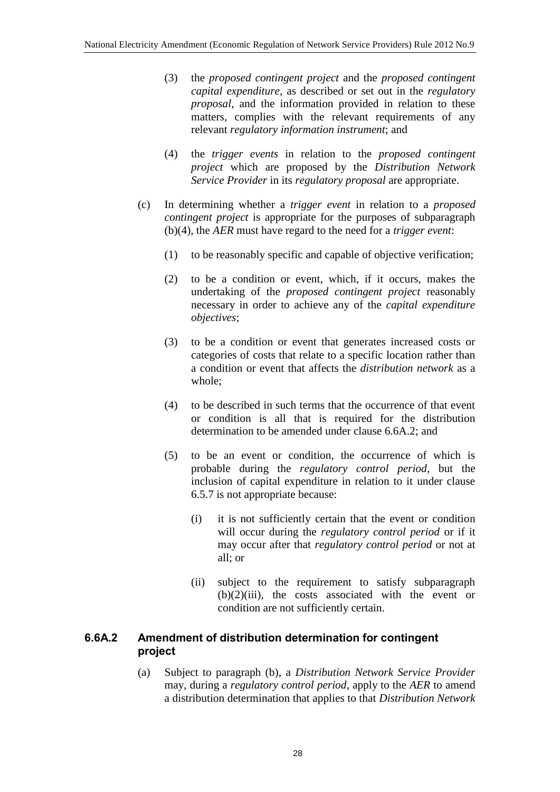- (3) the *proposed contingent project* and the *proposed contingent capital expenditure*, as described or set out in the *regulatory proposal*, and the information provided in relation to these matters, complies with the relevant requirements of any relevant *regulatory information instrument*; and
- (4) the *trigger events* in relation to the *proposed contingent project* which are proposed by the *Distribution Network Service Provider* in its *regulatory proposal* are appropriate.
- (c) In determining whether a *trigger event* in relation to a *proposed contingent project* is appropriate for the purposes of subparagraph (b)(4), the *AER* must have regard to the need for a *trigger event*:
	- (1) to be reasonably specific and capable of objective verification;
	- (2) to be a condition or event, which, if it occurs, makes the undertaking of the *proposed contingent project* reasonably necessary in order to achieve any of the *capital expenditure objectives*;
	- (3) to be a condition or event that generates increased costs or categories of costs that relate to a specific location rather than a condition or event that affects the *distribution network* as a whole;
	- (4) to be described in such terms that the occurrence of that event or condition is all that is required for the distribution determination to be amended under clause 6.6A.2; and
	- (5) to be an event or condition, the occurrence of which is probable during the *regulatory control period*, but the inclusion of capital expenditure in relation to it under clause 6.5.7 is not appropriate because:
		- (i) it is not sufficiently certain that the event or condition will occur during the *regulatory control period* or if it may occur after that *regulatory control period* or not at all; or
		- (ii) subject to the requirement to satisfy subparagraph  $(b)(2)(iii)$ , the costs associated with the event or condition are not sufficiently certain.

#### **6.6A.2 Amendment of distribution determination for contingent project**

(a) Subject to paragraph (b), a *Distribution Network Service Provider* may, during a *regulatory control period*, apply to the *AER* to amend a distribution determination that applies to that *Distribution Network*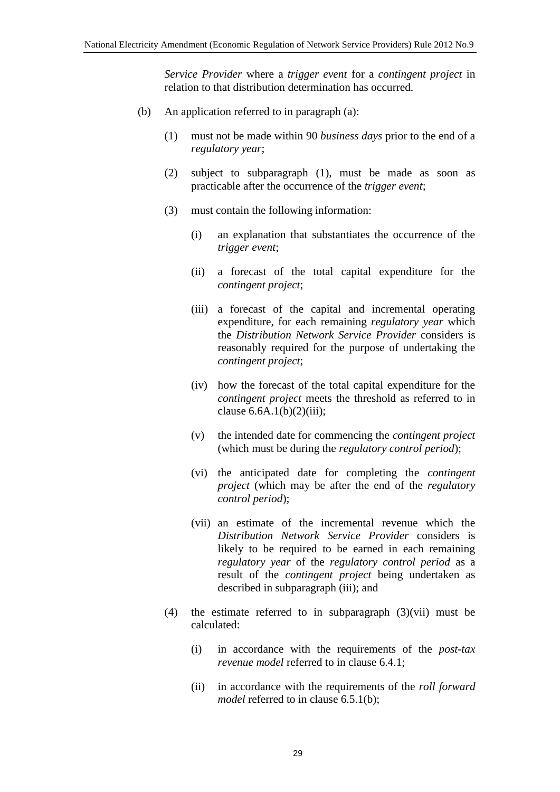*Service Provider* where a *trigger event* for a *contingent project* in relation to that distribution determination has occurred.

- (b) An application referred to in paragraph (a):
	- (1) must not be made within 90 *business days* prior to the end of a *regulatory year*;
	- (2) subject to subparagraph (1), must be made as soon as practicable after the occurrence of the *trigger event*;
	- (3) must contain the following information:
		- (i) an explanation that substantiates the occurrence of the *trigger event*;
		- (ii) a forecast of the total capital expenditure for the *contingent project*;
		- (iii) a forecast of the capital and incremental operating expenditure, for each remaining *regulatory year* which the *Distribution Network Service Provider* considers is reasonably required for the purpose of undertaking the *contingent project*;
		- (iv) how the forecast of the total capital expenditure for the *contingent project* meets the threshold as referred to in clause  $6.6A.1(b)(2)(iii)$ ;
		- (v) the intended date for commencing the *contingent project* (which must be during the *regulatory control period*);
		- (vi) the anticipated date for completing the *contingent project* (which may be after the end of the *regulatory control period*);
		- (vii) an estimate of the incremental revenue which the *Distribution Network Service Provider* considers is likely to be required to be earned in each remaining *regulatory year* of the *regulatory control period* as a result of the *contingent project* being undertaken as described in subparagraph (iii); and
	- (4) the estimate referred to in subparagraph (3)(vii) must be calculated:
		- (i) in accordance with the requirements of the *post-tax revenue model* referred to in clause 6.4.1;
		- (ii) in accordance with the requirements of the *roll forward model* referred to in clause 6.5.1(b);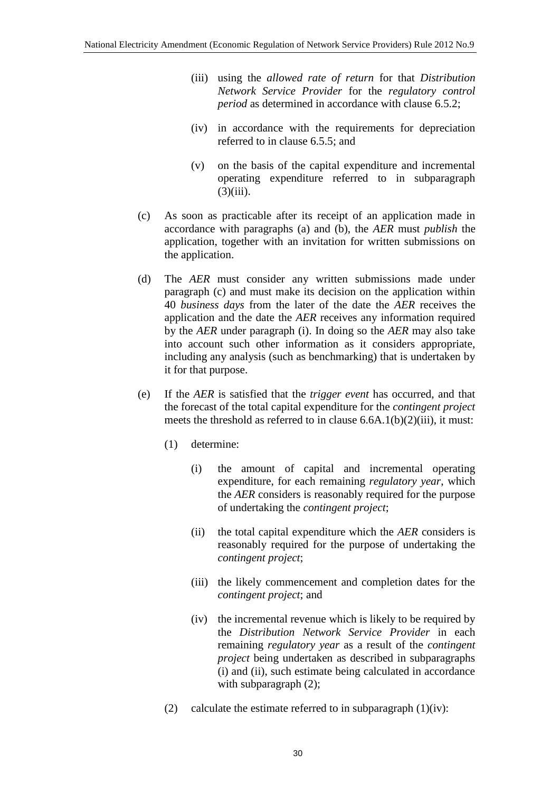- (iii) using the *allowed rate of return* for that *Distribution Network Service Provider* for the *regulatory control period* as determined in accordance with clause 6.5.2;
- (iv) in accordance with the requirements for depreciation referred to in clause 6.5.5; and
- (v) on the basis of the capital expenditure and incremental operating expenditure referred to in subparagraph  $(3)(iii)$ .
- (c) As soon as practicable after its receipt of an application made in accordance with paragraphs (a) and (b), the *AER* must *publish* the application, together with an invitation for written submissions on the application.
- (d) The *AER* must consider any written submissions made under paragraph (c) and must make its decision on the application within 40 *business days* from the later of the date the *AER* receives the application and the date the *AER* receives any information required by the *AER* under paragraph (i). In doing so the *AER* may also take into account such other information as it considers appropriate, including any analysis (such as benchmarking) that is undertaken by it for that purpose.
- (e) If the *AER* is satisfied that the *trigger event* has occurred, and that the forecast of the total capital expenditure for the *contingent project* meets the threshold as referred to in clause 6.6A.1(b)(2)(iii), it must:
	- (1) determine:
		- (i) the amount of capital and incremental operating expenditure, for each remaining *regulatory year*, which the *AER* considers is reasonably required for the purpose of undertaking the *contingent project*;
		- (ii) the total capital expenditure which the *AER* considers is reasonably required for the purpose of undertaking the *contingent project*;
		- (iii) the likely commencement and completion dates for the *contingent project*; and
		- (iv) the incremental revenue which is likely to be required by the *Distribution Network Service Provider* in each remaining *regulatory year* as a result of the *contingent project* being undertaken as described in subparagraphs (i) and (ii), such estimate being calculated in accordance with subparagraph  $(2)$ ;
	- (2) calculate the estimate referred to in subparagraph  $(1)(iv)$ :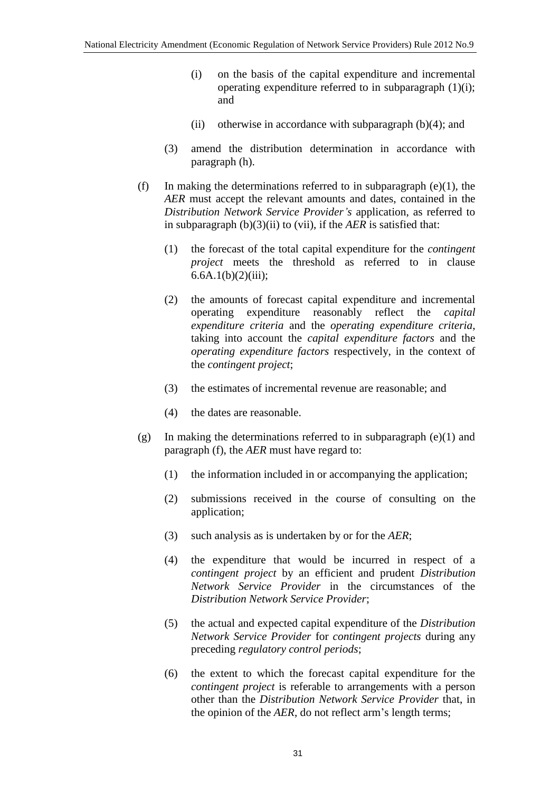- (i) on the basis of the capital expenditure and incremental operating expenditure referred to in subparagraph (1)(i); and
- (ii) otherwise in accordance with subparagraph  $(b)(4)$ ; and
- (3) amend the distribution determination in accordance with paragraph (h).
- (f) In making the determinations referred to in subparagraph (e)(1), the *AER* must accept the relevant amounts and dates, contained in the *Distribution Network Service Provider's* application, as referred to in subparagraph (b)(3)(ii) to (vii), if the *AER* is satisfied that:
	- (1) the forecast of the total capital expenditure for the *contingent project* meets the threshold as referred to in clause  $6.6A.1(b)(2)(iii);$
	- (2) the amounts of forecast capital expenditure and incremental operating expenditure reasonably reflect the *capital expenditure criteria* and the *operating expenditure criteria*, taking into account the *capital expenditure factors* and the *operating expenditure factors* respectively, in the context of the *contingent project*;
	- (3) the estimates of incremental revenue are reasonable; and
	- (4) the dates are reasonable.
- (g) In making the determinations referred to in subparagraph (e)(1) and paragraph (f), the *AER* must have regard to:
	- (1) the information included in or accompanying the application;
	- (2) submissions received in the course of consulting on the application;
	- (3) such analysis as is undertaken by or for the *AER*;
	- (4) the expenditure that would be incurred in respect of a *contingent project* by an efficient and prudent *Distribution Network Service Provider* in the circumstances of the *Distribution Network Service Provider*;
	- (5) the actual and expected capital expenditure of the *Distribution Network Service Provider* for *contingent projects* during any preceding *regulatory control periods*;
	- (6) the extent to which the forecast capital expenditure for the *contingent project* is referable to arrangements with a person other than the *Distribution Network Service Provider* that, in the opinion of the *AER*, do not reflect arm's length terms;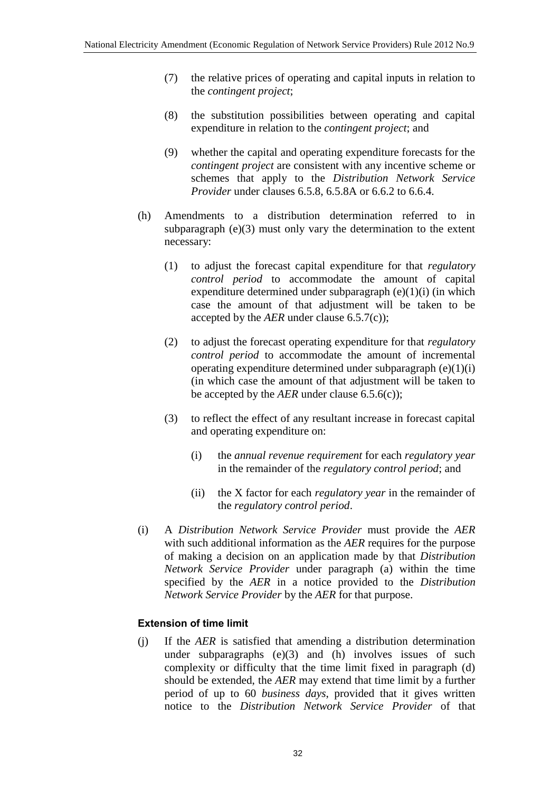- (7) the relative prices of operating and capital inputs in relation to the *contingent project*;
- (8) the substitution possibilities between operating and capital expenditure in relation to the *contingent project*; and
- (9) whether the capital and operating expenditure forecasts for the *contingent project* are consistent with any incentive scheme or schemes that apply to the *Distribution Network Service Provider* under clauses 6.5.8, 6.5.8A or 6.6.2 to 6.6.4.
- (h) Amendments to a distribution determination referred to in subparagraph  $(e)(3)$  must only vary the determination to the extent necessary:
	- (1) to adjust the forecast capital expenditure for that *regulatory control period* to accommodate the amount of capital expenditure determined under subparagraph (e)(1)(i) (in which case the amount of that adjustment will be taken to be accepted by the *AER* under clause 6.5.7(c));
	- (2) to adjust the forecast operating expenditure for that *regulatory control period* to accommodate the amount of incremental operating expenditure determined under subparagraph  $(e)(1)(i)$ (in which case the amount of that adjustment will be taken to be accepted by the *AER* under clause 6.5.6(c));
	- (3) to reflect the effect of any resultant increase in forecast capital and operating expenditure on:
		- (i) the *annual revenue requirement* for each *regulatory year* in the remainder of the *regulatory control period*; and
		- (ii) the X factor for each *regulatory year* in the remainder of the *regulatory control period*.
- (i) A *Distribution Network Service Provider* must provide the *AER* with such additional information as the *AER* requires for the purpose of making a decision on an application made by that *Distribution Network Service Provider* under paragraph (a) within the time specified by the *AER* in a notice provided to the *Distribution Network Service Provider* by the *AER* for that purpose.

#### **Extension of time limit**

(j) If the *AER* is satisfied that amending a distribution determination under subparagraphs (e)(3) and (h) involves issues of such complexity or difficulty that the time limit fixed in paragraph (d) should be extended, the *AER* may extend that time limit by a further period of up to 60 *business days*, provided that it gives written notice to the *Distribution Network Service Provider* of that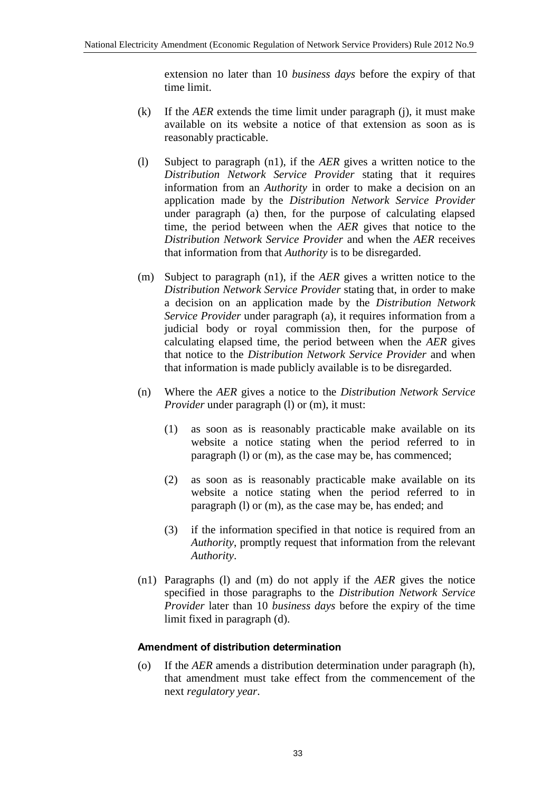extension no later than 10 *business days* before the expiry of that time limit.

- (k) If the *AER* extends the time limit under paragraph (j), it must make available on its website a notice of that extension as soon as is reasonably practicable.
- (l) Subject to paragraph (n1), if the *AER* gives a written notice to the *Distribution Network Service Provider* stating that it requires information from an *Authority* in order to make a decision on an application made by the *Distribution Network Service Provider* under paragraph (a) then, for the purpose of calculating elapsed time, the period between when the *AER* gives that notice to the *Distribution Network Service Provider* and when the *AER* receives that information from that *Authority* is to be disregarded.
- (m) Subject to paragraph (n1), if the *AER* gives a written notice to the *Distribution Network Service Provider* stating that, in order to make a decision on an application made by the *Distribution Network Service Provider* under paragraph (a), it requires information from a judicial body or royal commission then, for the purpose of calculating elapsed time, the period between when the *AER* gives that notice to the *Distribution Network Service Provider* and when that information is made publicly available is to be disregarded.
- (n) Where the *AER* gives a notice to the *Distribution Network Service Provider* under paragraph (l) or (m), it must:
	- (1) as soon as is reasonably practicable make available on its website a notice stating when the period referred to in paragraph (l) or (m), as the case may be, has commenced;
	- (2) as soon as is reasonably practicable make available on its website a notice stating when the period referred to in paragraph (l) or (m), as the case may be, has ended; and
	- (3) if the information specified in that notice is required from an *Authority*, promptly request that information from the relevant *Authority*.
- (n1) Paragraphs (l) and (m) do not apply if the *AER* gives the notice specified in those paragraphs to the *Distribution Network Service Provider* later than 10 *business days* before the expiry of the time limit fixed in paragraph (d).

#### **Amendment of distribution determination**

(o) If the *AER* amends a distribution determination under paragraph (h), that amendment must take effect from the commencement of the next *regulatory year*.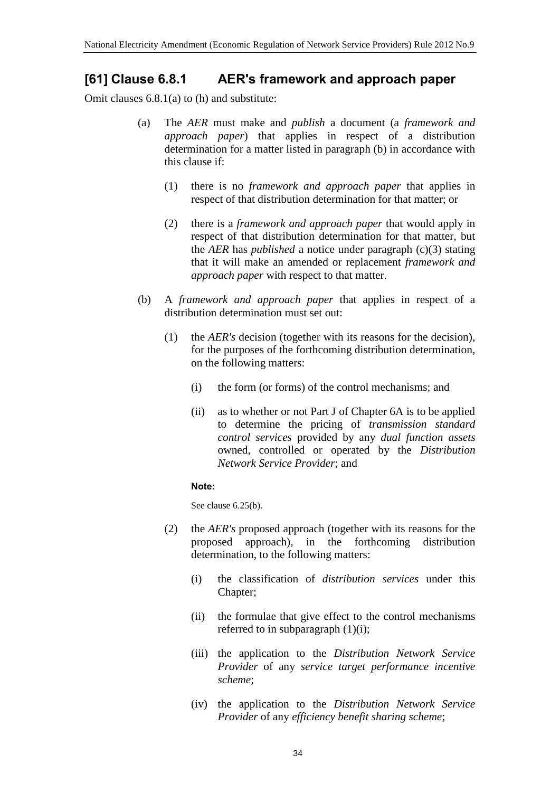### **[61] Clause 6.8.1 AER's framework and approach paper**

Omit clauses 6.8.1(a) to (h) and substitute:

- (a) The *AER* must make and *publish* a document (a *framework and approach paper*) that applies in respect of a distribution determination for a matter listed in paragraph (b) in accordance with this clause if:
	- (1) there is no *framework and approach paper* that applies in respect of that distribution determination for that matter; or
	- (2) there is a *framework and approach paper* that would apply in respect of that distribution determination for that matter, but the *AER* has *published* a notice under paragraph (c)(3) stating that it will make an amended or replacement *framework and approach paper* with respect to that matter.
- (b) A *framework and approach paper* that applies in respect of a distribution determination must set out:
	- (1) the *AER's* decision (together with its reasons for the decision), for the purposes of the forthcoming distribution determination, on the following matters:
		- (i) the form (or forms) of the control mechanisms; and
		- (ii) as to whether or not Part J of Chapter 6A is to be applied to determine the pricing of *transmission standard control services* provided by any *dual function assets* owned, controlled or operated by the *Distribution Network Service Provider*; and

#### **Note:**

See clause 6.25(b).

- (2) the *AER's* proposed approach (together with its reasons for the proposed approach), in the forthcoming distribution determination, to the following matters:
	- (i) the classification of *distribution services* under this Chapter;
	- (ii) the formulae that give effect to the control mechanisms referred to in subparagraph  $(1)(i)$ ;
	- (iii) the application to the *Distribution Network Service Provider* of any *service target performance incentive scheme*;
	- (iv) the application to the *Distribution Network Service Provider* of any *efficiency benefit sharing scheme*;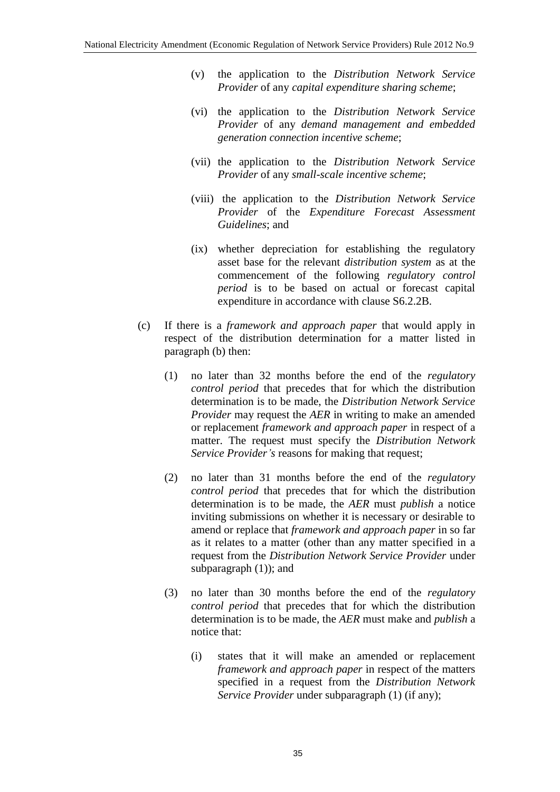- (v) the application to the *Distribution Network Service Provider* of any *capital expenditure sharing scheme*;
- (vi) the application to the *Distribution Network Service Provider* of any *demand management and embedded generation connection incentive scheme*;
- (vii) the application to the *Distribution Network Service Provider* of any *small-scale incentive scheme*;
- (viii) the application to the *Distribution Network Service Provider* of the *Expenditure Forecast Assessment Guidelines*; and
- (ix) whether depreciation for establishing the regulatory asset base for the relevant *distribution system* as at the commencement of the following *regulatory control period* is to be based on actual or forecast capital expenditure in accordance with clause S6.2.2B.
- (c) If there is a *framework and approach paper* that would apply in respect of the distribution determination for a matter listed in paragraph (b) then:
	- (1) no later than 32 months before the end of the *regulatory control period* that precedes that for which the distribution determination is to be made, the *Distribution Network Service Provider* may request the *AER* in writing to make an amended or replacement *framework and approach paper* in respect of a matter. The request must specify the *Distribution Network Service Provider's* reasons for making that request;
	- (2) no later than 31 months before the end of the *regulatory control period* that precedes that for which the distribution determination is to be made, the *AER* must *publish* a notice inviting submissions on whether it is necessary or desirable to amend or replace that *framework and approach paper* in so far as it relates to a matter (other than any matter specified in a request from the *Distribution Network Service Provider* under subparagraph (1)); and
	- (3) no later than 30 months before the end of the *regulatory control period* that precedes that for which the distribution determination is to be made, the *AER* must make and *publish* a notice that:
		- (i) states that it will make an amended or replacement *framework and approach paper* in respect of the matters specified in a request from the *Distribution Network Service Provider* under subparagraph (1) (if any);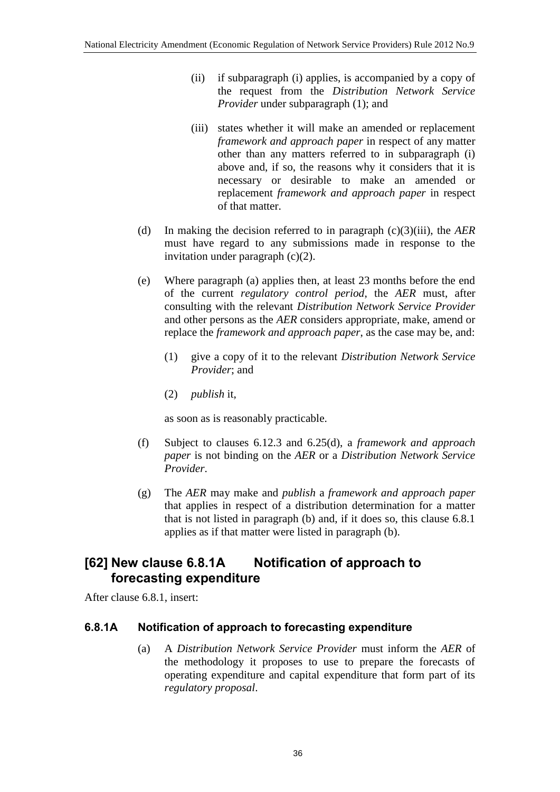- (ii) if subparagraph (i) applies, is accompanied by a copy of the request from the *Distribution Network Service Provider* under subparagraph (1); and
- (iii) states whether it will make an amended or replacement *framework and approach paper* in respect of any matter other than any matters referred to in subparagraph (i) above and, if so, the reasons why it considers that it is necessary or desirable to make an amended or replacement *framework and approach paper* in respect of that matter.
- (d) In making the decision referred to in paragraph (c)(3)(iii), the *AER* must have regard to any submissions made in response to the invitation under paragraph (c)(2).
- (e) Where paragraph (a) applies then, at least 23 months before the end of the current *regulatory control period*, the *AER* must, after consulting with the relevant *Distribution Network Service Provider* and other persons as the *AER* considers appropriate, make, amend or replace the *framework and approach paper*, as the case may be, and:
	- (1) give a copy of it to the relevant *Distribution Network Service Provider*; and
	- (2) *publish* it,

as soon as is reasonably practicable.

- (f) Subject to clauses 6.12.3 and 6.25(d), a *framework and approach paper* is not binding on the *AER* or a *Distribution Network Service Provider*.
- (g) The *AER* may make and *publish* a *framework and approach paper* that applies in respect of a distribution determination for a matter that is not listed in paragraph (b) and, if it does so, this clause 6.8.1 applies as if that matter were listed in paragraph (b).

### **[62] New clause 6.8.1A Notification of approach to forecasting expenditure**

After clause 6.8.1, insert:

#### **6.8.1A Notification of approach to forecasting expenditure**

(a) A *Distribution Network Service Provider* must inform the *AER* of the methodology it proposes to use to prepare the forecasts of operating expenditure and capital expenditure that form part of its *regulatory proposal*.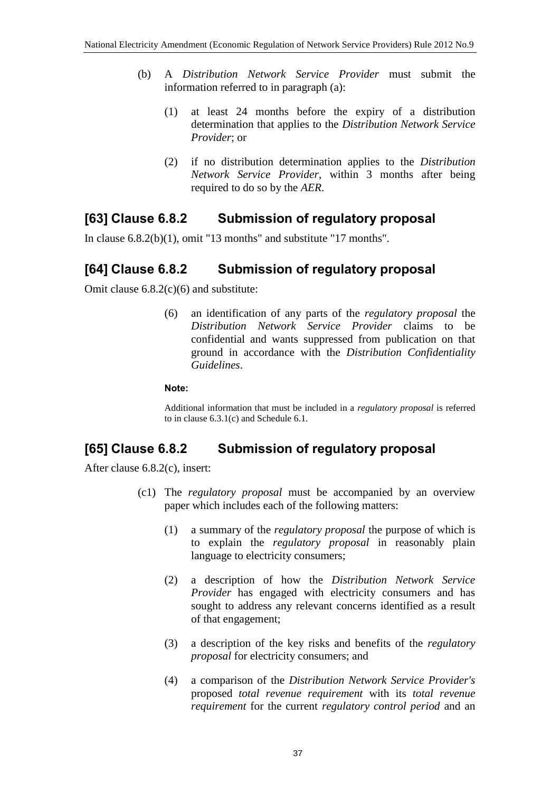- (b) A *Distribution Network Service Provider* must submit the information referred to in paragraph (a):
	- (1) at least 24 months before the expiry of a distribution determination that applies to the *Distribution Network Service Provider*; or
	- (2) if no distribution determination applies to the *Distribution Network Service Provider*, within 3 months after being required to do so by the *AER*.

### **[63] Clause 6.8.2 Submission of regulatory proposal**

In clause 6.8.2(b)(1), omit "13 months" and substitute "17 months".

## **[64] Clause 6.8.2 Submission of regulatory proposal**

Omit clause 6.8.2(c)(6) and substitute:

(6) an identification of any parts of the *regulatory proposal* the *Distribution Network Service Provider* claims to be confidential and wants suppressed from publication on that ground in accordance with the *Distribution Confidentiality Guidelines*.

#### **Note:**

Additional information that must be included in a *regulatory proposal* is referred to in clause 6.3.1(c) and Schedule 6.1.

### **[65] Clause 6.8.2 Submission of regulatory proposal**

After clause 6.8.2(c), insert:

- (c1) The *regulatory proposal* must be accompanied by an overview paper which includes each of the following matters:
	- (1) a summary of the *regulatory proposal* the purpose of which is to explain the *regulatory proposal* in reasonably plain language to electricity consumers;
	- (2) a description of how the *Distribution Network Service Provider* has engaged with electricity consumers and has sought to address any relevant concerns identified as a result of that engagement;
	- (3) a description of the key risks and benefits of the *regulatory proposal* for electricity consumers; and
	- (4) a comparison of the *Distribution Network Service Provider's* proposed *total revenue requirement* with its *total revenue requirement* for the current *regulatory control period* and an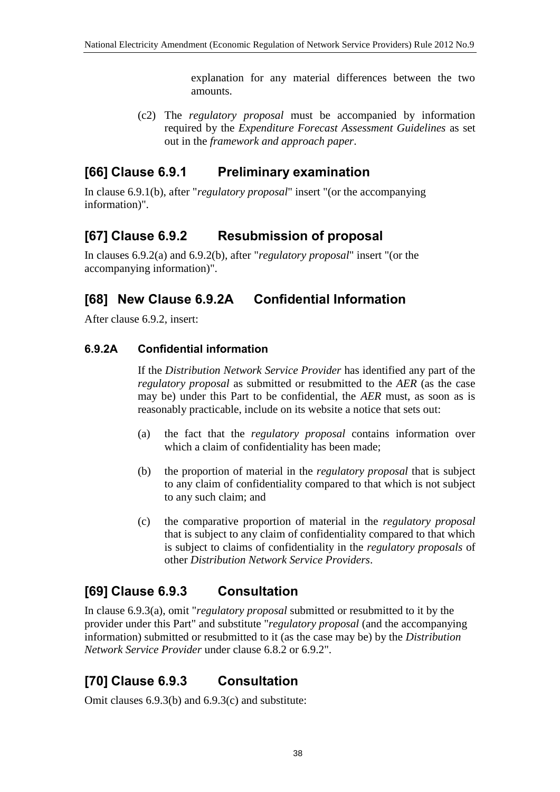explanation for any material differences between the two amounts.

(c2) The *regulatory proposal* must be accompanied by information required by the *Expenditure Forecast Assessment Guidelines* as set out in the *framework and approach paper*.

## **[66] Clause 6.9.1 Preliminary examination**

In clause 6.9.1(b), after "*regulatory proposal*" insert "(or the accompanying information)".

## **[67] Clause 6.9.2 Resubmission of proposal**

In clauses 6.9.2(a) and 6.9.2(b), after "*regulatory proposal*" insert "(or the accompanying information)".

## **[68] New Clause 6.9.2A Confidential Information**

After clause 6.9.2, insert:

#### **6.9.2A Confidential information**

If the *Distribution Network Service Provider* has identified any part of the *regulatory proposal* as submitted or resubmitted to the *AER* (as the case may be) under this Part to be confidential, the *AER* must, as soon as is reasonably practicable, include on its website a notice that sets out:

- (a) the fact that the *regulatory proposal* contains information over which a claim of confidentiality has been made;
- (b) the proportion of material in the *regulatory proposal* that is subject to any claim of confidentiality compared to that which is not subject to any such claim; and
- (c) the comparative proportion of material in the *regulatory proposal* that is subject to any claim of confidentiality compared to that which is subject to claims of confidentiality in the *regulatory proposals* of other *Distribution Network Service Providers*.

## **[69] Clause 6.9.3 Consultation**

In clause 6.9.3(a), omit "*regulatory proposal* submitted or resubmitted to it by the provider under this Part" and substitute "*regulatory proposal* (and the accompanying information) submitted or resubmitted to it (as the case may be) by the *Distribution Network Service Provider* under clause 6.8.2 or 6.9.2".

# **[70] Clause 6.9.3 Consultation**

Omit clauses 6.9.3(b) and 6.9.3(c) and substitute: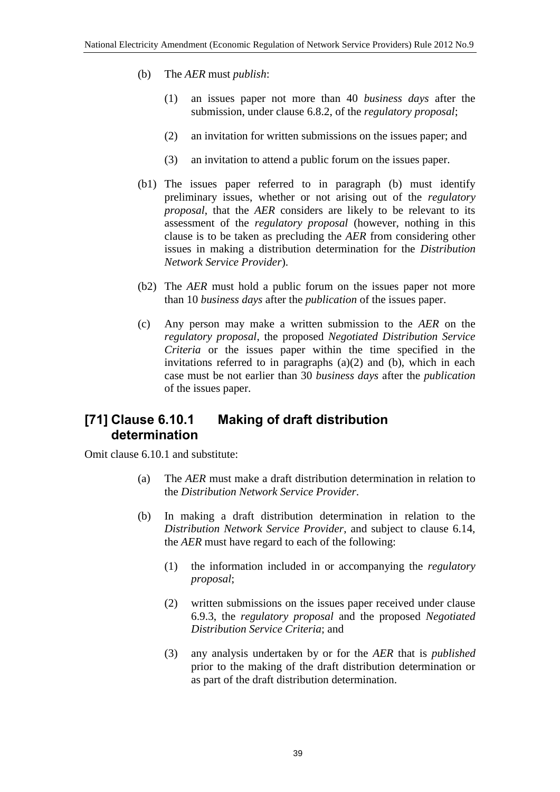- (b) The *AER* must *publish*:
	- (1) an issues paper not more than 40 *business days* after the submission, under clause 6.8.2, of the *regulatory proposal*;
	- (2) an invitation for written submissions on the issues paper; and
	- (3) an invitation to attend a public forum on the issues paper.
- (b1) The issues paper referred to in paragraph (b) must identify preliminary issues, whether or not arising out of the *regulatory proposal*, that the *AER* considers are likely to be relevant to its assessment of the *regulatory proposal* (however, nothing in this clause is to be taken as precluding the *AER* from considering other issues in making a distribution determination for the *Distribution Network Service Provider*).
- (b2) The *AER* must hold a public forum on the issues paper not more than 10 *business days* after the *publication* of the issues paper.
- (c) Any person may make a written submission to the *AER* on the *regulatory proposal*, the proposed *Negotiated Distribution Service Criteria* or the issues paper within the time specified in the invitations referred to in paragraphs (a)(2) and (b), which in each case must be not earlier than 30 *business days* after the *publication* of the issues paper.

#### **[71] Clause 6.10.1 Making of draft distribution determination**

Omit clause 6.10.1 and substitute:

- (a) The *AER* must make a draft distribution determination in relation to the *Distribution Network Service Provider*.
- (b) In making a draft distribution determination in relation to the *Distribution Network Service Provider*, and subject to clause 6.14, the *AER* must have regard to each of the following:
	- (1) the information included in or accompanying the *regulatory proposal*;
	- (2) written submissions on the issues paper received under clause 6.9.3, the *regulatory proposal* and the proposed *Negotiated Distribution Service Criteria*; and
	- (3) any analysis undertaken by or for the *AER* that is *published* prior to the making of the draft distribution determination or as part of the draft distribution determination.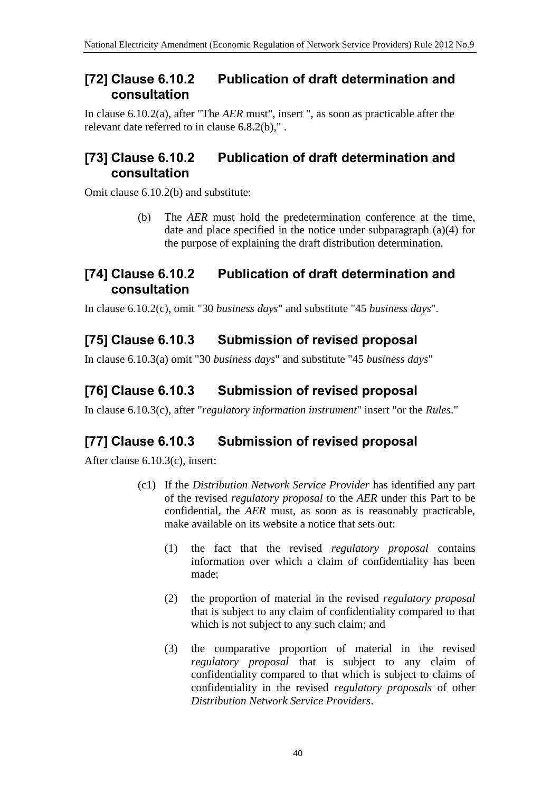#### **[72] Clause 6.10.2 Publication of draft determination and consultation**

In clause 6.10.2(a), after "The *AER* must", insert ", as soon as practicable after the relevant date referred to in clause 6.8.2(b)," .

### **[73] Clause 6.10.2 Publication of draft determination and consultation**

Omit clause 6.10.2(b) and substitute:

(b) The *AER* must hold the predetermination conference at the time, date and place specified in the notice under subparagraph (a)(4) for the purpose of explaining the draft distribution determination.

#### **[74] Clause 6.10.2 Publication of draft determination and consultation**

In clause 6.10.2(c), omit "30 *business days*" and substitute "45 *business days*".

# **[75] Clause 6.10.3 Submission of revised proposal**

In clause 6.10.3(a) omit "30 *business days*" and substitute "45 *business days*"

## **[76] Clause 6.10.3 Submission of revised proposal**

In clause 6.10.3(c), after "*regulatory information instrument*" insert "or the *Rules*."

## **[77] Clause 6.10.3 Submission of revised proposal**

After clause 6.10.3(c), insert:

- (c1) If the *Distribution Network Service Provider* has identified any part of the revised *regulatory proposal* to the *AER* under this Part to be confidential, the *AER* must, as soon as is reasonably practicable, make available on its website a notice that sets out:
	- (1) the fact that the revised *regulatory proposal* contains information over which a claim of confidentiality has been made;
	- (2) the proportion of material in the revised *regulatory proposal* that is subject to any claim of confidentiality compared to that which is not subject to any such claim; and
	- (3) the comparative proportion of material in the revised *regulatory proposal* that is subject to any claim of confidentiality compared to that which is subject to claims of confidentiality in the revised *regulatory proposals* of other *Distribution Network Service Providers*.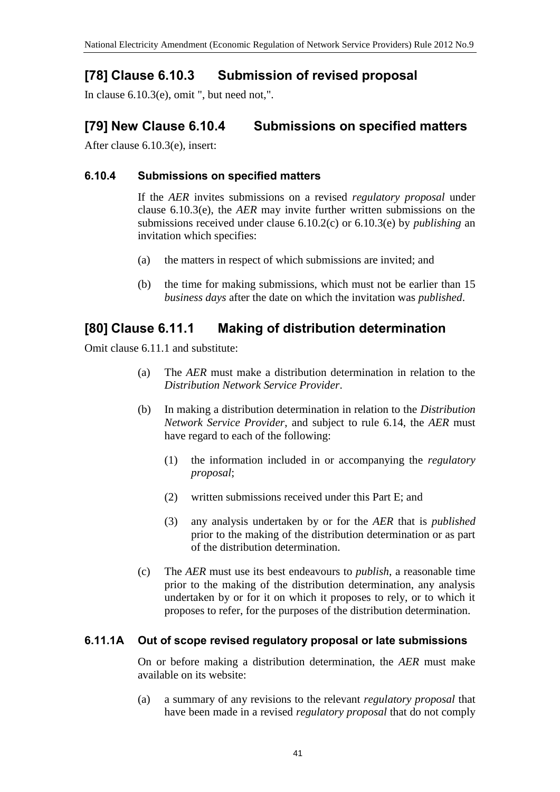## **[78] Clause 6.10.3 Submission of revised proposal**

In clause  $6.10.3(e)$ , omit ", but need not,".

## **[79] New Clause 6.10.4 Submissions on specified matters**

After clause 6.10.3(e), insert:

#### **6.10.4 Submissions on specified matters**

If the *AER* invites submissions on a revised *regulatory proposal* under clause 6.10.3(e), the *AER* may invite further written submissions on the submissions received under clause 6.10.2(c) or 6.10.3(e) by *publishing* an invitation which specifies:

- (a) the matters in respect of which submissions are invited; and
- (b) the time for making submissions, which must not be earlier than 15 *business days* after the date on which the invitation was *published*.

#### **[80] Clause 6.11.1 Making of distribution determination**

Omit clause 6.11.1 and substitute:

- (a) The *AER* must make a distribution determination in relation to the *Distribution Network Service Provider*.
- (b) In making a distribution determination in relation to the *Distribution Network Service Provider*, and subject to rule 6.14, the *AER* must have regard to each of the following:
	- (1) the information included in or accompanying the *regulatory proposal*;
	- (2) written submissions received under this Part E; and
	- (3) any analysis undertaken by or for the *AER* that is *published* prior to the making of the distribution determination or as part of the distribution determination.
- (c) The *AER* must use its best endeavours to *publish*, a reasonable time prior to the making of the distribution determination, any analysis undertaken by or for it on which it proposes to rely, or to which it proposes to refer, for the purposes of the distribution determination.

#### **6.11.1A Out of scope revised regulatory proposal or late submissions**

On or before making a distribution determination, the *AER* must make available on its website:

(a) a summary of any revisions to the relevant *regulatory proposal* that have been made in a revised *regulatory proposal* that do not comply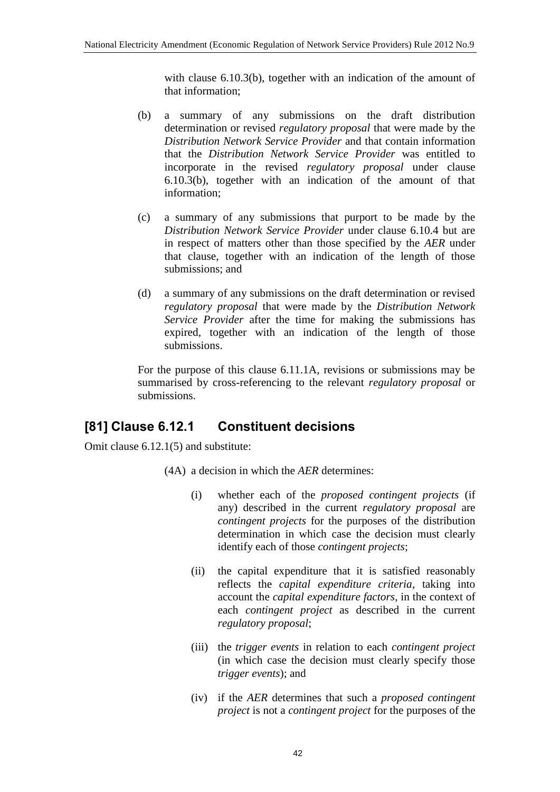with clause 6.10.3(b), together with an indication of the amount of that information;

- (b) a summary of any submissions on the draft distribution determination or revised *regulatory proposal* that were made by the *Distribution Network Service Provider* and that contain information that the *Distribution Network Service Provider* was entitled to incorporate in the revised *regulatory proposal* under clause 6.10.3(b), together with an indication of the amount of that information;
- (c) a summary of any submissions that purport to be made by the *Distribution Network Service Provider* under clause 6.10.4 but are in respect of matters other than those specified by the *AER* under that clause, together with an indication of the length of those submissions; and
- (d) a summary of any submissions on the draft determination or revised *regulatory proposal* that were made by the *Distribution Network Service Provider* after the time for making the submissions has expired, together with an indication of the length of those submissions.

For the purpose of this clause 6.11.1A, revisions or submissions may be summarised by cross-referencing to the relevant *regulatory proposal* or submissions.

### **[81] Clause 6.12.1 Constituent decisions**

Omit clause 6.12.1(5) and substitute:

- (4A) a decision in which the *AER* determines:
	- (i) whether each of the *proposed contingent projects* (if any) described in the current *regulatory proposal* are *contingent projects* for the purposes of the distribution determination in which case the decision must clearly identify each of those *contingent projects*;
	- (ii) the capital expenditure that it is satisfied reasonably reflects the *capital expenditure criteria*, taking into account the *capital expenditure factors*, in the context of each *contingent project* as described in the current *regulatory proposal*;
	- (iii) the *trigger events* in relation to each *contingent project* (in which case the decision must clearly specify those *trigger events*); and
	- (iv) if the *AER* determines that such a *proposed contingent project* is not a *contingent project* for the purposes of the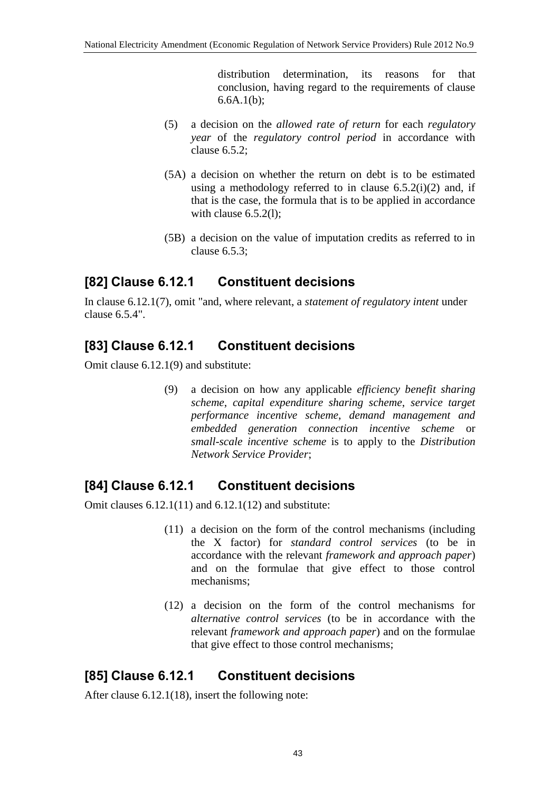distribution determination, its reasons for that conclusion, having regard to the requirements of clause 6.6A.1(b);

- (5) a decision on the *allowed rate of return* for each *regulatory year* of the *regulatory control period* in accordance with clause 6.5.2;
- (5A) a decision on whether the return on debt is to be estimated using a methodology referred to in clause  $6.5.2(i)(2)$  and, if that is the case, the formula that is to be applied in accordance with clause 6.5.2(l):
- (5B) a decision on the value of imputation credits as referred to in clause 6.5.3;

## **[82] Clause 6.12.1 Constituent decisions**

In clause 6.12.1(7), omit "and, where relevant, a *statement of regulatory intent* under clause 6.5.4".

## **[83] Clause 6.12.1 Constituent decisions**

Omit clause 6.12.1(9) and substitute:

(9) a decision on how any applicable *efficiency benefit sharing scheme*, *capital expenditure sharing scheme*, *service target performance incentive scheme*, *demand management and embedded generation connection incentive scheme* or *small-scale incentive scheme* is to apply to the *Distribution Network Service Provider*;

### **[84] Clause 6.12.1 Constituent decisions**

Omit clauses 6.12.1(11) and 6.12.1(12) and substitute:

- (11) a decision on the form of the control mechanisms (including the X factor) for *standard control services* (to be in accordance with the relevant *framework and approach paper*) and on the formulae that give effect to those control mechanisms;
- (12) a decision on the form of the control mechanisms for *alternative control services* (to be in accordance with the relevant *framework and approach paper*) and on the formulae that give effect to those control mechanisms;

### **[85] Clause 6.12.1 Constituent decisions**

After clause 6.12.1(18), insert the following note: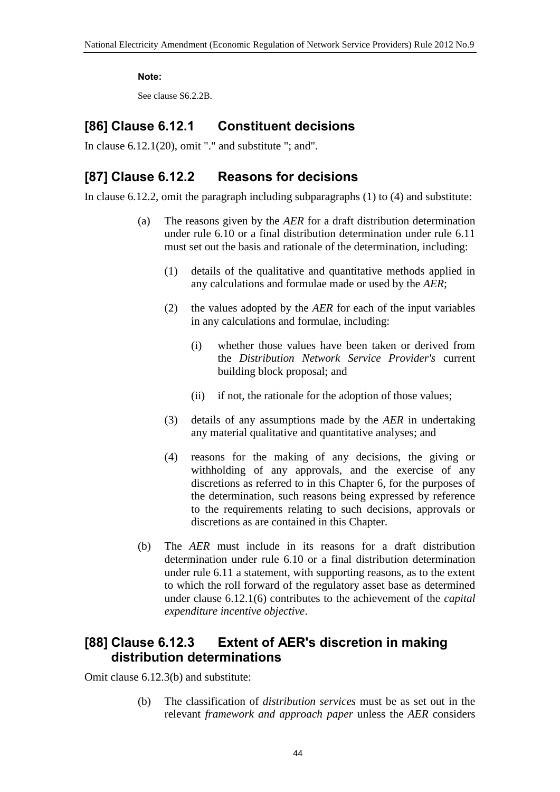#### **Note:**

See clause S6.2.2B.

### **[86] Clause 6.12.1 Constituent decisions**

In clause  $6.12.1(20)$ , omit "." and substitute "; and".

### **[87] Clause 6.12.2 Reasons for decisions**

In clause 6.12.2, omit the paragraph including subparagraphs (1) to (4) and substitute:

- (a) The reasons given by the *AER* for a draft distribution determination under rule 6.10 or a final distribution determination under rule 6.11 must set out the basis and rationale of the determination, including:
	- (1) details of the qualitative and quantitative methods applied in any calculations and formulae made or used by the *AER*;
	- (2) the values adopted by the *AER* for each of the input variables in any calculations and formulae, including:
		- (i) whether those values have been taken or derived from the *Distribution Network Service Provider's* current building block proposal; and
		- (ii) if not, the rationale for the adoption of those values;
	- (3) details of any assumptions made by the *AER* in undertaking any material qualitative and quantitative analyses; and
	- (4) reasons for the making of any decisions, the giving or withholding of any approvals, and the exercise of any discretions as referred to in this Chapter 6, for the purposes of the determination, such reasons being expressed by reference to the requirements relating to such decisions, approvals or discretions as are contained in this Chapter.
- (b) The *AER* must include in its reasons for a draft distribution determination under rule 6.10 or a final distribution determination under rule 6.11 a statement, with supporting reasons, as to the extent to which the roll forward of the regulatory asset base as determined under clause 6.12.1(6) contributes to the achievement of the *capital expenditure incentive objective*.

### **[88] Clause 6.12.3 Extent of AER's discretion in making distribution determinations**

Omit clause 6.12.3(b) and substitute:

(b) The classification of *distribution services* must be as set out in the relevant *framework and approach paper* unless the *AER* considers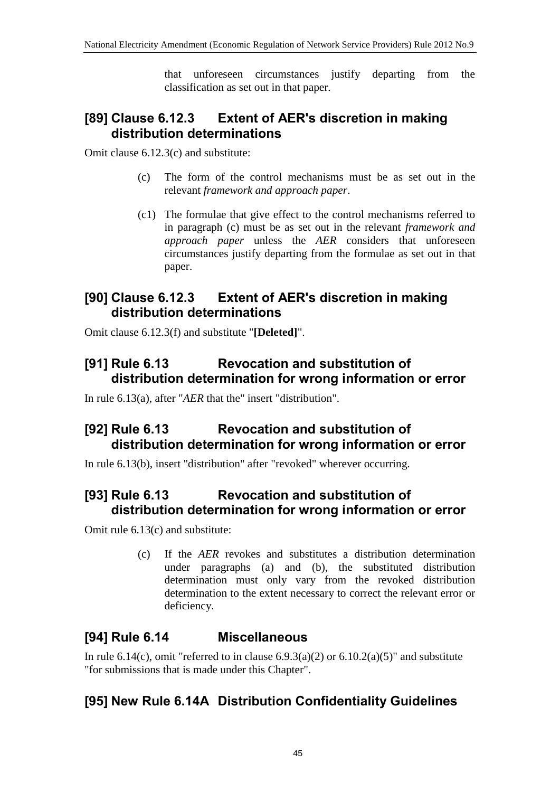that unforeseen circumstances justify departing from the classification as set out in that paper.

## **[89] Clause 6.12.3 Extent of AER's discretion in making distribution determinations**

Omit clause 6.12.3(c) and substitute:

- (c) The form of the control mechanisms must be as set out in the relevant *framework and approach paper*.
- (c1) The formulae that give effect to the control mechanisms referred to in paragraph (c) must be as set out in the relevant *framework and approach paper* unless the *AER* considers that unforeseen circumstances justify departing from the formulae as set out in that paper.

### **[90] Clause 6.12.3 Extent of AER's discretion in making distribution determinations**

Omit clause 6.12.3(f) and substitute "**[Deleted]**".

### **[91] Rule 6.13 Revocation and substitution of distribution determination for wrong information or error**

In rule 6.13(a), after "*AER* that the" insert "distribution".

## **[92] Rule 6.13 Revocation and substitution of distribution determination for wrong information or error**

In rule 6.13(b), insert "distribution" after "revoked" wherever occurring.

## **[93] Rule 6.13 Revocation and substitution of distribution determination for wrong information or error**

Omit rule 6.13(c) and substitute:

(c) If the *AER* revokes and substitutes a distribution determination under paragraphs (a) and (b), the substituted distribution determination must only vary from the revoked distribution determination to the extent necessary to correct the relevant error or deficiency.

### **[94] Rule 6.14 Miscellaneous**

In rule 6.14(c), omit "referred to in clause  $6.9.3(a)(2)$  or  $6.10.2(a)(5)$ " and substitute "for submissions that is made under this Chapter".

## **[95] New Rule 6.14A Distribution Confidentiality Guidelines**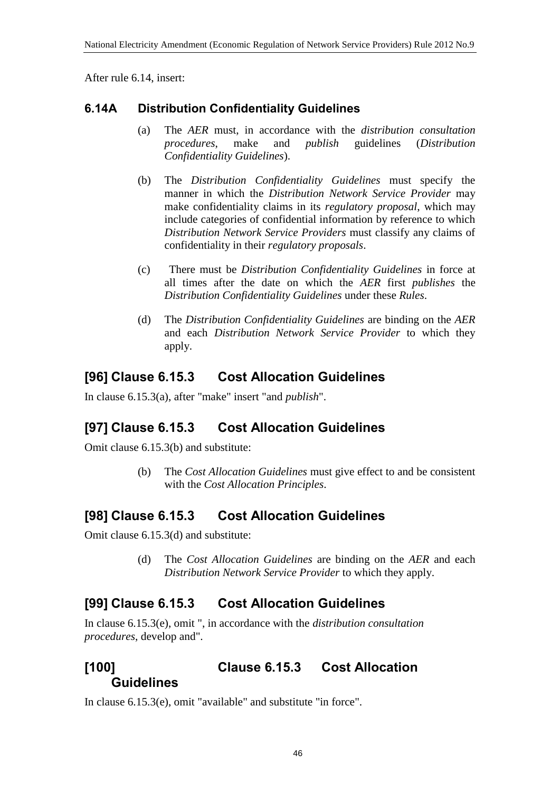After rule 6.14, insert:

#### **6.14A Distribution Confidentiality Guidelines**

- (a) The *AER* must, in accordance with the *distribution consultation procedures*, make and *publish* guidelines (*Distribution Confidentiality Guidelines*).
- (b) The *Distribution Confidentiality Guidelines* must specify the manner in which the *Distribution Network Service Provider* may make confidentiality claims in its *regulatory proposal*, which may include categories of confidential information by reference to which *Distribution Network Service Providers* must classify any claims of confidentiality in their *regulatory proposals*.
- (c) There must be *Distribution Confidentiality Guidelines* in force at all times after the date on which the *AER* first *publishes* the *Distribution Confidentiality Guidelines* under these *Rules*.
- (d) The *Distribution Confidentiality Guidelines* are binding on the *AER* and each *Distribution Network Service Provider* to which they apply.

### **[96] Clause 6.15.3 Cost Allocation Guidelines**

In clause 6.15.3(a), after "make" insert "and *publish*".

### **[97] Clause 6.15.3 Cost Allocation Guidelines**

Omit clause 6.15.3(b) and substitute:

(b) The *Cost Allocation Guidelines* must give effect to and be consistent with the *Cost Allocation Principles*.

## **[98] Clause 6.15.3 Cost Allocation Guidelines**

Omit clause 6.15.3(d) and substitute:

(d) The *Cost Allocation Guidelines* are binding on the *AER* and each *Distribution Network Service Provider* to which they apply.

## **[99] Clause 6.15.3 Cost Allocation Guidelines**

In clause 6.15.3(e), omit ", in accordance with the *distribution consultation procedures*, develop and".

#### **[100] Clause 6.15.3 Cost Allocation Guidelines**

In clause 6.15.3(e), omit "available" and substitute "in force".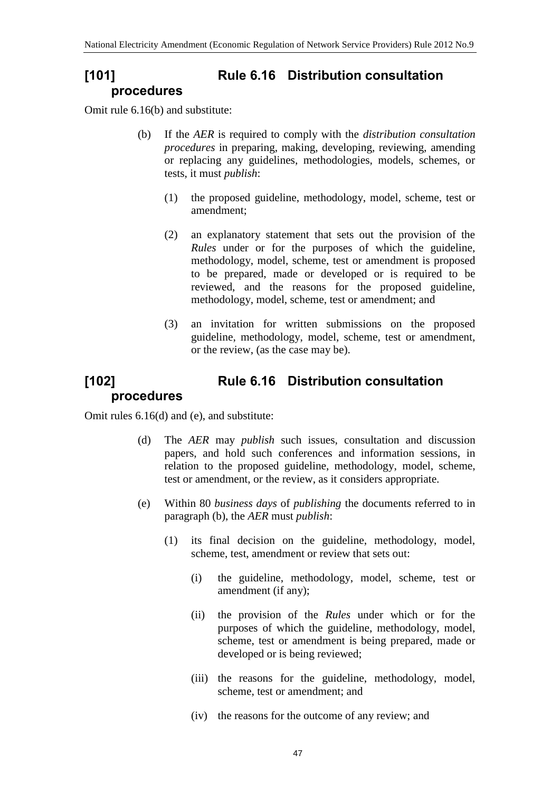## **[101] Rule 6.16 Distribution consultation procedures**

Omit rule 6.16(b) and substitute:

- (b) If the *AER* is required to comply with the *distribution consultation procedures* in preparing, making, developing, reviewing, amending or replacing any guidelines, methodologies, models, schemes, or tests, it must *publish*:
	- (1) the proposed guideline, methodology, model, scheme, test or amendment;
	- (2) an explanatory statement that sets out the provision of the *Rules* under or for the purposes of which the guideline, methodology, model, scheme, test or amendment is proposed to be prepared, made or developed or is required to be reviewed, and the reasons for the proposed guideline, methodology, model, scheme, test or amendment; and
	- (3) an invitation for written submissions on the proposed guideline, methodology, model, scheme, test or amendment, or the review, (as the case may be).

# **[102] Rule 6.16 Distribution consultation procedures**

Omit rules 6.16(d) and (e), and substitute:

- (d) The *AER* may *publish* such issues, consultation and discussion papers, and hold such conferences and information sessions, in relation to the proposed guideline, methodology, model, scheme, test or amendment, or the review, as it considers appropriate.
- (e) Within 80 *business days* of *publishing* the documents referred to in paragraph (b), the *AER* must *publish*:
	- (1) its final decision on the guideline, methodology, model, scheme, test, amendment or review that sets out:
		- (i) the guideline, methodology, model, scheme, test or amendment (if any);
		- (ii) the provision of the *Rules* under which or for the purposes of which the guideline, methodology, model, scheme, test or amendment is being prepared, made or developed or is being reviewed;
		- (iii) the reasons for the guideline, methodology, model, scheme, test or amendment; and
		- (iv) the reasons for the outcome of any review; and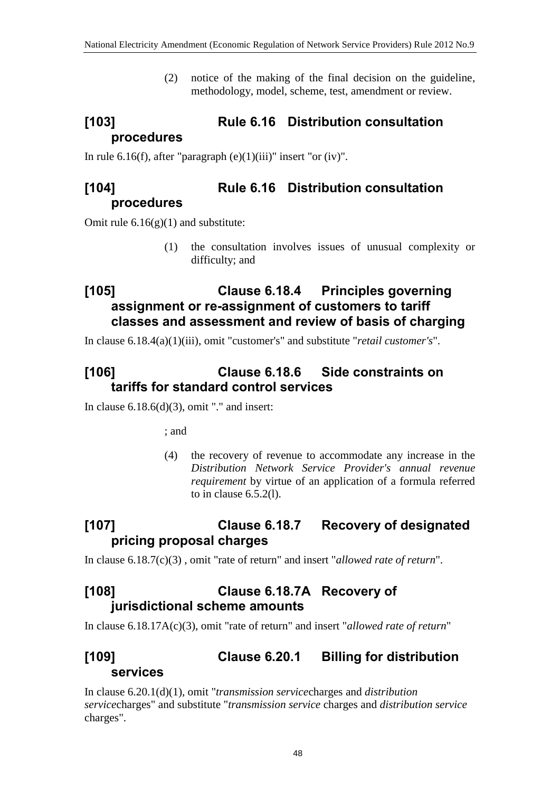(2) notice of the making of the final decision on the guideline, methodology, model, scheme, test, amendment or review.

# **[103] Rule 6.16 Distribution consultation procedures**

In rule 6.16(f), after "paragraph  $(e)(1)(iii)$ " insert "or  $(iv)$ ".

### **[104] Rule 6.16 Distribution consultation procedures**

Omit rule  $6.16(g)(1)$  and substitute:

(1) the consultation involves issues of unusual complexity or difficulty; and

## **[105] Clause 6.18.4 Principles governing assignment or re-assignment of customers to tariff classes and assessment and review of basis of charging**

In clause 6.18.4(a)(1)(iii), omit "customer's" and substitute "*retail customer's*".

## **[106] Clause 6.18.6 Side constraints on tariffs for standard control services**

In clause  $6.18.6(d)(3)$ , omit "." and insert:

; and

(4) the recovery of revenue to accommodate any increase in the *Distribution Network Service Provider's annual revenue requirement* by virtue of an application of a formula referred to in clause 6.5.2(l).

# **[107] Clause 6.18.7 Recovery of designated pricing proposal charges**

In clause 6.18.7(c)(3) , omit "rate of return" and insert "*allowed rate of return*".

## **[108] Clause 6.18.7A Recovery of jurisdictional scheme amounts**

In clause 6.18.17A(c)(3), omit "rate of return" and insert "*allowed rate of return*"

## **[109] Clause 6.20.1 Billing for distribution services**

In clause 6.20.1(d)(1), omit "*transmission service*charges and *distribution service*charges" and substitute "*transmission service* charges and *distribution service* charges".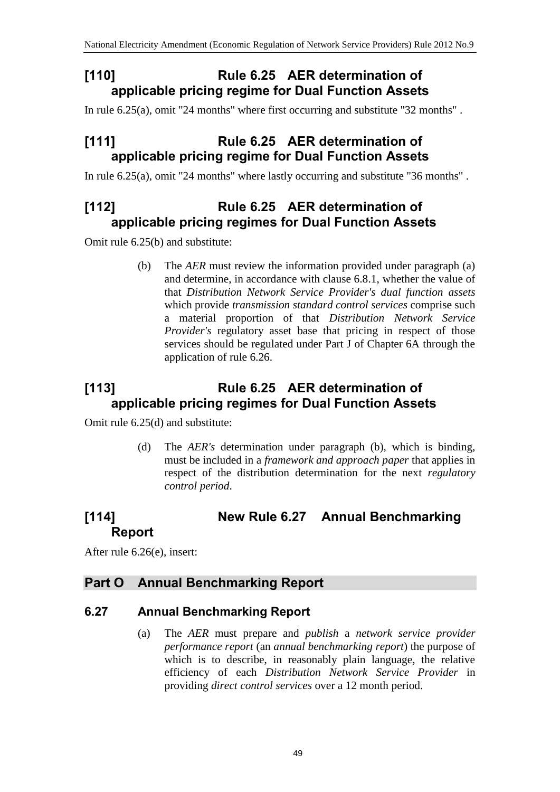## **[110] Rule 6.25 AER determination of applicable pricing regime for Dual Function Assets**

In rule 6.25(a), omit "24 months" where first occurring and substitute "32 months" .

### **[111] Rule 6.25 AER determination of applicable pricing regime for Dual Function Assets**

In rule 6.25(a), omit "24 months" where lastly occurring and substitute "36 months" .

### **[112] Rule 6.25 AER determination of applicable pricing regimes for Dual Function Assets**

Omit rule 6.25(b) and substitute:

(b) The *AER* must review the information provided under paragraph (a) and determine, in accordance with clause 6.8.1, whether the value of that *Distribution Network Service Provider's dual function assets* which provide *transmission standard control services* comprise such a material proportion of that *Distribution Network Service Provider's* regulatory asset base that pricing in respect of those services should be regulated under Part J of Chapter 6A through the application of rule 6.26.

## **[113] Rule 6.25 AER determination of applicable pricing regimes for Dual Function Assets**

Omit rule 6.25(d) and substitute:

(d) The *AER's* determination under paragraph (b), which is binding, must be included in a *framework and approach paper* that applies in respect of the distribution determination for the next *regulatory control period*.

### **[114] New Rule 6.27 Annual Benchmarking Report**

After rule 6.26(e), insert:

#### **Part O Annual Benchmarking Report**

#### **6.27 Annual Benchmarking Report**

(a) The *AER* must prepare and *publish* a *network service provider performance report* (an *annual benchmarking report*) the purpose of which is to describe, in reasonably plain language, the relative efficiency of each *Distribution Network Service Provider* in providing *direct control services* over a 12 month period.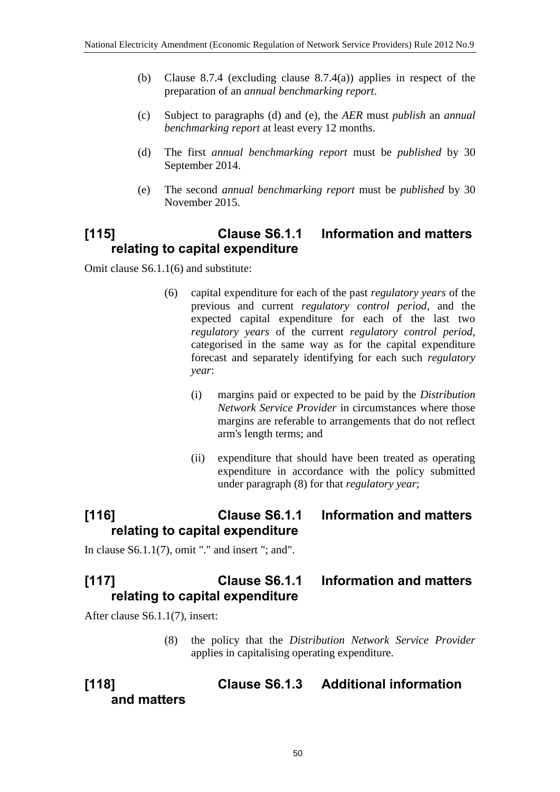- (b) Clause 8.7.4 (excluding clause 8.7.4(a)) applies in respect of the preparation of an *annual benchmarking report*.
- (c) Subject to paragraphs (d) and (e), the *AER* must *publish* an *annual benchmarking report* at least every 12 months.
- (d) The first *annual benchmarking report* must be *published* by 30 September 2014.
- (e) The second *annual benchmarking report* must be *published* by 30 November 2015.

## **[115] Clause S6.1.1 Information and matters relating to capital expenditure**

Omit clause S6.1.1(6) and substitute:

- (6) capital expenditure for each of the past *regulatory years* of the previous and current *regulatory control period*, and the expected capital expenditure for each of the last two *regulatory years* of the current *regulatory control period*, categorised in the same way as for the capital expenditure forecast and separately identifying for each such *regulatory year*:
	- (i) margins paid or expected to be paid by the *Distribution Network Service Provider* in circumstances where those margins are referable to arrangements that do not reflect arm's length terms; and
	- (ii) expenditure that should have been treated as operating expenditure in accordance with the policy submitted under paragraph (8) for that *regulatory year*;

## **[116] Clause S6.1.1 Information and matters relating to capital expenditure**

In clause  $S6.1.1(7)$ , omit "." and insert "; and".

## **[117] Clause S6.1.1 Information and matters relating to capital expenditure**

After clause S6.1.1(7), insert:

(8) the policy that the *Distribution Network Service Provider* applies in capitalising operating expenditure.

#### **[118] Clause S6.1.3 Additional information and matters**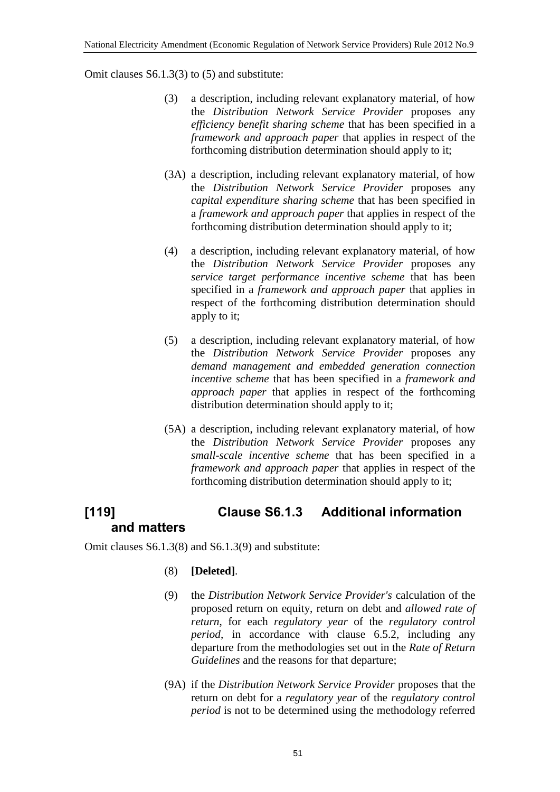Omit clauses S6.1.3(3) to (5) and substitute:

- (3) a description, including relevant explanatory material, of how the *Distribution Network Service Provider* proposes any *efficiency benefit sharing scheme* that has been specified in a *framework and approach paper* that applies in respect of the forthcoming distribution determination should apply to it;
- (3A) a description, including relevant explanatory material, of how the *Distribution Network Service Provider* proposes any *capital expenditure sharing scheme* that has been specified in a *framework and approach paper* that applies in respect of the forthcoming distribution determination should apply to it;
- (4) a description, including relevant explanatory material, of how the *Distribution Network Service Provider* proposes any *service target performance incentive scheme* that has been specified in a *framework and approach paper* that applies in respect of the forthcoming distribution determination should apply to it;
- (5) a description, including relevant explanatory material, of how the *Distribution Network Service Provider* proposes any *demand management and embedded generation connection incentive scheme* that has been specified in a *framework and approach paper* that applies in respect of the forthcoming distribution determination should apply to it;
- (5A) a description, including relevant explanatory material, of how the *Distribution Network Service Provider* proposes any *small-scale incentive scheme* that has been specified in a *framework and approach paper* that applies in respect of the forthcoming distribution determination should apply to it;

# **[119] Clause S6.1.3 Additional information and matters**

Omit clauses S6.1.3(8) and S6.1.3(9) and substitute:

- (8) **[Deleted]**.
- (9) the *Distribution Network Service Provider's* calculation of the proposed return on equity, return on debt and *allowed rate of return*, for each *regulatory year* of the *regulatory control period*, in accordance with clause 6.5.2, including any departure from the methodologies set out in the *Rate of Return Guidelines* and the reasons for that departure;
- (9A) if the *Distribution Network Service Provider* proposes that the return on debt for a *regulatory year* of the *regulatory control period* is not to be determined using the methodology referred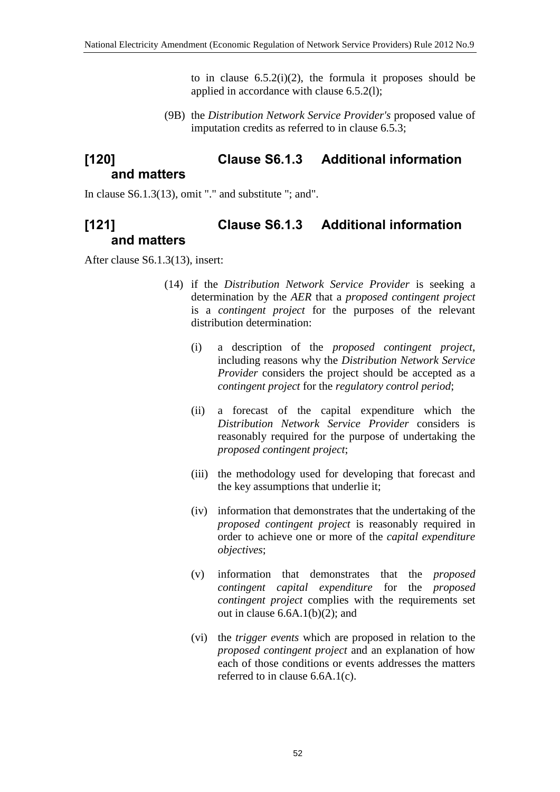to in clause  $6.5.2(i)(2)$ , the formula it proposes should be applied in accordance with clause 6.5.2(l);

(9B) the *Distribution Network Service Provider's* proposed value of imputation credits as referred to in clause 6.5.3;

### **[120] Clause S6.1.3 Additional information and matters**

In clause  $S6.1.3(13)$ , omit "." and substitute "; and".

## **[121] Clause S6.1.3 Additional information and matters**

After clause S6.1.3(13), insert:

- (14) if the *Distribution Network Service Provider* is seeking a determination by the *AER* that a *proposed contingent project* is a *contingent project* for the purposes of the relevant distribution determination:
	- (i) a description of the *proposed contingent project*, including reasons why the *Distribution Network Service Provider* considers the project should be accepted as a *contingent project* for the *regulatory control period*;
	- (ii) a forecast of the capital expenditure which the *Distribution Network Service Provider* considers is reasonably required for the purpose of undertaking the *proposed contingent project*;
	- (iii) the methodology used for developing that forecast and the key assumptions that underlie it;
	- (iv) information that demonstrates that the undertaking of the *proposed contingent project* is reasonably required in order to achieve one or more of the *capital expenditure objectives*;
	- (v) information that demonstrates that the *proposed contingent capital expenditure* for the *proposed contingent project* complies with the requirements set out in clause  $6.6A.1(b)(2)$ ; and
	- (vi) the *trigger events* which are proposed in relation to the *proposed contingent project* and an explanation of how each of those conditions or events addresses the matters referred to in clause 6.6A.1(c).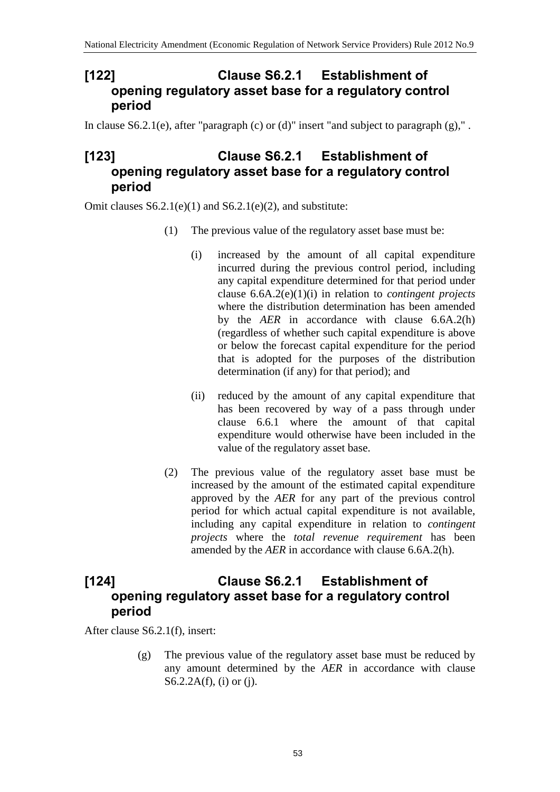#### **[122] Clause S6.2.1 Establishment of opening regulatory asset base for a regulatory control period**

In clause  $S6.2.1(e)$ , after "paragraph (c) or (d)" insert "and subject to paragraph (g),".

## **[123] Clause S6.2.1 Establishment of opening regulatory asset base for a regulatory control period**

Omit clauses  $S6.2.1(e)(1)$  and  $S6.2.1(e)(2)$ , and substitute:

- (1) The previous value of the regulatory asset base must be:
	- (i) increased by the amount of all capital expenditure incurred during the previous control period, including any capital expenditure determined for that period under clause 6.6A.2(e)(1)(i) in relation to *contingent projects* where the distribution determination has been amended by the *AER* in accordance with clause 6.6A.2(h) (regardless of whether such capital expenditure is above or below the forecast capital expenditure for the period that is adopted for the purposes of the distribution determination (if any) for that period); and
	- (ii) reduced by the amount of any capital expenditure that has been recovered by way of a pass through under clause 6.6.1 where the amount of that capital expenditure would otherwise have been included in the value of the regulatory asset base.
- (2) The previous value of the regulatory asset base must be increased by the amount of the estimated capital expenditure approved by the *AER* for any part of the previous control period for which actual capital expenditure is not available, including any capital expenditure in relation to *contingent projects* where the *total revenue requirement* has been amended by the *AER* in accordance with clause 6.6A.2(h).

## **[124] Clause S6.2.1 Establishment of opening regulatory asset base for a regulatory control period**

After clause S6.2.1(f), insert:

(g) The previous value of the regulatory asset base must be reduced by any amount determined by the *AER* in accordance with clause S6.2.2A(f), (i) or (j).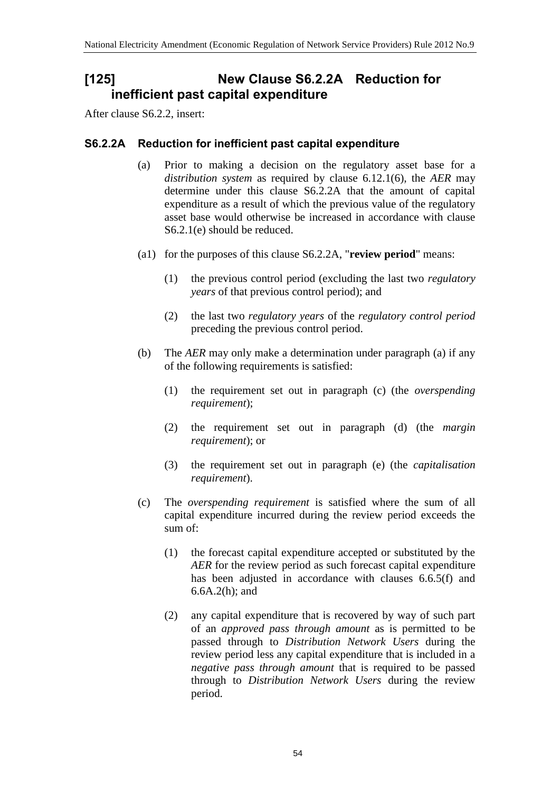### **[125] New Clause S6.2.2A Reduction for inefficient past capital expenditure**

After clause S6.2.2, insert:

#### **S6.2.2A Reduction for inefficient past capital expenditure**

- (a) Prior to making a decision on the regulatory asset base for a *distribution system* as required by clause 6.12.1(6), the *AER* may determine under this clause S6.2.2A that the amount of capital expenditure as a result of which the previous value of the regulatory asset base would otherwise be increased in accordance with clause S6.2.1(e) should be reduced.
- (a1) for the purposes of this clause S6.2.2A, "**review period**" means:
	- (1) the previous control period (excluding the last two *regulatory years* of that previous control period); and
	- (2) the last two *regulatory years* of the *regulatory control period* preceding the previous control period.
- (b) The *AER* may only make a determination under paragraph (a) if any of the following requirements is satisfied:
	- (1) the requirement set out in paragraph (c) (the *overspending requirement*);
	- (2) the requirement set out in paragraph (d) (the *margin requirement*); or
	- (3) the requirement set out in paragraph (e) (the *capitalisation requirement*).
- (c) The *overspending requirement* is satisfied where the sum of all capital expenditure incurred during the review period exceeds the sum of:
	- (1) the forecast capital expenditure accepted or substituted by the *AER* for the review period as such forecast capital expenditure has been adjusted in accordance with clauses 6.6.5(f) and 6.6A.2(h); and
	- (2) any capital expenditure that is recovered by way of such part of an *approved pass through amount* as is permitted to be passed through to *Distribution Network Users* during the review period less any capital expenditure that is included in a *negative pass through amount* that is required to be passed through to *Distribution Network Users* during the review period.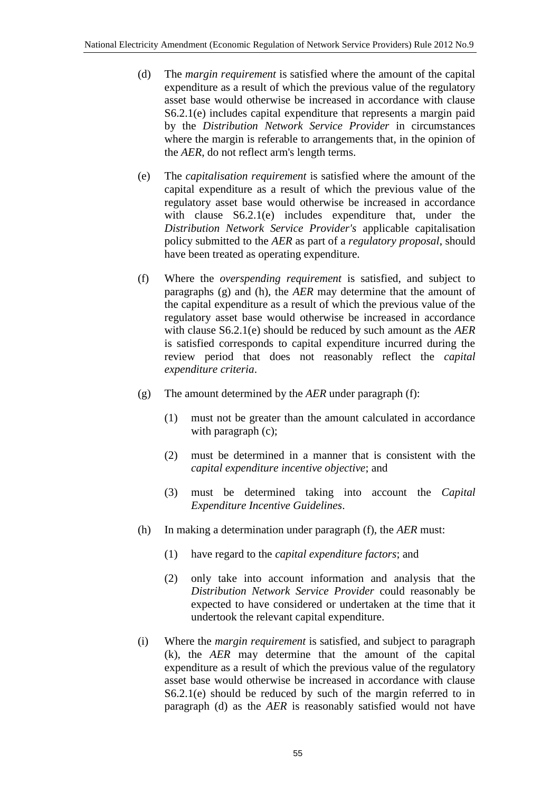- (d) The *margin requirement* is satisfied where the amount of the capital expenditure as a result of which the previous value of the regulatory asset base would otherwise be increased in accordance with clause S6.2.1(e) includes capital expenditure that represents a margin paid by the *Distribution Network Service Provider* in circumstances where the margin is referable to arrangements that, in the opinion of the *AER*, do not reflect arm's length terms.
- (e) The *capitalisation requirement* is satisfied where the amount of the capital expenditure as a result of which the previous value of the regulatory asset base would otherwise be increased in accordance with clause S6.2.1(e) includes expenditure that, under the *Distribution Network Service Provider's* applicable capitalisation policy submitted to the *AER* as part of a *regulatory proposal*, should have been treated as operating expenditure.
- (f) Where the *overspending requirement* is satisfied, and subject to paragraphs (g) and (h), the *AER* may determine that the amount of the capital expenditure as a result of which the previous value of the regulatory asset base would otherwise be increased in accordance with clause S6.2.1(e) should be reduced by such amount as the *AER* is satisfied corresponds to capital expenditure incurred during the review period that does not reasonably reflect the *capital expenditure criteria*.
- (g) The amount determined by the *AER* under paragraph (f):
	- (1) must not be greater than the amount calculated in accordance with paragraph (c);
	- (2) must be determined in a manner that is consistent with the *capital expenditure incentive objective*; and
	- (3) must be determined taking into account the *Capital Expenditure Incentive Guidelines*.
- (h) In making a determination under paragraph (f), the *AER* must:
	- (1) have regard to the *capital expenditure factors*; and
	- (2) only take into account information and analysis that the *Distribution Network Service Provider* could reasonably be expected to have considered or undertaken at the time that it undertook the relevant capital expenditure.
- (i) Where the *margin requirement* is satisfied, and subject to paragraph (k), the *AER* may determine that the amount of the capital expenditure as a result of which the previous value of the regulatory asset base would otherwise be increased in accordance with clause S6.2.1(e) should be reduced by such of the margin referred to in paragraph (d) as the *AER* is reasonably satisfied would not have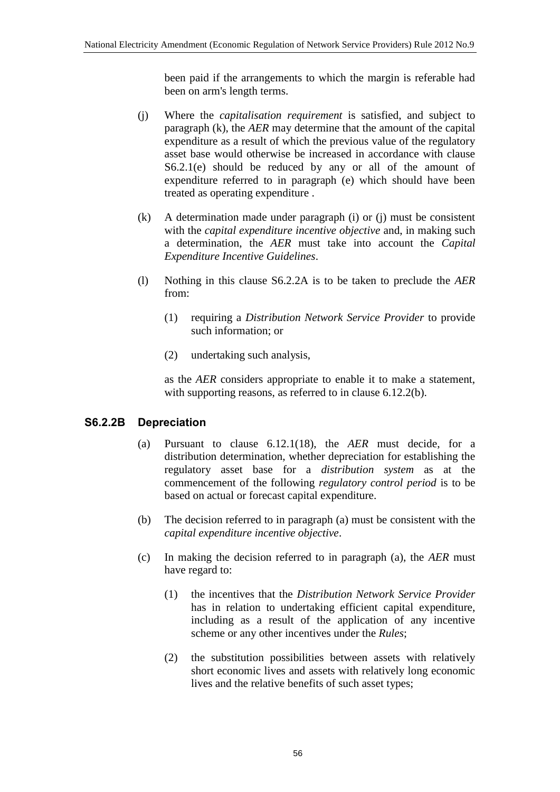been paid if the arrangements to which the margin is referable had been on arm's length terms.

- (j) Where the *capitalisation requirement* is satisfied, and subject to paragraph (k), the *AER* may determine that the amount of the capital expenditure as a result of which the previous value of the regulatory asset base would otherwise be increased in accordance with clause S6.2.1(e) should be reduced by any or all of the amount of expenditure referred to in paragraph (e) which should have been treated as operating expenditure .
- (k) A determination made under paragraph (i) or (j) must be consistent with the *capital expenditure incentive objective* and, in making such a determination, the *AER* must take into account the *Capital Expenditure Incentive Guidelines*.
- (l) Nothing in this clause S6.2.2A is to be taken to preclude the *AER* from:
	- (1) requiring a *Distribution Network Service Provider* to provide such information; or
	- (2) undertaking such analysis,

as the *AER* considers appropriate to enable it to make a statement, with supporting reasons, as referred to in clause 6.12.2(b).

#### **S6.2.2B Depreciation**

- (a) Pursuant to clause 6.12.1(18), the *AER* must decide, for a distribution determination, whether depreciation for establishing the regulatory asset base for a *distribution system* as at the commencement of the following *regulatory control period* is to be based on actual or forecast capital expenditure.
- (b) The decision referred to in paragraph (a) must be consistent with the *capital expenditure incentive objective*.
- (c) In making the decision referred to in paragraph (a), the *AER* must have regard to:
	- (1) the incentives that the *Distribution Network Service Provider* has in relation to undertaking efficient capital expenditure, including as a result of the application of any incentive scheme or any other incentives under the *Rules*;
	- (2) the substitution possibilities between assets with relatively short economic lives and assets with relatively long economic lives and the relative benefits of such asset types;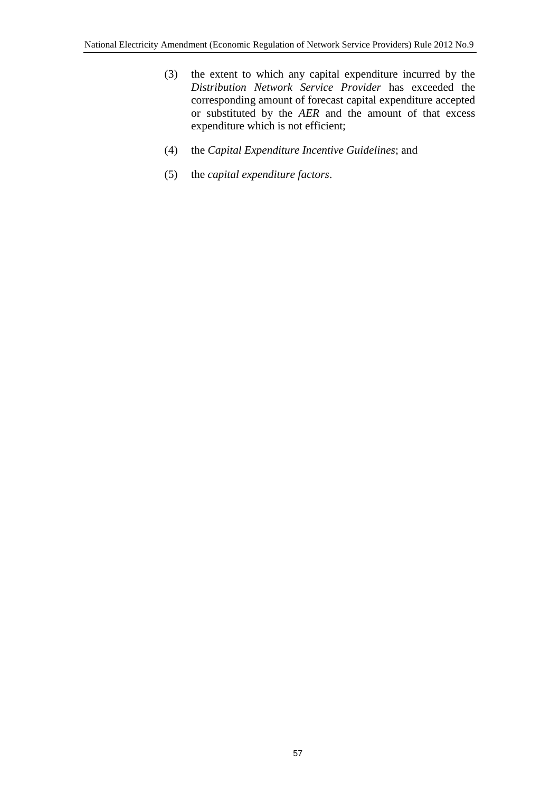- (3) the extent to which any capital expenditure incurred by the *Distribution Network Service Provider* has exceeded the corresponding amount of forecast capital expenditure accepted or substituted by the *AER* and the amount of that excess expenditure which is not efficient;
- (4) the *Capital Expenditure Incentive Guidelines*; and
- (5) the *capital expenditure factors*.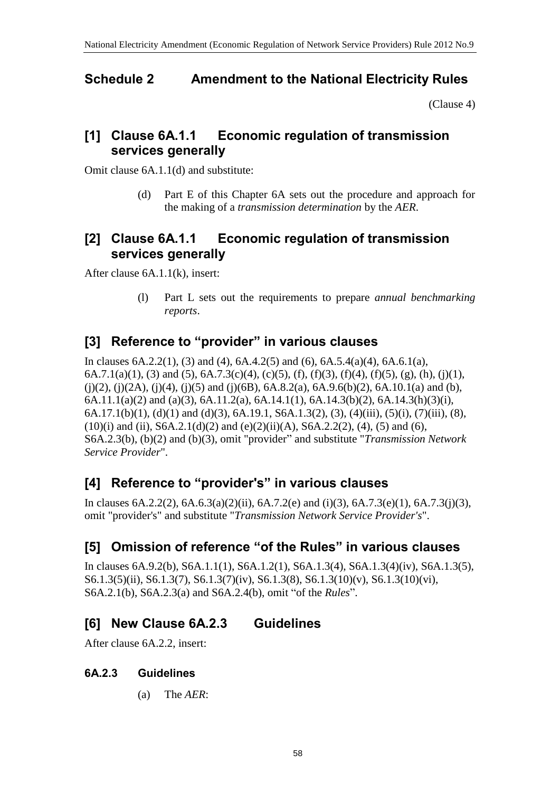### **Schedule 2 Amendment to the National Electricity Rules**

[\(Clause 4\)](#page-1-0)

### **[1] Clause 6A.1.1 Economic regulation of transmission services generally**

Omit clause 6A.1.1(d) and substitute:

(d) Part E of this Chapter 6A sets out the procedure and approach for the making of a *transmission determination* by the *AER*.

### **[2] Clause 6A.1.1 Economic regulation of transmission services generally**

After clause 6A.1.1(k), insert:

(l) Part L sets out the requirements to prepare *annual benchmarking reports*.

## **[3] Reference to "provider" in various clauses**

In clauses 6A.2.2(1), (3) and (4), 6A.4.2(5) and (6), 6A.5.4(a)(4), 6A.6.1(a), 6A.7.1(a)(1), (3) and (5), 6A.7.3(c)(4), (c)(5), (f), (f)(3), (f)(4), (f)(5), (g), (h), (j)(1),  $(i)(2)$ ,  $(i)(2A)$ ,  $(i)(4)$ ,  $(i)(5)$  and  $(i)(6B)$ ,  $6A.8.2(a)$ ,  $6A.9.6(b)(2)$ ,  $6A.10.1(a)$  and (b), 6A.11.1(a)(2) and (a)(3), 6A.11.2(a), 6A.14.1(1), 6A.14.3(b)(2), 6A.14.3(h)(3)(i), 6A.17.1(b)(1), (d)(1) and (d)(3), 6A.19.1, S6A.1.3(2), (3), (4)(iii), (5)(i), (7)(iii), (8),  $(10)(i)$  and  $(ii)$ , S6A.2.1(d)(2) and  $(e)(2)(ii)(A)$ , S6A.2.2(2), (4), (5) and (6), S6A.2.3(b), (b)(2) and (b)(3), omit "provider" and substitute "*Transmission Network Service Provider*".

## **[4] Reference to "provider's" in various clauses**

In clauses  $6A.2.2(2)$ ,  $6A.6.3(a)(2)(ii)$ ,  $6A.7.2(e)$  and  $(i)(3)$ ,  $6A.7.3(e)(1)$ ,  $6A.7.3(i)(3)$ , omit "provider's" and substitute "*Transmission Network Service Provider's*".

## **[5] Omission of reference "of the Rules" in various clauses**

In clauses 6A.9.2(b), S6A.1.1(1), S6A.1.2(1), S6A.1.3(4), S6A.1.3(4)(iv), S6A.1.3(5), S6.1.3(5)(ii), S6.1.3(7), S6.1.3(7)(iv), S6.1.3(8), S6.1.3(10)(v), S6.1.3(10)(vi), S6A.2.1(b), S6A.2.3(a) and S6A.2.4(b), omit "of the *Rules*".

# **[6] New Clause 6A.2.3 Guidelines**

After clause 6A.2.2, insert:

#### **6A.2.3 Guidelines**

(a) The *AER*: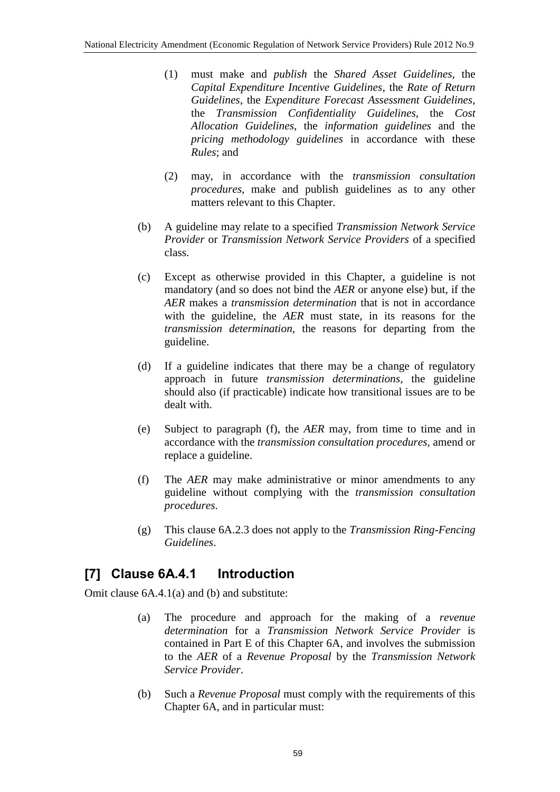- (1) must make and *publish* the *Shared Asset Guidelines*, the *Capital Expenditure Incentive Guidelines*, the *Rate of Return Guidelines*, the *Expenditure Forecast Assessment Guidelines*, the *Transmission Confidentiality Guidelines*, the *Cost Allocation Guidelines*, the *information guidelines* and the *pricing methodology guidelines* in accordance with these *Rules*; and
- (2) may, in accordance with the *transmission consultation procedures*, make and publish guidelines as to any other matters relevant to this Chapter.
- (b) A guideline may relate to a specified *Transmission Network Service Provider* or *Transmission Network Service Providers* of a specified class.
- (c) Except as otherwise provided in this Chapter, a guideline is not mandatory (and so does not bind the *AER* or anyone else) but, if the *AER* makes a *transmission determination* that is not in accordance with the guideline, the *AER* must state, in its reasons for the *transmission determination*, the reasons for departing from the guideline.
- (d) If a guideline indicates that there may be a change of regulatory approach in future *transmission determinations*, the guideline should also (if practicable) indicate how transitional issues are to be dealt with.
- (e) Subject to paragraph (f), the *AER* may, from time to time and in accordance with the *transmission consultation procedures*, amend or replace a guideline.
- (f) The *AER* may make administrative or minor amendments to any guideline without complying with the *transmission consultation procedures*.
- (g) This clause 6A.2.3 does not apply to the *Transmission Ring-Fencing Guidelines*.

## **[7] Clause 6A.4.1 Introduction**

Omit clause 6A.4.1(a) and (b) and substitute:

- (a) The procedure and approach for the making of a *revenue determination* for a *Transmission Network Service Provider* is contained in Part E of this Chapter 6A, and involves the submission to the *AER* of a *Revenue Proposal* by the *Transmission Network Service Provider*.
- (b) Such a *Revenue Proposal* must comply with the requirements of this Chapter 6A, and in particular must: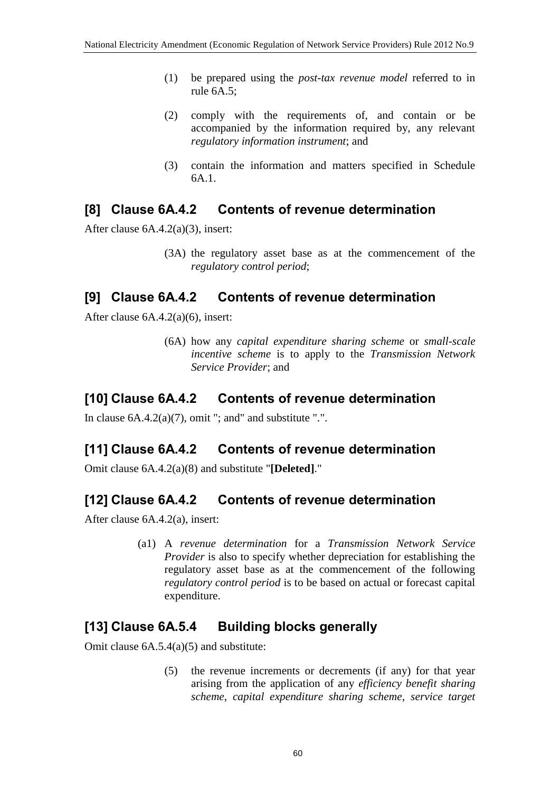- (1) be prepared using the *post-tax revenue model* referred to in rule 6A.5;
- (2) comply with the requirements of, and contain or be accompanied by the information required by, any relevant *regulatory information instrument*; and
- (3) contain the information and matters specified in Schedule 6A.1.

#### **[8] Clause 6A.4.2 Contents of revenue determination**

After clause 6A.4.2(a)(3), insert:

(3A) the regulatory asset base as at the commencement of the *regulatory control period*;

#### **[9] Clause 6A.4.2 Contents of revenue determination**

After clause 6A.4.2(a)(6), insert:

(6A) how any *capital expenditure sharing scheme* or *small-scale incentive scheme* is to apply to the *Transmission Network Service Provider*; and

### **[10] Clause 6A.4.2 Contents of revenue determination**

In clause  $6A.4.2(a)(7)$ , omit "; and" and substitute ".".

### **[11] Clause 6A.4.2 Contents of revenue determination**

Omit clause 6A.4.2(a)(8) and substitute "**[Deleted]**."

### **[12] Clause 6A.4.2 Contents of revenue determination**

After clause 6A.4.2(a), insert:

(a1) A *revenue determination* for a *Transmission Network Service Provider* is also to specify whether depreciation for establishing the regulatory asset base as at the commencement of the following *regulatory control period* is to be based on actual or forecast capital expenditure.

### **[13] Clause 6A.5.4 Building blocks generally**

Omit clause 6A.5.4(a)(5) and substitute:

(5) the revenue increments or decrements (if any) for that year arising from the application of any *efficiency benefit sharing scheme*, *capital expenditure sharing scheme*, *service target*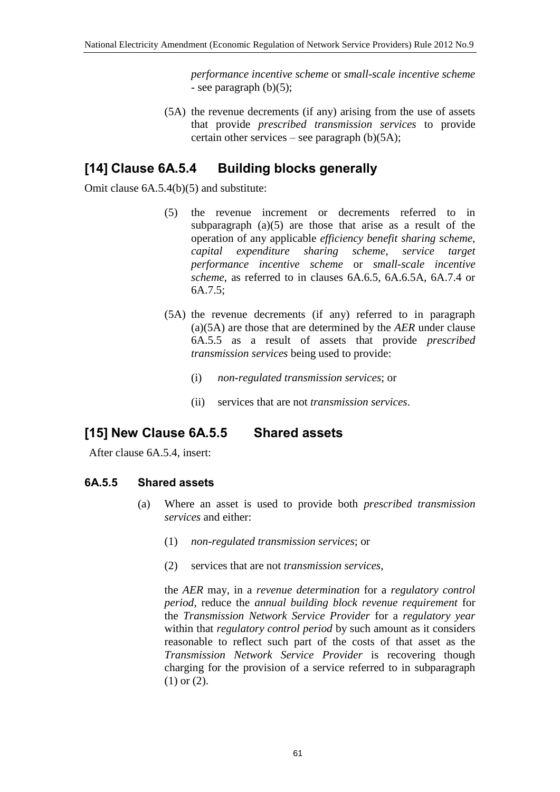*performance incentive scheme* or *small-scale incentive scheme* - see paragraph (b)(5);

(5A) the revenue decrements (if any) arising from the use of assets that provide *prescribed transmission services* to provide certain other services – see paragraph  $(b)(5A)$ ;

## **[14] Clause 6A.5.4 Building blocks generally**

Omit clause 6A.5.4(b)(5) and substitute:

- (5) the revenue increment or decrements referred to in subparagraph  $(a)(5)$  are those that arise as a result of the operation of any applicable *efficiency benefit sharing scheme*, *capital expenditure sharing scheme*, *service target performance incentive scheme* or *small-scale incentive scheme*, as referred to in clauses 6A.6.5, 6A.6.5A, 6A.7.4 or 6A.7.5;
- (5A) the revenue decrements (if any) referred to in paragraph (a)(5A) are those that are determined by the *AER* under clause 6A.5.5 as a result of assets that provide *prescribed transmission services* being used to provide:
	- (i) *non-regulated transmission services*; or
	- (ii) services that are not *transmission services*.

### **[15] New Clause 6A.5.5 Shared assets**

After clause 6A.5.4, insert:

#### **6A.5.5 Shared assets**

- (a) Where an asset is used to provide both *prescribed transmission services* and either:
	- (1) *non-regulated transmission services*; or
	- (2) services that are not *transmission services*,

the *AER* may, in a *revenue determination* for a *regulatory control period*, reduce the *annual building block revenue requirement* for the *Transmission Network Service Provider* for a *regulatory year* within that *regulatory control period* by such amount as it considers reasonable to reflect such part of the costs of that asset as the *Transmission Network Service Provider* is recovering though charging for the provision of a service referred to in subparagraph (1) or (2).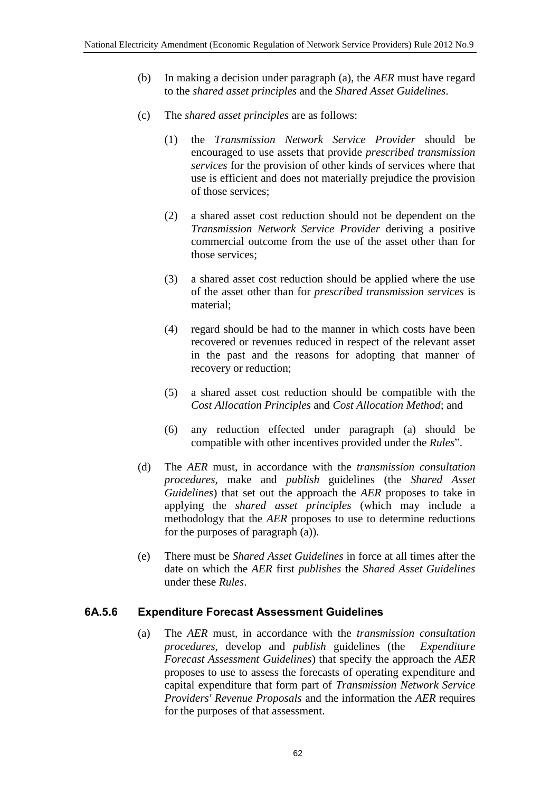- (b) In making a decision under paragraph (a), the *AER* must have regard to the *shared asset principles* and the *Shared Asset Guidelines*.
- (c) The *shared asset principles* are as follows:
	- (1) the *Transmission Network Service Provider* should be encouraged to use assets that provide *prescribed transmission services* for the provision of other kinds of services where that use is efficient and does not materially prejudice the provision of those services;
	- (2) a shared asset cost reduction should not be dependent on the *Transmission Network Service Provider* deriving a positive commercial outcome from the use of the asset other than for those services;
	- (3) a shared asset cost reduction should be applied where the use of the asset other than for *prescribed transmission services* is material;
	- (4) regard should be had to the manner in which costs have been recovered or revenues reduced in respect of the relevant asset in the past and the reasons for adopting that manner of recovery or reduction;
	- (5) a shared asset cost reduction should be compatible with the *Cost Allocation Principles* and *Cost Allocation Method*; and
	- (6) any reduction effected under paragraph (a) should be compatible with other incentives provided under the *Rules*".
- (d) The *AER* must, in accordance with the *transmission consultation procedures*, make and *publish* guidelines (the *Shared Asset Guidelines*) that set out the approach the *AER* proposes to take in applying the *shared asset principles* (which may include a methodology that the *AER* proposes to use to determine reductions for the purposes of paragraph (a)).
- (e) There must be *Shared Asset Guidelines* in force at all times after the date on which the *AER* first *publishes* the *Shared Asset Guidelines* under these *Rules*.

#### **6A.5.6 Expenditure Forecast Assessment Guidelines**

(a) The *AER* must, in accordance with the *transmission consultation procedures*, develop and *publish* guidelines (the *Expenditure Forecast Assessment Guidelines*) that specify the approach the *AER* proposes to use to assess the forecasts of operating expenditure and capital expenditure that form part of *Transmission Network Service Providers' Revenue Proposals* and the information the *AER* requires for the purposes of that assessment.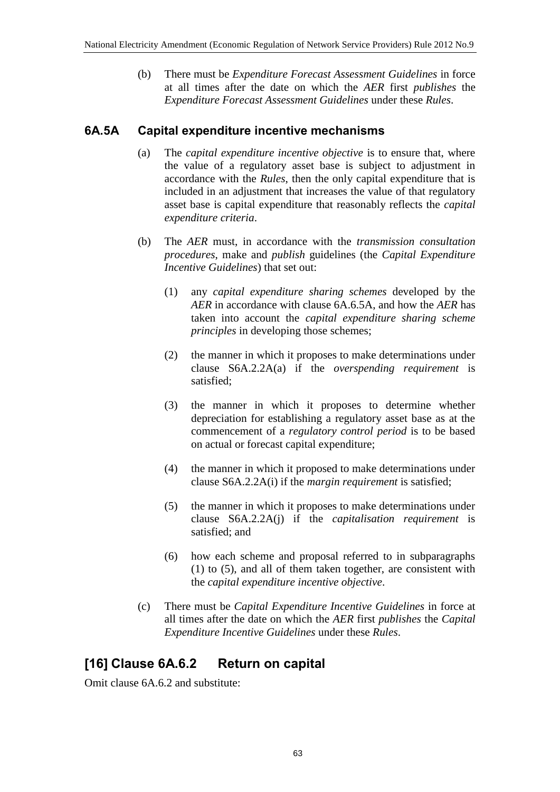(b) There must be *Expenditure Forecast Assessment Guidelines* in force at all times after the date on which the *AER* first *publishes* the *Expenditure Forecast Assessment Guidelines* under these *Rules*.

#### **6A.5A Capital expenditure incentive mechanisms**

- (a) The *capital expenditure incentive objective* is to ensure that, where the value of a regulatory asset base is subject to adjustment in accordance with the *Rules*, then the only capital expenditure that is included in an adjustment that increases the value of that regulatory asset base is capital expenditure that reasonably reflects the *capital expenditure criteria*.
- (b) The *AER* must, in accordance with the *transmission consultation procedures*, make and *publish* guidelines (the *Capital Expenditure Incentive Guidelines*) that set out:
	- (1) any *capital expenditure sharing schemes* developed by the *AER* in accordance with clause 6A.6.5A, and how the *AER* has taken into account the *capital expenditure sharing scheme principles* in developing those schemes;
	- (2) the manner in which it proposes to make determinations under clause S6A.2.2A(a) if the *overspending requirement* is satisfied;
	- (3) the manner in which it proposes to determine whether depreciation for establishing a regulatory asset base as at the commencement of a *regulatory control period* is to be based on actual or forecast capital expenditure;
	- (4) the manner in which it proposed to make determinations under clause S6A.2.2A(i) if the *margin requirement* is satisfied;
	- (5) the manner in which it proposes to make determinations under clause S6A.2.2A(j) if the *capitalisation requirement* is satisfied; and
	- (6) how each scheme and proposal referred to in subparagraphs (1) to (5), and all of them taken together, are consistent with the *capital expenditure incentive objective*.
- (c) There must be *Capital Expenditure Incentive Guidelines* in force at all times after the date on which the *AER* first *publishes* the *Capital Expenditure Incentive Guidelines* under these *Rules*.

## **[16] Clause 6A.6.2 Return on capital**

Omit clause 6A.6.2 and substitute: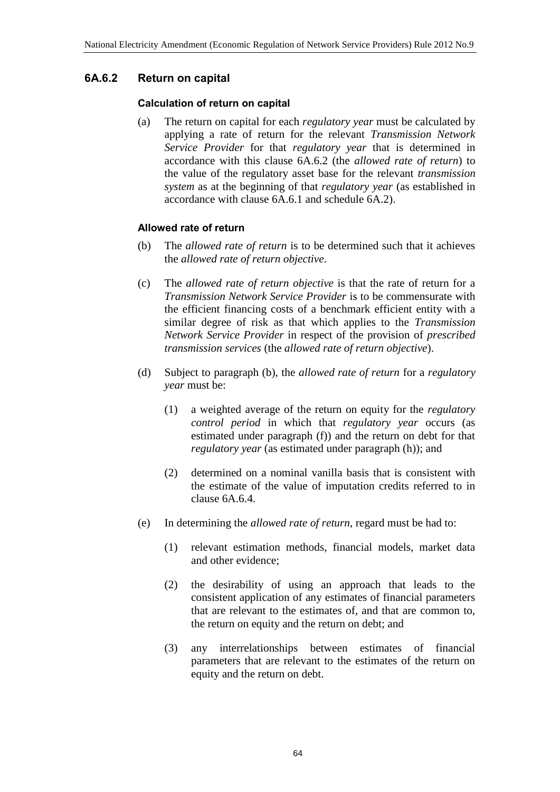#### **6A.6.2 Return on capital**

#### **Calculation of return on capital**

(a) The return on capital for each *regulatory year* must be calculated by applying a rate of return for the relevant *Transmission Network Service Provider* for that *regulatory year* that is determined in accordance with this clause 6A.6.2 (the *allowed rate of return*) to the value of the regulatory asset base for the relevant *transmission system* as at the beginning of that *regulatory year* (as established in accordance with clause 6A.6.1 and schedule 6A.2).

#### **Allowed rate of return**

- (b) The *allowed rate of return* is to be determined such that it achieves the *allowed rate of return objective*.
- (c) The *allowed rate of return objective* is that the rate of return for a *Transmission Network Service Provider* is to be commensurate with the efficient financing costs of a benchmark efficient entity with a similar degree of risk as that which applies to the *Transmission Network Service Provider* in respect of the provision of *prescribed transmission services* (the *allowed rate of return objective*).
- (d) Subject to paragraph (b), the *allowed rate of return* for a *regulatory year* must be:
	- (1) a weighted average of the return on equity for the *regulatory control period* in which that *regulatory year* occurs (as estimated under paragraph (f)) and the return on debt for that *regulatory year* (as estimated under paragraph (h)); and
	- (2) determined on a nominal vanilla basis that is consistent with the estimate of the value of imputation credits referred to in clause 6A.6.4.
- (e) In determining the *allowed rate of return*, regard must be had to:
	- (1) relevant estimation methods, financial models, market data and other evidence;
	- (2) the desirability of using an approach that leads to the consistent application of any estimates of financial parameters that are relevant to the estimates of, and that are common to, the return on equity and the return on debt; and
	- (3) any interrelationships between estimates of financial parameters that are relevant to the estimates of the return on equity and the return on debt.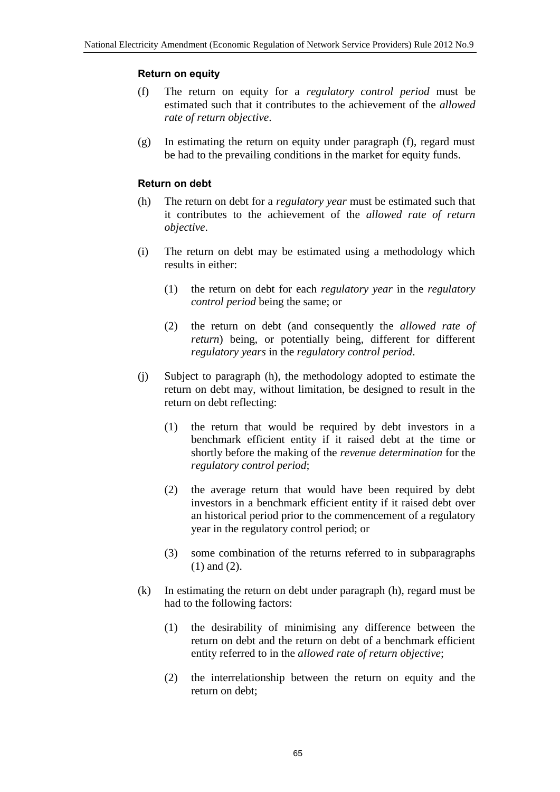#### **Return on equity**

- (f) The return on equity for a *regulatory control period* must be estimated such that it contributes to the achievement of the *allowed rate of return objective*.
- (g) In estimating the return on equity under paragraph (f), regard must be had to the prevailing conditions in the market for equity funds.

#### **Return on debt**

- (h) The return on debt for a *regulatory year* must be estimated such that it contributes to the achievement of the *allowed rate of return objective*.
- (i) The return on debt may be estimated using a methodology which results in either:
	- (1) the return on debt for each *regulatory year* in the *regulatory control period* being the same; or
	- (2) the return on debt (and consequently the *allowed rate of return*) being, or potentially being, different for different *regulatory years* in the *regulatory control period*.
- (j) Subject to paragraph (h), the methodology adopted to estimate the return on debt may, without limitation, be designed to result in the return on debt reflecting:
	- (1) the return that would be required by debt investors in a benchmark efficient entity if it raised debt at the time or shortly before the making of the *revenue determination* for the *regulatory control period*;
	- (2) the average return that would have been required by debt investors in a benchmark efficient entity if it raised debt over an historical period prior to the commencement of a regulatory year in the regulatory control period; or
	- (3) some combination of the returns referred to in subparagraphs (1) and (2).
- (k) In estimating the return on debt under paragraph (h), regard must be had to the following factors:
	- (1) the desirability of minimising any difference between the return on debt and the return on debt of a benchmark efficient entity referred to in the *allowed rate of return objective*;
	- (2) the interrelationship between the return on equity and the return on debt;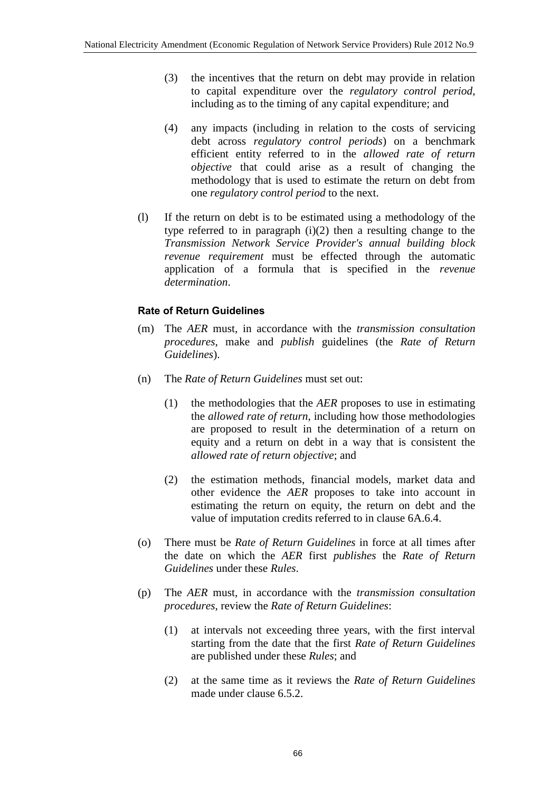- (3) the incentives that the return on debt may provide in relation to capital expenditure over the *regulatory control period*, including as to the timing of any capital expenditure; and
- (4) any impacts (including in relation to the costs of servicing debt across *regulatory control periods*) on a benchmark efficient entity referred to in the *allowed rate of return objective* that could arise as a result of changing the methodology that is used to estimate the return on debt from one *regulatory control period* to the next.
- (l) If the return on debt is to be estimated using a methodology of the type referred to in paragraph  $(i)(2)$  then a resulting change to the *Transmission Network Service Provider's annual building block revenue requirement* must be effected through the automatic application of a formula that is specified in the *revenue determination*.

#### **Rate of Return Guidelines**

- (m) The *AER* must, in accordance with the *transmission consultation procedures*, make and *publish* guidelines (the *Rate of Return Guidelines*).
- (n) The *Rate of Return Guidelines* must set out:
	- (1) the methodologies that the *AER* proposes to use in estimating the *allowed rate of return*, including how those methodologies are proposed to result in the determination of a return on equity and a return on debt in a way that is consistent the *allowed rate of return objective*; and
	- (2) the estimation methods, financial models, market data and other evidence the *AER* proposes to take into account in estimating the return on equity, the return on debt and the value of imputation credits referred to in clause 6A.6.4.
- (o) There must be *Rate of Return Guidelines* in force at all times after the date on which the *AER* first *publishes* the *Rate of Return Guidelines* under these *Rules*.
- (p) The *AER* must, in accordance with the *transmission consultation procedures*, review the *Rate of Return Guidelines*:
	- (1) at intervals not exceeding three years, with the first interval starting from the date that the first *Rate of Return Guidelines* are published under these *Rules*; and
	- (2) at the same time as it reviews the *Rate of Return Guidelines* made under clause 6.5.2.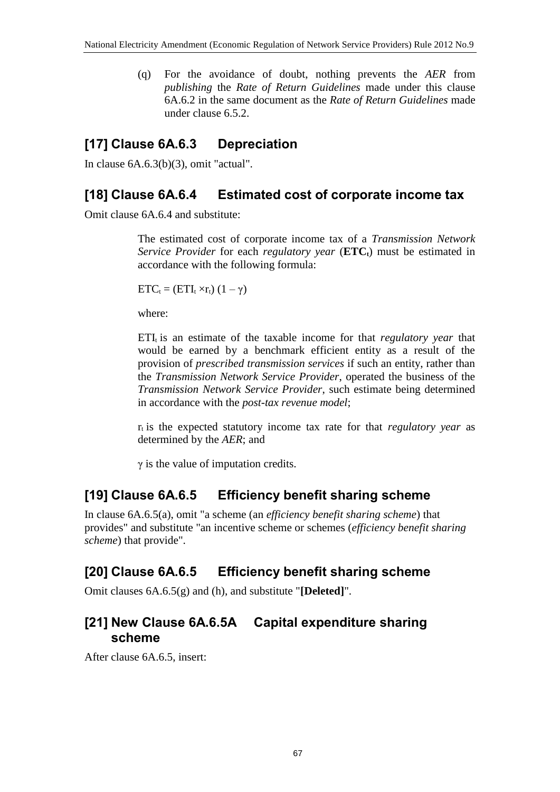(q) For the avoidance of doubt, nothing prevents the *AER* from *publishing* the *Rate of Return Guidelines* made under this clause 6A.6.2 in the same document as the *Rate of Return Guidelines* made under clause 6.5.2.

## **[17] Clause 6A.6.3 Depreciation**

In clause 6A.6.3(b)(3), omit "actual".

#### **[18] Clause 6A.6.4 Estimated cost of corporate income tax**

Omit clause 6A.6.4 and substitute:

The estimated cost of corporate income tax of a *Transmission Network Service Provider* for each *regulatory year* (**ETCt**) must be estimated in accordance with the following formula:

 $ETC_t = (ETI_t \times r_t) (1 - \gamma)$ 

where:

ETI<sub>t</sub> is an estimate of the taxable income for that *regulatory year* that would be earned by a benchmark efficient entity as a result of the provision of *prescribed transmission services* if such an entity, rather than the *Transmission Network Service Provider*, operated the business of the *Transmission Network Service Provider*, such estimate being determined in accordance with the *post-tax revenue model*;

 $r_t$  is the expected statutory income tax rate for that *regulatory year* as determined by the *AER*; and

 $\gamma$  is the value of imputation credits.

### **[19] Clause 6A.6.5 Efficiency benefit sharing scheme**

In clause 6A.6.5(a), omit "a scheme (an *efficiency benefit sharing scheme*) that provides" and substitute "an incentive scheme or schemes (*efficiency benefit sharing scheme*) that provide".

## **[20] Clause 6A.6.5 Efficiency benefit sharing scheme**

Omit clauses 6A.6.5(g) and (h), and substitute "**[Deleted]**".

## **[21] New Clause 6A.6.5A Capital expenditure sharing scheme**

After clause 6A.6.5, insert: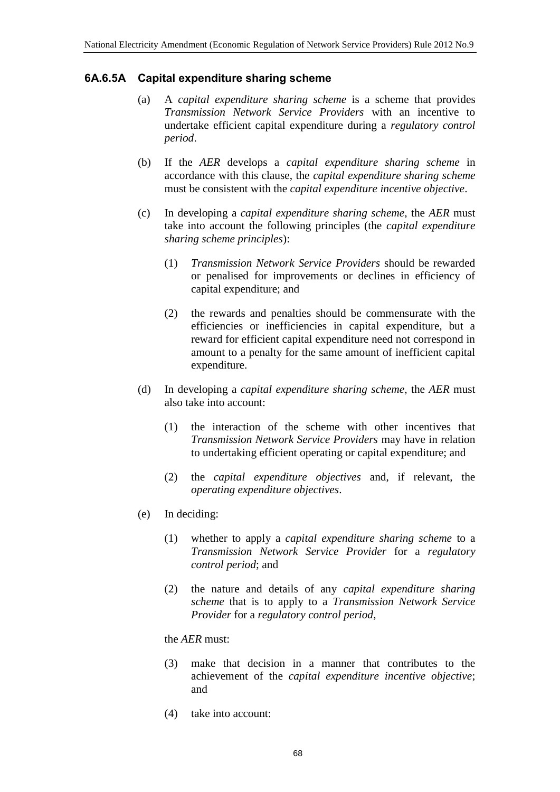#### **6A.6.5A Capital expenditure sharing scheme**

- (a) A *capital expenditure sharing scheme* is a scheme that provides *Transmission Network Service Providers* with an incentive to undertake efficient capital expenditure during a *regulatory control period*.
- (b) If the *AER* develops a *capital expenditure sharing scheme* in accordance with this clause, the *capital expenditure sharing scheme* must be consistent with the *capital expenditure incentive objective*.
- (c) In developing a *capital expenditure sharing scheme*, the *AER* must take into account the following principles (the *capital expenditure sharing scheme principles*):
	- (1) *Transmission Network Service Providers* should be rewarded or penalised for improvements or declines in efficiency of capital expenditure; and
	- (2) the rewards and penalties should be commensurate with the efficiencies or inefficiencies in capital expenditure, but a reward for efficient capital expenditure need not correspond in amount to a penalty for the same amount of inefficient capital expenditure.
- (d) In developing a *capital expenditure sharing scheme*, the *AER* must also take into account:
	- (1) the interaction of the scheme with other incentives that *Transmission Network Service Providers* may have in relation to undertaking efficient operating or capital expenditure; and
	- (2) the *capital expenditure objectives* and, if relevant, the *operating expenditure objectives*.
- (e) In deciding:
	- (1) whether to apply a *capital expenditure sharing scheme* to a *Transmission Network Service Provider* for a *regulatory control period*; and
	- (2) the nature and details of any *capital expenditure sharing scheme* that is to apply to a *Transmission Network Service Provider* for a *regulatory control period*,

the *AER* must:

- (3) make that decision in a manner that contributes to the achievement of the *capital expenditure incentive objective*; and
- (4) take into account: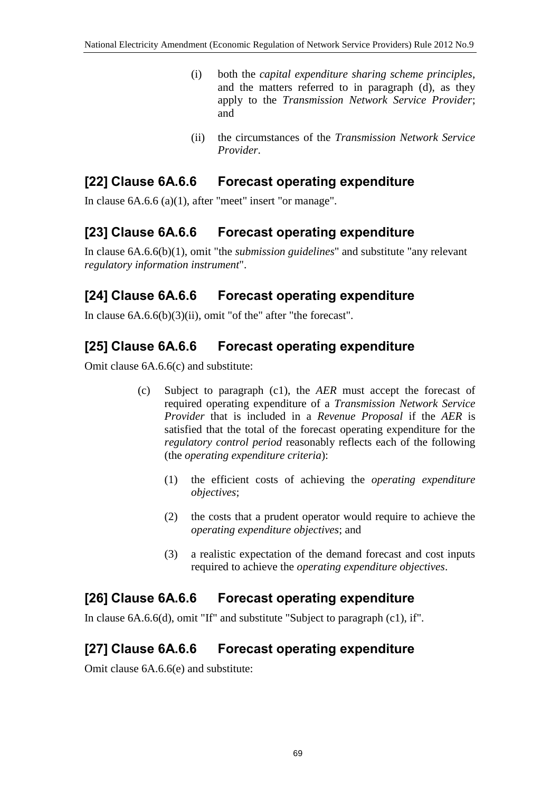- (i) both the *capital expenditure sharing scheme principles*, and the matters referred to in paragraph (d), as they apply to the *Transmission Network Service Provider*; and
- (ii) the circumstances of the *Transmission Network Service Provider*.

## **[22] Clause 6A.6.6 Forecast operating expenditure**

In clause 6A.6.6 (a)(1), after "meet" insert "or manage".

## **[23] Clause 6A.6.6 Forecast operating expenditure**

In clause 6A.6.6(b)(1), omit "the *submission guidelines*" and substitute "any relevant *regulatory information instrument*".

## **[24] Clause 6A.6.6 Forecast operating expenditure**

In clause 6A.6.6(b)(3)(ii), omit "of the" after "the forecast".

## **[25] Clause 6A.6.6 Forecast operating expenditure**

Omit clause 6A.6.6(c) and substitute:

- (c) Subject to paragraph (c1), the *AER* must accept the forecast of required operating expenditure of a *Transmission Network Service Provider* that is included in a *Revenue Proposal* if the *AER* is satisfied that the total of the forecast operating expenditure for the *regulatory control period* reasonably reflects each of the following (the *operating expenditure criteria*):
	- (1) the efficient costs of achieving the *operating expenditure objectives*;
	- (2) the costs that a prudent operator would require to achieve the *operating expenditure objectives*; and
	- (3) a realistic expectation of the demand forecast and cost inputs required to achieve the *operating expenditure objectives*.

## **[26] Clause 6A.6.6 Forecast operating expenditure**

In clause 6A.6.6(d), omit "If" and substitute "Subject to paragraph (c1), if".

## **[27] Clause 6A.6.6 Forecast operating expenditure**

Omit clause 6A.6.6(e) and substitute: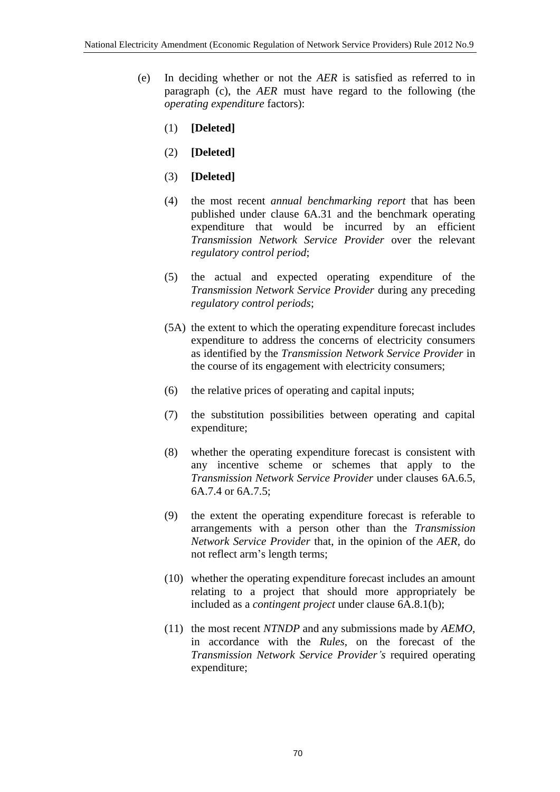- (e) In deciding whether or not the *AER* is satisfied as referred to in paragraph (c), the *AER* must have regard to the following (the *operating expenditure* factors):
	- (1) **[Deleted]**
	- (2) **[Deleted]**
	- (3) **[Deleted]**
	- (4) the most recent *annual benchmarking report* that has been published under clause 6A.31 and the benchmark operating expenditure that would be incurred by an efficient *Transmission Network Service Provider* over the relevant *regulatory control period*;
	- (5) the actual and expected operating expenditure of the *Transmission Network Service Provider* during any preceding *regulatory control periods*;
	- (5A) the extent to which the operating expenditure forecast includes expenditure to address the concerns of electricity consumers as identified by the *Transmission Network Service Provider* in the course of its engagement with electricity consumers;
	- (6) the relative prices of operating and capital inputs;
	- (7) the substitution possibilities between operating and capital expenditure;
	- (8) whether the operating expenditure forecast is consistent with any incentive scheme or schemes that apply to the *Transmission Network Service Provider* under clauses 6A.6.5, 6A.7.4 or 6A.7.5;
	- (9) the extent the operating expenditure forecast is referable to arrangements with a person other than the *Transmission Network Service Provider* that, in the opinion of the *AER*, do not reflect arm's length terms;
	- (10) whether the operating expenditure forecast includes an amount relating to a project that should more appropriately be included as a *contingent project* under clause 6A.8.1(b);
	- (11) the most recent *NTNDP* and any submissions made by *AEMO*, in accordance with the *Rules*, on the forecast of the *Transmission Network Service Provider's* required operating expenditure;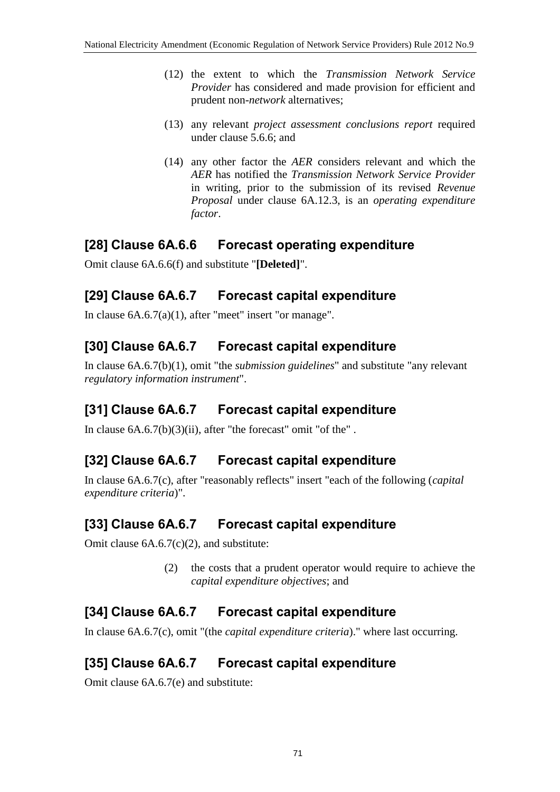- (12) the extent to which the *Transmission Network Service Provider* has considered and made provision for efficient and prudent non-*network* alternatives;
- (13) any relevant *project assessment conclusions report* required under clause 5.6.6; and
- (14) any other factor the *AER* considers relevant and which the *AER* has notified the *Transmission Network Service Provider* in writing, prior to the submission of its revised *Revenue Proposal* under clause 6A.12.3, is an *operating expenditure factor*.

### **[28] Clause 6A.6.6 Forecast operating expenditure**

Omit clause 6A.6.6(f) and substitute "**[Deleted]**".

### **[29] Clause 6A.6.7 Forecast capital expenditure**

In clause 6A.6.7(a)(1), after "meet" insert "or manage".

## **[30] Clause 6A.6.7 Forecast capital expenditure**

In clause 6A.6.7(b)(1), omit "the *submission guidelines*" and substitute "any relevant *regulatory information instrument*".

## **[31] Clause 6A.6.7 Forecast capital expenditure**

In clause  $6A.6.7(b)(3)(ii)$ , after "the forecast" omit "of the".

## **[32] Clause 6A.6.7 Forecast capital expenditure**

In clause 6A.6.7(c), after "reasonably reflects" insert "each of the following (*capital expenditure criteria*)".

## **[33] Clause 6A.6.7 Forecast capital expenditure**

Omit clause 6A.6.7(c)(2), and substitute:

(2) the costs that a prudent operator would require to achieve the *capital expenditure objectives*; and

## **[34] Clause 6A.6.7 Forecast capital expenditure**

In clause 6A.6.7(c), omit "(the *capital expenditure criteria*)." where last occurring.

## **[35] Clause 6A.6.7 Forecast capital expenditure**

Omit clause 6A.6.7(e) and substitute: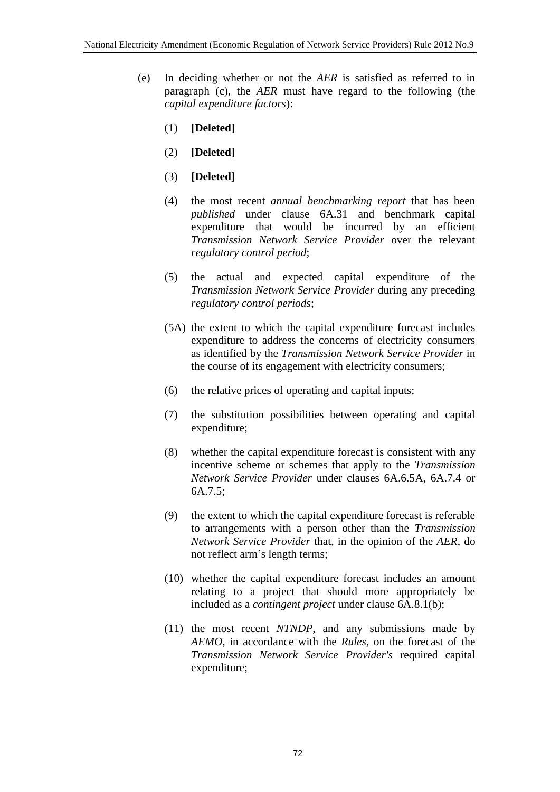- (e) In deciding whether or not the *AER* is satisfied as referred to in paragraph (c), the *AER* must have regard to the following (the *capital expenditure factors*):
	- (1) **[Deleted]**
	- (2) **[Deleted]**
	- (3) **[Deleted]**
	- (4) the most recent *annual benchmarking report* that has been *published* under clause 6A.31 and benchmark capital expenditure that would be incurred by an efficient *Transmission Network Service Provider* over the relevant *regulatory control period*;
	- (5) the actual and expected capital expenditure of the *Transmission Network Service Provider* during any preceding *regulatory control periods*;
	- (5A) the extent to which the capital expenditure forecast includes expenditure to address the concerns of electricity consumers as identified by the *Transmission Network Service Provider* in the course of its engagement with electricity consumers;
	- (6) the relative prices of operating and capital inputs;
	- (7) the substitution possibilities between operating and capital expenditure;
	- (8) whether the capital expenditure forecast is consistent with any incentive scheme or schemes that apply to the *Transmission Network Service Provider* under clauses 6A.6.5A, 6A.7.4 or 6A.7.5;
	- (9) the extent to which the capital expenditure forecast is referable to arrangements with a person other than the *Transmission Network Service Provider* that, in the opinion of the *AER*, do not reflect arm's length terms;
	- (10) whether the capital expenditure forecast includes an amount relating to a project that should more appropriately be included as a *contingent project* under clause 6A.8.1(b);
	- (11) the most recent *NTNDP*, and any submissions made by *AEMO*, in accordance with the *Rules*, on the forecast of the *Transmission Network Service Provider's* required capital expenditure;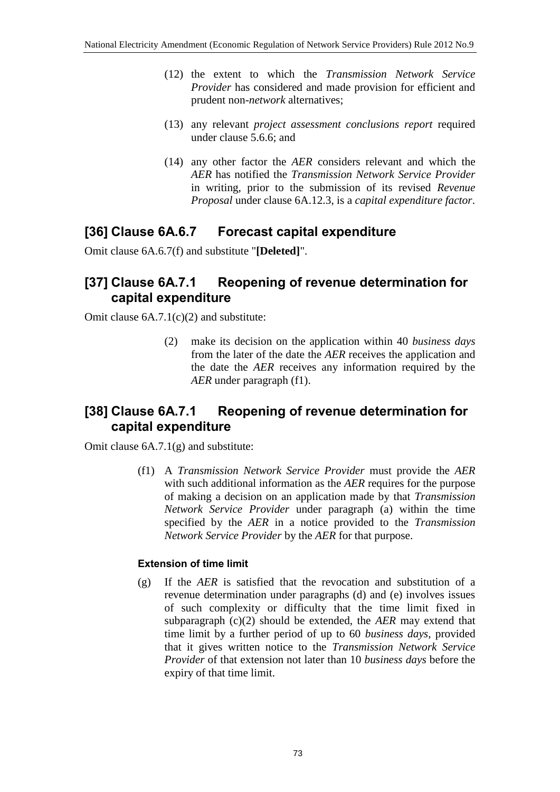- (12) the extent to which the *Transmission Network Service Provider* has considered and made provision for efficient and prudent non-*network* alternatives;
- (13) any relevant *project assessment conclusions report* required under clause 5.6.6; and
- (14) any other factor the *AER* considers relevant and which the *AER* has notified the *Transmission Network Service Provider* in writing, prior to the submission of its revised *Revenue Proposal* under clause 6A.12.3, is a *capital expenditure factor*.

### **[36] Clause 6A.6.7 Forecast capital expenditure**

Omit clause 6A.6.7(f) and substitute "**[Deleted]**".

#### **[37] Clause 6A.7.1 Reopening of revenue determination for capital expenditure**

Omit clause 6A.7.1(c)(2) and substitute:

(2) make its decision on the application within 40 *business days* from the later of the date the *AER* receives the application and the date the *AER* receives any information required by the *AER* under paragraph (f1).

#### **[38] Clause 6A.7.1 Reopening of revenue determination for capital expenditure**

Omit clause 6A.7.1(g) and substitute:

(f1) A *Transmission Network Service Provider* must provide the *AER* with such additional information as the *AER* requires for the purpose of making a decision on an application made by that *Transmission Network Service Provider* under paragraph (a) within the time specified by the *AER* in a notice provided to the *Transmission Network Service Provider* by the *AER* for that purpose.

#### **Extension of time limit**

(g) If the *AER* is satisfied that the revocation and substitution of a revenue determination under paragraphs (d) and (e) involves issues of such complexity or difficulty that the time limit fixed in subparagraph (c)(2) should be extended, the *AER* may extend that time limit by a further period of up to 60 *business days*, provided that it gives written notice to the *Transmission Network Service Provider* of that extension not later than 10 *business days* before the expiry of that time limit.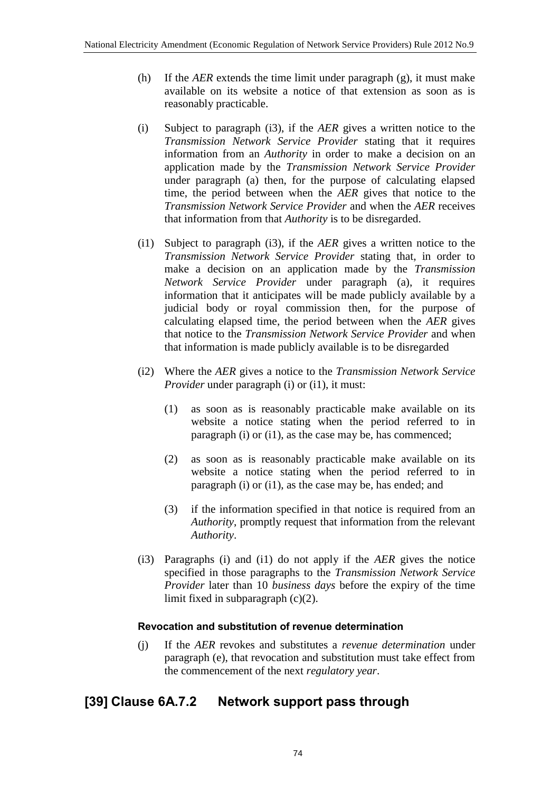- (h) If the *AER* extends the time limit under paragraph (g), it must make available on its website a notice of that extension as soon as is reasonably practicable.
- (i) Subject to paragraph (i3), if the *AER* gives a written notice to the *Transmission Network Service Provider* stating that it requires information from an *Authority* in order to make a decision on an application made by the *Transmission Network Service Provider* under paragraph (a) then, for the purpose of calculating elapsed time, the period between when the *AER* gives that notice to the *Transmission Network Service Provider* and when the *AER* receives that information from that *Authority* is to be disregarded.
- (i1) Subject to paragraph (i3), if the *AER* gives a written notice to the *Transmission Network Service Provider* stating that, in order to make a decision on an application made by the *Transmission Network Service Provider* under paragraph (a), it requires information that it anticipates will be made publicly available by a judicial body or royal commission then, for the purpose of calculating elapsed time, the period between when the *AER* gives that notice to the *Transmission Network Service Provider* and when that information is made publicly available is to be disregarded
- (i2) Where the *AER* gives a notice to the *Transmission Network Service Provider* under paragraph (i) or (i1), it must:
	- (1) as soon as is reasonably practicable make available on its website a notice stating when the period referred to in paragraph (i) or (i1), as the case may be, has commenced;
	- (2) as soon as is reasonably practicable make available on its website a notice stating when the period referred to in paragraph (i) or (i1), as the case may be, has ended; and
	- (3) if the information specified in that notice is required from an *Authority*, promptly request that information from the relevant *Authority*.
- (i3) Paragraphs (i) and (i1) do not apply if the *AER* gives the notice specified in those paragraphs to the *Transmission Network Service Provider* later than 10 *business days* before the expiry of the time limit fixed in subparagraph (c)(2).

#### **Revocation and substitution of revenue determination**

(j) If the *AER* revokes and substitutes a *revenue determination* under paragraph (e), that revocation and substitution must take effect from the commencement of the next *regulatory year*.

## **[39] Clause 6A.7.2 Network support pass through**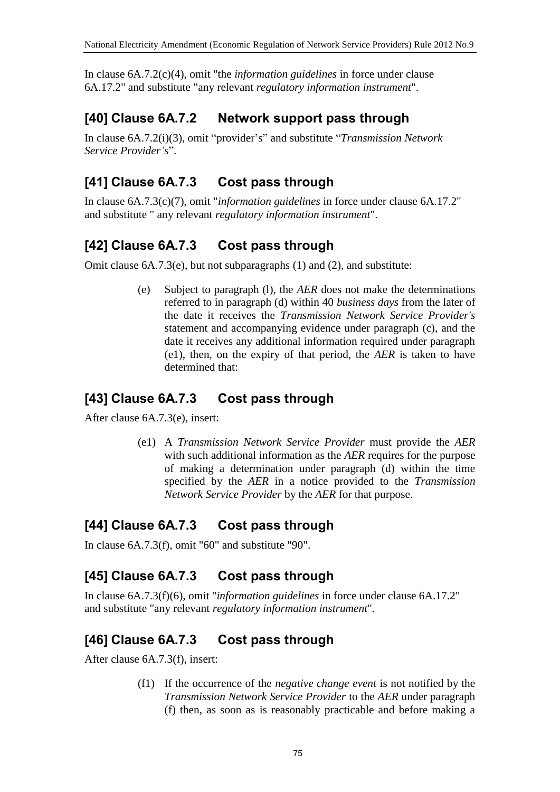In clause 6A.7.2(c)(4), omit "the *information guidelines* in force under clause 6A.17.2" and substitute "any relevant *regulatory information instrument*".

## **[40] Clause 6A.7.2 Network support pass through**

In clause 6A.7.2(i)(3), omit "provider's" and substitute "*Transmission Network Service Provider's*".

## **[41] Clause 6A.7.3 Cost pass through**

In clause 6A.7.3(c)(7), omit "*information guidelines* in force under clause 6A.17.2" and substitute " any relevant *regulatory information instrument*".

## **[42] Clause 6A.7.3 Cost pass through**

Omit clause 6A.7.3(e), but not subparagraphs (1) and (2), and substitute:

(e) Subject to paragraph (l), the *AER* does not make the determinations referred to in paragraph (d) within 40 *business days* from the later of the date it receives the *Transmission Network Service Provider's* statement and accompanying evidence under paragraph (c), and the date it receives any additional information required under paragraph (e1), then, on the expiry of that period, the *AER* is taken to have determined that:

### **[43] Clause 6A.7.3 Cost pass through**

After clause 6A.7.3(e), insert:

(e1) A *Transmission Network Service Provider* must provide the *AER* with such additional information as the *AER* requires for the purpose of making a determination under paragraph (d) within the time specified by the *AER* in a notice provided to the *Transmission Network Service Provider* by the *AER* for that purpose.

## **[44] Clause 6A.7.3 Cost pass through**

In clause 6A.7.3(f), omit "60" and substitute "90".

## **[45] Clause 6A.7.3 Cost pass through**

In clause 6A.7.3(f)(6), omit "*information guidelines* in force under clause 6A.17.2" and substitute "any relevant *regulatory information instrument*".

## **[46] Clause 6A.7.3 Cost pass through**

After clause 6A.7.3(f), insert:

(f1) If the occurrence of the *negative change event* is not notified by the *Transmission Network Service Provider* to the *AER* under paragraph (f) then, as soon as is reasonably practicable and before making a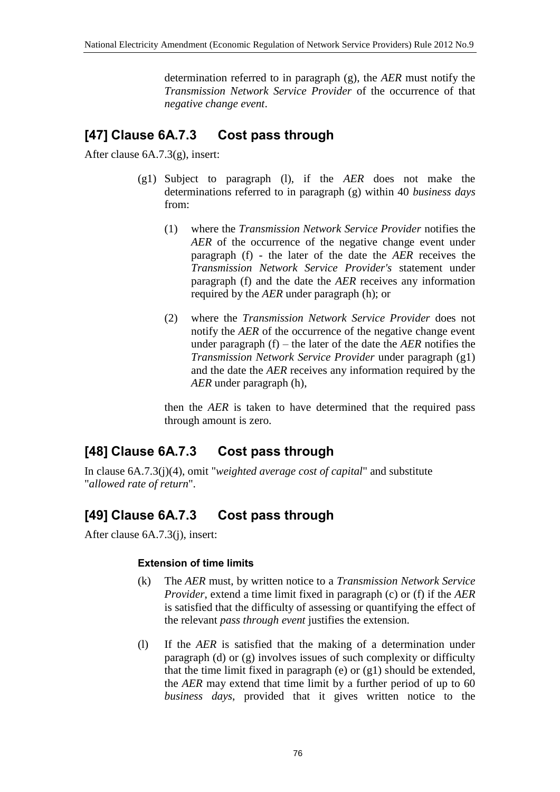determination referred to in paragraph (g), the *AER* must notify the *Transmission Network Service Provider* of the occurrence of that *negative change event*.

## **[47] Clause 6A.7.3 Cost pass through**

After clause 6A.7.3(g), insert:

- (g1) Subject to paragraph (l), if the *AER* does not make the determinations referred to in paragraph (g) within 40 *business days* from:
	- (1) where the *Transmission Network Service Provider* notifies the *AER* of the occurrence of the negative change event under paragraph (f) - the later of the date the *AER* receives the *Transmission Network Service Provider's* statement under paragraph (f) and the date the *AER* receives any information required by the *AER* under paragraph (h); or
	- (2) where the *Transmission Network Service Provider* does not notify the *AER* of the occurrence of the negative change event under paragraph (f) – the later of the date the *AER* notifies the *Transmission Network Service Provider* under paragraph (g1) and the date the *AER* receives any information required by the *AER* under paragraph (h),

then the *AER* is taken to have determined that the required pass through amount is zero.

## **[48] Clause 6A.7.3 Cost pass through**

In clause 6A.7.3(j)(4), omit "*weighted average cost of capital*" and substitute "*allowed rate of return*".

# **[49] Clause 6A.7.3 Cost pass through**

After clause 6A.7.3(j), insert:

#### **Extension of time limits**

- (k) The *AER* must, by written notice to a *Transmission Network Service Provider*, extend a time limit fixed in paragraph (c) or (f) if the *AER* is satisfied that the difficulty of assessing or quantifying the effect of the relevant *pass through event* justifies the extension.
- (l) If the *AER* is satisfied that the making of a determination under paragraph (d) or (g) involves issues of such complexity or difficulty that the time limit fixed in paragraph (e) or (g1) should be extended, the *AER* may extend that time limit by a further period of up to 60 *business days*, provided that it gives written notice to the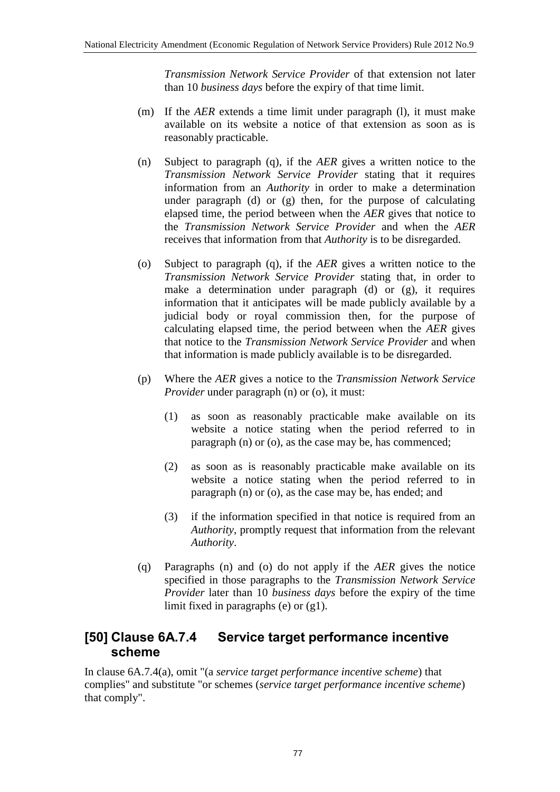*Transmission Network Service Provider* of that extension not later than 10 *business days* before the expiry of that time limit.

- (m) If the *AER* extends a time limit under paragraph (l), it must make available on its website a notice of that extension as soon as is reasonably practicable.
- (n) Subject to paragraph (q), if the *AER* gives a written notice to the *Transmission Network Service Provider* stating that it requires information from an *Authority* in order to make a determination under paragraph (d) or (g) then, for the purpose of calculating elapsed time, the period between when the *AER* gives that notice to the *Transmission Network Service Provider* and when the *AER* receives that information from that *Authority* is to be disregarded.
- (o) Subject to paragraph (q), if the *AER* gives a written notice to the *Transmission Network Service Provider* stating that, in order to make a determination under paragraph (d) or (g), it requires information that it anticipates will be made publicly available by a judicial body or royal commission then, for the purpose of calculating elapsed time, the period between when the *AER* gives that notice to the *Transmission Network Service Provider* and when that information is made publicly available is to be disregarded.
- (p) Where the *AER* gives a notice to the *Transmission Network Service Provider* under paragraph (n) or (o), it must:
	- (1) as soon as reasonably practicable make available on its website a notice stating when the period referred to in paragraph (n) or (o), as the case may be, has commenced;
	- (2) as soon as is reasonably practicable make available on its website a notice stating when the period referred to in paragraph (n) or (o), as the case may be, has ended; and
	- (3) if the information specified in that notice is required from an *Authority*, promptly request that information from the relevant *Authority*.
- (q) Paragraphs (n) and (o) do not apply if the *AER* gives the notice specified in those paragraphs to the *Transmission Network Service Provider* later than 10 *business days* before the expiry of the time limit fixed in paragraphs (e) or (g1).

#### **[50] Clause 6A.7.4 Service target performance incentive scheme**

In clause 6A.7.4(a), omit "(a *service target performance incentive scheme*) that complies" and substitute "or schemes (*service target performance incentive scheme*) that comply".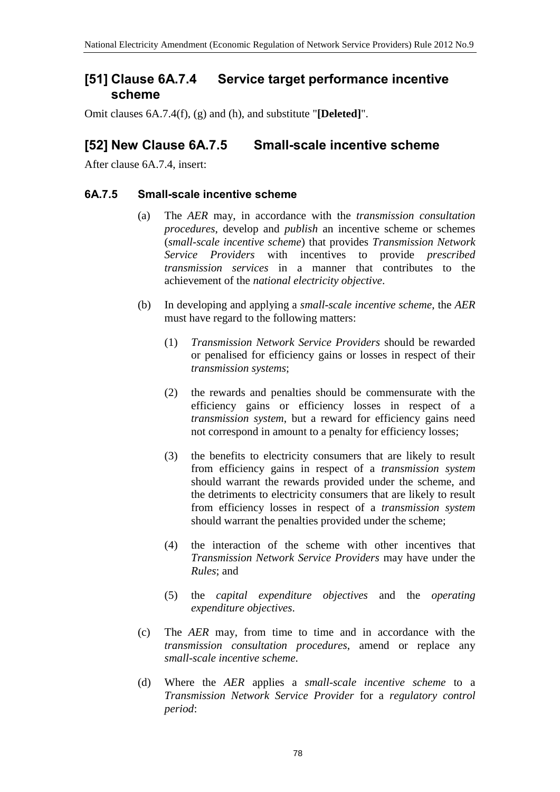#### **[51] Clause 6A.7.4 Service target performance incentive scheme**

Omit clauses 6A.7.4(f), (g) and (h), and substitute "**[Deleted]**".

### **[52] New Clause 6A.7.5 Small-scale incentive scheme**

After clause 6A.7.4, insert:

#### **6A.7.5 Small-scale incentive scheme**

- (a) The *AER* may, in accordance with the *transmission consultation procedures*, develop and *publish* an incentive scheme or schemes (*small-scale incentive scheme*) that provides *Transmission Network Service Providers* with incentives to provide *prescribed transmission services* in a manner that contributes to the achievement of the *national electricity objective*.
- (b) In developing and applying a *small-scale incentive scheme*, the *AER* must have regard to the following matters:
	- (1) *Transmission Network Service Providers* should be rewarded or penalised for efficiency gains or losses in respect of their *transmission systems*;
	- (2) the rewards and penalties should be commensurate with the efficiency gains or efficiency losses in respect of a *transmission system*, but a reward for efficiency gains need not correspond in amount to a penalty for efficiency losses;
	- (3) the benefits to electricity consumers that are likely to result from efficiency gains in respect of a *transmission system* should warrant the rewards provided under the scheme, and the detriments to electricity consumers that are likely to result from efficiency losses in respect of a *transmission system* should warrant the penalties provided under the scheme;
	- (4) the interaction of the scheme with other incentives that *Transmission Network Service Providers* may have under the *Rules*; and
	- (5) the *capital expenditure objectives* and the *operating expenditure objectives*.
- (c) The *AER* may, from time to time and in accordance with the *transmission consultation procedures*, amend or replace any *small-scale incentive scheme*.
- (d) Where the *AER* applies a *small-scale incentive scheme* to a *Transmission Network Service Provider* for a *regulatory control period*: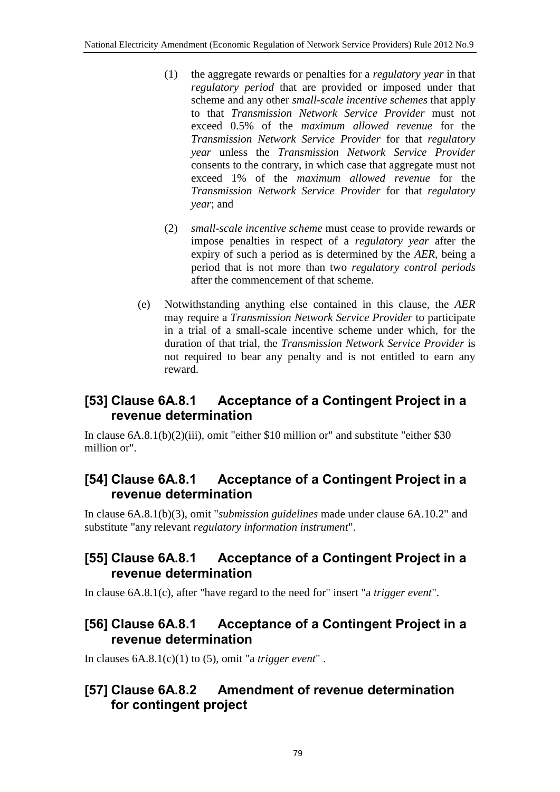- (1) the aggregate rewards or penalties for a *regulatory year* in that *regulatory period* that are provided or imposed under that scheme and any other *small-scale incentive schemes* that apply to that *Transmission Network Service Provider* must not exceed 0.5% of the *maximum allowed revenue* for the *Transmission Network Service Provider* for that *regulatory year* unless the *Transmission Network Service Provider* consents to the contrary, in which case that aggregate must not exceed 1% of the *maximum allowed revenue* for the *Transmission Network Service Provider* for that *regulatory year*; and
- (2) *small-scale incentive scheme* must cease to provide rewards or impose penalties in respect of a *regulatory year* after the expiry of such a period as is determined by the *AER*, being a period that is not more than two *regulatory control periods* after the commencement of that scheme.
- (e) Notwithstanding anything else contained in this clause, the *AER* may require a *Transmission Network Service Provider* to participate in a trial of a small-scale incentive scheme under which, for the duration of that trial, the *Transmission Network Service Provider* is not required to bear any penalty and is not entitled to earn any reward.

## **[53] Clause 6A.8.1 Acceptance of a Contingent Project in a revenue determination**

In clause 6A.8.1(b)(2)(iii), omit "either \$10 million or" and substitute "either \$30 million or".

#### **[54] Clause 6A.8.1 Acceptance of a Contingent Project in a revenue determination**

In clause 6A.8.1(b)(3), omit "*submission guidelines* made under clause 6A.10.2" and substitute "any relevant *regulatory information instrument*".

#### **[55] Clause 6A.8.1 Acceptance of a Contingent Project in a revenue determination**

In clause 6A.8.1(c), after "have regard to the need for" insert "a *trigger event*".

### **[56] Clause 6A.8.1 Acceptance of a Contingent Project in a revenue determination**

In clauses 6A.8.1(c)(1) to (5), omit "a *trigger event*" .

### **[57] Clause 6A.8.2 Amendment of revenue determination for contingent project**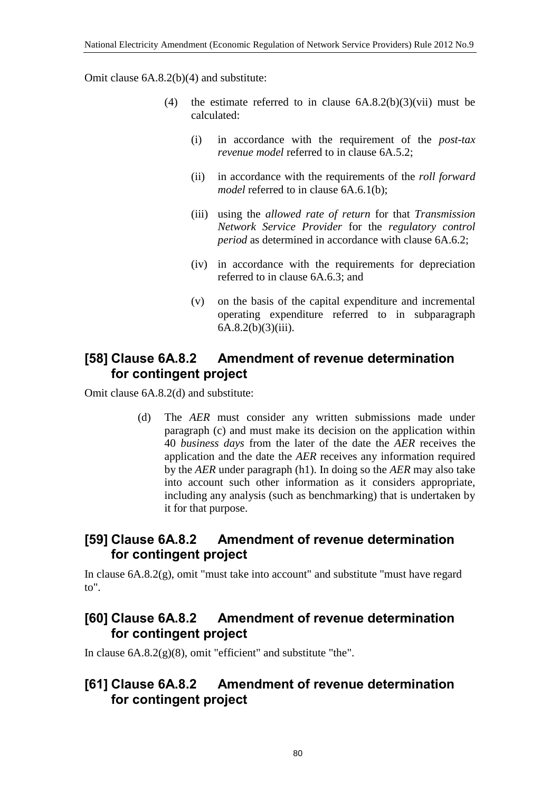Omit clause 6A.8.2(b)(4) and substitute:

- (4) the estimate referred to in clause  $6A.8.2(b)(3)(vii)$  must be calculated:
	- (i) in accordance with the requirement of the *post-tax revenue model* referred to in clause 6A.5.2;
	- (ii) in accordance with the requirements of the *roll forward model* referred to in clause 6A.6.1(b);
	- (iii) using the *allowed rate of return* for that *Transmission Network Service Provider* for the *regulatory control period* as determined in accordance with clause 6A.6.2;
	- (iv) in accordance with the requirements for depreciation referred to in clause 6A.6.3; and
	- (v) on the basis of the capital expenditure and incremental operating expenditure referred to in subparagraph 6A.8.2(b)(3)(iii).

#### **[58] Clause 6A.8.2 Amendment of revenue determination for contingent project**

Omit clause 6A.8.2(d) and substitute:

(d) The *AER* must consider any written submissions made under paragraph (c) and must make its decision on the application within 40 *business days* from the later of the date the *AER* receives the application and the date the *AER* receives any information required by the *AER* under paragraph (h1). In doing so the *AER* may also take into account such other information as it considers appropriate, including any analysis (such as benchmarking) that is undertaken by it for that purpose.

### **[59] Clause 6A.8.2 Amendment of revenue determination for contingent project**

In clause 6A.8.2(g), omit "must take into account" and substitute "must have regard to".

### **[60] Clause 6A.8.2 Amendment of revenue determination for contingent project**

In clause  $6A.8.2(g)(8)$ , omit "efficient" and substitute "the".

### **[61] Clause 6A.8.2 Amendment of revenue determination for contingent project**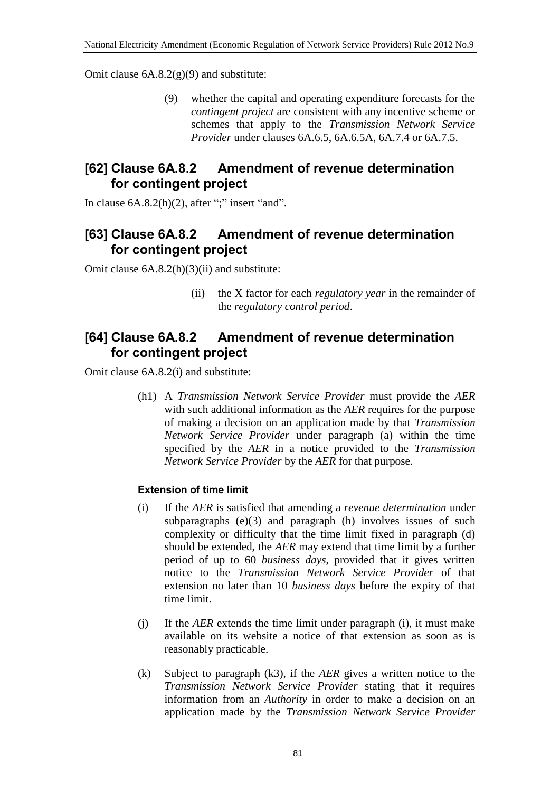Omit clause  $6A.8.2(g)(9)$  and substitute:

(9) whether the capital and operating expenditure forecasts for the *contingent project* are consistent with any incentive scheme or schemes that apply to the *Transmission Network Service Provider* under clauses 6A.6.5, 6A.6.5A, 6A.7.4 or 6A.7.5.

### **[62] Clause 6A.8.2 Amendment of revenue determination for contingent project**

In clause  $6A.8.2(h)(2)$ , after ";" insert "and".

### **[63] Clause 6A.8.2 Amendment of revenue determination for contingent project**

Omit clause 6A.8.2(h)(3)(ii) and substitute:

(ii) the X factor for each *regulatory year* in the remainder of the *regulatory control period*.

#### **[64] Clause 6A.8.2 Amendment of revenue determination for contingent project**

Omit clause 6A.8.2(i) and substitute:

(h1) A *Transmission Network Service Provider* must provide the *AER* with such additional information as the *AER* requires for the purpose of making a decision on an application made by that *Transmission Network Service Provider* under paragraph (a) within the time specified by the *AER* in a notice provided to the *Transmission Network Service Provider* by the *AER* for that purpose.

#### **Extension of time limit**

- (i) If the *AER* is satisfied that amending a *revenue determination* under subparagraphs (e)(3) and paragraph (h) involves issues of such complexity or difficulty that the time limit fixed in paragraph (d) should be extended, the *AER* may extend that time limit by a further period of up to 60 *business days*, provided that it gives written notice to the *Transmission Network Service Provider* of that extension no later than 10 *business days* before the expiry of that time limit.
- (j) If the *AER* extends the time limit under paragraph (i), it must make available on its website a notice of that extension as soon as is reasonably practicable.
- (k) Subject to paragraph (k3), if the *AER* gives a written notice to the *Transmission Network Service Provider* stating that it requires information from an *Authority* in order to make a decision on an application made by the *Transmission Network Service Provider*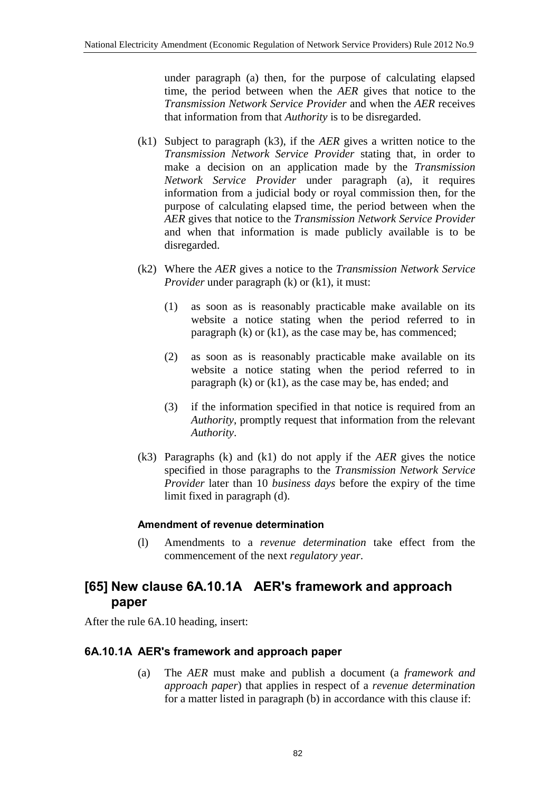under paragraph (a) then, for the purpose of calculating elapsed time, the period between when the *AER* gives that notice to the *Transmission Network Service Provider* and when the *AER* receives that information from that *Authority* is to be disregarded.

- (k1) Subject to paragraph (k3), if the *AER* gives a written notice to the *Transmission Network Service Provider* stating that, in order to make a decision on an application made by the *Transmission Network Service Provider* under paragraph (a), it requires information from a judicial body or royal commission then, for the purpose of calculating elapsed time, the period between when the *AER* gives that notice to the *Transmission Network Service Provider* and when that information is made publicly available is to be disregarded.
- (k2) Where the *AER* gives a notice to the *Transmission Network Service Provider* under paragraph (k) or (k1), it must:
	- (1) as soon as is reasonably practicable make available on its website a notice stating when the period referred to in paragraph (k) or (k1), as the case may be, has commenced;
	- (2) as soon as is reasonably practicable make available on its website a notice stating when the period referred to in paragraph (k) or (k1), as the case may be, has ended; and
	- (3) if the information specified in that notice is required from an *Authority*, promptly request that information from the relevant *Authority*.
- (k3) Paragraphs (k) and (k1) do not apply if the *AER* gives the notice specified in those paragraphs to the *Transmission Network Service Provider* later than 10 *business days* before the expiry of the time limit fixed in paragraph (d).

#### **Amendment of revenue determination**

(l) Amendments to a *revenue determination* take effect from the commencement of the next *regulatory year*.

### **[65] New clause 6A.10.1A AER's framework and approach paper**

After the rule 6A.10 heading, insert:

#### **6A.10.1A AER's framework and approach paper**

(a) The *AER* must make and publish a document (a *framework and approach paper*) that applies in respect of a *revenue determination* for a matter listed in paragraph (b) in accordance with this clause if: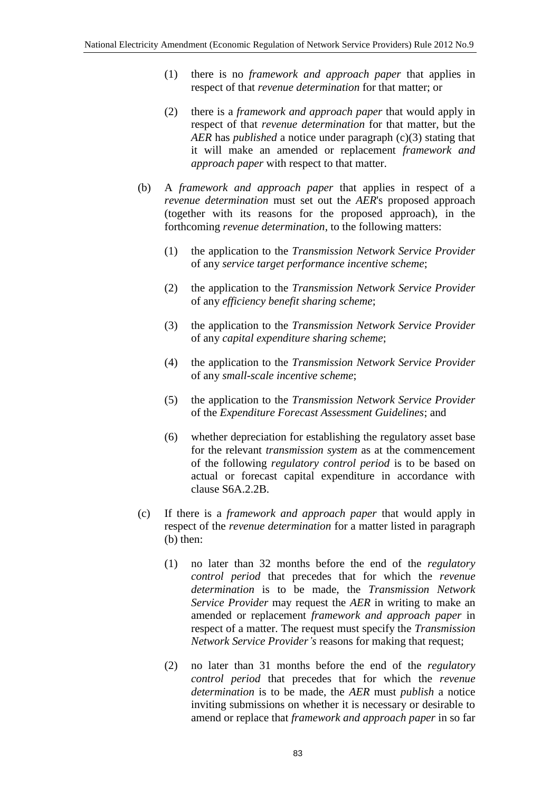- (1) there is no *framework and approach paper* that applies in respect of that *revenue determination* for that matter; or
- (2) there is a *framework and approach paper* that would apply in respect of that *revenue determination* for that matter, but the *AER* has *published* a notice under paragraph (c)(3) stating that it will make an amended or replacement *framework and approach paper* with respect to that matter.
- (b) A *framework and approach paper* that applies in respect of a *revenue determination* must set out the *AER*'s proposed approach (together with its reasons for the proposed approach), in the forthcoming *revenue determination*, to the following matters:
	- (1) the application to the *Transmission Network Service Provider* of any *service target performance incentive scheme*;
	- (2) the application to the *Transmission Network Service Provider* of any *efficiency benefit sharing scheme*;
	- (3) the application to the *Transmission Network Service Provider* of any *capital expenditure sharing scheme*;
	- (4) the application to the *Transmission Network Service Provider* of any *small-scale incentive scheme*;
	- (5) the application to the *Transmission Network Service Provider* of the *Expenditure Forecast Assessment Guidelines*; and
	- (6) whether depreciation for establishing the regulatory asset base for the relevant *transmission system* as at the commencement of the following *regulatory control period* is to be based on actual or forecast capital expenditure in accordance with clause S6A.2.2B.
- (c) If there is a *framework and approach paper* that would apply in respect of the *revenue determination* for a matter listed in paragraph (b) then:
	- (1) no later than 32 months before the end of the *regulatory control period* that precedes that for which the *revenue determination* is to be made, the *Transmission Network Service Provider* may request the *AER* in writing to make an amended or replacement *framework and approach paper* in respect of a matter. The request must specify the *Transmission Network Service Provider's* reasons for making that request;
	- (2) no later than 31 months before the end of the *regulatory control period* that precedes that for which the *revenue determination* is to be made, the *AER* must *publish* a notice inviting submissions on whether it is necessary or desirable to amend or replace that *framework and approach paper* in so far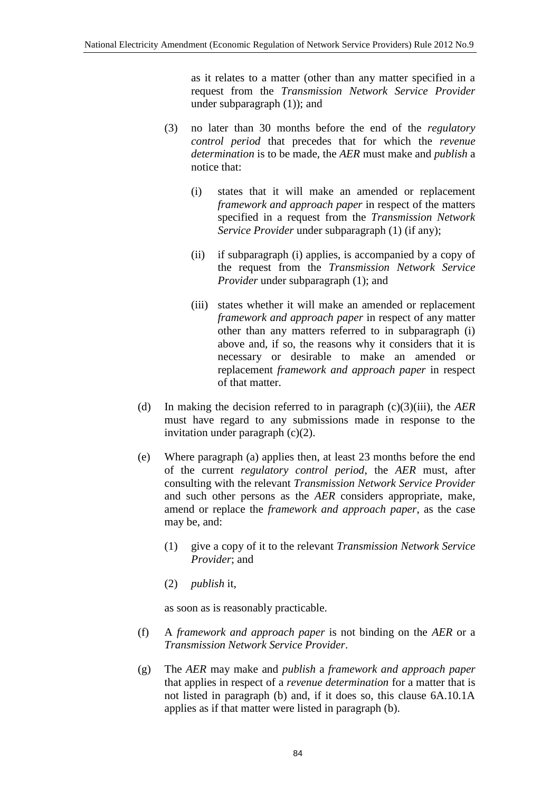as it relates to a matter (other than any matter specified in a request from the *Transmission Network Service Provider* under subparagraph (1)); and

- (3) no later than 30 months before the end of the *regulatory control period* that precedes that for which the *revenue determination* is to be made, the *AER* must make and *publish* a notice that:
	- (i) states that it will make an amended or replacement *framework and approach paper* in respect of the matters specified in a request from the *Transmission Network Service Provider* under subparagraph (1) (if any);
	- (ii) if subparagraph (i) applies, is accompanied by a copy of the request from the *Transmission Network Service Provider* under subparagraph (1); and
	- (iii) states whether it will make an amended or replacement *framework and approach paper* in respect of any matter other than any matters referred to in subparagraph (i) above and, if so, the reasons why it considers that it is necessary or desirable to make an amended or replacement *framework and approach paper* in respect of that matter.
- (d) In making the decision referred to in paragraph (c)(3)(iii), the *AER* must have regard to any submissions made in response to the invitation under paragraph (c)(2).
- (e) Where paragraph (a) applies then, at least 23 months before the end of the current *regulatory control period*, the *AER* must, after consulting with the relevant *Transmission Network Service Provider* and such other persons as the *AER* considers appropriate, make, amend or replace the *framework and approach paper*, as the case may be, and:
	- (1) give a copy of it to the relevant *Transmission Network Service Provider*; and
	- (2) *publish* it,

as soon as is reasonably practicable.

- (f) A *framework and approach paper* is not binding on the *AER* or a *Transmission Network Service Provider*.
- (g) The *AER* may make and *publish* a *framework and approach paper* that applies in respect of a *revenue determination* for a matter that is not listed in paragraph (b) and, if it does so, this clause 6A.10.1A applies as if that matter were listed in paragraph (b).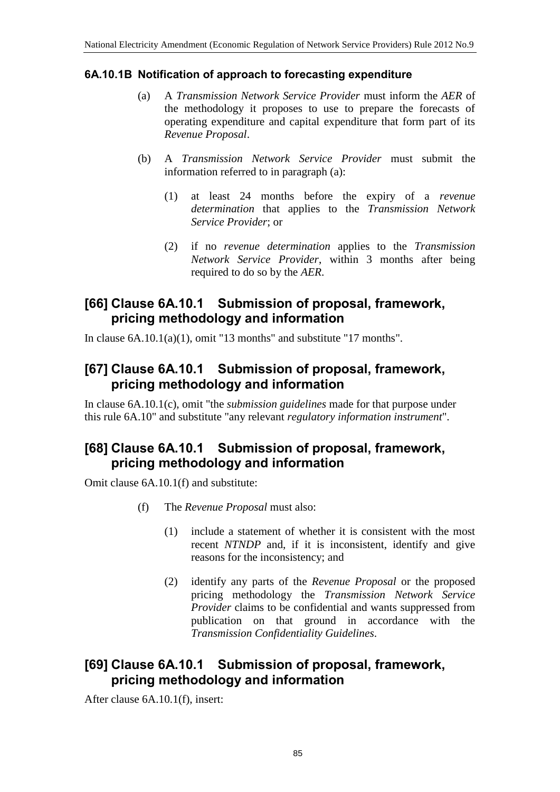#### **6A.10.1B Notification of approach to forecasting expenditure**

- (a) A *Transmission Network Service Provider* must inform the *AER* of the methodology it proposes to use to prepare the forecasts of operating expenditure and capital expenditure that form part of its *Revenue Proposal*.
- (b) A *Transmission Network Service Provider* must submit the information referred to in paragraph (a):
	- (1) at least 24 months before the expiry of a *revenue determination* that applies to the *Transmission Network Service Provider*; or
	- (2) if no *revenue determination* applies to the *Transmission Network Service Provider*, within 3 months after being required to do so by the *AER*.

### **[66] Clause 6A.10.1 Submission of proposal, framework, pricing methodology and information**

In clause  $6A.10.1(a)(1)$ , omit "13 months" and substitute "17 months".

#### **[67] Clause 6A.10.1 Submission of proposal, framework, pricing methodology and information**

In clause 6A.10.1(c), omit "the *submission guidelines* made for that purpose under this rule 6A.10" and substitute "any relevant *regulatory information instrument*".

### **[68] Clause 6A.10.1 Submission of proposal, framework, pricing methodology and information**

Omit clause 6A.10.1(f) and substitute:

- (f) The *Revenue Proposal* must also:
	- (1) include a statement of whether it is consistent with the most recent *NTNDP* and, if it is inconsistent, identify and give reasons for the inconsistency; and
	- (2) identify any parts of the *Revenue Proposal* or the proposed pricing methodology the *Transmission Network Service Provider* claims to be confidential and wants suppressed from publication on that ground in accordance with the *Transmission Confidentiality Guidelines*.

### **[69] Clause 6A.10.1 Submission of proposal, framework, pricing methodology and information**

After clause 6A.10.1(f), insert: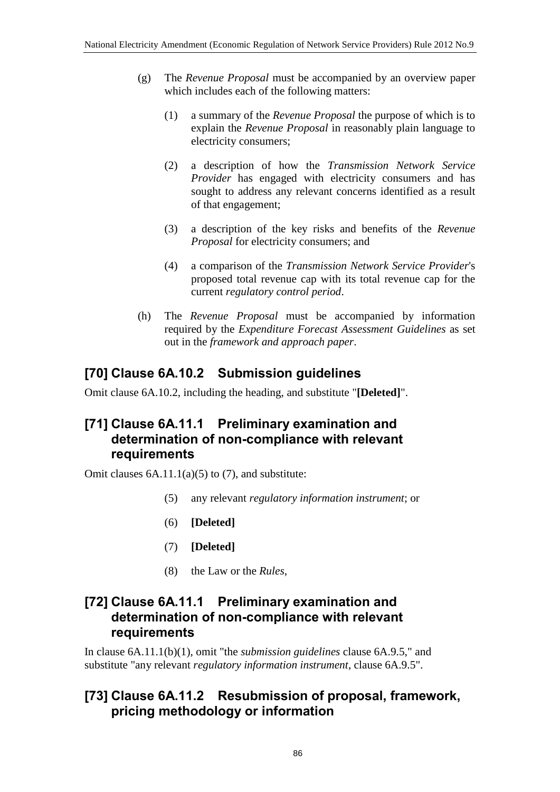- (g) The *Revenue Proposal* must be accompanied by an overview paper which includes each of the following matters:
	- (1) a summary of the *Revenue Proposal* the purpose of which is to explain the *Revenue Proposal* in reasonably plain language to electricity consumers;
	- (2) a description of how the *Transmission Network Service Provider* has engaged with electricity consumers and has sought to address any relevant concerns identified as a result of that engagement;
	- (3) a description of the key risks and benefits of the *Revenue Proposal* for electricity consumers; and
	- (4) a comparison of the *Transmission Network Service Provider*'s proposed total revenue cap with its total revenue cap for the current *regulatory control period*.
- (h) The *Revenue Proposal* must be accompanied by information required by the *Expenditure Forecast Assessment Guidelines* as set out in the *framework and approach paper*.

## **[70] Clause 6A.10.2 Submission guidelines**

Omit clause 6A.10.2, including the heading, and substitute "**[Deleted]**".

#### **[71] Clause 6A.11.1 Preliminary examination and determination of non-compliance with relevant requirements**

Omit clauses  $6A.11.1(a)(5)$  to  $(7)$ , and substitute:

- (5) any relevant *regulatory information instrument*; or
- (6) **[Deleted]**
- (7) **[Deleted]**
- (8) the Law or the *Rules*,

#### **[72] Clause 6A.11.1 Preliminary examination and determination of non-compliance with relevant requirements**

In clause 6A.11.1(b)(1), omit "the *submission guidelines* clause 6A.9.5," and substitute "any relevant *regulatory information instrument*, clause 6A.9.5".

### **[73] Clause 6A.11.2 Resubmission of proposal, framework, pricing methodology or information**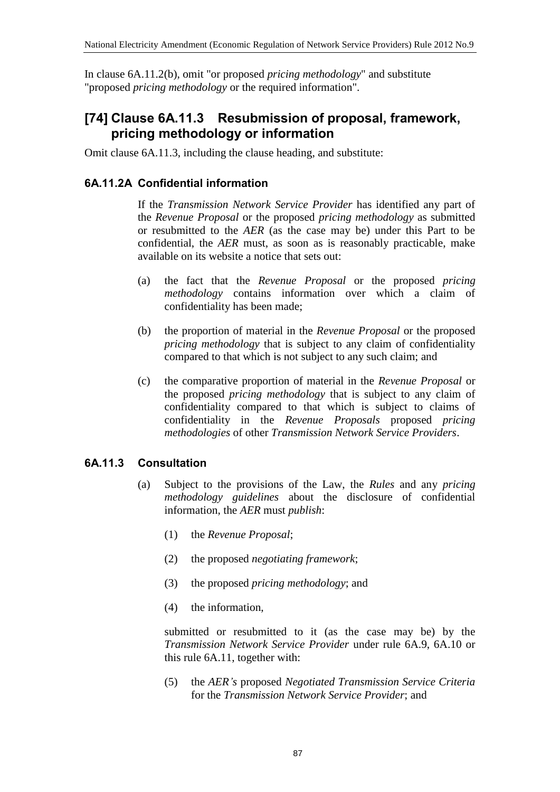In clause 6A.11.2(b), omit "or proposed *pricing methodology*" and substitute "proposed *pricing methodology* or the required information".

## **[74] Clause 6A.11.3 Resubmission of proposal, framework, pricing methodology or information**

Omit clause 6A.11.3, including the clause heading, and substitute:

#### **6A.11.2A Confidential information**

If the *Transmission Network Service Provider* has identified any part of the *Revenue Proposal* or the proposed *pricing methodology* as submitted or resubmitted to the *AER* (as the case may be) under this Part to be confidential, the *AER* must, as soon as is reasonably practicable, make available on its website a notice that sets out:

- (a) the fact that the *Revenue Proposal* or the proposed *pricing methodology* contains information over which a claim of confidentiality has been made;
- (b) the proportion of material in the *Revenue Proposal* or the proposed *pricing methodology* that is subject to any claim of confidentiality compared to that which is not subject to any such claim; and
- (c) the comparative proportion of material in the *Revenue Proposal* or the proposed *pricing methodology* that is subject to any claim of confidentiality compared to that which is subject to claims of confidentiality in the *Revenue Proposals* proposed *pricing methodologies* of other *Transmission Network Service Providers*.

#### **6A.11.3 Consultation**

- (a) Subject to the provisions of the Law, the *Rules* and any *pricing methodology guidelines* about the disclosure of confidential information, the *AER* must *publish*:
	- (1) the *Revenue Proposal*;
	- (2) the proposed *negotiating framework*;
	- (3) the proposed *pricing methodology*; and
	- (4) the information,

submitted or resubmitted to it (as the case may be) by the *Transmission Network Service Provider* under rule 6A.9, 6A.10 or this rule 6A.11, together with:

(5) the *AER's* proposed *Negotiated Transmission Service Criteria* for the *Transmission Network Service Provider*; and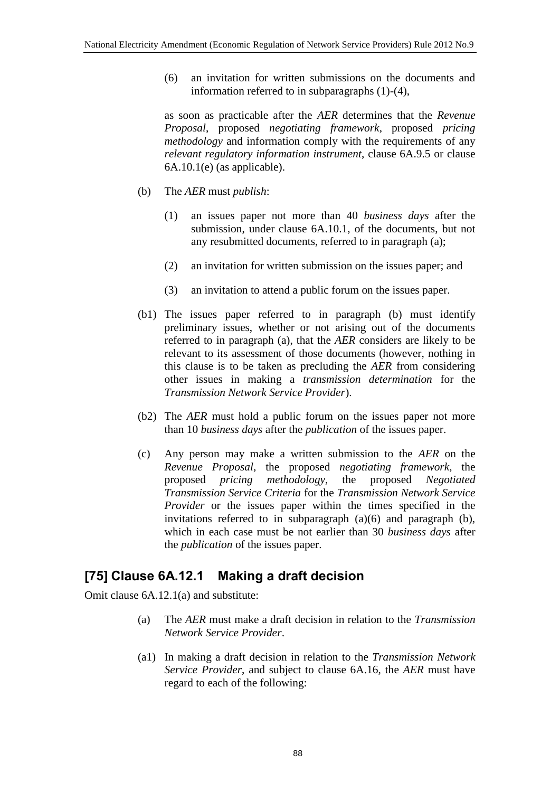(6) an invitation for written submissions on the documents and information referred to in subparagraphs (1)-(4),

as soon as practicable after the *AER* determines that the *Revenue Proposal*, proposed *negotiating framework*, proposed *pricing methodology* and information comply with the requirements of any *relevant regulatory information instrument*, clause 6A.9.5 or clause  $6A.10.1(e)$  (as applicable).

- (b) The *AER* must *publish*:
	- (1) an issues paper not more than 40 *business days* after the submission, under clause 6A.10.1, of the documents, but not any resubmitted documents, referred to in paragraph (a);
	- (2) an invitation for written submission on the issues paper; and
	- (3) an invitation to attend a public forum on the issues paper.
- (b1) The issues paper referred to in paragraph (b) must identify preliminary issues, whether or not arising out of the documents referred to in paragraph (a), that the *AER* considers are likely to be relevant to its assessment of those documents (however, nothing in this clause is to be taken as precluding the *AER* from considering other issues in making a *transmission determination* for the *Transmission Network Service Provider*).
- (b2) The *AER* must hold a public forum on the issues paper not more than 10 *business days* after the *publication* of the issues paper.
- (c) Any person may make a written submission to the *AER* on the *Revenue Proposal*, the proposed *negotiating framework*, the proposed *pricing methodology*, the proposed *Negotiated Transmission Service Criteria* for the *Transmission Network Service Provider* or the issues paper within the times specified in the invitations referred to in subparagraph (a)(6) and paragraph (b), which in each case must be not earlier than 30 *business days* after the *publication* of the issues paper.

### **[75] Clause 6A.12.1 Making a draft decision**

Omit clause 6A.12.1(a) and substitute:

- (a) The *AER* must make a draft decision in relation to the *Transmission Network Service Provider*.
- (a1) In making a draft decision in relation to the *Transmission Network Service Provider*, and subject to clause 6A.16, the *AER* must have regard to each of the following: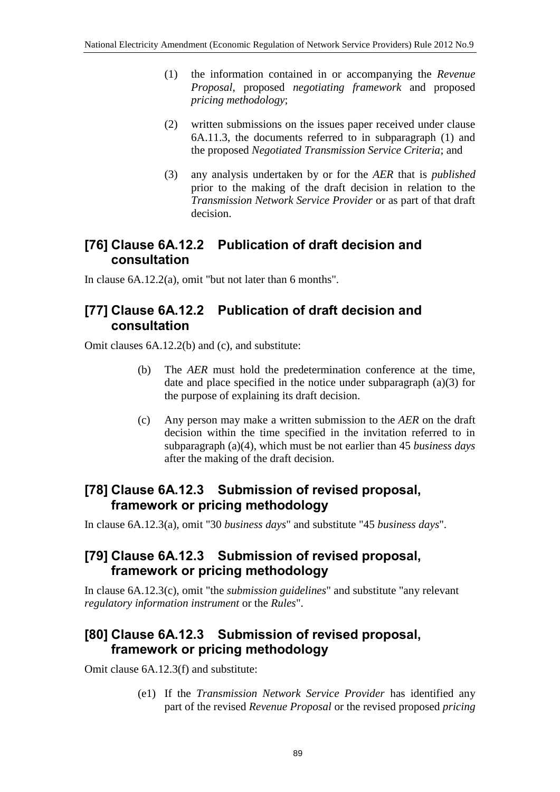- (1) the information contained in or accompanying the *Revenue Proposal*, proposed *negotiating framework* and proposed *pricing methodology*;
- (2) written submissions on the issues paper received under clause 6A.11.3, the documents referred to in subparagraph (1) and the proposed *Negotiated Transmission Service Criteria*; and
- (3) any analysis undertaken by or for the *AER* that is *published* prior to the making of the draft decision in relation to the *Transmission Network Service Provider* or as part of that draft decision.

## **[76] Clause 6A.12.2 Publication of draft decision and consultation**

In clause 6A.12.2(a), omit "but not later than 6 months".

#### **[77] Clause 6A.12.2 Publication of draft decision and consultation**

Omit clauses 6A.12.2(b) and (c), and substitute:

- (b) The *AER* must hold the predetermination conference at the time, date and place specified in the notice under subparagraph (a)(3) for the purpose of explaining its draft decision.
- (c) Any person may make a written submission to the *AER* on the draft decision within the time specified in the invitation referred to in subparagraph (a)(4), which must be not earlier than 45 *business days*  after the making of the draft decision.

### **[78] Clause 6A.12.3 Submission of revised proposal, framework or pricing methodology**

In clause 6A.12.3(a), omit "30 *business days*" and substitute "45 *business days*".

### **[79] Clause 6A.12.3 Submission of revised proposal, framework or pricing methodology**

In clause 6A.12.3(c), omit "the *submission guidelines*" and substitute "any relevant *regulatory information instrument* or the *Rules*".

## **[80] Clause 6A.12.3 Submission of revised proposal, framework or pricing methodology**

Omit clause 6A.12.3(f) and substitute:

(e1) If the *Transmission Network Service Provider* has identified any part of the revised *Revenue Proposal* or the revised proposed *pricing*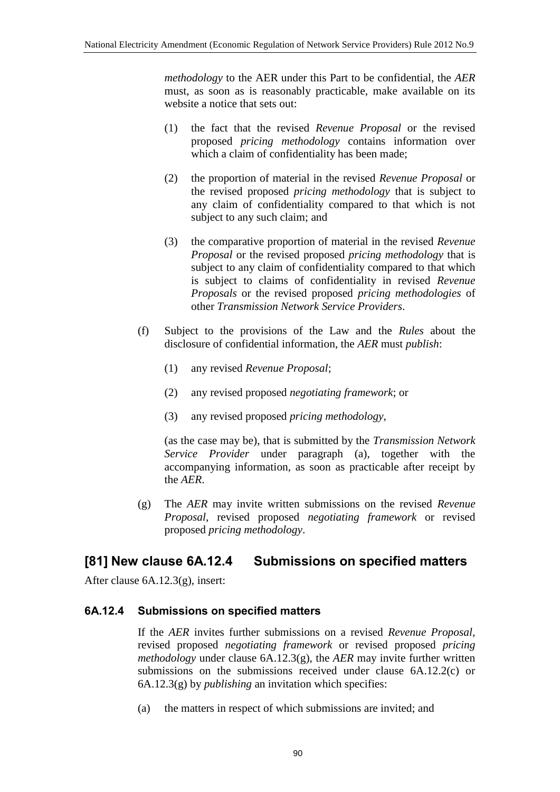*methodology* to the AER under this Part to be confidential, the *AER* must, as soon as is reasonably practicable, make available on its website a notice that sets out:

- (1) the fact that the revised *Revenue Proposal* or the revised proposed *pricing methodology* contains information over which a claim of confidentiality has been made;
- (2) the proportion of material in the revised *Revenue Proposal* or the revised proposed *pricing methodology* that is subject to any claim of confidentiality compared to that which is not subject to any such claim; and
- (3) the comparative proportion of material in the revised *Revenue Proposal* or the revised proposed *pricing methodology* that is subject to any claim of confidentiality compared to that which is subject to claims of confidentiality in revised *Revenue Proposals* or the revised proposed *pricing methodologies* of other *Transmission Network Service Providers*.
- (f) Subject to the provisions of the Law and the *Rules* about the disclosure of confidential information, the *AER* must *publish*:
	- (1) any revised *Revenue Proposal*;
	- (2) any revised proposed *negotiating framework*; or
	- (3) any revised proposed *pricing methodology*,

(as the case may be), that is submitted by the *Transmission Network Service Provider* under paragraph (a), together with the accompanying information, as soon as practicable after receipt by the *AER*.

(g) The *AER* may invite written submissions on the revised *Revenue Proposal*, revised proposed *negotiating framework* or revised proposed *pricing methodology*.

### **[81] New clause 6A.12.4 Submissions on specified matters**

After clause 6A.12.3(g), insert:

#### **6A.12.4 Submissions on specified matters**

If the *AER* invites further submissions on a revised *Revenue Proposal*, revised proposed *negotiating framework* or revised proposed *pricing methodology* under clause 6A.12.3(g), the *AER* may invite further written submissions on the submissions received under clause 6A.12.2(c) or 6A.12.3(g) by *publishing* an invitation which specifies:

(a) the matters in respect of which submissions are invited; and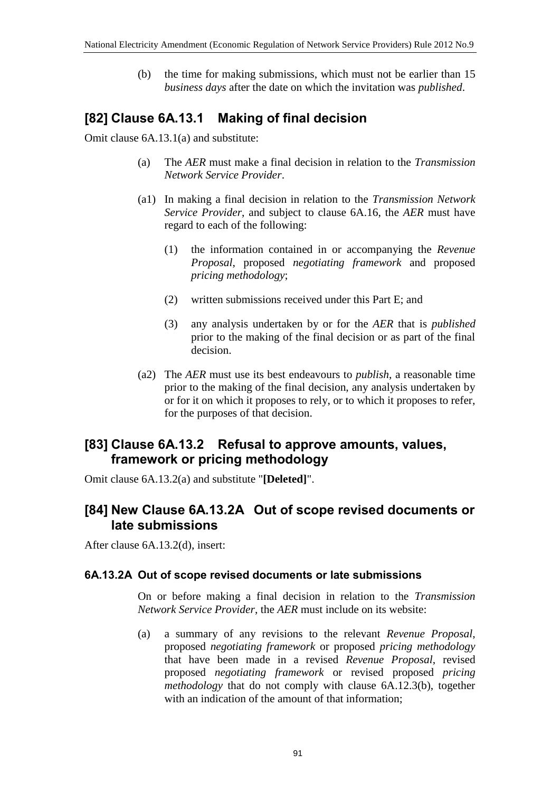(b) the time for making submissions, which must not be earlier than 15 *business days* after the date on which the invitation was *published*.

## **[82] Clause 6A.13.1 Making of final decision**

Omit clause 6A.13.1(a) and substitute:

- (a) The *AER* must make a final decision in relation to the *Transmission Network Service Provider*.
- (a1) In making a final decision in relation to the *Transmission Network Service Provider*, and subject to clause 6A.16, the *AER* must have regard to each of the following:
	- (1) the information contained in or accompanying the *Revenue Proposal*, proposed *negotiating framework* and proposed *pricing methodology*;
	- (2) written submissions received under this Part E; and
	- (3) any analysis undertaken by or for the *AER* that is *published* prior to the making of the final decision or as part of the final decision.
- (a2) The *AER* must use its best endeavours to *publish*, a reasonable time prior to the making of the final decision, any analysis undertaken by or for it on which it proposes to rely, or to which it proposes to refer, for the purposes of that decision.

#### **[83] Clause 6A.13.2 Refusal to approve amounts, values, framework or pricing methodology**

Omit clause 6A.13.2(a) and substitute "**[Deleted]**".

#### **[84] New Clause 6A.13.2A Out of scope revised documents or late submissions**

After clause 6A.13.2(d), insert:

#### **6A.13.2A Out of scope revised documents or late submissions**

On or before making a final decision in relation to the *Transmission Network Service Provider*, the *AER* must include on its website:

(a) a summary of any revisions to the relevant *Revenue Proposal*, proposed *negotiating framework* or proposed *pricing methodology* that have been made in a revised *Revenue Proposal*, revised proposed *negotiating framework* or revised proposed *pricing methodology* that do not comply with clause 6A.12.3(b), together with an indication of the amount of that information: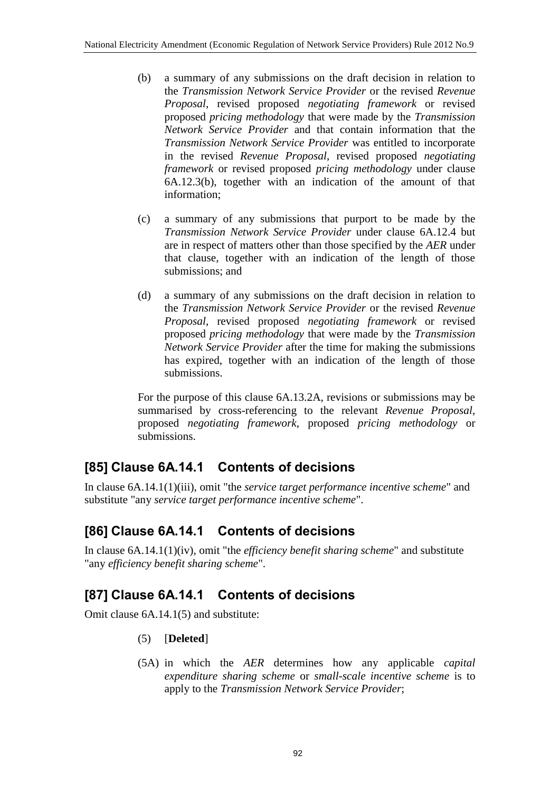- (b) a summary of any submissions on the draft decision in relation to the *Transmission Network Service Provider* or the revised *Revenue Proposal*, revised proposed *negotiating framework* or revised proposed *pricing methodology* that were made by the *Transmission Network Service Provider* and that contain information that the *Transmission Network Service Provider* was entitled to incorporate in the revised *Revenue Proposal*, revised proposed *negotiating framework* or revised proposed *pricing methodology* under clause 6A.12.3(b), together with an indication of the amount of that information;
- (c) a summary of any submissions that purport to be made by the *Transmission Network Service Provider* under clause 6A.12.4 but are in respect of matters other than those specified by the *AER* under that clause, together with an indication of the length of those submissions; and
- (d) a summary of any submissions on the draft decision in relation to the *Transmission Network Service Provider* or the revised *Revenue Proposal*, revised proposed *negotiating framework* or revised proposed *pricing methodology* that were made by the *Transmission Network Service Provider* after the time for making the submissions has expired, together with an indication of the length of those submissions.

For the purpose of this clause 6A.13.2A, revisions or submissions may be summarised by cross-referencing to the relevant *Revenue Proposal*, proposed *negotiating framework*, proposed *pricing methodology* or submissions.

# **[85] Clause 6A.14.1 Contents of decisions**

In clause 6A.14.1(1)(iii), omit "the *service target performance incentive scheme*" and substitute "any *service target performance incentive scheme*".

# **[86] Clause 6A.14.1 Contents of decisions**

In clause 6A.14.1(1)(iv), omit "the *efficiency benefit sharing scheme*" and substitute "any *efficiency benefit sharing scheme*".

# **[87] Clause 6A.14.1 Contents of decisions**

Omit clause 6A.14.1(5) and substitute:

- (5) [**Deleted**]
- (5A) in which the *AER* determines how any applicable *capital expenditure sharing scheme* or *small-scale incentive scheme* is to apply to the *Transmission Network Service Provider*;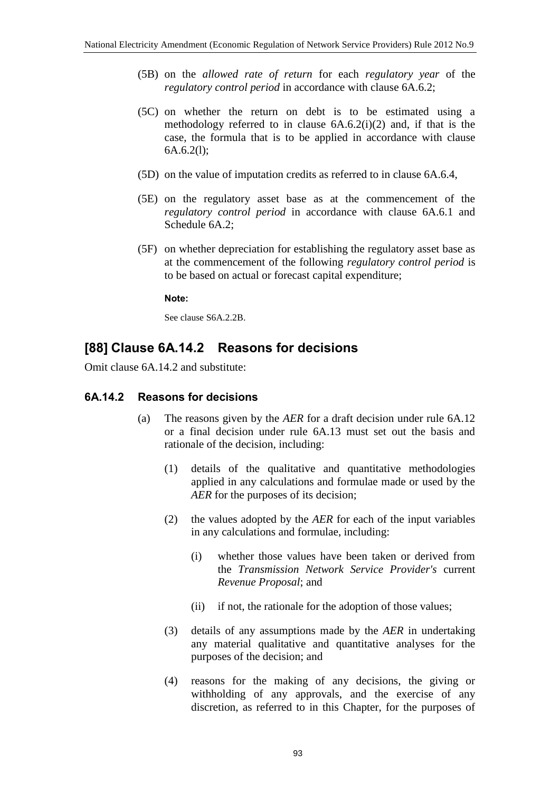- (5B) on the *allowed rate of return* for each *regulatory year* of the *regulatory control period* in accordance with clause 6A.6.2;
- (5C) on whether the return on debt is to be estimated using a methodology referred to in clause  $6A.6.2(i)(2)$  and, if that is the case, the formula that is to be applied in accordance with clause 6A.6.2(l);
- (5D) on the value of imputation credits as referred to in clause 6A.6.4,
- (5E) on the regulatory asset base as at the commencement of the *regulatory control period* in accordance with clause 6A.6.1 and Schedule 6A.2;
- (5F) on whether depreciation for establishing the regulatory asset base as at the commencement of the following *regulatory control period* is to be based on actual or forecast capital expenditure;

#### **Note:**

See clause S6A.2.2B.

### **[88] Clause 6A.14.2 Reasons for decisions**

Omit clause 6A.14.2 and substitute:

#### **6A.14.2 Reasons for decisions**

- (a) The reasons given by the *AER* for a draft decision under rule 6A.12 or a final decision under rule 6A.13 must set out the basis and rationale of the decision, including:
	- (1) details of the qualitative and quantitative methodologies applied in any calculations and formulae made or used by the *AER* for the purposes of its decision;
	- (2) the values adopted by the *AER* for each of the input variables in any calculations and formulae, including:
		- (i) whether those values have been taken or derived from the *Transmission Network Service Provider's* current *Revenue Proposal*; and
		- (ii) if not, the rationale for the adoption of those values;
	- (3) details of any assumptions made by the *AER* in undertaking any material qualitative and quantitative analyses for the purposes of the decision; and
	- (4) reasons for the making of any decisions, the giving or withholding of any approvals, and the exercise of any discretion, as referred to in this Chapter, for the purposes of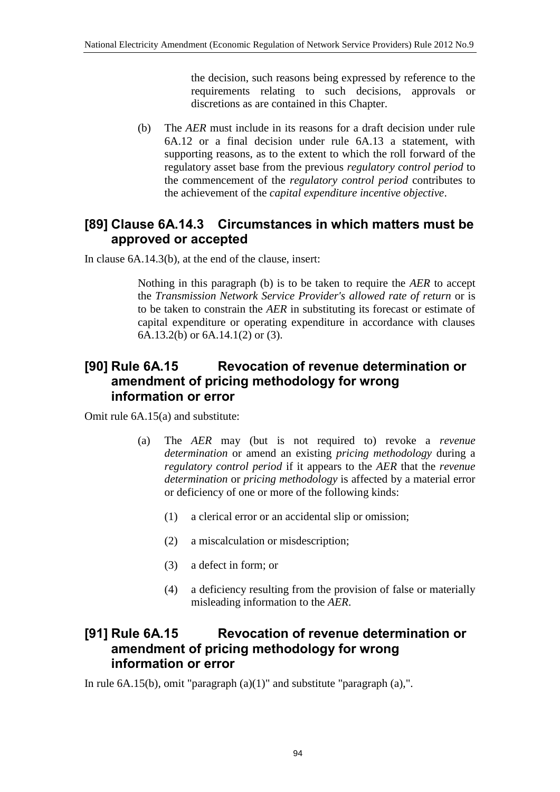the decision, such reasons being expressed by reference to the requirements relating to such decisions, approvals or discretions as are contained in this Chapter.

(b) The *AER* must include in its reasons for a draft decision under rule 6A.12 or a final decision under rule 6A.13 a statement, with supporting reasons, as to the extent to which the roll forward of the regulatory asset base from the previous *regulatory control period* to the commencement of the *regulatory control period* contributes to the achievement of the *capital expenditure incentive objective*.

### **[89] Clause 6A.14.3 Circumstances in which matters must be approved or accepted**

In clause 6A.14.3(b), at the end of the clause, insert:

Nothing in this paragraph (b) is to be taken to require the *AER* to accept the *Transmission Network Service Provider's allowed rate of return* or is to be taken to constrain the *AER* in substituting its forecast or estimate of capital expenditure or operating expenditure in accordance with clauses 6A.13.2(b) or 6A.14.1(2) or (3).

#### **[90] Rule 6A.15 Revocation of revenue determination or amendment of pricing methodology for wrong information or error**

Omit rule 6A.15(a) and substitute:

- (a) The *AER* may (but is not required to) revoke a *revenue determination* or amend an existing *pricing methodology* during a *regulatory control period* if it appears to the *AER* that the *revenue determination* or *pricing methodology* is affected by a material error or deficiency of one or more of the following kinds:
	- (1) a clerical error or an accidental slip or omission;
	- (2) a miscalculation or misdescription;
	- (3) a defect in form; or
	- (4) a deficiency resulting from the provision of false or materially misleading information to the *AER*.

#### **[91] Rule 6A.15 Revocation of revenue determination or amendment of pricing methodology for wrong information or error**

In rule 6A.15(b), omit "paragraph (a)(1)" and substitute "paragraph (a),".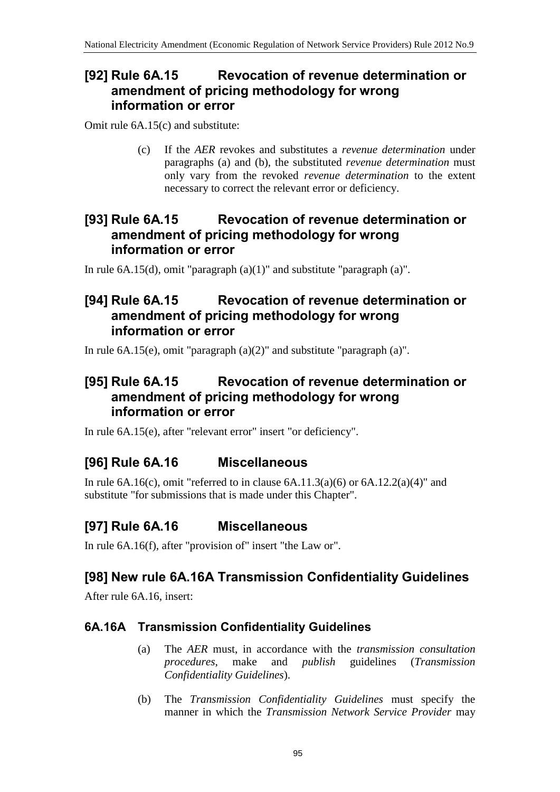### **[92] Rule 6A.15 Revocation of revenue determination or amendment of pricing methodology for wrong information or error**

Omit rule 6A.15(c) and substitute:

(c) If the *AER* revokes and substitutes a *revenue determination* under paragraphs (a) and (b), the substituted *revenue determination* must only vary from the revoked *revenue determination* to the extent necessary to correct the relevant error or deficiency.

### **[93] Rule 6A.15 Revocation of revenue determination or amendment of pricing methodology for wrong information or error**

In rule  $6A.15(d)$ , omit "paragraph  $(a)(1)$ " and substitute "paragraph  $(a)$ ".

### **[94] Rule 6A.15 Revocation of revenue determination or amendment of pricing methodology for wrong information or error**

In rule 6A.15(e), omit "paragraph (a)(2)" and substitute "paragraph (a)".

## **[95] Rule 6A.15 Revocation of revenue determination or amendment of pricing methodology for wrong information or error**

In rule 6A.15(e), after "relevant error" insert "or deficiency".

# **[96] Rule 6A.16 Miscellaneous**

In rule  $6A.16(c)$ , omit "referred to in clause  $6A.11.3(a)(6)$  or  $6A.12.2(a)(4)$ " and substitute "for submissions that is made under this Chapter".

# **[97] Rule 6A.16 Miscellaneous**

In rule 6A.16(f), after "provision of" insert "the Law or".

# **[98] New rule 6A.16A Transmission Confidentiality Guidelines**

After rule 6A.16, insert:

### **6A.16A Transmission Confidentiality Guidelines**

- (a) The *AER* must, in accordance with the *transmission consultation procedures*, make and *publish* guidelines (*Transmission Confidentiality Guidelines*).
- (b) The *Transmission Confidentiality Guidelines* must specify the manner in which the *Transmission Network Service Provider* may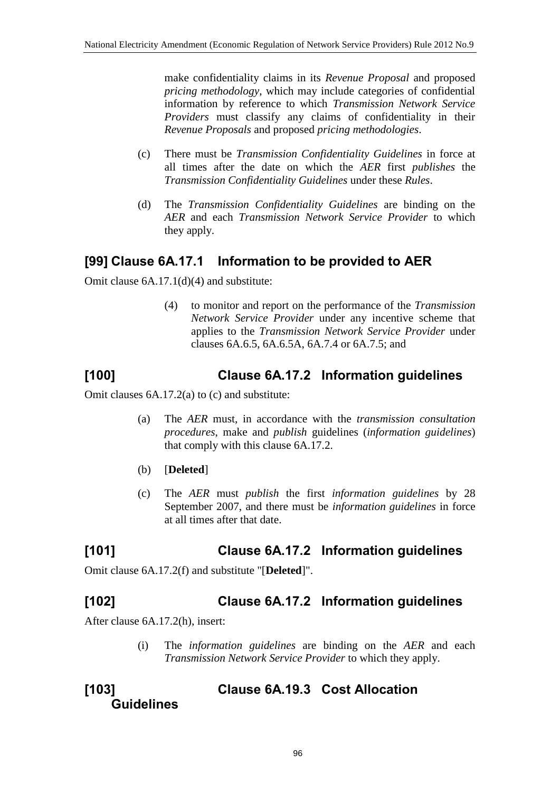make confidentiality claims in its *Revenue Proposal* and proposed *pricing methodology*, which may include categories of confidential information by reference to which *Transmission Network Service Providers* must classify any claims of confidentiality in their *Revenue Proposals* and proposed *pricing methodologies*.

- (c) There must be *Transmission Confidentiality Guidelines* in force at all times after the date on which the *AER* first *publishes* the *Transmission Confidentiality Guidelines* under these *Rules*.
- (d) The *Transmission Confidentiality Guidelines* are binding on the *AER* and each *Transmission Network Service Provider* to which they apply.

## **[99] Clause 6A.17.1 Information to be provided to AER**

Omit clause 6A.17.1(d)(4) and substitute:

(4) to monitor and report on the performance of the *Transmission Network Service Provider* under any incentive scheme that applies to the *Transmission Network Service Provider* under clauses 6A.6.5, 6A.6.5A, 6A.7.4 or 6A.7.5; and

# **[100] Clause 6A.17.2 Information guidelines**

Omit clauses 6A.17.2(a) to (c) and substitute:

- (a) The *AER* must, in accordance with the *transmission consultation procedures*, make and *publish* guidelines (*information guidelines*) that comply with this clause 6A.17.2.
- (b) [**Deleted**]
- (c) The *AER* must *publish* the first *information guidelines* by 28 September 2007, and there must be *information guidelines* in force at all times after that date.

## **[101] Clause 6A.17.2 Information guidelines**

Omit clause 6A.17.2(f) and substitute "[**Deleted**]".

### **[102] Clause 6A.17.2 Information guidelines**

After clause 6A.17.2(h), insert:

(i) The *information guidelines* are binding on the *AER* and each *Transmission Network Service Provider* to which they apply.

#### **[103] Clause 6A.19.3 Cost Allocation Guidelines**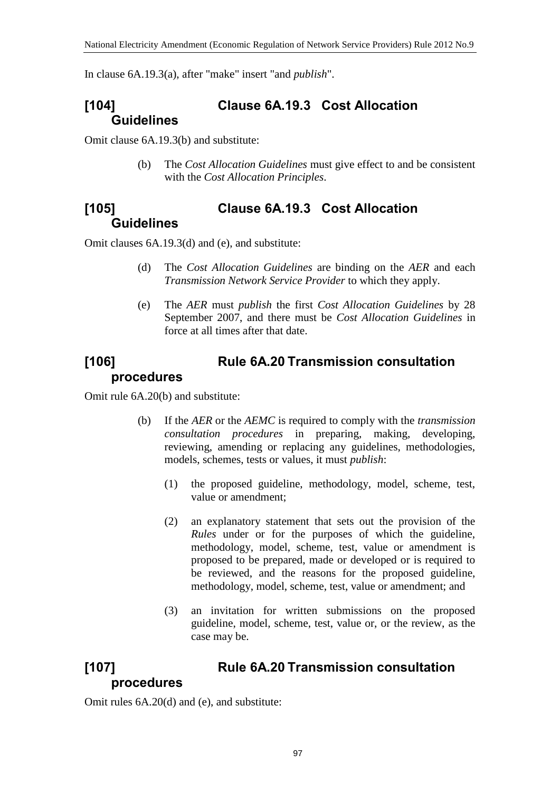In clause 6A.19.3(a), after "make" insert "and *publish*".

## **[104] Clause 6A.19.3 Cost Allocation Guidelines**

Omit clause 6A.19.3(b) and substitute:

(b) The *Cost Allocation Guidelines* must give effect to and be consistent with the *Cost Allocation Principles*.

### **[105] Clause 6A.19.3 Cost Allocation Guidelines**

Omit clauses 6A.19.3(d) and (e), and substitute:

- (d) The *Cost Allocation Guidelines* are binding on the *AER* and each *Transmission Network Service Provider* to which they apply.
- (e) The *AER* must *publish* the first *Cost Allocation Guidelines* by 28 September 2007, and there must be *Cost Allocation Guidelines* in force at all times after that date.

### **[106] Rule 6A.20 Transmission consultation procedures**

Omit rule 6A.20(b) and substitute:

- (b) If the *AER* or the *AEMC* is required to comply with the *transmission consultation procedures* in preparing, making, developing, reviewing, amending or replacing any guidelines, methodologies, models, schemes, tests or values, it must *publish*:
	- (1) the proposed guideline, methodology, model, scheme, test, value or amendment;
	- (2) an explanatory statement that sets out the provision of the *Rules* under or for the purposes of which the guideline, methodology, model, scheme, test, value or amendment is proposed to be prepared, made or developed or is required to be reviewed, and the reasons for the proposed guideline, methodology, model, scheme, test, value or amendment; and
	- (3) an invitation for written submissions on the proposed guideline, model, scheme, test, value or, or the review, as the case may be.

### **[107] Rule 6A.20 Transmission consultation procedures**

Omit rules 6A.20(d) and (e), and substitute: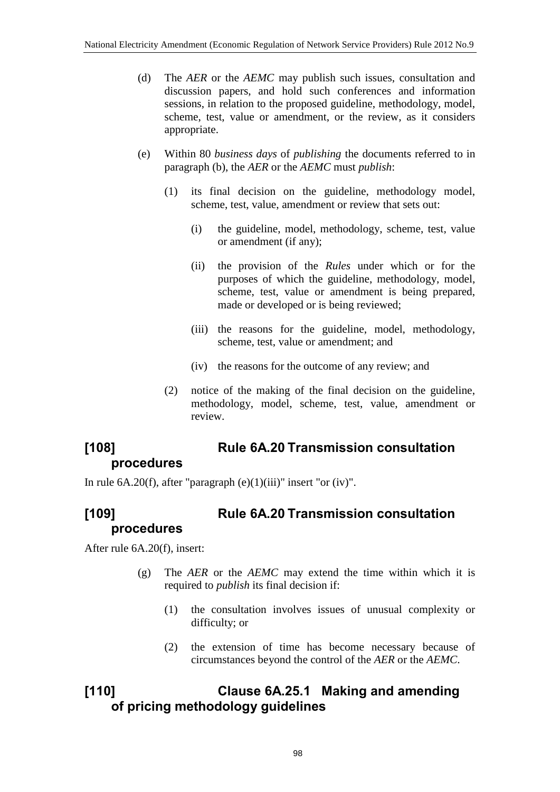- (d) The *AER* or the *AEMC* may publish such issues, consultation and discussion papers, and hold such conferences and information sessions, in relation to the proposed guideline, methodology, model, scheme, test, value or amendment, or the review, as it considers appropriate.
- (e) Within 80 *business days* of *publishing* the documents referred to in paragraph (b), the *AER* or the *AEMC* must *publish*:
	- (1) its final decision on the guideline, methodology model, scheme, test, value, amendment or review that sets out:
		- (i) the guideline, model, methodology, scheme, test, value or amendment (if any);
		- (ii) the provision of the *Rules* under which or for the purposes of which the guideline, methodology, model, scheme, test, value or amendment is being prepared, made or developed or is being reviewed;
		- (iii) the reasons for the guideline, model, methodology, scheme, test, value or amendment; and
		- (iv) the reasons for the outcome of any review; and
	- (2) notice of the making of the final decision on the guideline, methodology, model, scheme, test, value, amendment or review.

## **[108] Rule 6A.20 Transmission consultation procedures**

In rule  $6A.20(f)$ , after "paragraph  $(e)(1)(iii)$ " insert "or  $(iv)$ ".

### **[109] Rule 6A.20 Transmission consultation procedures**

After rule 6A.20(f), insert:

- (g) The *AER* or the *AEMC* may extend the time within which it is required to *publish* its final decision if:
	- (1) the consultation involves issues of unusual complexity or difficulty; or
	- (2) the extension of time has become necessary because of circumstances beyond the control of the *AER* or the *AEMC*.

## **[110] Clause 6A.25.1 Making and amending of pricing methodology guidelines**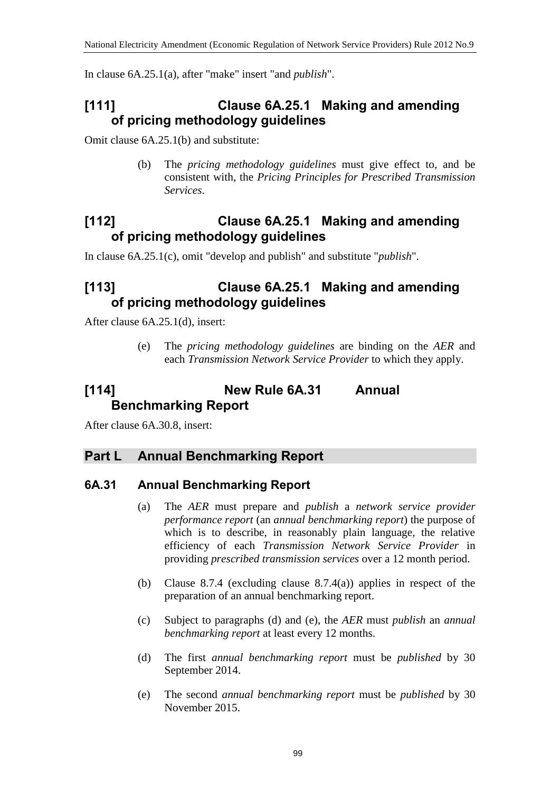In clause 6A.25.1(a), after "make" insert "and *publish*".

## **[111] Clause 6A.25.1 Making and amending of pricing methodology guidelines**

Omit clause 6A.25.1(b) and substitute:

(b) The *pricing methodology guidelines* must give effect to, and be consistent with, the *Pricing Principles for Prescribed Transmission Services*.

## **[112] Clause 6A.25.1 Making and amending of pricing methodology guidelines**

In clause 6A.25.1(c), omit "develop and publish" and substitute "*publish*".

## **[113] Clause 6A.25.1 Making and amending of pricing methodology guidelines**

After clause 6A.25.1(d), insert:

(e) The *pricing methodology guidelines* are binding on the *AER* and each *Transmission Network Service Provider* to which they apply.

## **[114] New Rule 6A.31 Annual Benchmarking Report**

After clause 6A.30.8, insert:

#### **Part L Annual Benchmarking Report**

#### **6A.31 Annual Benchmarking Report**

- (a) The *AER* must prepare and *publish* a *network service provider performance report* (an *annual benchmarking report*) the purpose of which is to describe, in reasonably plain language, the relative efficiency of each *Transmission Network Service Provider* in providing *prescribed transmission services* over a 12 month period.
- (b) Clause 8.7.4 (excluding clause 8.7.4(a)) applies in respect of the preparation of an annual benchmarking report.
- (c) Subject to paragraphs (d) and (e), the *AER* must *publish* an *annual benchmarking report* at least every 12 months.
- (d) The first *annual benchmarking report* must be *published* by 30 September 2014.
- (e) The second *annual benchmarking report* must be *published* by 30 November 2015.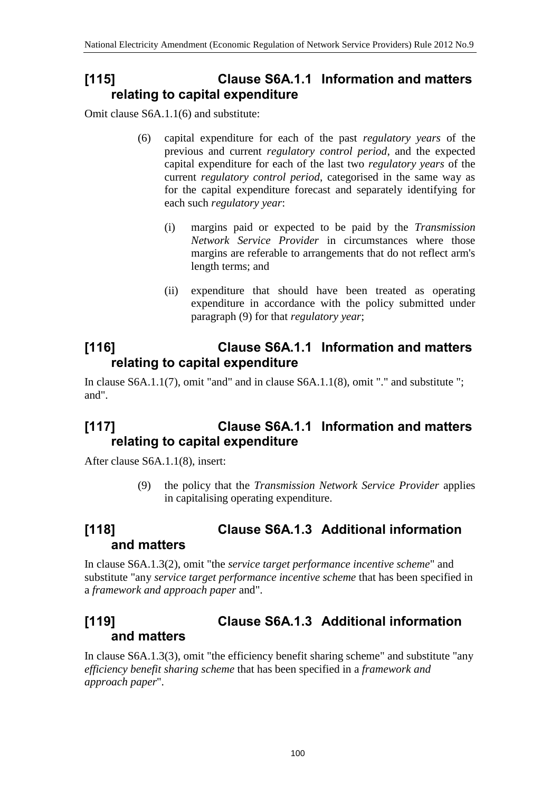## **[115] Clause S6A.1.1 Information and matters relating to capital expenditure**

Omit clause S6A.1.1(6) and substitute:

- (6) capital expenditure for each of the past *regulatory years* of the previous and current *regulatory control period*, and the expected capital expenditure for each of the last two *regulatory years* of the current *regulatory control period*, categorised in the same way as for the capital expenditure forecast and separately identifying for each such *regulatory year*:
	- (i) margins paid or expected to be paid by the *Transmission Network Service Provider* in circumstances where those margins are referable to arrangements that do not reflect arm's length terms; and
	- (ii) expenditure that should have been treated as operating expenditure in accordance with the policy submitted under paragraph (9) for that *regulatory year*;

## **[116] Clause S6A.1.1 Information and matters relating to capital expenditure**

In clause S6A.1.1(7), omit "and" and in clause S6A.1.1(8), omit "." and substitute "; and".

## **[117] Clause S6A.1.1 Information and matters relating to capital expenditure**

After clause S6A.1.1(8), insert:

(9) the policy that the *Transmission Network Service Provider* applies in capitalising operating expenditure.

## **[118] Clause S6A.1.3 Additional information and matters**

In clause S6A.1.3(2), omit "the *service target performance incentive scheme*" and substitute "any *service target performance incentive scheme* that has been specified in a *framework and approach paper* and".

## **[119] Clause S6A.1.3 Additional information and matters**

In clause S6A.1.3(3), omit "the efficiency benefit sharing scheme" and substitute "any *efficiency benefit sharing scheme* that has been specified in a *framework and approach paper*".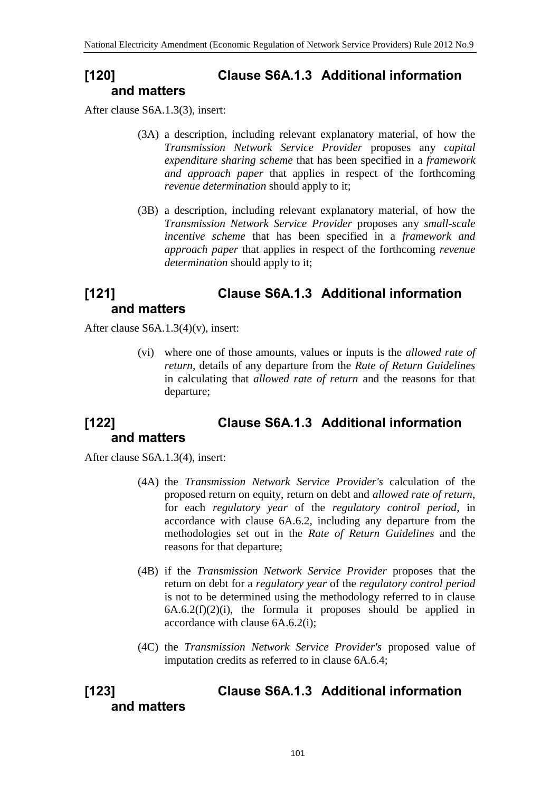## **[120] Clause S6A.1.3 Additional information and matters**

After clause S6A.1.3(3), insert:

- (3A) a description, including relevant explanatory material, of how the *Transmission Network Service Provider* proposes any *capital expenditure sharing scheme* that has been specified in a *framework and approach paper* that applies in respect of the forthcoming *revenue determination* should apply to it;
- (3B) a description, including relevant explanatory material, of how the *Transmission Network Service Provider* proposes any *small-scale incentive scheme* that has been specified in a *framework and approach paper* that applies in respect of the forthcoming *revenue determination* should apply to it;

### **[121] Clause S6A.1.3 Additional information and matters**

After clause S6A.1.3(4)(v), insert:

(vi) where one of those amounts, values or inputs is the *allowed rate of return*, details of any departure from the *Rate of Return Guidelines* in calculating that *allowed rate of return* and the reasons for that departure;

## **[122] Clause S6A.1.3 Additional information and matters**

After clause S6A.1.3(4), insert:

- (4A) the *Transmission Network Service Provider's* calculation of the proposed return on equity, return on debt and *allowed rate of return*, for each *regulatory year* of the *regulatory control period*, in accordance with clause 6A.6.2, including any departure from the methodologies set out in the *Rate of Return Guidelines* and the reasons for that departure;
- (4B) if the *Transmission Network Service Provider* proposes that the return on debt for a *regulatory year* of the *regulatory control period* is not to be determined using the methodology referred to in clause  $6A.6.2(f)(2)(i)$ , the formula it proposes should be applied in accordance with clause 6A.6.2(i);
- (4C) the *Transmission Network Service Provider's* proposed value of imputation credits as referred to in clause 6A.6.4;

### **[123] Clause S6A.1.3 Additional information and matters**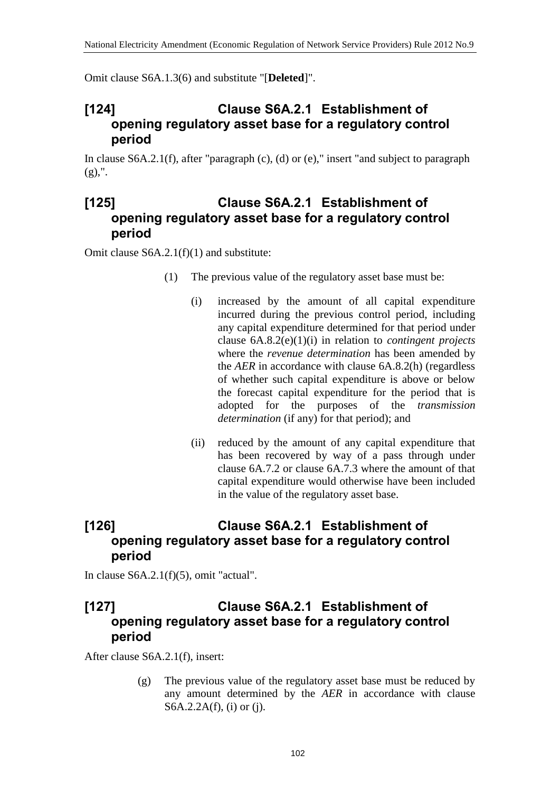Omit clause S6A.1.3(6) and substitute "[**Deleted**]".

#### **[124] Clause S6A.2.1 Establishment of opening regulatory asset base for a regulatory control period**

In clause S6A.2.1(f), after "paragraph (c), (d) or (e)," insert "and subject to paragraph  $(g)$ ,".

#### **[125] Clause S6A.2.1 Establishment of opening regulatory asset base for a regulatory control period**

Omit clause S6A.2.1(f)(1) and substitute:

- (1) The previous value of the regulatory asset base must be:
	- (i) increased by the amount of all capital expenditure incurred during the previous control period, including any capital expenditure determined for that period under clause 6A.8.2(e)(1)(i) in relation to *contingent projects* where the *revenue determination* has been amended by the *AER* in accordance with clause 6A.8.2(h) (regardless of whether such capital expenditure is above or below the forecast capital expenditure for the period that is adopted for the purposes of the *transmission determination* (if any) for that period); and
	- (ii) reduced by the amount of any capital expenditure that has been recovered by way of a pass through under clause 6A.7.2 or clause 6A.7.3 where the amount of that capital expenditure would otherwise have been included in the value of the regulatory asset base.

## **[126] Clause S6A.2.1 Establishment of opening regulatory asset base for a regulatory control period**

In clause S6A.2.1(f)(5), omit "actual".

### **[127] Clause S6A.2.1 Establishment of opening regulatory asset base for a regulatory control period**

After clause S6A.2.1(f), insert:

(g) The previous value of the regulatory asset base must be reduced by any amount determined by the *AER* in accordance with clause S6A.2.2A(f), (i) or (j).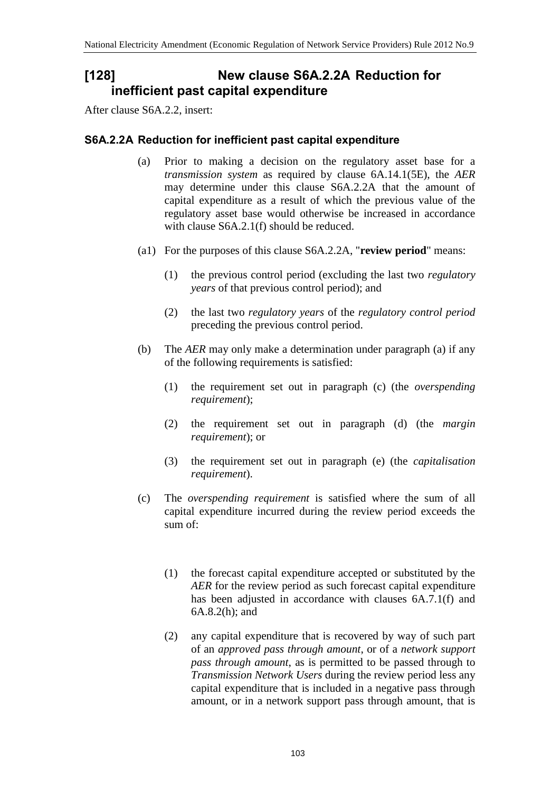## **[128] New clause S6A.2.2A Reduction for inefficient past capital expenditure**

After clause S6A.2.2, insert:

#### **S6A.2.2A Reduction for inefficient past capital expenditure**

- (a) Prior to making a decision on the regulatory asset base for a *transmission system* as required by clause 6A.14.1(5E), the *AER* may determine under this clause S6A.2.2A that the amount of capital expenditure as a result of which the previous value of the regulatory asset base would otherwise be increased in accordance with clause S6A.2.1(f) should be reduced.
- (a1) For the purposes of this clause S6A.2.2A, "**review period**" means:
	- (1) the previous control period (excluding the last two *regulatory years* of that previous control period); and
	- (2) the last two *regulatory years* of the *regulatory control period* preceding the previous control period.
- (b) The *AER* may only make a determination under paragraph (a) if any of the following requirements is satisfied:
	- (1) the requirement set out in paragraph (c) (the *overspending requirement*);
	- (2) the requirement set out in paragraph (d) (the *margin requirement*); or
	- (3) the requirement set out in paragraph (e) (the *capitalisation requirement*).
- (c) The *overspending requirement* is satisfied where the sum of all capital expenditure incurred during the review period exceeds the sum of:
	- (1) the forecast capital expenditure accepted or substituted by the *AER* for the review period as such forecast capital expenditure has been adjusted in accordance with clauses  $6A.7.1(f)$  and 6A.8.2(h); and
	- (2) any capital expenditure that is recovered by way of such part of an *approved pass through amount*, or of a *network support pass through amount*, as is permitted to be passed through to *Transmission Network Users* during the review period less any capital expenditure that is included in a negative pass through amount, or in a network support pass through amount, that is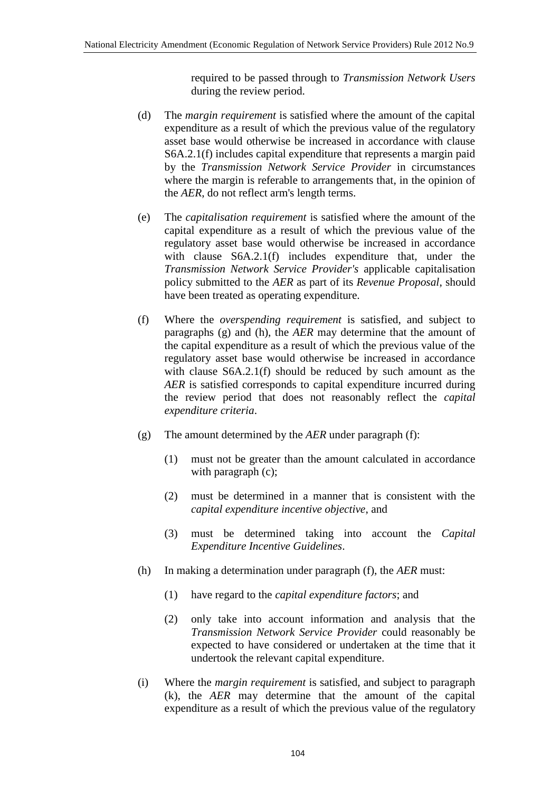required to be passed through to *Transmission Network Users* during the review period.

- (d) The *margin requirement* is satisfied where the amount of the capital expenditure as a result of which the previous value of the regulatory asset base would otherwise be increased in accordance with clause S6A.2.1(f) includes capital expenditure that represents a margin paid by the *Transmission Network Service Provider* in circumstances where the margin is referable to arrangements that, in the opinion of the *AER*, do not reflect arm's length terms.
- (e) The *capitalisation requirement* is satisfied where the amount of the capital expenditure as a result of which the previous value of the regulatory asset base would otherwise be increased in accordance with clause  $S6A.2.1(f)$  includes expenditure that, under the *Transmission Network Service Provider's* applicable capitalisation policy submitted to the *AER* as part of its *Revenue Proposal*, should have been treated as operating expenditure.
- (f) Where the *overspending requirement* is satisfied, and subject to paragraphs (g) and (h), the *AER* may determine that the amount of the capital expenditure as a result of which the previous value of the regulatory asset base would otherwise be increased in accordance with clause S6A.2.1(f) should be reduced by such amount as the *AER* is satisfied corresponds to capital expenditure incurred during the review period that does not reasonably reflect the *capital expenditure criteria*.
- (g) The amount determined by the *AER* under paragraph (f):
	- (1) must not be greater than the amount calculated in accordance with paragraph (c);
	- (2) must be determined in a manner that is consistent with the *capital expenditure incentive objective*, and
	- (3) must be determined taking into account the *Capital Expenditure Incentive Guidelines*.
- (h) In making a determination under paragraph (f), the *AER* must:
	- (1) have regard to the *capital expenditure factors*; and
	- (2) only take into account information and analysis that the *Transmission Network Service Provider* could reasonably be expected to have considered or undertaken at the time that it undertook the relevant capital expenditure.
- (i) Where the *margin requirement* is satisfied, and subject to paragraph (k), the *AER* may determine that the amount of the capital expenditure as a result of which the previous value of the regulatory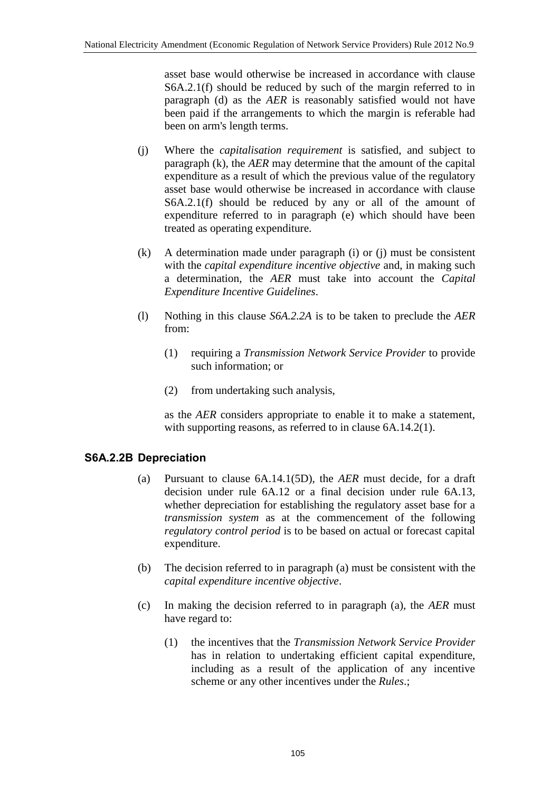asset base would otherwise be increased in accordance with clause S6A.2.1(f) should be reduced by such of the margin referred to in paragraph (d) as the *AER* is reasonably satisfied would not have been paid if the arrangements to which the margin is referable had been on arm's length terms.

- (j) Where the *capitalisation requirement* is satisfied, and subject to paragraph (k), the *AER* may determine that the amount of the capital expenditure as a result of which the previous value of the regulatory asset base would otherwise be increased in accordance with clause S6A.2.1(f) should be reduced by any or all of the amount of expenditure referred to in paragraph (e) which should have been treated as operating expenditure.
- (k) A determination made under paragraph (i) or (j) must be consistent with the *capital expenditure incentive objective* and, in making such a determination, the *AER* must take into account the *Capital Expenditure Incentive Guidelines*.
- (l) Nothing in this clause *S6A.2.2A* is to be taken to preclude the *AER* from:
	- (1) requiring a *Transmission Network Service Provider* to provide such information; or
	- (2) from undertaking such analysis,

as the *AER* considers appropriate to enable it to make a statement, with supporting reasons, as referred to in clause 6A.14.2(1).

#### **S6A.2.2B Depreciation**

- (a) Pursuant to clause 6A.14.1(5D), the *AER* must decide, for a draft decision under rule 6A.12 or a final decision under rule 6A.13, whether depreciation for establishing the regulatory asset base for a *transmission system* as at the commencement of the following *regulatory control period* is to be based on actual or forecast capital expenditure.
- (b) The decision referred to in paragraph (a) must be consistent with the *capital expenditure incentive objective*.
- (c) In making the decision referred to in paragraph (a), the *AER* must have regard to:
	- (1) the incentives that the *Transmission Network Service Provider* has in relation to undertaking efficient capital expenditure, including as a result of the application of any incentive scheme or any other incentives under the *Rules*.;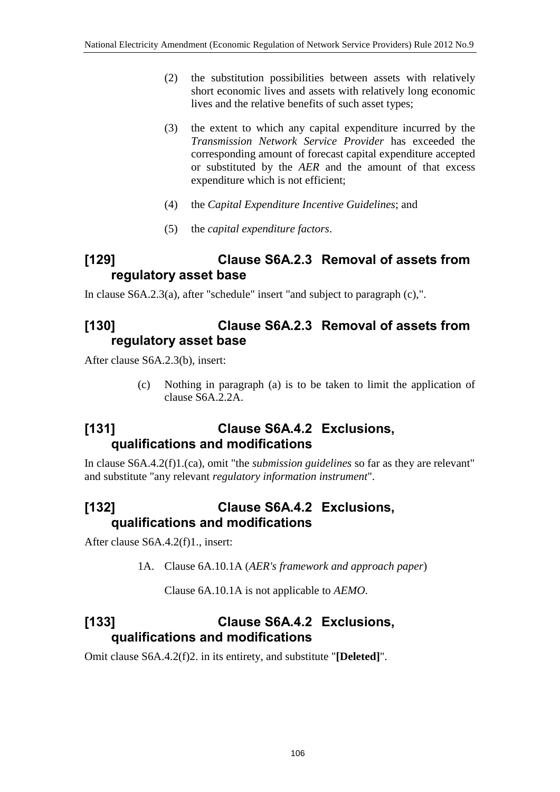- (2) the substitution possibilities between assets with relatively short economic lives and assets with relatively long economic lives and the relative benefits of such asset types;
- (3) the extent to which any capital expenditure incurred by the *Transmission Network Service Provider* has exceeded the corresponding amount of forecast capital expenditure accepted or substituted by the *AER* and the amount of that excess expenditure which is not efficient;
- (4) the *Capital Expenditure Incentive Guidelines*; and
- (5) the *capital expenditure factors*.

## **[129] Clause S6A.2.3 Removal of assets from regulatory asset base**

In clause S6A.2.3(a), after "schedule" insert "and subject to paragraph (c),".

### **[130] Clause S6A.2.3 Removal of assets from regulatory asset base**

After clause S6A.2.3(b), insert:

(c) Nothing in paragraph (a) is to be taken to limit the application of clause S6A.2.2A.

## **[131] Clause S6A.4.2 Exclusions, qualifications and modifications**

In clause S6A.4.2(f)1.(ca), omit "the *submission guidelines* so far as they are relevant" and substitute "any relevant *regulatory information instrument*".

# **[132] Clause S6A.4.2 Exclusions, qualifications and modifications**

After clause S6A.4.2(f)1., insert:

1A. Clause 6A.10.1A (*AER's framework and approach paper*)

Clause 6A.10.1A is not applicable to *AEMO*.

## **[133] Clause S6A.4.2 Exclusions, qualifications and modifications**

Omit clause S6A.4.2(f)2. in its entirety, and substitute "**[Deleted]**".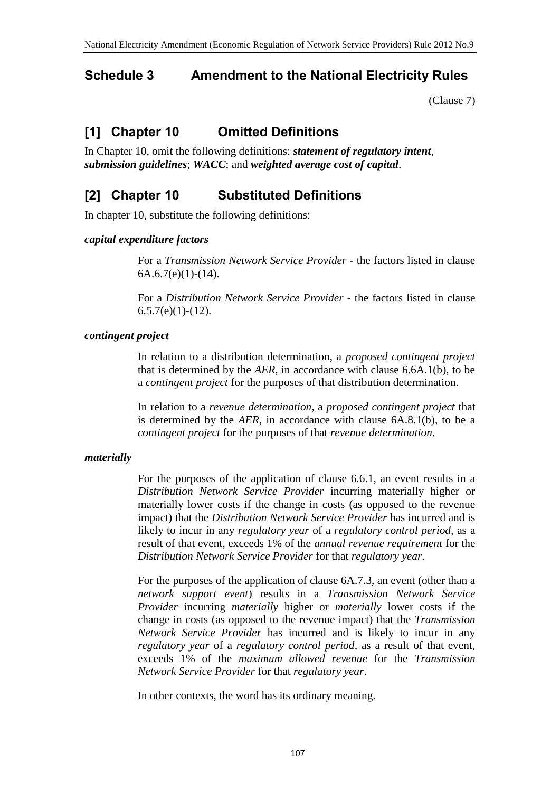### **Schedule 3 Amendment to the National Electricity Rules**

[\(Clause 7\)](#page-1-0)

# **[1] Chapter 10 Omitted Definitions**

In Chapter 10, omit the following definitions: *statement of regulatory intent*, *submission guidelines*; *WACC*; and *weighted average cost of capital*.

## **[2] Chapter 10 Substituted Definitions**

In chapter 10, substitute the following definitions:

#### *capital expenditure factors*

For a *Transmission Network Service Provider* - the factors listed in clause  $6A.6.7(e)(1)-(14)$ .

For a *Distribution Network Service Provider* - the factors listed in clause  $6.5.7(e)(1)-(12)$ .

#### *contingent project*

In relation to a distribution determination, a *proposed contingent project* that is determined by the *AER*, in accordance with clause 6.6A.1(b), to be a *contingent project* for the purposes of that distribution determination.

In relation to a *revenue determination*, a *proposed contingent project* that is determined by the *AER*, in accordance with clause 6A.8.1(b), to be a *contingent project* for the purposes of that *revenue determination*.

#### *materially*

For the purposes of the application of clause 6.6.1, an event results in a *Distribution Network Service Provider* incurring materially higher or materially lower costs if the change in costs (as opposed to the revenue impact) that the *Distribution Network Service Provider* has incurred and is likely to incur in any *regulatory year* of a *regulatory control period*, as a result of that event, exceeds 1% of the *annual revenue requirement* for the *Distribution Network Service Provider* for that *regulatory year*.

For the purposes of the application of clause 6A.7.3, an event (other than a *network support event*) results in a *Transmission Network Service Provider* incurring *materially* higher or *materially* lower costs if the change in costs (as opposed to the revenue impact) that the *Transmission Network Service Provider* has incurred and is likely to incur in any *regulatory year* of a *regulatory control period*, as a result of that event, exceeds 1% of the *maximum allowed revenue* for the *Transmission Network Service Provider* for that *regulatory year*.

In other contexts, the word has its ordinary meaning.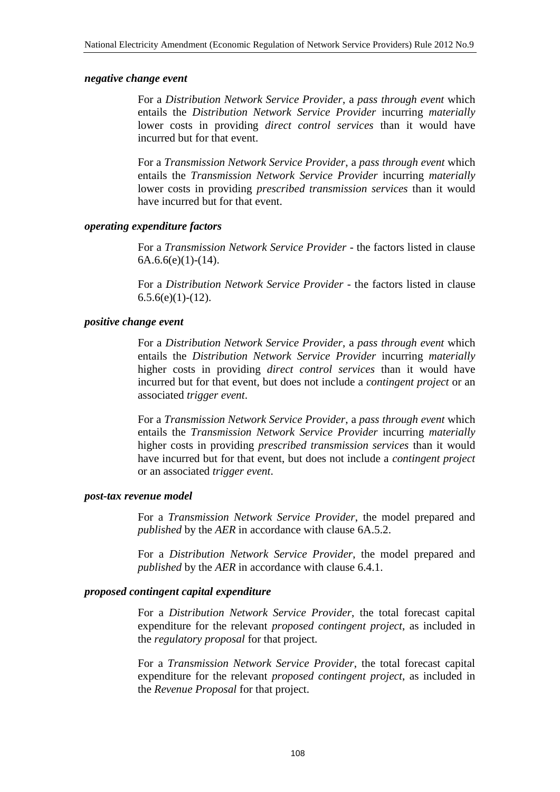#### *negative change event*

For a *Distribution Network Service Provider*, a *pass through event* which entails the *Distribution Network Service Provider* incurring *materially* lower costs in providing *direct control services* than it would have incurred but for that event.

For a *Transmission Network Service Provider*, a *pass through event* which entails the *Transmission Network Service Provider* incurring *materially* lower costs in providing *prescribed transmission services* than it would have incurred but for that event.

#### *operating expenditure factors*

For a *Transmission Network Service Provider* - the factors listed in clause  $6A.6.6(e)(1)-(14)$ .

For a *Distribution Network Service Provider* - the factors listed in clause  $6.5.6(e)(1)-(12)$ .

#### *positive change event*

For a *Distribution Network Service Provider*, a *pass through event* which entails the *Distribution Network Service Provider* incurring *materially* higher costs in providing *direct control services* than it would have incurred but for that event, but does not include a *contingent project* or an associated *trigger event*.

For a *Transmission Network Service Provider*, a *pass through event* which entails the *Transmission Network Service Provider* incurring *materially* higher costs in providing *prescribed transmission services* than it would have incurred but for that event, but does not include a *contingent project* or an associated *trigger event*.

#### *post-tax revenue model*

For a *Transmission Network Service Provider*, the model prepared and *published* by the *AER* in accordance with clause 6A.5.2.

For a *Distribution Network Service Provider*, the model prepared and *published* by the *AER* in accordance with clause 6.4.1.

#### *proposed contingent capital expenditure*

For a *Distribution Network Service Provider*, the total forecast capital expenditure for the relevant *proposed contingent project*, as included in the *regulatory proposal* for that project.

For a *Transmission Network Service Provider*, the total forecast capital expenditure for the relevant *proposed contingent project*, as included in the *Revenue Proposal* for that project.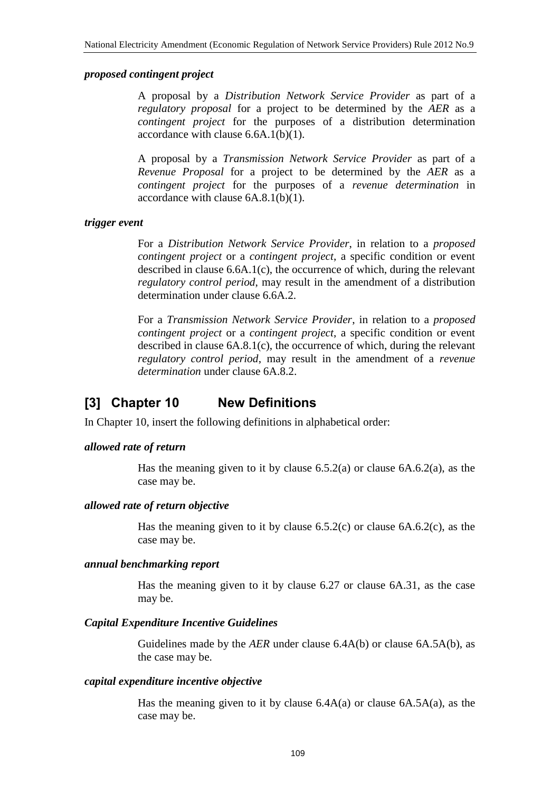#### *proposed contingent project*

A proposal by a *Distribution Network Service Provider* as part of a *regulatory proposal* for a project to be determined by the *AER* as a *contingent project* for the purposes of a distribution determination accordance with clause 6.6A.1(b)(1).

A proposal by a *Transmission Network Service Provider* as part of a *Revenue Proposal* for a project to be determined by the *AER* as a *contingent project* for the purposes of a *revenue determination* in accordance with clause 6A.8.1(b)(1).

#### *trigger event*

For a *Distribution Network Service Provider*, in relation to a *proposed contingent project* or a *contingent project*, a specific condition or event described in clause 6.6A.1(c), the occurrence of which, during the relevant *regulatory control period*, may result in the amendment of a distribution determination under clause 6.6A.2.

For a *Transmission Network Service Provider*, in relation to a *proposed contingent project* or a *contingent project*, a specific condition or event described in clause 6A.8.1(c), the occurrence of which, during the relevant *regulatory control period*, may result in the amendment of a *revenue determination* under clause 6A.8.2.

# **[3] Chapter 10 New Definitions**

In Chapter 10, insert the following definitions in alphabetical order:

#### *allowed rate of return*

Has the meaning given to it by clause  $6.5.2(a)$  or clause  $6A.6.2(a)$ , as the case may be.

#### *allowed rate of return objective*

Has the meaning given to it by clause 6.5.2(c) or clause 6A.6.2(c), as the case may be.

#### *annual benchmarking report*

Has the meaning given to it by clause 6.27 or clause 6A.31, as the case may be.

#### *Capital Expenditure Incentive Guidelines*

Guidelines made by the *AER* under clause 6.4A(b) or clause 6A.5A(b), as the case may be.

#### *capital expenditure incentive objective*

Has the meaning given to it by clause  $6.4A(a)$  or clause  $6A.5A(a)$ , as the case may be.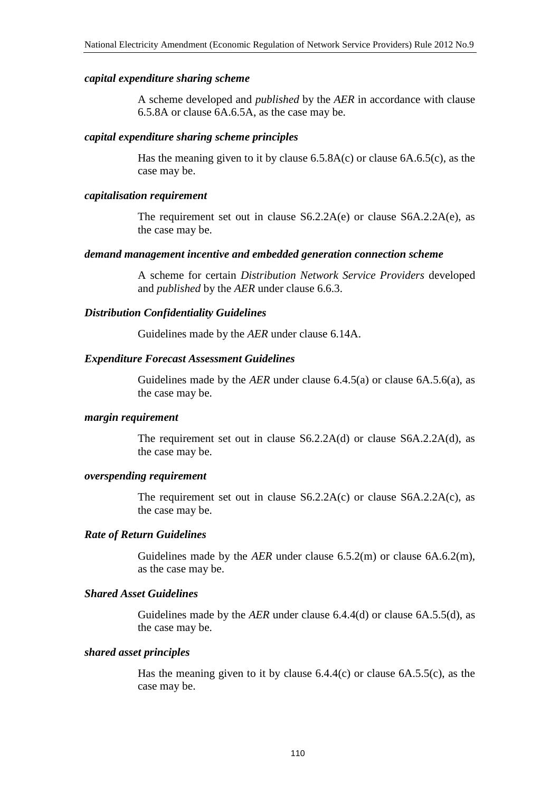#### *capital expenditure sharing scheme*

A scheme developed and *published* by the *AER* in accordance with clause 6.5.8A or clause 6A.6.5A, as the case may be.

#### *capital expenditure sharing scheme principles*

Has the meaning given to it by clause  $6.5.8A(c)$  or clause  $6A.6.5(c)$ , as the case may be.

#### *capitalisation requirement*

The requirement set out in clause S6.2.2A(e) or clause S6A.2.2A(e), as the case may be.

#### *demand management incentive and embedded generation connection scheme*

A scheme for certain *Distribution Network Service Providers* developed and *published* by the *AER* under clause 6.6.3.

### *Distribution Confidentiality Guidelines*

Guidelines made by the *AER* under clause 6.14A.

#### *Expenditure Forecast Assessment Guidelines*

Guidelines made by the *AER* under clause 6.4.5(a) or clause 6A.5.6(a), as the case may be.

#### *margin requirement*

The requirement set out in clause S6.2.2A(d) or clause S6A.2.2A(d), as the case may be.

#### *overspending requirement*

The requirement set out in clause S6.2.2A(c) or clause S6A.2.2A(c), as the case may be.

### *Rate of Return Guidelines*

Guidelines made by the *AER* under clause 6.5.2(m) or clause 6A.6.2(m), as the case may be.

#### *Shared Asset Guidelines*

Guidelines made by the *AER* under clause 6.4.4(d) or clause 6A.5.5(d), as the case may be.

#### *shared asset principles*

Has the meaning given to it by clause  $6.4.4(c)$  or clause  $6A.5.5(c)$ , as the case may be.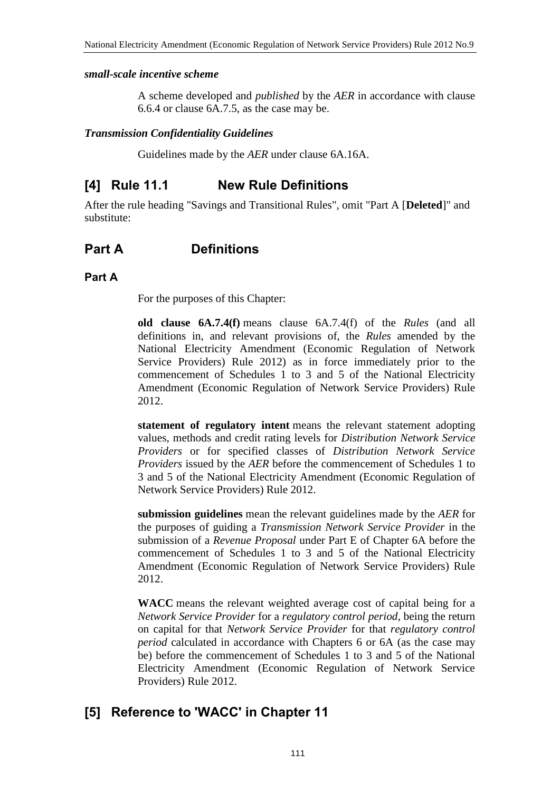### *small-scale incentive scheme*

A scheme developed and *published* by the *AER* in accordance with clause 6.6.4 or clause 6A.7.5, as the case may be.

### *Transmission Confidentiality Guidelines*

Guidelines made by the *AER* under clause 6A.16A.

# **[4] Rule 11.1 New Rule Definitions**

After the rule heading "Savings and Transitional Rules", omit "Part A [**Deleted**]" and substitute:

# **Part A Definitions**

## **Part A**

For the purposes of this Chapter:

**old clause 6A.7.4(f)** means clause 6A.7.4(f) of the *Rules* (and all definitions in, and relevant provisions of, the *Rules* amended by the National Electricity Amendment (Economic Regulation of Network Service Providers) Rule 2012) as in force immediately prior to the commencement of Schedules 1 to 3 and 5 of the National Electricity Amendment (Economic Regulation of Network Service Providers) Rule 2012.

**statement of regulatory intent** means the relevant statement adopting values, methods and credit rating levels for *Distribution Network Service Providers* or for specified classes of *Distribution Network Service Providers* issued by the *AER* before the commencement of Schedules 1 to 3 and 5 of the National Electricity Amendment (Economic Regulation of Network Service Providers) Rule 2012.

**submission guidelines** mean the relevant guidelines made by the *AER* for the purposes of guiding a *Transmission Network Service Provider* in the submission of a *Revenue Proposal* under Part E of Chapter 6A before the commencement of Schedules 1 to 3 and 5 of the National Electricity Amendment (Economic Regulation of Network Service Providers) Rule 2012.

**WACC** means the relevant weighted average cost of capital being for a *Network Service Provider* for a *regulatory control period*, being the return on capital for that *Network Service Provider* for that *regulatory control period* calculated in accordance with Chapters 6 or 6A (as the case may be) before the commencement of Schedules 1 to 3 and 5 of the National Electricity Amendment (Economic Regulation of Network Service Providers) Rule 2012.

# **[5] Reference to 'WACC' in Chapter 11**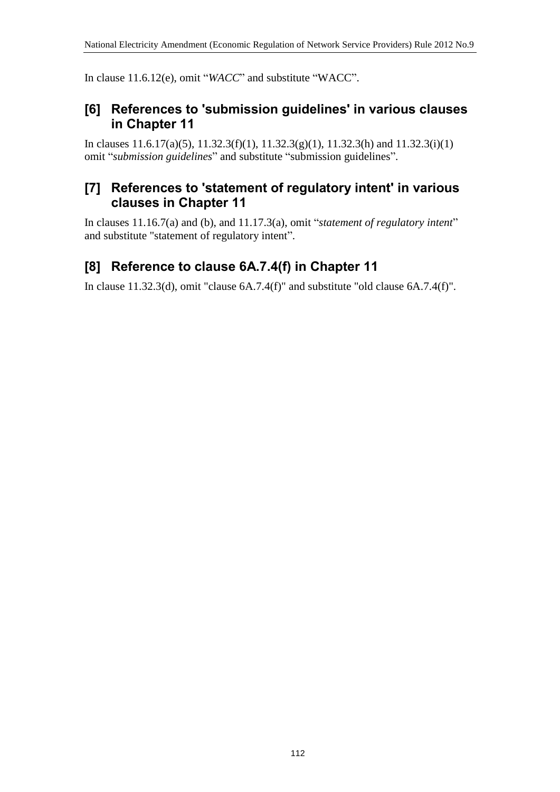In clause 11.6.12(e), omit "*WACC*" and substitute "WACC".

# **[6] References to 'submission guidelines' in various clauses in Chapter 11**

In clauses 11.6.17(a)(5), 11.32.3(f)(1), 11.32.3(g)(1), 11.32.3(h) and 11.32.3(i)(1) omit "*submission guidelines*" and substitute "submission guidelines".

# **[7] References to 'statement of regulatory intent' in various clauses in Chapter 11**

In clauses 11.16.7(a) and (b), and 11.17.3(a), omit "*statement of regulatory intent*" and substitute "statement of regulatory intent".

# **[8] Reference to clause 6A.7.4(f) in Chapter 11**

In clause 11.32.3(d), omit "clause 6A.7.4(f)" and substitute "old clause 6A.7.4(f)".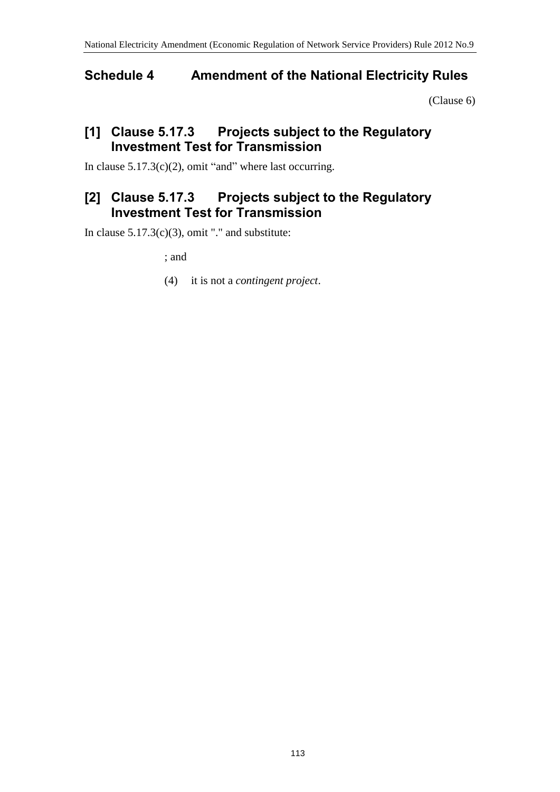# **Schedule 4 Amendment of the National Electricity Rules**

[\(Clause 6\)](#page-1-0)

# **[1] Clause 5.17.3 Projects subject to the Regulatory Investment Test for Transmission**

In clause  $5.17.3(c)(2)$ , omit "and" where last occurring.

# **[2] Clause 5.17.3 Projects subject to the Regulatory Investment Test for Transmission**

In clause  $5.17.3(c)(3)$ , omit "." and substitute:

; and

(4) it is not a *contingent project*.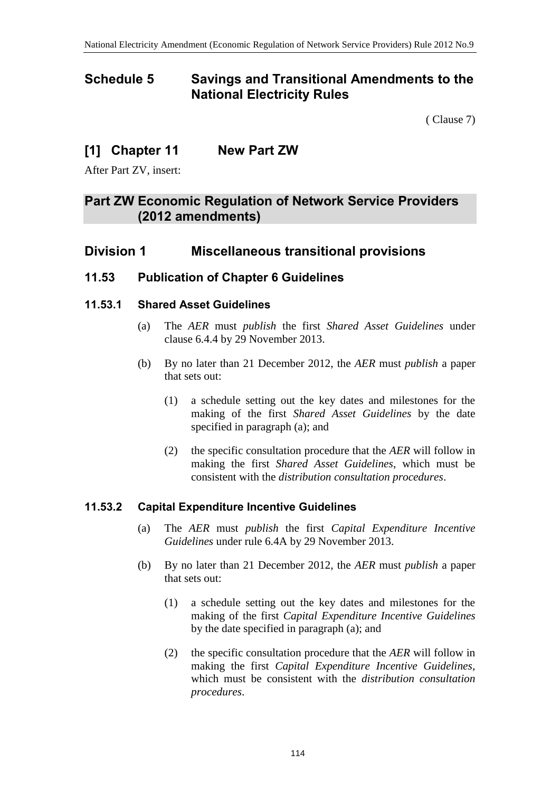# **Schedule 5 Savings and Transitional Amendments to the National Electricity Rules**

( [Clause 7\)](#page-1-1)

# **[1] Chapter 11 New Part ZW**

After Part ZV, insert:

# **Part ZW Economic Regulation of Network Service Providers (2012 amendments)**

# **Division 1 Miscellaneous transitional provisions**

# **11.53 Publication of Chapter 6 Guidelines**

# **11.53.1 Shared Asset Guidelines**

- (a) The *AER* must *publish* the first *Shared Asset Guidelines* under clause 6.4.4 by 29 November 2013.
- (b) By no later than 21 December 2012, the *AER* must *publish* a paper that sets out:
	- (1) a schedule setting out the key dates and milestones for the making of the first *Shared Asset Guidelines* by the date specified in paragraph (a); and
	- (2) the specific consultation procedure that the *AER* will follow in making the first *Shared Asset Guidelines*, which must be consistent with the *distribution consultation procedures*.

# **11.53.2 Capital Expenditure Incentive Guidelines**

- (a) The *AER* must *publish* the first *Capital Expenditure Incentive Guidelines* under rule 6.4A by 29 November 2013.
- (b) By no later than 21 December 2012, the *AER* must *publish* a paper that sets out:
	- (1) a schedule setting out the key dates and milestones for the making of the first *Capital Expenditure Incentive Guidelines* by the date specified in paragraph (a); and
	- (2) the specific consultation procedure that the *AER* will follow in making the first *Capital Expenditure Incentive Guidelines*, which must be consistent with the *distribution consultation procedures*.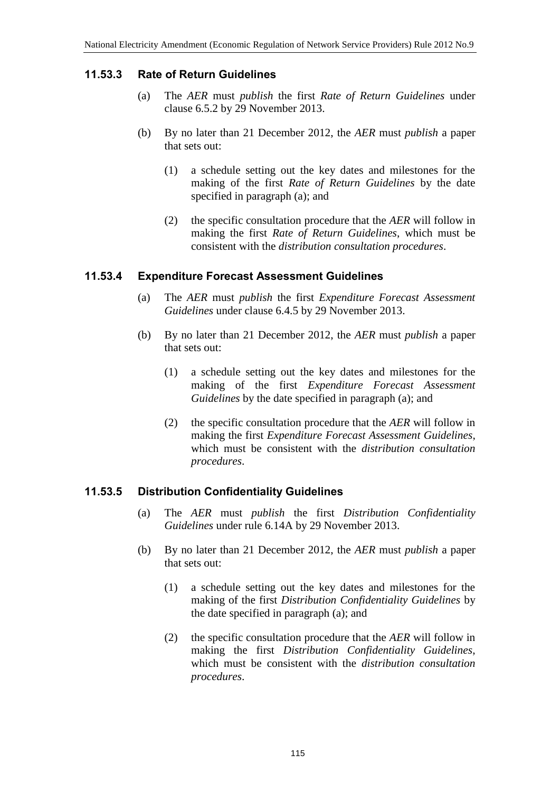# **11.53.3 Rate of Return Guidelines**

- (a) The *AER* must *publish* the first *Rate of Return Guidelines* under clause 6.5.2 by 29 November 2013.
- (b) By no later than 21 December 2012, the *AER* must *publish* a paper that sets out:
	- (1) a schedule setting out the key dates and milestones for the making of the first *Rate of Return Guidelines* by the date specified in paragraph (a); and
	- (2) the specific consultation procedure that the *AER* will follow in making the first *Rate of Return Guidelines*, which must be consistent with the *distribution consultation procedures*.

## **11.53.4 Expenditure Forecast Assessment Guidelines**

- (a) The *AER* must *publish* the first *Expenditure Forecast Assessment Guidelines* under clause 6.4.5 by 29 November 2013.
- (b) By no later than 21 December 2012, the *AER* must *publish* a paper that sets out:
	- (1) a schedule setting out the key dates and milestones for the making of the first *Expenditure Forecast Assessment Guidelines* by the date specified in paragraph (a); and
	- (2) the specific consultation procedure that the *AER* will follow in making the first *Expenditure Forecast Assessment Guidelines*, which must be consistent with the *distribution consultation procedures*.

# **11.53.5 Distribution Confidentiality Guidelines**

- (a) The *AER* must *publish* the first *Distribution Confidentiality Guidelines* under rule 6.14A by 29 November 2013.
- (b) By no later than 21 December 2012, the *AER* must *publish* a paper that sets out:
	- (1) a schedule setting out the key dates and milestones for the making of the first *Distribution Confidentiality Guidelines* by the date specified in paragraph (a); and
	- (2) the specific consultation procedure that the *AER* will follow in making the first *Distribution Confidentiality Guidelines*, which must be consistent with the *distribution consultation procedures*.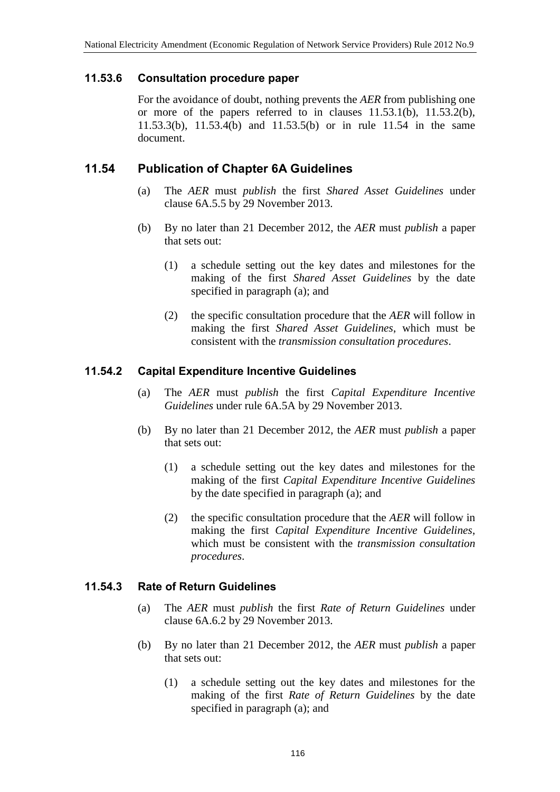## **11.53.6 Consultation procedure paper**

For the avoidance of doubt, nothing prevents the *AER* from publishing one or more of the papers referred to in clauses 11.53.1(b), 11.53.2(b), 11.53.3(b), 11.53.4(b) and 11.53.5(b) or in rule 11.54 in the same document.

# **11.54 Publication of Chapter 6A Guidelines**

- (a) The *AER* must *publish* the first *Shared Asset Guidelines* under clause 6A.5.5 by 29 November 2013.
- (b) By no later than 21 December 2012, the *AER* must *publish* a paper that sets out:
	- (1) a schedule setting out the key dates and milestones for the making of the first *Shared Asset Guidelines* by the date specified in paragraph (a); and
	- (2) the specific consultation procedure that the *AER* will follow in making the first *Shared Asset Guidelines*, which must be consistent with the *transmission consultation procedures*.

# **11.54.2 Capital Expenditure Incentive Guidelines**

- (a) The *AER* must *publish* the first *Capital Expenditure Incentive Guidelines* under rule 6A.5A by 29 November 2013.
- (b) By no later than 21 December 2012, the *AER* must *publish* a paper that sets out:
	- (1) a schedule setting out the key dates and milestones for the making of the first *Capital Expenditure Incentive Guidelines* by the date specified in paragraph (a); and
	- (2) the specific consultation procedure that the *AER* will follow in making the first *Capital Expenditure Incentive Guidelines*, which must be consistent with the *transmission consultation procedures*.

# **11.54.3 Rate of Return Guidelines**

- (a) The *AER* must *publish* the first *Rate of Return Guidelines* under clause 6A.6.2 by 29 November 2013.
- (b) By no later than 21 December 2012, the *AER* must *publish* a paper that sets out:
	- (1) a schedule setting out the key dates and milestones for the making of the first *Rate of Return Guidelines* by the date specified in paragraph (a); and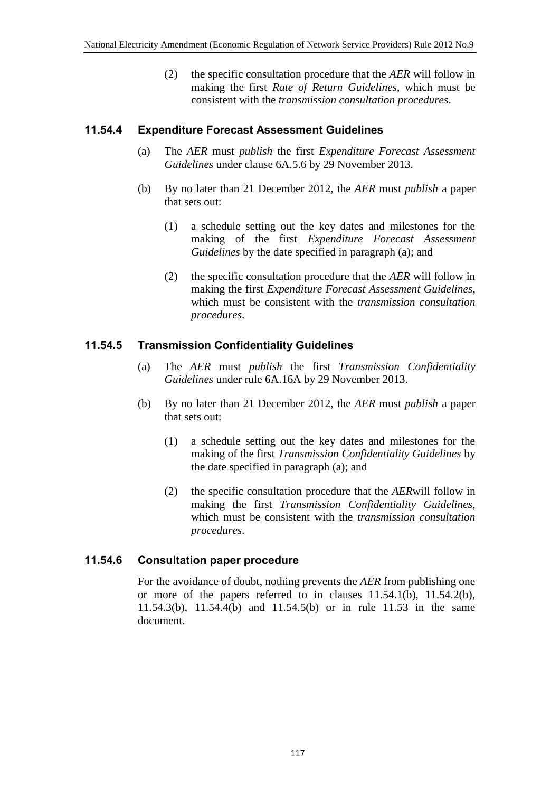(2) the specific consultation procedure that the *AER* will follow in making the first *Rate of Return Guidelines*, which must be consistent with the *transmission consultation procedures*.

## **11.54.4 Expenditure Forecast Assessment Guidelines**

- (a) The *AER* must *publish* the first *Expenditure Forecast Assessment Guidelines* under clause 6A.5.6 by 29 November 2013.
- (b) By no later than 21 December 2012, the *AER* must *publish* a paper that sets out:
	- (1) a schedule setting out the key dates and milestones for the making of the first *Expenditure Forecast Assessment Guidelines* by the date specified in paragraph (a); and
	- (2) the specific consultation procedure that the *AER* will follow in making the first *Expenditure Forecast Assessment Guidelines*, which must be consistent with the *transmission consultation procedures*.

## **11.54.5 Transmission Confidentiality Guidelines**

- (a) The *AER* must *publish* the first *Transmission Confidentiality Guidelines* under rule 6A.16A by 29 November 2013.
- (b) By no later than 21 December 2012, the *AER* must *publish* a paper that sets out:
	- (1) a schedule setting out the key dates and milestones for the making of the first *Transmission Confidentiality Guidelines* by the date specified in paragraph (a); and
	- (2) the specific consultation procedure that the *AER*will follow in making the first *Transmission Confidentiality Guidelines*, which must be consistent with the *transmission consultation procedures*.

## **11.54.6 Consultation paper procedure**

For the avoidance of doubt, nothing prevents the *AER* from publishing one or more of the papers referred to in clauses 11.54.1(b), 11.54.2(b), 11.54.3(b), 11.54.4(b) and 11.54.5(b) or in rule 11.53 in the same document.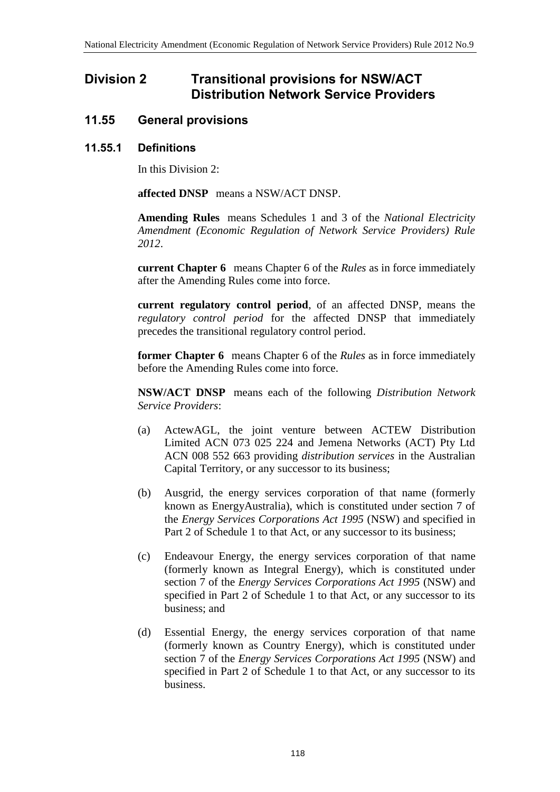# **Division 2 Transitional provisions for NSW/ACT Distribution Network Service Providers**

# **11.55 General provisions**

## **11.55.1 Definitions**

In this Division 2:

**affected DNSP** means a NSW/ACT DNSP.

**Amending Rules** means Schedules 1 and 3 of the *National Electricity Amendment (Economic Regulation of Network Service Providers) Rule 2012*.

**current Chapter 6** means Chapter 6 of the *Rules* as in force immediately after the Amending Rules come into force.

**current regulatory control period**, of an affected DNSP, means the *regulatory control period* for the affected DNSP that immediately precedes the transitional regulatory control period.

**former Chapter 6** means Chapter 6 of the *Rules* as in force immediately before the Amending Rules come into force.

**NSW/ACT DNSP** means each of the following *Distribution Network Service Providers*:

- (a) ActewAGL, the joint venture between ACTEW Distribution Limited ACN 073 025 224 and Jemena Networks (ACT) Pty Ltd ACN 008 552 663 providing *distribution services* in the Australian Capital Territory, or any successor to its business;
- (b) Ausgrid, the energy services corporation of that name (formerly known as EnergyAustralia), which is constituted under section 7 of the *Energy Services Corporations Act 1995* (NSW) and specified in Part 2 of Schedule 1 to that Act, or any successor to its business;
- (c) Endeavour Energy, the energy services corporation of that name (formerly known as Integral Energy), which is constituted under section 7 of the *Energy Services Corporations Act 1995* (NSW) and specified in Part 2 of Schedule 1 to that Act, or any successor to its business; and
- (d) Essential Energy, the energy services corporation of that name (formerly known as Country Energy), which is constituted under section 7 of the *Energy Services Corporations Act 1995* (NSW) and specified in Part 2 of Schedule 1 to that Act, or any successor to its business.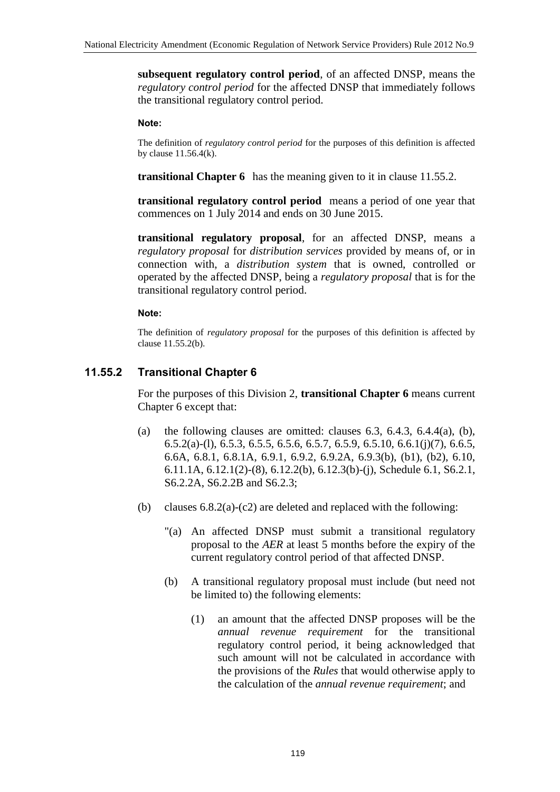**subsequent regulatory control period**, of an affected DNSP, means the *regulatory control period* for the affected DNSP that immediately follows the transitional regulatory control period.

#### **Note:**

The definition of *regulatory control period* for the purposes of this definition is affected by clause 11.56.4(k).

**transitional Chapter 6** has the meaning given to it in clause 11.55.2.

**transitional regulatory control period** means a period of one year that commences on 1 July 2014 and ends on 30 June 2015.

**transitional regulatory proposal**, for an affected DNSP, means a *regulatory proposal* for *distribution services* provided by means of, or in connection with, a *distribution system* that is owned, controlled or operated by the affected DNSP, being a *regulatory proposal* that is for the transitional regulatory control period.

### **Note:**

The definition of *regulatory proposal* for the purposes of this definition is affected by clause 11.55.2(b).

# **11.55.2 Transitional Chapter 6**

For the purposes of this Division 2, **transitional Chapter 6** means current Chapter 6 except that:

- (a) the following clauses are omitted: clauses  $6.3, 6.4.3, 6.4.4(a)$ ,  $(b)$ ,  $6.5.2(a)$ -(1),  $6.5.3$ ,  $6.5.5$ ,  $6.5.6$ ,  $6.5.7$ ,  $6.5.9$ ,  $6.5.10$ ,  $6.6.1(j)(7)$ ,  $6.6.5$ , 6.6A, 6.8.1, 6.8.1A, 6.9.1, 6.9.2, 6.9.2A, 6.9.3(b), (b1), (b2), 6.10, 6.11.1A, 6.12.1(2)-(8), 6.12.2(b), 6.12.3(b)-(j), Schedule 6.1, S6.2.1, S6.2.2A, S6.2.2B and S6.2.3;
- (b) clauses  $6.8.2(a)-(c2)$  are deleted and replaced with the following:
	- "(a) An affected DNSP must submit a transitional regulatory proposal to the *AER* at least 5 months before the expiry of the current regulatory control period of that affected DNSP.
	- (b) A transitional regulatory proposal must include (but need not be limited to) the following elements:
		- (1) an amount that the affected DNSP proposes will be the *annual revenue requirement* for the transitional regulatory control period, it being acknowledged that such amount will not be calculated in accordance with the provisions of the *Rules* that would otherwise apply to the calculation of the *annual revenue requirement*; and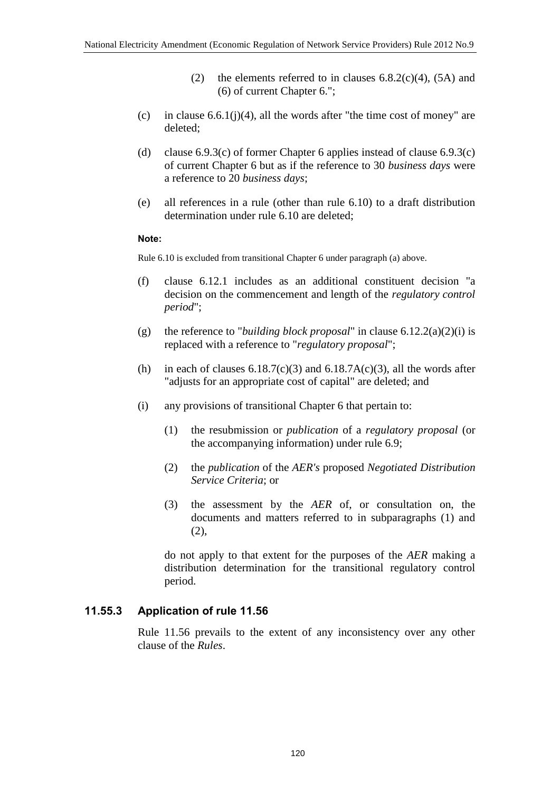- (2) the elements referred to in clauses  $6.8.2(c)(4)$ ,  $(5A)$  and (6) of current Chapter 6.";
- (c) in clause  $6.6.1(j)(4)$ , all the words after "the time cost of money" are deleted;
- (d) clause  $6.9.3(c)$  of former Chapter 6 applies instead of clause  $6.9.3(c)$ of current Chapter 6 but as if the reference to 30 *business days* were a reference to 20 *business days*;
- (e) all references in a rule (other than rule 6.10) to a draft distribution determination under rule 6.10 are deleted;

#### **Note:**

Rule 6.10 is excluded from transitional Chapter 6 under paragraph (a) above.

- (f) clause 6.12.1 includes as an additional constituent decision "a decision on the commencement and length of the *regulatory control period*";
- (g) the reference to "*building block proposal*" in clause 6.12.2(a)(2)(i) is replaced with a reference to "*regulatory proposal*";
- (h) in each of clauses  $6.18.7(c)(3)$  and  $6.18.7A(c)(3)$ , all the words after "adjusts for an appropriate cost of capital" are deleted; and
- (i) any provisions of transitional Chapter 6 that pertain to:
	- (1) the resubmission or *publication* of a *regulatory proposal* (or the accompanying information) under rule 6.9;
	- (2) the *publication* of the *AER's* proposed *Negotiated Distribution Service Criteria*; or
	- (3) the assessment by the *AER* of, or consultation on, the documents and matters referred to in subparagraphs (1) and  $(2)$ ,

do not apply to that extent for the purposes of the *AER* making a distribution determination for the transitional regulatory control period.

## **11.55.3 Application of rule 11.56**

Rule 11.56 prevails to the extent of any inconsistency over any other clause of the *Rules*.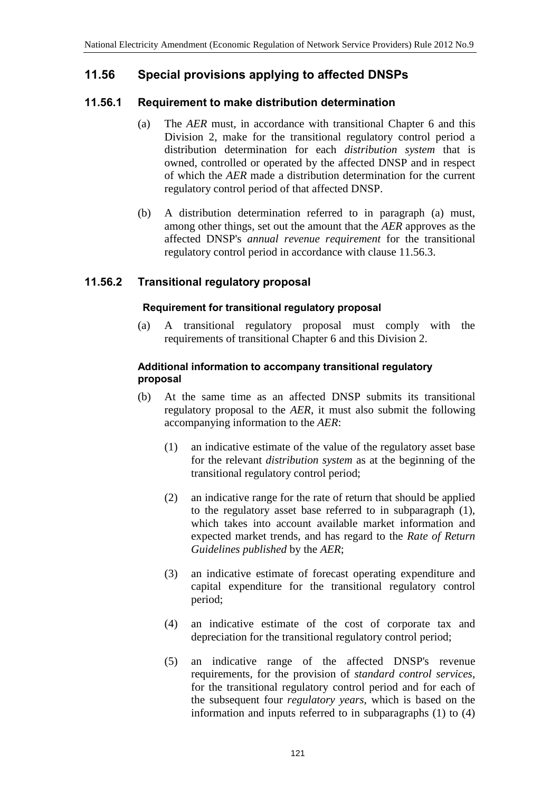# **11.56 Special provisions applying to affected DNSPs**

## **11.56.1 Requirement to make distribution determination**

- (a) The *AER* must, in accordance with transitional Chapter 6 and this Division 2, make for the transitional regulatory control period a distribution determination for each *distribution system* that is owned, controlled or operated by the affected DNSP and in respect of which the *AER* made a distribution determination for the current regulatory control period of that affected DNSP.
- (b) A distribution determination referred to in paragraph (a) must, among other things, set out the amount that the *AER* approves as the affected DNSP's *annual revenue requirement* for the transitional regulatory control period in accordance with clause 11.56.3.

# **11.56.2 Transitional regulatory proposal**

## **Requirement for transitional regulatory proposal**

(a) A transitional regulatory proposal must comply with the requirements of transitional Chapter 6 and this Division 2.

### **Additional information to accompany transitional regulatory proposal**

- (b) At the same time as an affected DNSP submits its transitional regulatory proposal to the *AER*, it must also submit the following accompanying information to the *AER*:
	- (1) an indicative estimate of the value of the regulatory asset base for the relevant *distribution system* as at the beginning of the transitional regulatory control period;
	- (2) an indicative range for the rate of return that should be applied to the regulatory asset base referred to in subparagraph (1), which takes into account available market information and expected market trends, and has regard to the *Rate of Return Guidelines published* by the *AER*;
	- (3) an indicative estimate of forecast operating expenditure and capital expenditure for the transitional regulatory control period;
	- (4) an indicative estimate of the cost of corporate tax and depreciation for the transitional regulatory control period;
	- (5) an indicative range of the affected DNSP's revenue requirements, for the provision of *standard control services*, for the transitional regulatory control period and for each of the subsequent four *regulatory years*, which is based on the information and inputs referred to in subparagraphs (1) to (4)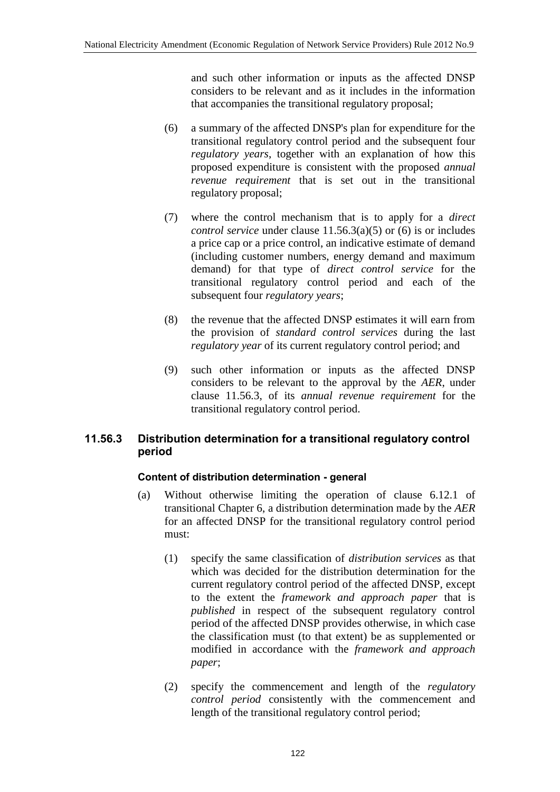and such other information or inputs as the affected DNSP considers to be relevant and as it includes in the information that accompanies the transitional regulatory proposal;

- (6) a summary of the affected DNSP's plan for expenditure for the transitional regulatory control period and the subsequent four *regulatory years*, together with an explanation of how this proposed expenditure is consistent with the proposed *annual revenue requirement* that is set out in the transitional regulatory proposal;
- (7) where the control mechanism that is to apply for a *direct control service* under clause 11.56.3(a)(5) or (6) is or includes a price cap or a price control, an indicative estimate of demand (including customer numbers, energy demand and maximum demand) for that type of *direct control service* for the transitional regulatory control period and each of the subsequent four *regulatory years*;
- (8) the revenue that the affected DNSP estimates it will earn from the provision of *standard control services* during the last *regulatory year* of its current regulatory control period; and
- (9) such other information or inputs as the affected DNSP considers to be relevant to the approval by the *AER*, under clause 11.56.3, of its *annual revenue requirement* for the transitional regulatory control period.

## **11.56.3 Distribution determination for a transitional regulatory control period**

## **Content of distribution determination - general**

- (a) Without otherwise limiting the operation of clause 6.12.1 of transitional Chapter 6, a distribution determination made by the *AER* for an affected DNSP for the transitional regulatory control period must:
	- (1) specify the same classification of *distribution services* as that which was decided for the distribution determination for the current regulatory control period of the affected DNSP, except to the extent the *framework and approach paper* that is *published* in respect of the subsequent regulatory control period of the affected DNSP provides otherwise, in which case the classification must (to that extent) be as supplemented or modified in accordance with the *framework and approach paper*;
	- (2) specify the commencement and length of the *regulatory control period* consistently with the commencement and length of the transitional regulatory control period;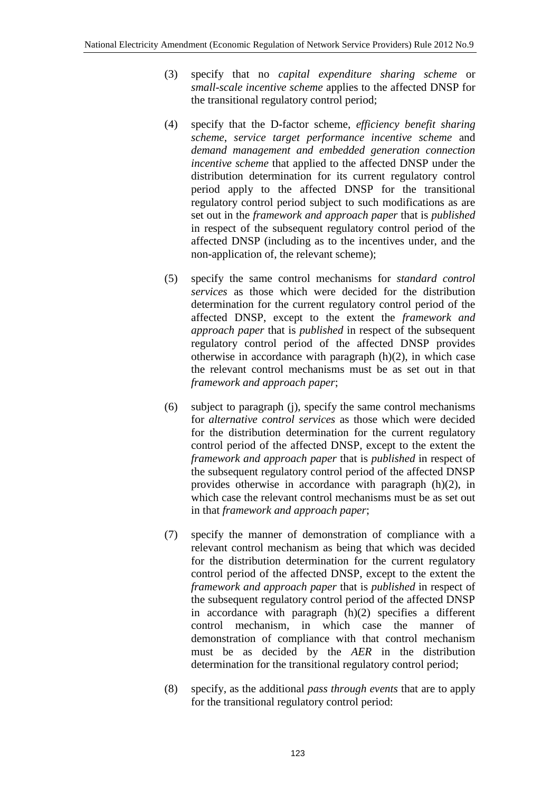- (3) specify that no *capital expenditure sharing scheme* or *small-scale incentive scheme* applies to the affected DNSP for the transitional regulatory control period;
- (4) specify that the D-factor scheme, *efficiency benefit sharing scheme*, *service target performance incentive scheme* and *demand management and embedded generation connection incentive scheme* that applied to the affected DNSP under the distribution determination for its current regulatory control period apply to the affected DNSP for the transitional regulatory control period subject to such modifications as are set out in the *framework and approach paper* that is *published* in respect of the subsequent regulatory control period of the affected DNSP (including as to the incentives under, and the non-application of, the relevant scheme);
- (5) specify the same control mechanisms for *standard control services* as those which were decided for the distribution determination for the current regulatory control period of the affected DNSP, except to the extent the *framework and approach paper* that is *published* in respect of the subsequent regulatory control period of the affected DNSP provides otherwise in accordance with paragraph (h)(2), in which case the relevant control mechanisms must be as set out in that *framework and approach paper*;
- (6) subject to paragraph (j), specify the same control mechanisms for *alternative control services* as those which were decided for the distribution determination for the current regulatory control period of the affected DNSP, except to the extent the *framework and approach paper* that is *published* in respect of the subsequent regulatory control period of the affected DNSP provides otherwise in accordance with paragraph (h)(2), in which case the relevant control mechanisms must be as set out in that *framework and approach paper*;
- (7) specify the manner of demonstration of compliance with a relevant control mechanism as being that which was decided for the distribution determination for the current regulatory control period of the affected DNSP, except to the extent the *framework and approach paper* that is *published* in respect of the subsequent regulatory control period of the affected DNSP in accordance with paragraph  $(h)(2)$  specifies a different control mechanism, in which case the manner demonstration of compliance with that control mechanism must be as decided by the *AER* in the distribution determination for the transitional regulatory control period;
- (8) specify, as the additional *pass through events* that are to apply for the transitional regulatory control period: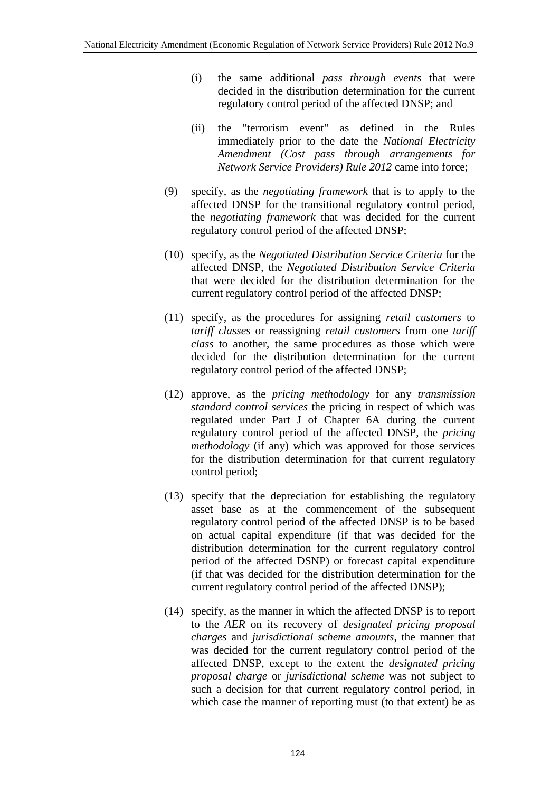- (i) the same additional *pass through events* that were decided in the distribution determination for the current regulatory control period of the affected DNSP; and
- (ii) the "terrorism event" as defined in the Rules immediately prior to the date the *National Electricity Amendment (Cost pass through arrangements for Network Service Providers) Rule 2012* came into force;
- (9) specify, as the *negotiating framework* that is to apply to the affected DNSP for the transitional regulatory control period, the *negotiating framework* that was decided for the current regulatory control period of the affected DNSP;
- (10) specify, as the *Negotiated Distribution Service Criteria* for the affected DNSP, the *Negotiated Distribution Service Criteria* that were decided for the distribution determination for the current regulatory control period of the affected DNSP;
- (11) specify, as the procedures for assigning *retail customers* to *tariff classes* or reassigning *retail customers* from one *tariff class* to another, the same procedures as those which were decided for the distribution determination for the current regulatory control period of the affected DNSP;
- (12) approve, as the *pricing methodology* for any *transmission standard control services* the pricing in respect of which was regulated under Part J of Chapter 6A during the current regulatory control period of the affected DNSP, the *pricing methodology* (if any) which was approved for those services for the distribution determination for that current regulatory control period;
- (13) specify that the depreciation for establishing the regulatory asset base as at the commencement of the subsequent regulatory control period of the affected DNSP is to be based on actual capital expenditure (if that was decided for the distribution determination for the current regulatory control period of the affected DSNP) or forecast capital expenditure (if that was decided for the distribution determination for the current regulatory control period of the affected DNSP);
- (14) specify, as the manner in which the affected DNSP is to report to the *AER* on its recovery of *designated pricing proposal charges* and *jurisdictional scheme amounts*, the manner that was decided for the current regulatory control period of the affected DNSP, except to the extent the *designated pricing proposal charge* or *jurisdictional scheme* was not subject to such a decision for that current regulatory control period, in which case the manner of reporting must (to that extent) be as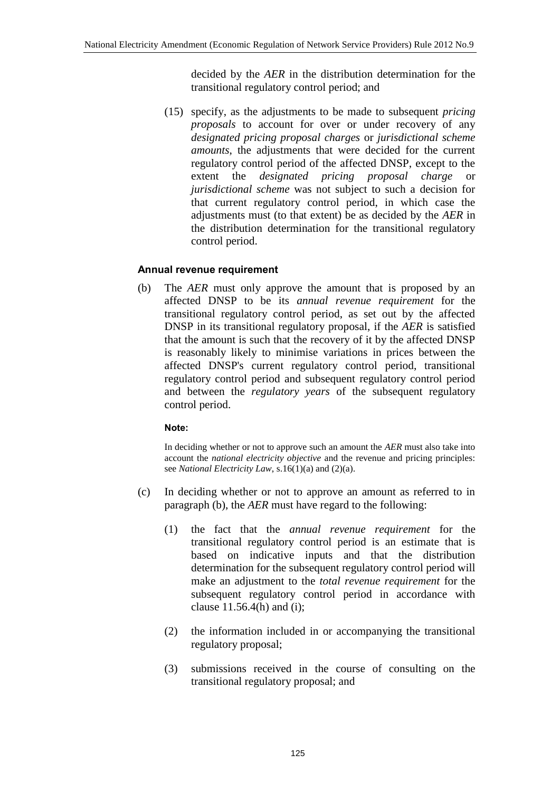decided by the *AER* in the distribution determination for the transitional regulatory control period; and

(15) specify, as the adjustments to be made to subsequent *pricing proposals* to account for over or under recovery of any *designated pricing proposal charges* or *jurisdictional scheme amounts*, the adjustments that were decided for the current regulatory control period of the affected DNSP, except to the extent the *designated pricing proposal charge* or *jurisdictional scheme* was not subject to such a decision for that current regulatory control period, in which case the adjustments must (to that extent) be as decided by the *AER* in the distribution determination for the transitional regulatory control period.

## **Annual revenue requirement**

(b) The *AER* must only approve the amount that is proposed by an affected DNSP to be its *annual revenue requirement* for the transitional regulatory control period, as set out by the affected DNSP in its transitional regulatory proposal, if the *AER* is satisfied that the amount is such that the recovery of it by the affected DNSP is reasonably likely to minimise variations in prices between the affected DNSP's current regulatory control period, transitional regulatory control period and subsequent regulatory control period and between the *regulatory years* of the subsequent regulatory control period.

## **Note:**

In deciding whether or not to approve such an amount the *AER* must also take into account the *national electricity objective* and the revenue and pricing principles: see *National Electricity Law*, s.16(1)(a) and (2)(a).

- (c) In deciding whether or not to approve an amount as referred to in paragraph (b), the *AER* must have regard to the following:
	- (1) the fact that the *annual revenue requirement* for the transitional regulatory control period is an estimate that is based on indicative inputs and that the distribution determination for the subsequent regulatory control period will make an adjustment to the *total revenue requirement* for the subsequent regulatory control period in accordance with clause 11.56.4(h) and (i);
	- (2) the information included in or accompanying the transitional regulatory proposal;
	- (3) submissions received in the course of consulting on the transitional regulatory proposal; and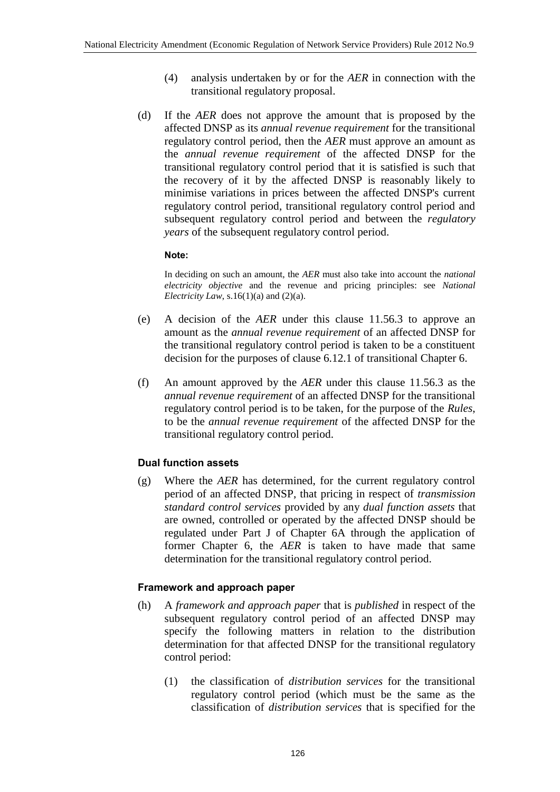- (4) analysis undertaken by or for the *AER* in connection with the transitional regulatory proposal.
- (d) If the *AER* does not approve the amount that is proposed by the affected DNSP as its *annual revenue requirement* for the transitional regulatory control period, then the *AER* must approve an amount as the *annual revenue requirement* of the affected DNSP for the transitional regulatory control period that it is satisfied is such that the recovery of it by the affected DNSP is reasonably likely to minimise variations in prices between the affected DNSP's current regulatory control period, transitional regulatory control period and subsequent regulatory control period and between the *regulatory years* of the subsequent regulatory control period.

### **Note:**

In deciding on such an amount, the *AER* must also take into account the *national electricity objective* and the revenue and pricing principles: see *National Electricity Law*, s.16(1)(a) and (2)(a).

- (e) A decision of the *AER* under this clause 11.56.3 to approve an amount as the *annual revenue requirement* of an affected DNSP for the transitional regulatory control period is taken to be a constituent decision for the purposes of clause 6.12.1 of transitional Chapter 6.
- (f) An amount approved by the *AER* under this clause 11.56.3 as the *annual revenue requirement* of an affected DNSP for the transitional regulatory control period is to be taken, for the purpose of the *Rules*, to be the *annual revenue requirement* of the affected DNSP for the transitional regulatory control period.

# **Dual function assets**

(g) Where the *AER* has determined, for the current regulatory control period of an affected DNSP, that pricing in respect of *transmission standard control services* provided by any *dual function assets* that are owned, controlled or operated by the affected DNSP should be regulated under Part J of Chapter 6A through the application of former Chapter 6, the *AER* is taken to have made that same determination for the transitional regulatory control period.

## **Framework and approach paper**

- (h) A *framework and approach paper* that is *published* in respect of the subsequent regulatory control period of an affected DNSP may specify the following matters in relation to the distribution determination for that affected DNSP for the transitional regulatory control period:
	- (1) the classification of *distribution services* for the transitional regulatory control period (which must be the same as the classification of *distribution services* that is specified for the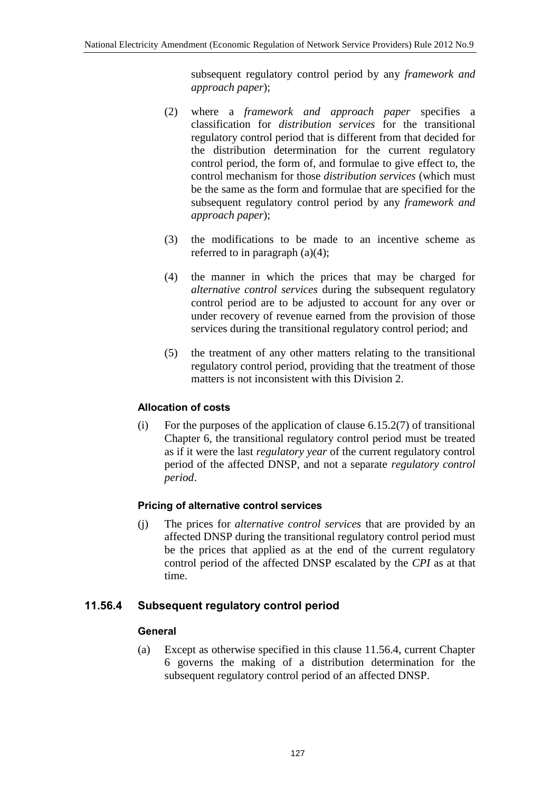subsequent regulatory control period by any *framework and approach paper*);

- (2) where a *framework and approach paper* specifies a classification for *distribution services* for the transitional regulatory control period that is different from that decided for the distribution determination for the current regulatory control period, the form of, and formulae to give effect to, the control mechanism for those *distribution services* (which must be the same as the form and formulae that are specified for the subsequent regulatory control period by any *framework and approach paper*);
- (3) the modifications to be made to an incentive scheme as referred to in paragraph (a)(4);
- (4) the manner in which the prices that may be charged for *alternative control services* during the subsequent regulatory control period are to be adjusted to account for any over or under recovery of revenue earned from the provision of those services during the transitional regulatory control period; and
- (5) the treatment of any other matters relating to the transitional regulatory control period, providing that the treatment of those matters is not inconsistent with this Division 2.

## **Allocation of costs**

(i) For the purposes of the application of clause  $6.15.2(7)$  of transitional Chapter 6, the transitional regulatory control period must be treated as if it were the last *regulatory year* of the current regulatory control period of the affected DNSP, and not a separate *regulatory control period*.

## **Pricing of alternative control services**

(j) The prices for *alternative control services* that are provided by an affected DNSP during the transitional regulatory control period must be the prices that applied as at the end of the current regulatory control period of the affected DNSP escalated by the *CPI* as at that time.

## **11.56.4 Subsequent regulatory control period**

## **General**

(a) Except as otherwise specified in this clause 11.56.4, current Chapter 6 governs the making of a distribution determination for the subsequent regulatory control period of an affected DNSP.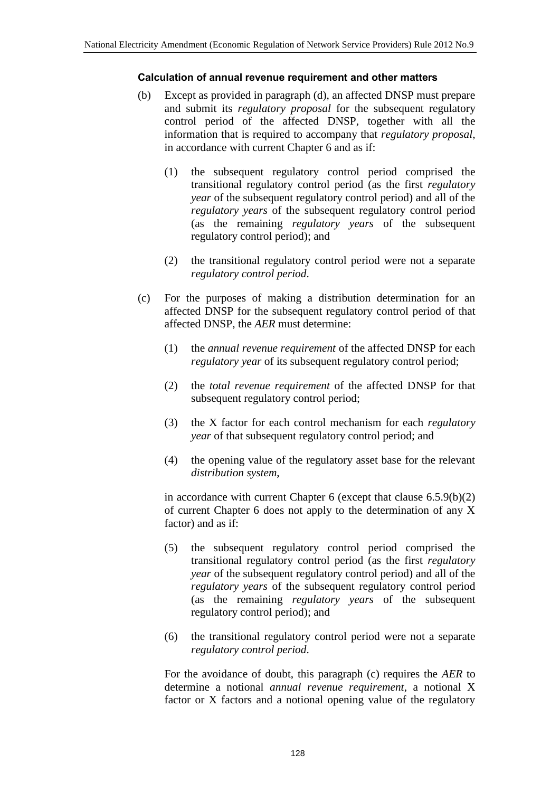### **Calculation of annual revenue requirement and other matters**

- (b) Except as provided in paragraph (d), an affected DNSP must prepare and submit its *regulatory proposal* for the subsequent regulatory control period of the affected DNSP, together with all the information that is required to accompany that *regulatory proposal*, in accordance with current Chapter 6 and as if:
	- (1) the subsequent regulatory control period comprised the transitional regulatory control period (as the first *regulatory year* of the subsequent regulatory control period) and all of the *regulatory years* of the subsequent regulatory control period (as the remaining *regulatory years* of the subsequent regulatory control period); and
	- (2) the transitional regulatory control period were not a separate *regulatory control period*.
- (c) For the purposes of making a distribution determination for an affected DNSP for the subsequent regulatory control period of that affected DNSP, the *AER* must determine:
	- (1) the *annual revenue requirement* of the affected DNSP for each *regulatory year* of its subsequent regulatory control period;
	- (2) the *total revenue requirement* of the affected DNSP for that subsequent regulatory control period;
	- (3) the X factor for each control mechanism for each *regulatory year* of that subsequent regulatory control period; and
	- (4) the opening value of the regulatory asset base for the relevant *distribution system*,

in accordance with current Chapter  $6$  (except that clause  $6.5.9(b)(2)$ ) of current Chapter 6 does not apply to the determination of any X factor) and as if:

- (5) the subsequent regulatory control period comprised the transitional regulatory control period (as the first *regulatory year* of the subsequent regulatory control period) and all of the *regulatory years* of the subsequent regulatory control period (as the remaining *regulatory years* of the subsequent regulatory control period); and
- (6) the transitional regulatory control period were not a separate *regulatory control period*.

For the avoidance of doubt, this paragraph (c) requires the *AER* to determine a notional *annual revenue requirement*, a notional X factor or X factors and a notional opening value of the regulatory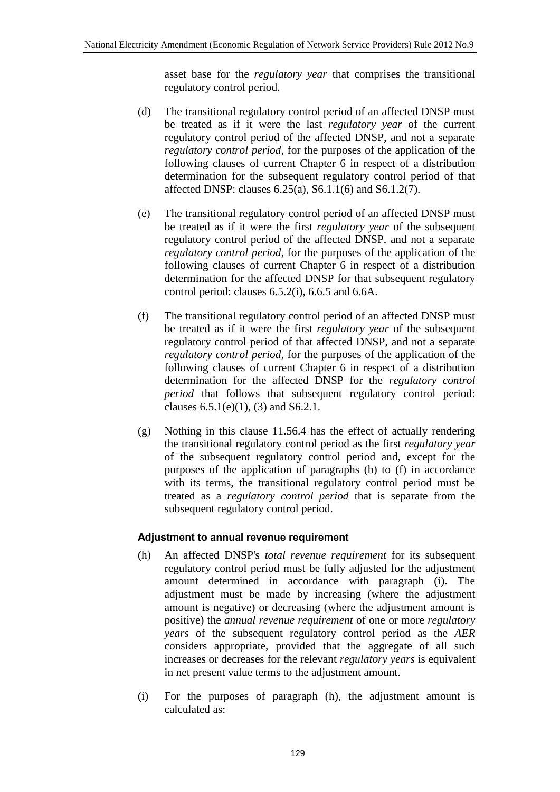asset base for the *regulatory year* that comprises the transitional regulatory control period.

- (d) The transitional regulatory control period of an affected DNSP must be treated as if it were the last *regulatory year* of the current regulatory control period of the affected DNSP, and not a separate *regulatory control period*, for the purposes of the application of the following clauses of current Chapter 6 in respect of a distribution determination for the subsequent regulatory control period of that affected DNSP: clauses 6.25(a), S6.1.1(6) and S6.1.2(7).
- (e) The transitional regulatory control period of an affected DNSP must be treated as if it were the first *regulatory year* of the subsequent regulatory control period of the affected DNSP, and not a separate *regulatory control period*, for the purposes of the application of the following clauses of current Chapter 6 in respect of a distribution determination for the affected DNSP for that subsequent regulatory control period: clauses 6.5.2(i), 6.6.5 and 6.6A.
- (f) The transitional regulatory control period of an affected DNSP must be treated as if it were the first *regulatory year* of the subsequent regulatory control period of that affected DNSP, and not a separate *regulatory control period*, for the purposes of the application of the following clauses of current Chapter 6 in respect of a distribution determination for the affected DNSP for the *regulatory control period* that follows that subsequent regulatory control period: clauses  $6.5.1(e)(1)$ ,  $(3)$  and  $S6.2.1$ .
- (g) Nothing in this clause 11.56.4 has the effect of actually rendering the transitional regulatory control period as the first *regulatory year* of the subsequent regulatory control period and, except for the purposes of the application of paragraphs (b) to (f) in accordance with its terms, the transitional regulatory control period must be treated as a *regulatory control period* that is separate from the subsequent regulatory control period.

### **Adjustment to annual revenue requirement**

- (h) An affected DNSP's *total revenue requirement* for its subsequent regulatory control period must be fully adjusted for the adjustment amount determined in accordance with paragraph (i). The adjustment must be made by increasing (where the adjustment amount is negative) or decreasing (where the adjustment amount is positive) the *annual revenue requirement* of one or more *regulatory years* of the subsequent regulatory control period as the *AER* considers appropriate, provided that the aggregate of all such increases or decreases for the relevant *regulatory years* is equivalent in net present value terms to the adjustment amount.
- (i) For the purposes of paragraph (h), the adjustment amount is calculated as: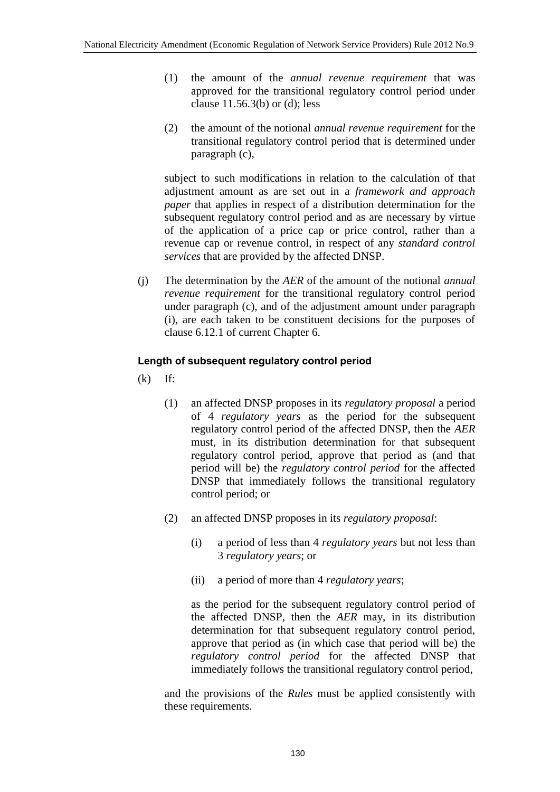- (1) the amount of the *annual revenue requirement* that was approved for the transitional regulatory control period under clause 11.56.3(b) or (d); less
- (2) the amount of the notional *annual revenue requirement* for the transitional regulatory control period that is determined under paragraph (c),

subject to such modifications in relation to the calculation of that adjustment amount as are set out in a *framework and approach paper* that applies in respect of a distribution determination for the subsequent regulatory control period and as are necessary by virtue of the application of a price cap or price control, rather than a revenue cap or revenue control, in respect of any *standard control services* that are provided by the affected DNSP.

(j) The determination by the *AER* of the amount of the notional *annual revenue requirement* for the transitional regulatory control period under paragraph (c), and of the adjustment amount under paragraph (i), are each taken to be constituent decisions for the purposes of clause 6.12.1 of current Chapter 6.

## **Length of subsequent regulatory control period**

- $(k)$  If:
	- (1) an affected DNSP proposes in its *regulatory proposal* a period of 4 *regulatory years* as the period for the subsequent regulatory control period of the affected DNSP, then the *AER* must, in its distribution determination for that subsequent regulatory control period, approve that period as (and that period will be) the *regulatory control period* for the affected DNSP that immediately follows the transitional regulatory control period; or
	- (2) an affected DNSP proposes in its *regulatory proposal*:
		- (i) a period of less than 4 *regulatory years* but not less than 3 *regulatory years*; or
		- (ii) a period of more than 4 *regulatory years*;

as the period for the subsequent regulatory control period of the affected DNSP, then the *AER* may, in its distribution determination for that subsequent regulatory control period, approve that period as (in which case that period will be) the *regulatory control period* for the affected DNSP that immediately follows the transitional regulatory control period,

and the provisions of the *Rules* must be applied consistently with these requirements.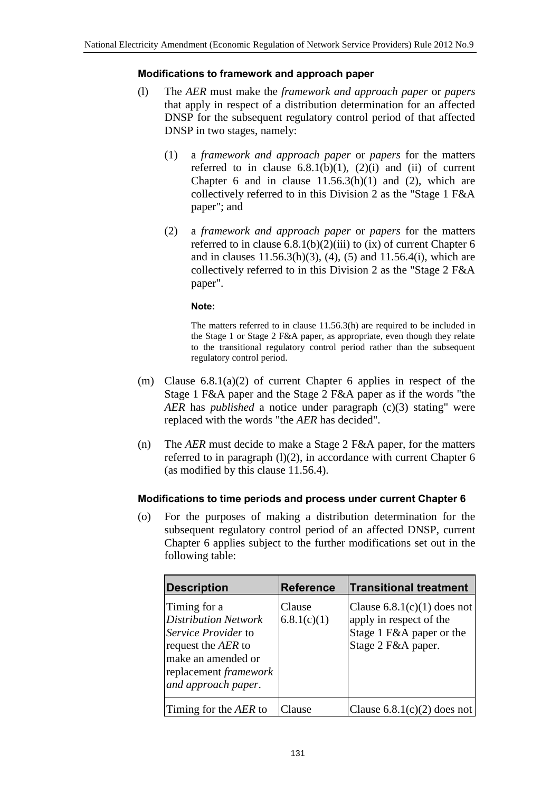### **Modifications to framework and approach paper**

- (l) The *AER* must make the *framework and approach paper* or *papers* that apply in respect of a distribution determination for an affected DNSP for the subsequent regulatory control period of that affected DNSP in two stages, namely:
	- (1) a *framework and approach paper* or *papers* for the matters referred to in clause  $6.8.1(b)(1)$ ,  $(2)(i)$  and  $(ii)$  of current Chapter 6 and in clause  $11.56.3(h)(1)$  and  $(2)$ , which are collectively referred to in this Division 2 as the "Stage 1 F&A paper"; and
	- (2) a *framework and approach paper* or *papers* for the matters referred to in clause  $6.8.1(b)(2)(iii)$  to  $(ix)$  of current Chapter 6 and in clauses  $11.56.3(h)(3)$ ,  $(4)$ ,  $(5)$  and  $11.56.4(i)$ , which are collectively referred to in this Division 2 as the "Stage 2 F&A paper".

#### **Note:**

The matters referred to in clause 11.56.3(h) are required to be included in the Stage 1 or Stage 2 F&A paper, as appropriate, even though they relate to the transitional regulatory control period rather than the subsequent regulatory control period.

- (m) Clause 6.8.1(a)(2) of current Chapter 6 applies in respect of the Stage 1 F&A paper and the Stage 2 F&A paper as if the words "the *AER* has *published* a notice under paragraph (c)(3) stating" were replaced with the words "the *AER* has decided".
- (n) The *AER* must decide to make a Stage 2 F&A paper, for the matters referred to in paragraph  $(l)(2)$ , in accordance with current Chapter 6 (as modified by this clause 11.56.4).

### **Modifications to time periods and process under current Chapter 6**

(o) For the purposes of making a distribution determination for the subsequent regulatory control period of an affected DNSP, current Chapter 6 applies subject to the further modifications set out in the following table:

| <b>Description</b>                                                                                                                                                           | <b>Reference</b>      | <b>Transitional treatment</b>                                                                              |
|------------------------------------------------------------------------------------------------------------------------------------------------------------------------------|-----------------------|------------------------------------------------------------------------------------------------------------|
| Timing for a<br><b>Distribution Network</b><br><i>Service Provider</i> to<br>request the AER to<br>make an amended or<br>replacement <i>framework</i><br>and approach paper. | Clause<br>6.8.1(c)(1) | Clause $6.8.1(c)(1)$ does not<br>apply in respect of the<br>Stage 1 F&A paper or the<br>Stage 2 F&A paper. |
| Timing for the AER to                                                                                                                                                        | 'lause                | Clause $6.8.1(c)(2)$ does not                                                                              |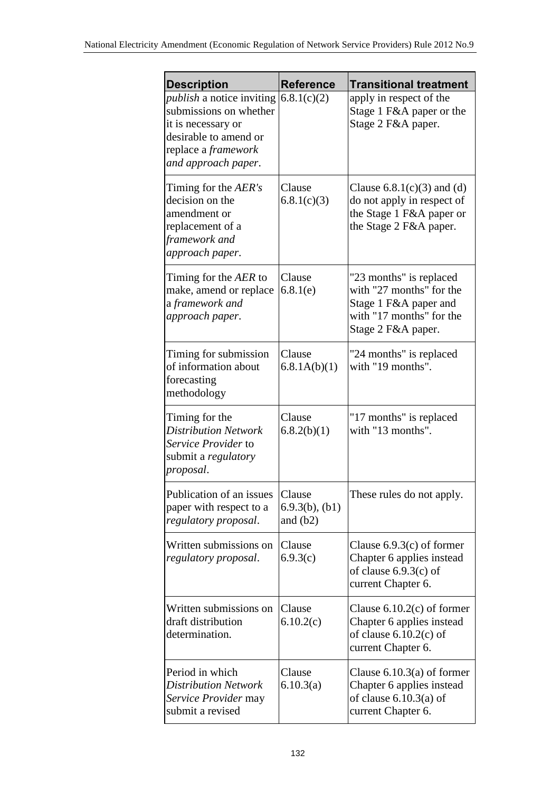| <b>Description</b>                                                                                                                                             | <b>Reference</b>                            | <b>Transitional treatment</b>                                                                                                  |
|----------------------------------------------------------------------------------------------------------------------------------------------------------------|---------------------------------------------|--------------------------------------------------------------------------------------------------------------------------------|
| <i>publish</i> a notice inviting<br>submissions on whether<br>it is necessary or<br>desirable to amend or<br>replace a <i>framework</i><br>and approach paper. | 6.8.1(c)(2)                                 | apply in respect of the<br>Stage 1 F&A paper or the<br>Stage 2 F&A paper.                                                      |
| Timing for the <i>AER's</i><br>decision on the<br>amendment or<br>replacement of a<br>framework and<br>approach paper.                                         | Clause<br>6.8.1(c)(3)                       | Clause $6.8.1(c)(3)$ and (d)<br>do not apply in respect of<br>the Stage 1 F&A paper or<br>the Stage 2 F&A paper.               |
| Timing for the AER to<br>make, amend or replace<br>a framework and<br>approach paper.                                                                          | Clause<br>6.8.1(e)                          | "23 months" is replaced<br>with "27 months" for the<br>Stage 1 F&A paper and<br>with "17 months" for the<br>Stage 2 F&A paper. |
| Timing for submission<br>of information about<br>forecasting<br>methodology                                                                                    | Clause<br>6.8.1A(b)(1)                      | "24 months" is replaced<br>with "19 months".                                                                                   |
| Timing for the<br><b>Distribution Network</b><br>Service Provider to<br>submit a <i>regulatory</i><br>proposal.                                                | Clause<br>6.8.2(b)(1)                       | "17 months" is replaced<br>with "13 months".                                                                                   |
| Publication of an issues<br>paper with respect to a<br>regulatory proposal.                                                                                    | Clause<br>$6.9.3(b)$ , $(b1)$<br>and $(b2)$ | These rules do not apply.                                                                                                      |
| Written submissions on<br>regulatory proposal.                                                                                                                 | Clause<br>6.9.3(c)                          | Clause $6.9.3(c)$ of former<br>Chapter 6 applies instead<br>of clause $6.9.3(c)$ of<br>current Chapter 6.                      |
| Written submissions on<br>draft distribution<br>determination.                                                                                                 | Clause<br>6.10.2(c)                         | Clause $6.10.2(c)$ of former<br>Chapter 6 applies instead<br>of clause $6.10.2(c)$ of<br>current Chapter 6.                    |
| Period in which<br><b>Distribution Network</b><br>Service Provider may<br>submit a revised                                                                     | Clause<br>6.10.3(a)                         | Clause $6.10.3(a)$ of former<br>Chapter 6 applies instead<br>of clause $6.10.3(a)$ of<br>current Chapter 6.                    |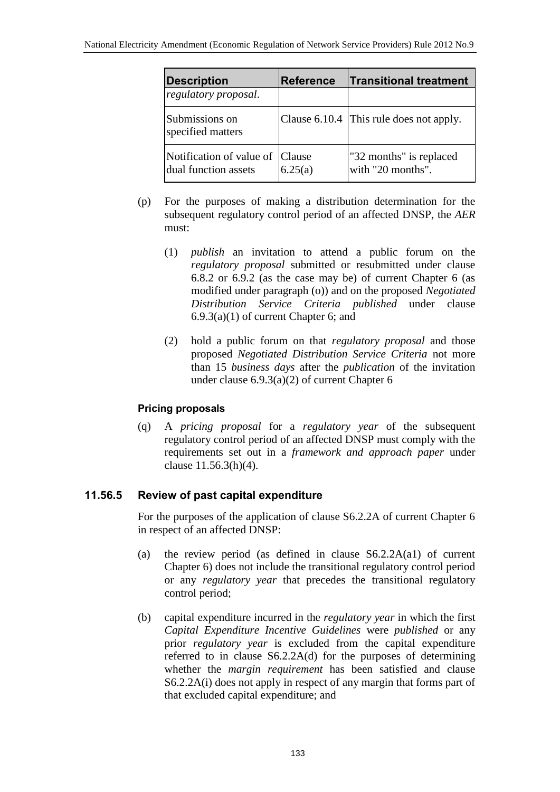| <b>Description</b>                                      | <b>Reference</b> | <b>Transitional treatment</b>                |
|---------------------------------------------------------|------------------|----------------------------------------------|
| regulatory proposal.                                    |                  |                                              |
| Submissions on<br>specified matters                     |                  | Clause 6.10.4 This rule does not apply.      |
| Notification of value of Clause<br>dual function assets | 6.25(a)          | "32 months" is replaced<br>with "20 months". |

- (p) For the purposes of making a distribution determination for the subsequent regulatory control period of an affected DNSP, the *AER* must:
	- (1) *publish* an invitation to attend a public forum on the *regulatory proposal* submitted or resubmitted under clause 6.8.2 or 6.9.2 (as the case may be) of current Chapter 6 (as modified under paragraph (o)) and on the proposed *Negotiated Distribution Service Criteria published* under clause 6.9.3(a)(1) of current Chapter 6; and
	- (2) hold a public forum on that *regulatory proposal* and those proposed *Negotiated Distribution Service Criteria* not more than 15 *business days* after the *publication* of the invitation under clause 6.9.3(a)(2) of current Chapter 6

## **Pricing proposals**

(q) A *pricing proposal* for a *regulatory year* of the subsequent regulatory control period of an affected DNSP must comply with the requirements set out in a *framework and approach paper* under clause 11.56.3(h)(4).

# **11.56.5 Review of past capital expenditure**

For the purposes of the application of clause S6.2.2A of current Chapter 6 in respect of an affected DNSP:

- (a) the review period (as defined in clause S6.2.2A(a1) of current Chapter 6) does not include the transitional regulatory control period or any *regulatory year* that precedes the transitional regulatory control period;
- (b) capital expenditure incurred in the *regulatory year* in which the first *Capital Expenditure Incentive Guidelines* were *published* or any prior *regulatory year* is excluded from the capital expenditure referred to in clause S6.2.2A(d) for the purposes of determining whether the *margin requirement* has been satisfied and clause S6.2.2A(i) does not apply in respect of any margin that forms part of that excluded capital expenditure; and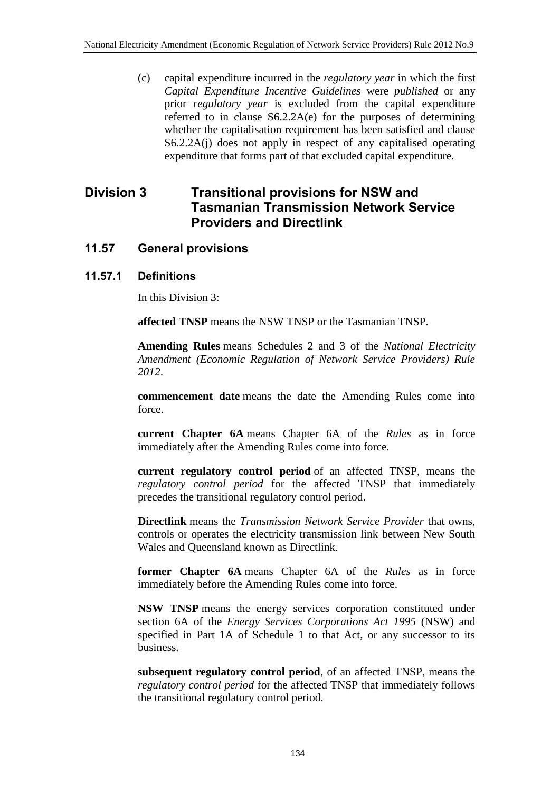(c) capital expenditure incurred in the *regulatory year* in which the first *Capital Expenditure Incentive Guidelines* were *published* or any prior *regulatory year* is excluded from the capital expenditure referred to in clause S6.2.2A(e) for the purposes of determining whether the capitalisation requirement has been satisfied and clause S6.2.2A(j) does not apply in respect of any capitalised operating expenditure that forms part of that excluded capital expenditure.

# **Division 3 Transitional provisions for NSW and Tasmanian Transmission Network Service Providers and Directlink**

# **11.57 General provisions**

## **11.57.1 Definitions**

In this Division 3:

**affected TNSP** means the NSW TNSP or the Tasmanian TNSP.

**Amending Rules** means Schedules 2 and 3 of the *National Electricity Amendment (Economic Regulation of Network Service Providers) Rule 2012*.

**commencement date** means the date the Amending Rules come into force.

**current Chapter 6A** means Chapter 6A of the *Rules* as in force immediately after the Amending Rules come into force.

**current regulatory control period** of an affected TNSP, means the *regulatory control period* for the affected TNSP that immediately precedes the transitional regulatory control period.

**Directlink** means the *Transmission Network Service Provider* that owns, controls or operates the electricity transmission link between New South Wales and Queensland known as Directlink.

**former Chapter 6A** means Chapter 6A of the *Rules* as in force immediately before the Amending Rules come into force.

**NSW TNSP** means the energy services corporation constituted under section 6A of the *Energy Services Corporations Act 1995* (NSW) and specified in Part 1A of Schedule 1 to that Act, or any successor to its business.

**subsequent regulatory control period**, of an affected TNSP, means the *regulatory control period* for the affected TNSP that immediately follows the transitional regulatory control period.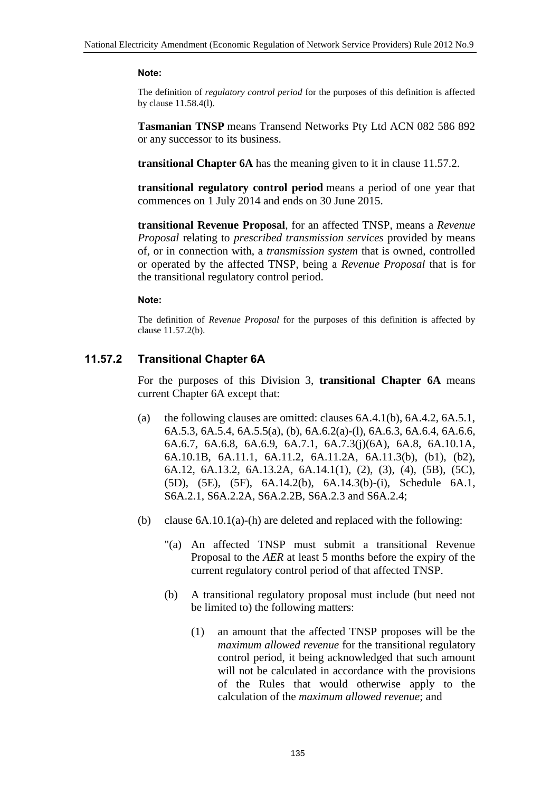#### **Note:**

The definition of *regulatory control period* for the purposes of this definition is affected by clause 11.58.4(l).

**Tasmanian TNSP** means Transend Networks Pty Ltd ACN 082 586 892 or any successor to its business.

**transitional Chapter 6A** has the meaning given to it in clause 11.57.2.

**transitional regulatory control period** means a period of one year that commences on 1 July 2014 and ends on 30 June 2015.

**transitional Revenue Proposal**, for an affected TNSP, means a *Revenue Proposal* relating to *prescribed transmission services* provided by means of, or in connection with, a *transmission system* that is owned, controlled or operated by the affected TNSP, being a *Revenue Proposal* that is for the transitional regulatory control period.

#### **Note:**

The definition of *Revenue Proposal* for the purposes of this definition is affected by clause 11.57.2(b).

## **11.57.2 Transitional Chapter 6A**

For the purposes of this Division 3, **transitional Chapter 6A** means current Chapter 6A except that:

- (a) the following clauses are omitted: clauses  $6A.4.1(b)$ ,  $6A.4.2$ ,  $6A.5.1$ , 6A.5.3, 6A.5.4, 6A.5.5(a), (b), 6A.6.2(a)-(l), 6A.6.3, 6A.6.4, 6A.6.6, 6A.6.7, 6A.6.8, 6A.6.9, 6A.7.1, 6A.7.3(j)(6A), 6A.8, 6A.10.1A, 6A.10.1B, 6A.11.1, 6A.11.2, 6A.11.2A, 6A.11.3(b), (b1), (b2), 6A.12, 6A.13.2, 6A.13.2A, 6A.14.1(1), (2), (3), (4), (5B), (5C), (5D), (5E), (5F), 6A.14.2(b), 6A.14.3(b)-(i), Schedule 6A.1, S6A.2.1, S6A.2.2A, S6A.2.2B, S6A.2.3 and S6A.2.4;
- (b) clause  $6A.10.1(a)$ -(h) are deleted and replaced with the following:
	- "(a) An affected TNSP must submit a transitional Revenue Proposal to the *AER* at least 5 months before the expiry of the current regulatory control period of that affected TNSP.
	- (b) A transitional regulatory proposal must include (but need not be limited to) the following matters:
		- (1) an amount that the affected TNSP proposes will be the *maximum allowed revenue* for the transitional regulatory control period, it being acknowledged that such amount will not be calculated in accordance with the provisions of the Rules that would otherwise apply to the calculation of the *maximum allowed revenue*; and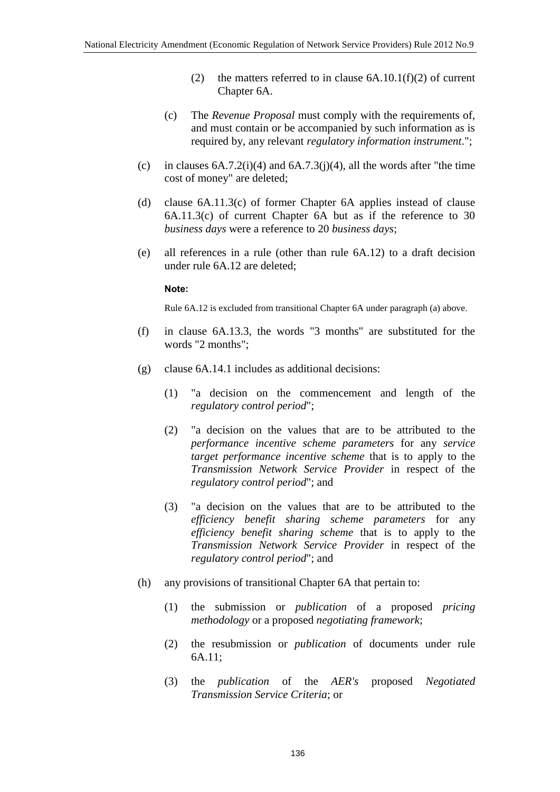- (2) the matters referred to in clause  $6A.10.1(f)(2)$  of current Chapter 6A.
- (c) The *Revenue Proposal* must comply with the requirements of, and must contain or be accompanied by such information as is required by, any relevant *regulatory information instrument*.";
- (c) in clauses  $6A.7.2(i)(4)$  and  $6A.7.3(i)(4)$ , all the words after "the time" cost of money" are deleted;
- (d) clause 6A.11.3(c) of former Chapter 6A applies instead of clause 6A.11.3(c) of current Chapter 6A but as if the reference to 30 *business days* were a reference to 20 *business days*;
- (e) all references in a rule (other than rule 6A.12) to a draft decision under rule 6A.12 are deleted;

#### **Note:**

Rule 6A.12 is excluded from transitional Chapter 6A under paragraph (a) above.

- (f) in clause 6A.13.3, the words "3 months" are substituted for the words "2 months";
- (g) clause 6A.14.1 includes as additional decisions:
	- (1) "a decision on the commencement and length of the *regulatory control period*";
	- (2) "a decision on the values that are to be attributed to the *performance incentive scheme parameters* for any *service target performance incentive scheme* that is to apply to the *Transmission Network Service Provider* in respect of the *regulatory control period*"; and
	- (3) "a decision on the values that are to be attributed to the *efficiency benefit sharing scheme parameters* for any *efficiency benefit sharing scheme* that is to apply to the *Transmission Network Service Provider* in respect of the *regulatory control period*"; and
- (h) any provisions of transitional Chapter 6A that pertain to:
	- (1) the submission or *publication* of a proposed *pricing methodology* or a proposed *negotiating framework*;
	- (2) the resubmission or *publication* of documents under rule 6A.11;
	- (3) the *publication* of the *AER's* proposed *Negotiated Transmission Service Criteria*; or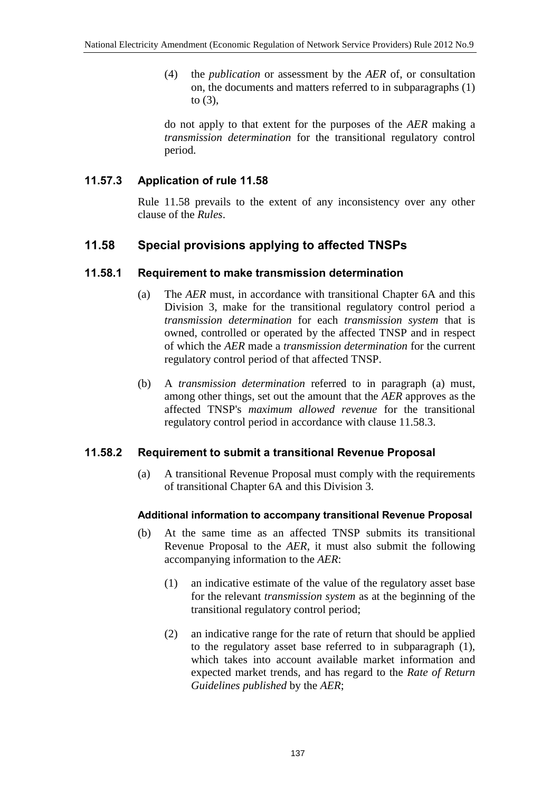(4) the *publication* or assessment by the *AER* of, or consultation on, the documents and matters referred to in subparagraphs (1) to (3),

do not apply to that extent for the purposes of the *AER* making a *transmission determination* for the transitional regulatory control period.

## **11.57.3 Application of rule 11.58**

Rule 11.58 prevails to the extent of any inconsistency over any other clause of the *Rules*.

# **11.58 Special provisions applying to affected TNSPs**

## **11.58.1 Requirement to make transmission determination**

- (a) The *AER* must, in accordance with transitional Chapter 6A and this Division 3, make for the transitional regulatory control period a *transmission determination* for each *transmission system* that is owned, controlled or operated by the affected TNSP and in respect of which the *AER* made a *transmission determination* for the current regulatory control period of that affected TNSP.
- (b) A *transmission determination* referred to in paragraph (a) must, among other things, set out the amount that the *AER* approves as the affected TNSP's *maximum allowed revenue* for the transitional regulatory control period in accordance with clause 11.58.3.

## **11.58.2 Requirement to submit a transitional Revenue Proposal**

(a) A transitional Revenue Proposal must comply with the requirements of transitional Chapter 6A and this Division 3.

## **Additional information to accompany transitional Revenue Proposal**

- (b) At the same time as an affected TNSP submits its transitional Revenue Proposal to the *AER*, it must also submit the following accompanying information to the *AER*:
	- (1) an indicative estimate of the value of the regulatory asset base for the relevant *transmission system* as at the beginning of the transitional regulatory control period;
	- (2) an indicative range for the rate of return that should be applied to the regulatory asset base referred to in subparagraph (1), which takes into account available market information and expected market trends, and has regard to the *Rate of Return Guidelines published* by the *AER*;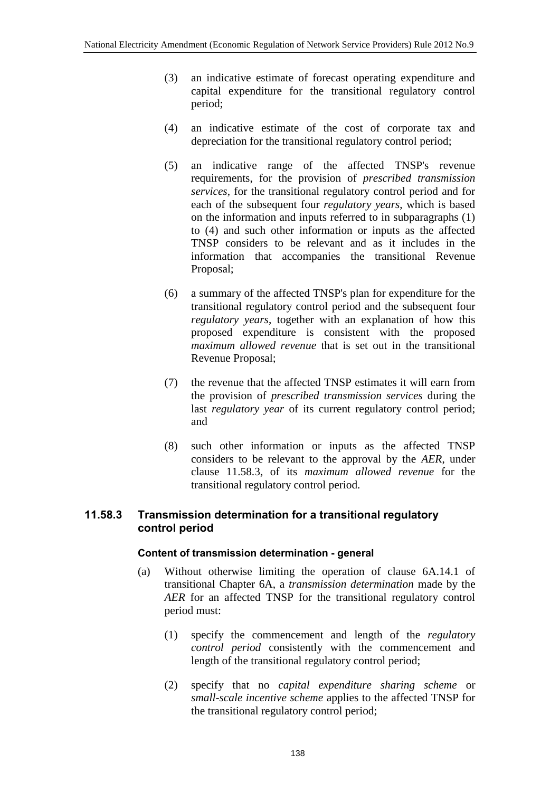- (3) an indicative estimate of forecast operating expenditure and capital expenditure for the transitional regulatory control period;
- (4) an indicative estimate of the cost of corporate tax and depreciation for the transitional regulatory control period;
- (5) an indicative range of the affected TNSP's revenue requirements, for the provision of *prescribed transmission services*, for the transitional regulatory control period and for each of the subsequent four *regulatory years*, which is based on the information and inputs referred to in subparagraphs (1) to (4) and such other information or inputs as the affected TNSP considers to be relevant and as it includes in the information that accompanies the transitional Revenue Proposal;
- (6) a summary of the affected TNSP's plan for expenditure for the transitional regulatory control period and the subsequent four *regulatory years*, together with an explanation of how this proposed expenditure is consistent with the proposed *maximum allowed revenue* that is set out in the transitional Revenue Proposal;
- (7) the revenue that the affected TNSP estimates it will earn from the provision of *prescribed transmission services* during the last *regulatory year* of its current regulatory control period; and
- (8) such other information or inputs as the affected TNSP considers to be relevant to the approval by the *AER*, under clause 11.58.3, of its *maximum allowed revenue* for the transitional regulatory control period.

## **11.58.3 Transmission determination for a transitional regulatory control period**

### **Content of transmission determination - general**

- (a) Without otherwise limiting the operation of clause 6A.14.1 of transitional Chapter 6A, a *transmission determination* made by the *AER* for an affected TNSP for the transitional regulatory control period must:
	- (1) specify the commencement and length of the *regulatory control period* consistently with the commencement and length of the transitional regulatory control period;
	- (2) specify that no *capital expenditure sharing scheme* or *small-scale incentive scheme* applies to the affected TNSP for the transitional regulatory control period;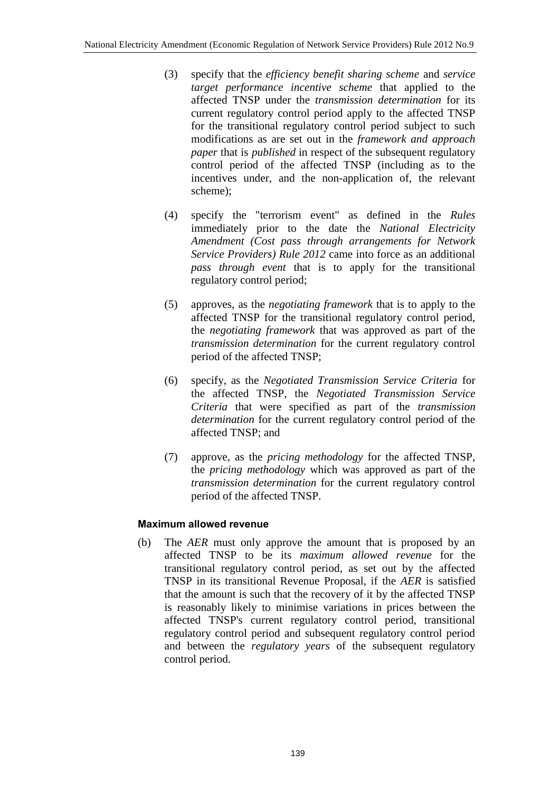- (3) specify that the *efficiency benefit sharing scheme* and *service target performance incentive scheme* that applied to the affected TNSP under the *transmission determination* for its current regulatory control period apply to the affected TNSP for the transitional regulatory control period subject to such modifications as are set out in the *framework and approach paper* that is *published* in respect of the subsequent regulatory control period of the affected TNSP (including as to the incentives under, and the non-application of, the relevant scheme);
- (4) specify the "terrorism event" as defined in the *Rules* immediately prior to the date the *National Electricity Amendment (Cost pass through arrangements for Network Service Providers) Rule 2012* came into force as an additional *pass through event* that is to apply for the transitional regulatory control period;
- (5) approves, as the *negotiating framework* that is to apply to the affected TNSP for the transitional regulatory control period, the *negotiating framework* that was approved as part of the *transmission determination* for the current regulatory control period of the affected TNSP;
- (6) specify, as the *Negotiated Transmission Service Criteria* for the affected TNSP, the *Negotiated Transmission Service Criteria* that were specified as part of the *transmission determination* for the current regulatory control period of the affected TNSP; and
- (7) approve, as the *pricing methodology* for the affected TNSP, the *pricing methodology* which was approved as part of the *transmission determination* for the current regulatory control period of the affected TNSP.

## **Maximum allowed revenue**

(b) The *AER* must only approve the amount that is proposed by an affected TNSP to be its *maximum allowed revenue* for the transitional regulatory control period, as set out by the affected TNSP in its transitional Revenue Proposal, if the *AER* is satisfied that the amount is such that the recovery of it by the affected TNSP is reasonably likely to minimise variations in prices between the affected TNSP's current regulatory control period, transitional regulatory control period and subsequent regulatory control period and between the *regulatory years* of the subsequent regulatory control period.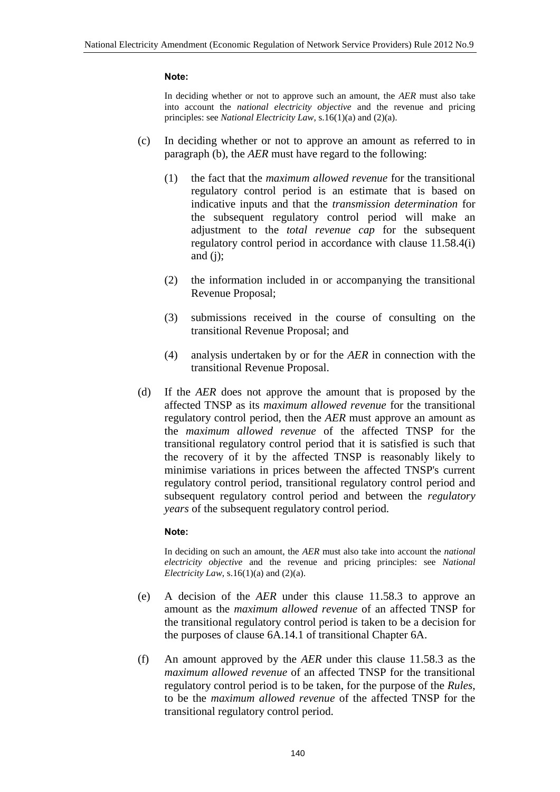#### **Note:**

In deciding whether or not to approve such an amount, the *AER* must also take into account the *national electricity objective* and the revenue and pricing principles: see *National Electricity Law*, s.16(1)(a) and (2)(a).

- (c) In deciding whether or not to approve an amount as referred to in paragraph (b), the *AER* must have regard to the following:
	- (1) the fact that the *maximum allowed revenue* for the transitional regulatory control period is an estimate that is based on indicative inputs and that the *transmission determination* for the subsequent regulatory control period will make an adjustment to the *total revenue cap* for the subsequent regulatory control period in accordance with clause 11.58.4(i) and  $(i)$ ;
	- (2) the information included in or accompanying the transitional Revenue Proposal;
	- (3) submissions received in the course of consulting on the transitional Revenue Proposal; and
	- (4) analysis undertaken by or for the *AER* in connection with the transitional Revenue Proposal.
- (d) If the *AER* does not approve the amount that is proposed by the affected TNSP as its *maximum allowed revenue* for the transitional regulatory control period, then the *AER* must approve an amount as the *maximum allowed revenue* of the affected TNSP for the transitional regulatory control period that it is satisfied is such that the recovery of it by the affected TNSP is reasonably likely to minimise variations in prices between the affected TNSP's current regulatory control period, transitional regulatory control period and subsequent regulatory control period and between the *regulatory years* of the subsequent regulatory control period.

#### **Note:**

In deciding on such an amount, the *AER* must also take into account the *national electricity objective* and the revenue and pricing principles: see *National Electricity Law*, s.16(1)(a) and (2)(a).

- (e) A decision of the *AER* under this clause 11.58.3 to approve an amount as the *maximum allowed revenue* of an affected TNSP for the transitional regulatory control period is taken to be a decision for the purposes of clause 6A.14.1 of transitional Chapter 6A.
- (f) An amount approved by the *AER* under this clause 11.58.3 as the *maximum allowed revenue* of an affected TNSP for the transitional regulatory control period is to be taken, for the purpose of the *Rules*, to be the *maximum allowed revenue* of the affected TNSP for the transitional regulatory control period.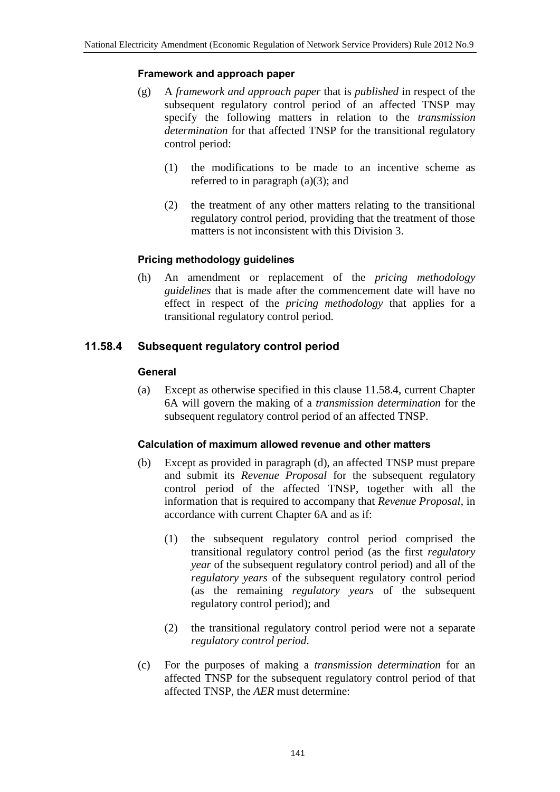### **Framework and approach paper**

- (g) A *framework and approach paper* that is *published* in respect of the subsequent regulatory control period of an affected TNSP may specify the following matters in relation to the *transmission determination* for that affected TNSP for the transitional regulatory control period:
	- (1) the modifications to be made to an incentive scheme as referred to in paragraph  $(a)(3)$ ; and
	- (2) the treatment of any other matters relating to the transitional regulatory control period, providing that the treatment of those matters is not inconsistent with this Division 3.

## **Pricing methodology guidelines**

(h) An amendment or replacement of the *pricing methodology guidelines* that is made after the commencement date will have no effect in respect of the *pricing methodology* that applies for a transitional regulatory control period.

## **11.58.4 Subsequent regulatory control period**

### **General**

(a) Except as otherwise specified in this clause 11.58.4, current Chapter 6A will govern the making of a *transmission determination* for the subsequent regulatory control period of an affected TNSP.

### **Calculation of maximum allowed revenue and other matters**

- (b) Except as provided in paragraph (d), an affected TNSP must prepare and submit its *Revenue Proposal* for the subsequent regulatory control period of the affected TNSP, together with all the information that is required to accompany that *Revenue Proposal*, in accordance with current Chapter 6A and as if:
	- (1) the subsequent regulatory control period comprised the transitional regulatory control period (as the first *regulatory year* of the subsequent regulatory control period) and all of the *regulatory years* of the subsequent regulatory control period (as the remaining *regulatory years* of the subsequent regulatory control period); and
	- (2) the transitional regulatory control period were not a separate *regulatory control period*.
- (c) For the purposes of making a *transmission determination* for an affected TNSP for the subsequent regulatory control period of that affected TNSP, the *AER* must determine: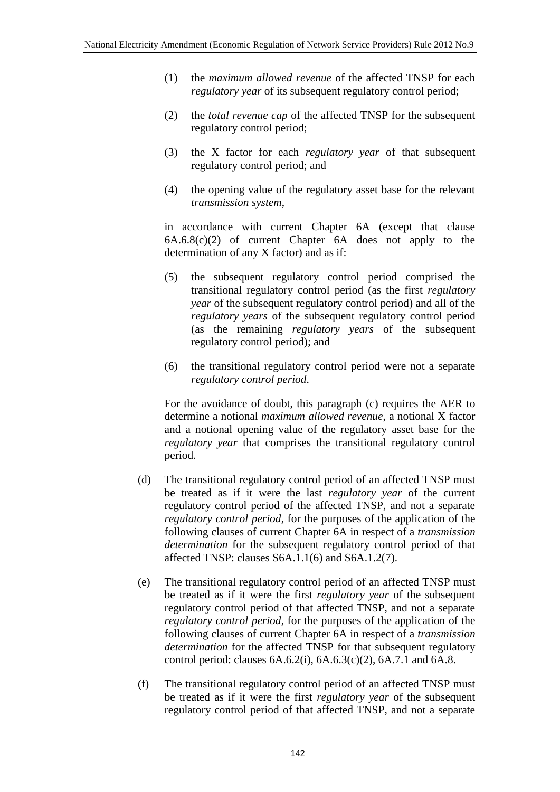- (1) the *maximum allowed revenue* of the affected TNSP for each *regulatory year* of its subsequent regulatory control period;
- (2) the *total revenue cap* of the affected TNSP for the subsequent regulatory control period;
- (3) the X factor for each *regulatory year* of that subsequent regulatory control period; and
- (4) the opening value of the regulatory asset base for the relevant *transmission system*,

in accordance with current Chapter 6A (except that clause 6A.6.8(c)(2) of current Chapter 6A does not apply to the determination of any X factor) and as if:

- (5) the subsequent regulatory control period comprised the transitional regulatory control period (as the first *regulatory year* of the subsequent regulatory control period) and all of the *regulatory years* of the subsequent regulatory control period (as the remaining *regulatory years* of the subsequent regulatory control period); and
- (6) the transitional regulatory control period were not a separate *regulatory control period*.

For the avoidance of doubt, this paragraph (c) requires the AER to determine a notional *maximum allowed revenue*, a notional X factor and a notional opening value of the regulatory asset base for the *regulatory year* that comprises the transitional regulatory control period.

- (d) The transitional regulatory control period of an affected TNSP must be treated as if it were the last *regulatory year* of the current regulatory control period of the affected TNSP, and not a separate *regulatory control period*, for the purposes of the application of the following clauses of current Chapter 6A in respect of a *transmission determination* for the subsequent regulatory control period of that affected TNSP: clauses S6A.1.1(6) and S6A.1.2(7).
- (e) The transitional regulatory control period of an affected TNSP must be treated as if it were the first *regulatory year* of the subsequent regulatory control period of that affected TNSP, and not a separate *regulatory control period*, for the purposes of the application of the following clauses of current Chapter 6A in respect of a *transmission determination* for the affected TNSP for that subsequent regulatory control period: clauses 6A.6.2(i), 6A.6.3(c)(2), 6A.7.1 and 6A.8.
- (f) The transitional regulatory control period of an affected TNSP must be treated as if it were the first *regulatory year* of the subsequent regulatory control period of that affected TNSP, and not a separate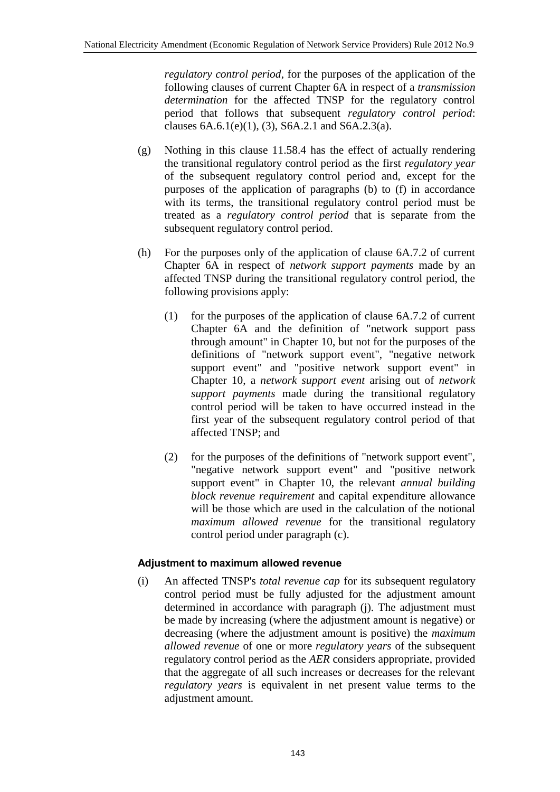*regulatory control period*, for the purposes of the application of the following clauses of current Chapter 6A in respect of a *transmission determination* for the affected TNSP for the regulatory control period that follows that subsequent *regulatory control period*: clauses  $6A.6.1(e)(1)$ ,  $(3)$ ,  $S6A.2.1$  and  $S6A.2.3(a)$ .

- (g) Nothing in this clause 11.58.4 has the effect of actually rendering the transitional regulatory control period as the first *regulatory year* of the subsequent regulatory control period and, except for the purposes of the application of paragraphs (b) to (f) in accordance with its terms, the transitional regulatory control period must be treated as a *regulatory control period* that is separate from the subsequent regulatory control period.
- (h) For the purposes only of the application of clause 6A.7.2 of current Chapter 6A in respect of *network support payments* made by an affected TNSP during the transitional regulatory control period, the following provisions apply:
	- (1) for the purposes of the application of clause 6A.7.2 of current Chapter 6A and the definition of "network support pass through amount" in Chapter 10, but not for the purposes of the definitions of "network support event", "negative network support event" and "positive network support event" in Chapter 10, a *network support event* arising out of *network support payments* made during the transitional regulatory control period will be taken to have occurred instead in the first year of the subsequent regulatory control period of that affected TNSP; and
	- (2) for the purposes of the definitions of "network support event", "negative network support event" and "positive network support event" in Chapter 10, the relevant *annual building block revenue requirement* and capital expenditure allowance will be those which are used in the calculation of the notional *maximum allowed revenue* for the transitional regulatory control period under paragraph (c).

## **Adjustment to maximum allowed revenue**

(i) An affected TNSP's *total revenue cap* for its subsequent regulatory control period must be fully adjusted for the adjustment amount determined in accordance with paragraph (j). The adjustment must be made by increasing (where the adjustment amount is negative) or decreasing (where the adjustment amount is positive) the *maximum allowed revenue* of one or more *regulatory years* of the subsequent regulatory control period as the *AER* considers appropriate, provided that the aggregate of all such increases or decreases for the relevant *regulatory years* is equivalent in net present value terms to the adjustment amount.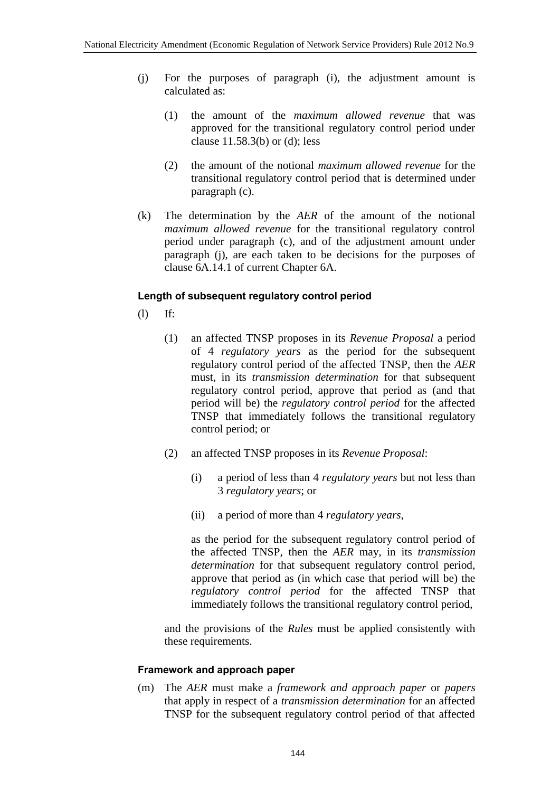- (j) For the purposes of paragraph (i), the adjustment amount is calculated as:
	- (1) the amount of the *maximum allowed revenue* that was approved for the transitional regulatory control period under clause 11.58.3(b) or (d); less
	- (2) the amount of the notional *maximum allowed revenue* for the transitional regulatory control period that is determined under paragraph (c).
- (k) The determination by the *AER* of the amount of the notional *maximum allowed revenue* for the transitional regulatory control period under paragraph (c), and of the adjustment amount under paragraph (j), are each taken to be decisions for the purposes of clause 6A.14.1 of current Chapter 6A.

## **Length of subsequent regulatory control period**

(l) If:

- (1) an affected TNSP proposes in its *Revenue Proposal* a period of 4 *regulatory years* as the period for the subsequent regulatory control period of the affected TNSP, then the *AER* must, in its *transmission determination* for that subsequent regulatory control period, approve that period as (and that period will be) the *regulatory control period* for the affected TNSP that immediately follows the transitional regulatory control period; or
- (2) an affected TNSP proposes in its *Revenue Proposal*:
	- (i) a period of less than 4 *regulatory years* but not less than 3 *regulatory years*; or
	- (ii) a period of more than 4 *regulatory years*,

as the period for the subsequent regulatory control period of the affected TNSP, then the *AER* may, in its *transmission determination* for that subsequent regulatory control period, approve that period as (in which case that period will be) the *regulatory control period* for the affected TNSP that immediately follows the transitional regulatory control period,

and the provisions of the *Rules* must be applied consistently with these requirements.

### **Framework and approach paper**

(m) The *AER* must make a *framework and approach paper* or *papers* that apply in respect of a *transmission determination* for an affected TNSP for the subsequent regulatory control period of that affected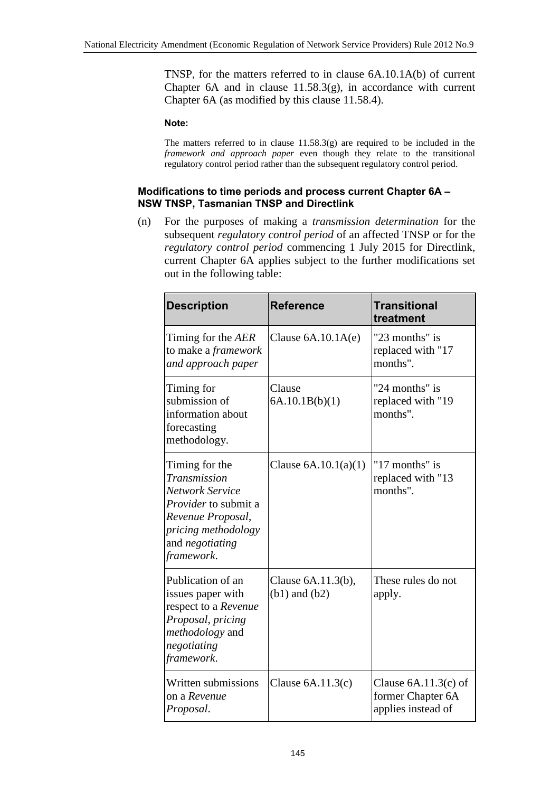TNSP, for the matters referred to in clause 6A.10.1A(b) of current Chapter  $6A$  and in clause  $11.58.3(g)$ , in accordance with current Chapter 6A (as modified by this clause 11.58.4).

#### **Note:**

The matters referred to in clause 11.58.3(g) are required to be included in the *framework and approach paper* even though they relate to the transitional regulatory control period rather than the subsequent regulatory control period.

#### **Modifications to time periods and process current Chapter 6A – NSW TNSP, Tasmanian TNSP and Directlink**

(n) For the purposes of making a *transmission determination* for the subsequent *regulatory control period* of an affected TNSP or for the *regulatory control period* commencing 1 July 2015 for Directlink, current Chapter 6A applies subject to the further modifications set out in the following table:

| <b>Description</b>                                                                                                                                                          | <b>Reference</b>                        | <b>Transitional</b><br>treatment                                  |
|-----------------------------------------------------------------------------------------------------------------------------------------------------------------------------|-----------------------------------------|-------------------------------------------------------------------|
| Timing for the AER<br>to make a <i>framework</i><br>and approach paper                                                                                                      | Clause $6A.10.1A(e)$                    | "23 months" is<br>replaced with "17<br>months".                   |
| Timing for<br>submission of<br>information about<br>forecasting<br>methodology.                                                                                             | Clause<br>6A.10.1B(b)(1)                | "24 months" is<br>replaced with "19<br>months".                   |
| Timing for the<br>Transmission<br><b>Network Service</b><br><i>Provider</i> to submit a<br>Revenue Proposal,<br>pricing methodology<br>and <i>negotiating</i><br>framework. | Clause $6A.10.1(a)(1)$                  | "17 months" is<br>replaced with "13<br>months".                   |
| Publication of an<br>issues paper with<br>respect to a Revenue<br>Proposal, pricing<br>methodology and<br>negotiating<br>framework.                                         | Clause 6A.11.3(b),<br>$(b1)$ and $(b2)$ | These rules do not<br>apply.                                      |
| Written submissions<br>on a Revenue<br>Proposal.                                                                                                                            | Clause $6A.11.3(c)$                     | Clause $6A.11.3(c)$ of<br>former Chapter 6A<br>applies instead of |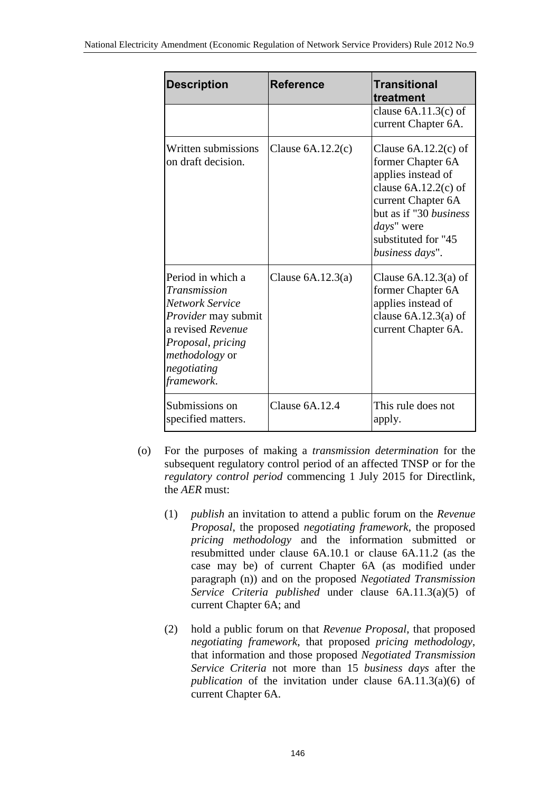| <b>Description</b>                                                                                                                                                                 | <b>Reference</b>    | <b>Transitional</b><br>treatment                                                                                                                                                                           |
|------------------------------------------------------------------------------------------------------------------------------------------------------------------------------------|---------------------|------------------------------------------------------------------------------------------------------------------------------------------------------------------------------------------------------------|
|                                                                                                                                                                                    |                     | clause $6A.11.3(c)$ of<br>current Chapter 6A.                                                                                                                                                              |
| Written submissions<br>on draft decision.                                                                                                                                          | Clause $6A.12.2(c)$ | Clause $6A.12.2(c)$ of<br>former Chapter 6A<br>applies instead of<br>clause $6A.12.2(c)$ of<br>current Chapter 6A<br>but as if "30 <i>business</i><br>days" were<br>substituted for "45<br>business days". |
| Period in which a<br>Transmission<br>Network Service<br><i>Provider</i> may submit<br>a revised Revenue<br>Proposal, pricing<br><i>methodology</i> or<br>negotiating<br>framework. | Clause $6A.12.3(a)$ | Clause $6A.12.3(a)$ of<br>former Chapter 6A<br>applies instead of<br>clause $6A.12.3(a)$ of<br>current Chapter 6A.                                                                                         |
| Submissions on<br>specified matters.                                                                                                                                               | Clause $6A.12.4$    | This rule does not<br>apply.                                                                                                                                                                               |

- (o) For the purposes of making a *transmission determination* for the subsequent regulatory control period of an affected TNSP or for the *regulatory control period* commencing 1 July 2015 for Directlink, the *AER* must:
	- (1) *publish* an invitation to attend a public forum on the *Revenue Proposal*, the proposed *negotiating framework*, the proposed *pricing methodology* and the information submitted or resubmitted under clause 6A.10.1 or clause 6A.11.2 (as the case may be) of current Chapter 6A (as modified under paragraph (n)) and on the proposed *Negotiated Transmission Service Criteria published* under clause 6A.11.3(a)(5) of current Chapter 6A; and
	- (2) hold a public forum on that *Revenue Proposal*, that proposed *negotiating framework*, that proposed *pricing methodology*, that information and those proposed *Negotiated Transmission Service Criteria* not more than 15 *business days* after the *publication* of the invitation under clause 6A.11.3(a)(6) of current Chapter 6A.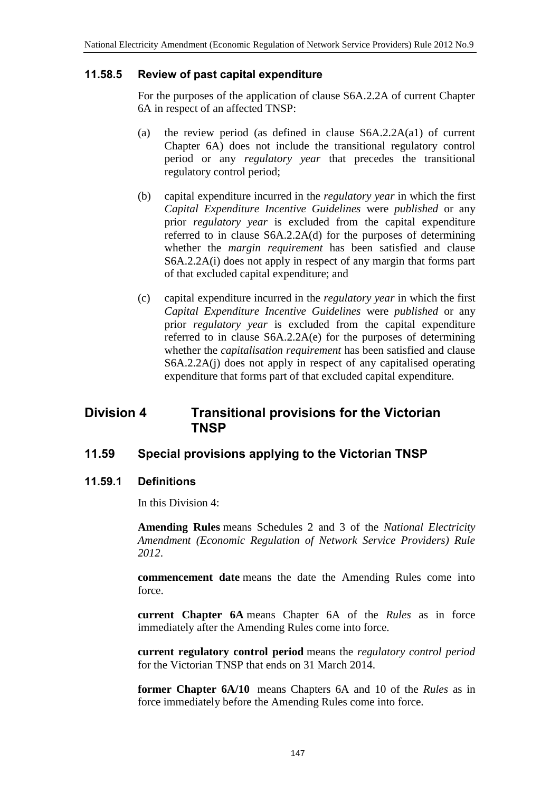### **11.58.5 Review of past capital expenditure**

For the purposes of the application of clause S6A.2.2A of current Chapter 6A in respect of an affected TNSP:

- (a) the review period (as defined in clause S6A.2.2A(a1) of current Chapter 6A) does not include the transitional regulatory control period or any *regulatory year* that precedes the transitional regulatory control period;
- (b) capital expenditure incurred in the *regulatory year* in which the first *Capital Expenditure Incentive Guidelines* were *published* or any prior *regulatory year* is excluded from the capital expenditure referred to in clause S6A.2.2A(d) for the purposes of determining whether the *margin requirement* has been satisfied and clause S6A.2.2A(i) does not apply in respect of any margin that forms part of that excluded capital expenditure; and
- (c) capital expenditure incurred in the *regulatory year* in which the first *Capital Expenditure Incentive Guidelines* were *published* or any prior *regulatory year* is excluded from the capital expenditure referred to in clause S6A.2.2A(e) for the purposes of determining whether the *capitalisation requirement* has been satisfied and clause S6A.2.2A(j) does not apply in respect of any capitalised operating expenditure that forms part of that excluded capital expenditure.

# **Division 4 Transitional provisions for the Victorian TNSP**

# **11.59 Special provisions applying to the Victorian TNSP**

### **11.59.1 Definitions**

In this Division 4:

**Amending Rules** means Schedules 2 and 3 of the *National Electricity Amendment (Economic Regulation of Network Service Providers) Rule 2012*.

**commencement date** means the date the Amending Rules come into force.

**current Chapter 6A** means Chapter 6A of the *Rules* as in force immediately after the Amending Rules come into force.

**current regulatory control period** means the *regulatory control period* for the Victorian TNSP that ends on 31 March 2014.

**former Chapter 6A/10** means Chapters 6A and 10 of the *Rules* as in force immediately before the Amending Rules come into force.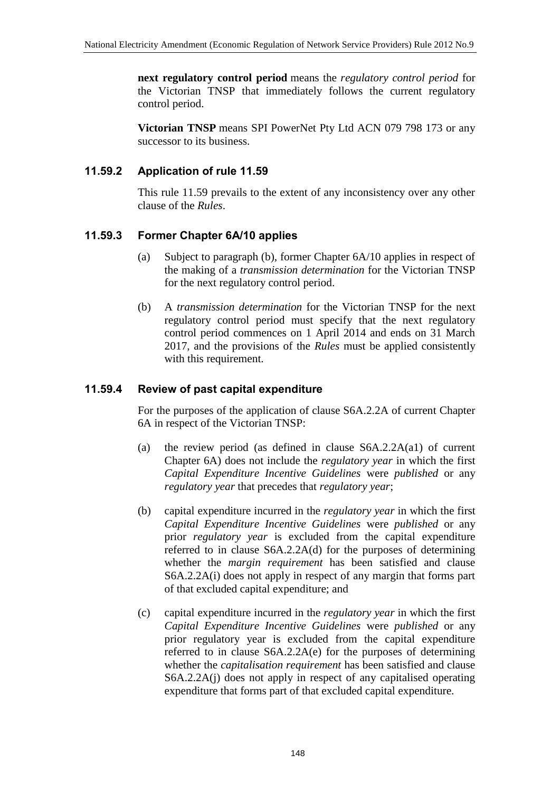**next regulatory control period** means the *regulatory control period* for the Victorian TNSP that immediately follows the current regulatory control period.

**Victorian TNSP** means SPI PowerNet Pty Ltd ACN 079 798 173 or any successor to its business.

## **11.59.2 Application of rule 11.59**

This rule 11.59 prevails to the extent of any inconsistency over any other clause of the *Rules*.

## **11.59.3 Former Chapter 6A/10 applies**

- (a) Subject to paragraph (b), former Chapter 6A/10 applies in respect of the making of a *transmission determination* for the Victorian TNSP for the next regulatory control period.
- (b) A *transmission determination* for the Victorian TNSP for the next regulatory control period must specify that the next regulatory control period commences on 1 April 2014 and ends on 31 March 2017, and the provisions of the *Rules* must be applied consistently with this requirement.

### **11.59.4 Review of past capital expenditure**

For the purposes of the application of clause S6A.2.2A of current Chapter 6A in respect of the Victorian TNSP:

- (a) the review period (as defined in clause S6A.2.2A(a1) of current Chapter 6A) does not include the *regulatory year* in which the first *Capital Expenditure Incentive Guidelines* were *published* or any *regulatory year* that precedes that *regulatory year*;
- (b) capital expenditure incurred in the *regulatory year* in which the first *Capital Expenditure Incentive Guidelines* were *published* or any prior *regulatory year* is excluded from the capital expenditure referred to in clause S6A.2.2A(d) for the purposes of determining whether the *margin requirement* has been satisfied and clause S6A.2.2A(i) does not apply in respect of any margin that forms part of that excluded capital expenditure; and
- (c) capital expenditure incurred in the *regulatory year* in which the first *Capital Expenditure Incentive Guidelines* were *published* or any prior regulatory year is excluded from the capital expenditure referred to in clause S6A.2.2A(e) for the purposes of determining whether the *capitalisation requirement* has been satisfied and clause S6A.2.2A(j) does not apply in respect of any capitalised operating expenditure that forms part of that excluded capital expenditure.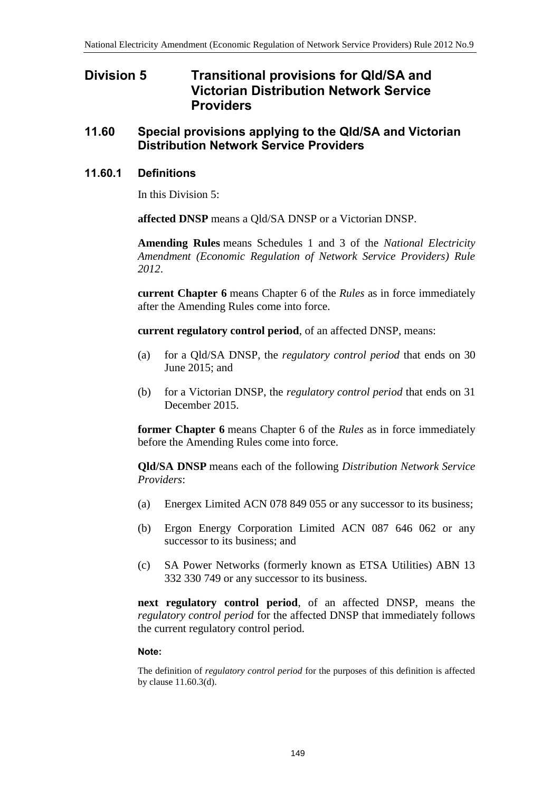# **Division 5 Transitional provisions for Qld/SA and Victorian Distribution Network Service Providers**

## **11.60 Special provisions applying to the Qld/SA and Victorian Distribution Network Service Providers**

### **11.60.1 Definitions**

In this Division 5:

**affected DNSP** means a Qld/SA DNSP or a Victorian DNSP.

**Amending Rules** means Schedules 1 and 3 of the *National Electricity Amendment (Economic Regulation of Network Service Providers) Rule 2012*.

**current Chapter 6** means Chapter 6 of the *Rules* as in force immediately after the Amending Rules come into force.

**current regulatory control period**, of an affected DNSP, means:

- (a) for a Qld/SA DNSP, the *regulatory control period* that ends on 30 June 2015; and
- (b) for a Victorian DNSP, the *regulatory control period* that ends on 31 December 2015.

**former Chapter 6** means Chapter 6 of the *Rules* as in force immediately before the Amending Rules come into force.

**Qld/SA DNSP** means each of the following *Distribution Network Service Providers*:

- (a) Energex Limited ACN 078 849 055 or any successor to its business;
- (b) Ergon Energy Corporation Limited ACN 087 646 062 or any successor to its business; and
- (c) SA Power Networks (formerly known as ETSA Utilities) ABN 13 332 330 749 or any successor to its business.

**next regulatory control period**, of an affected DNSP, means the *regulatory control period* for the affected DNSP that immediately follows the current regulatory control period.

#### **Note:**

The definition of *regulatory control period* for the purposes of this definition is affected by clause 11.60.3(d).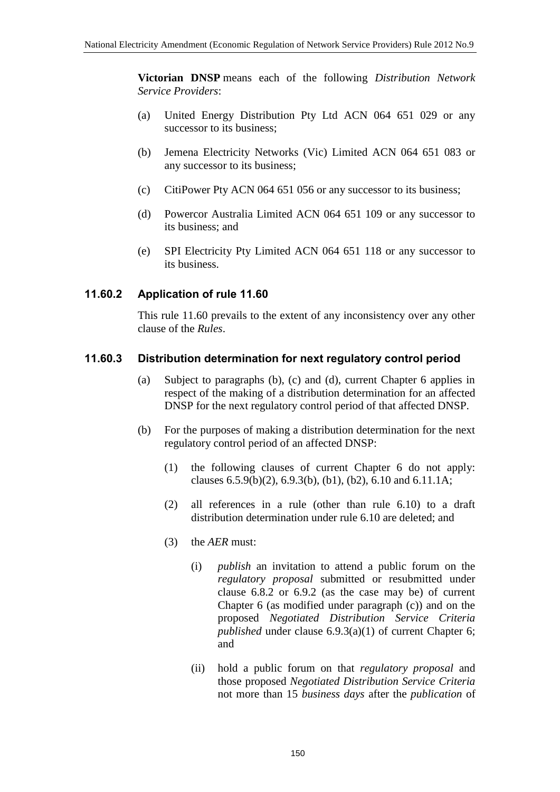**Victorian DNSP** means each of the following *Distribution Network Service Providers*:

- (a) United Energy Distribution Pty Ltd ACN 064 651 029 or any successor to its business;
- (b) Jemena Electricity Networks (Vic) Limited ACN 064 651 083 or any successor to its business;
- (c) CitiPower Pty ACN 064 651 056 or any successor to its business;
- (d) Powercor Australia Limited ACN 064 651 109 or any successor to its business; and
- (e) SPI Electricity Pty Limited ACN 064 651 118 or any successor to its business.

## **11.60.2 Application of rule 11.60**

This rule 11.60 prevails to the extent of any inconsistency over any other clause of the *Rules*.

## **11.60.3 Distribution determination for next regulatory control period**

- (a) Subject to paragraphs (b), (c) and (d), current Chapter 6 applies in respect of the making of a distribution determination for an affected DNSP for the next regulatory control period of that affected DNSP.
- (b) For the purposes of making a distribution determination for the next regulatory control period of an affected DNSP:
	- (1) the following clauses of current Chapter 6 do not apply: clauses  $6.5.9(b)(2)$ ,  $6.9.3(b)$ ,  $(b1)$ ,  $(b2)$ ,  $6.10$  and  $6.11.1A$ ;
	- (2) all references in a rule (other than rule 6.10) to a draft distribution determination under rule 6.10 are deleted; and
	- (3) the *AER* must:
		- (i) *publish* an invitation to attend a public forum on the *regulatory proposal* submitted or resubmitted under clause 6.8.2 or 6.9.2 (as the case may be) of current Chapter 6 (as modified under paragraph (c)) and on the proposed *Negotiated Distribution Service Criteria published* under clause 6.9.3(a)(1) of current Chapter 6; and
		- (ii) hold a public forum on that *regulatory proposal* and those proposed *Negotiated Distribution Service Criteria* not more than 15 *business days* after the *publication* of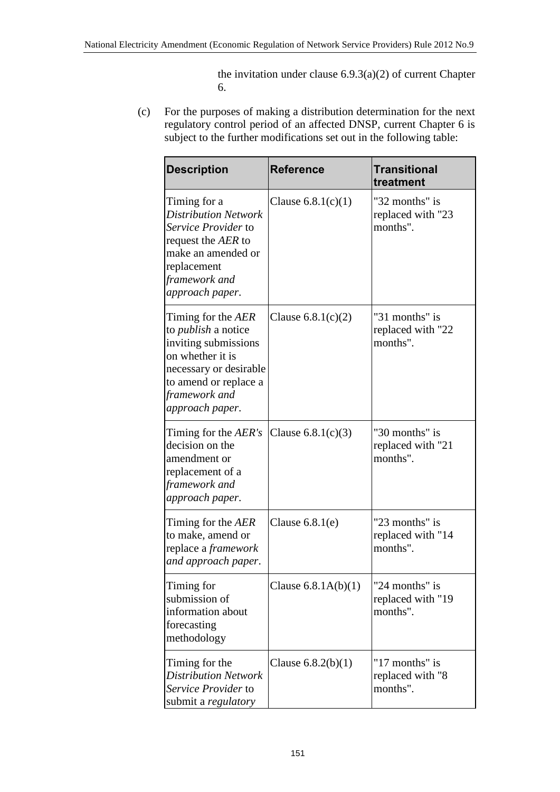the invitation under clause  $6.9.3(a)(2)$  of current Chapter 6.

(c) For the purposes of making a distribution determination for the next regulatory control period of an affected DNSP, current Chapter 6 is subject to the further modifications set out in the following table:

| <b>Description</b>                                                                                                                                                                  | <b>Reference</b>      | <b>Transitional</b><br>treatment                |
|-------------------------------------------------------------------------------------------------------------------------------------------------------------------------------------|-----------------------|-------------------------------------------------|
| Timing for a<br><b>Distribution Network</b><br>Service Provider to<br>request the AER to<br>make an amended or<br>replacement<br>framework and<br>approach paper.                   | Clause $6.8.1(c)(1)$  | "32 months" is<br>replaced with "23<br>months". |
| Timing for the AER<br>to <i>publish</i> a notice<br>inviting submissions<br>on whether it is<br>necessary or desirable<br>to amend or replace a<br>framework and<br>approach paper. | Clause $6.8.1(c)(2)$  | "31 months" is<br>replaced with "22<br>months". |
| Timing for the AER's<br>decision on the<br>amendment or<br>replacement of a<br>framework and<br>approach paper.                                                                     | Clause $6.8.1(c)(3)$  | "30 months" is<br>replaced with "21<br>months". |
| Timing for the AER<br>to make, amend or<br>replace a <i>framework</i><br>and approach paper.                                                                                        | Clause $6.8.1(e)$     | "23 months" is<br>replaced with "14<br>months". |
| Timing for<br>submission of<br>information about<br>forecasting<br>methodology                                                                                                      | Clause $6.8.1A(b)(1)$ | "24 months" is<br>replaced with "19<br>months". |
| Timing for the<br><b>Distribution Network</b><br>Service Provider to<br>submit a <i>regulatory</i>                                                                                  | Clause $6.8.2(b)(1)$  | "17 months" is<br>replaced with "8<br>months".  |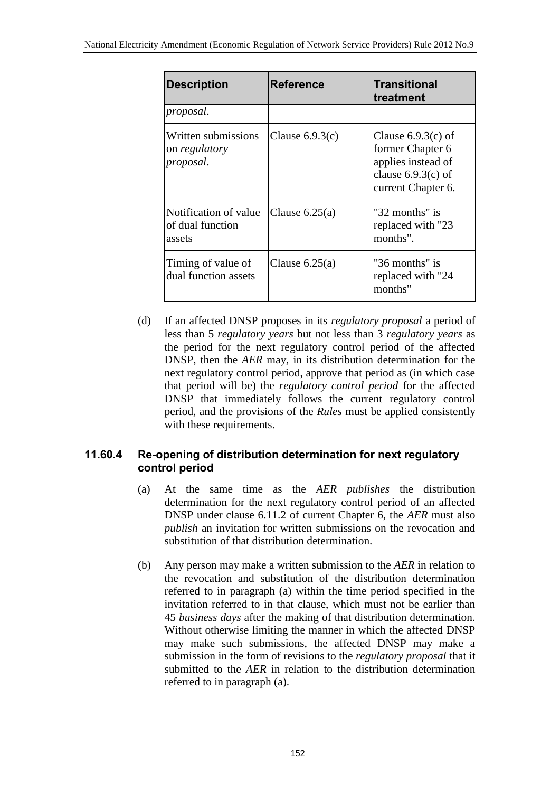| <b>Description</b>                                  | <b>Reference</b>  | Transitional<br>treatment                                                                                    |
|-----------------------------------------------------|-------------------|--------------------------------------------------------------------------------------------------------------|
| proposal.                                           |                   |                                                                                                              |
| Written submissions<br>on regulatory<br>proposal.   | Clause $6.9.3(c)$ | Clause $6.9.3(c)$ of<br>former Chapter 6<br>applies instead of<br>clause $6.9.3(c)$ of<br>current Chapter 6. |
| Notification of value<br>of dual function<br>assets | Clause $6.25(a)$  | "32 months" is<br>replaced with "23<br>months".                                                              |
| Timing of value of<br>dual function assets          | Clause $6.25(a)$  | "36 months" is<br>replaced with "24<br>months"                                                               |

(d) If an affected DNSP proposes in its *regulatory proposal* a period of less than 5 *regulatory years* but not less than 3 *regulatory years* as the period for the next regulatory control period of the affected DNSP, then the *AER* may, in its distribution determination for the next regulatory control period, approve that period as (in which case that period will be) the *regulatory control period* for the affected DNSP that immediately follows the current regulatory control period, and the provisions of the *Rules* must be applied consistently with these requirements.

## **11.60.4 Re-opening of distribution determination for next regulatory control period**

- (a) At the same time as the *AER publishes* the distribution determination for the next regulatory control period of an affected DNSP under clause 6.11.2 of current Chapter 6, the *AER* must also *publish* an invitation for written submissions on the revocation and substitution of that distribution determination.
- (b) Any person may make a written submission to the *AER* in relation to the revocation and substitution of the distribution determination referred to in paragraph (a) within the time period specified in the invitation referred to in that clause, which must not be earlier than 45 *business days* after the making of that distribution determination. Without otherwise limiting the manner in which the affected DNSP may make such submissions, the affected DNSP may make a submission in the form of revisions to the *regulatory proposal* that it submitted to the *AER* in relation to the distribution determination referred to in paragraph (a).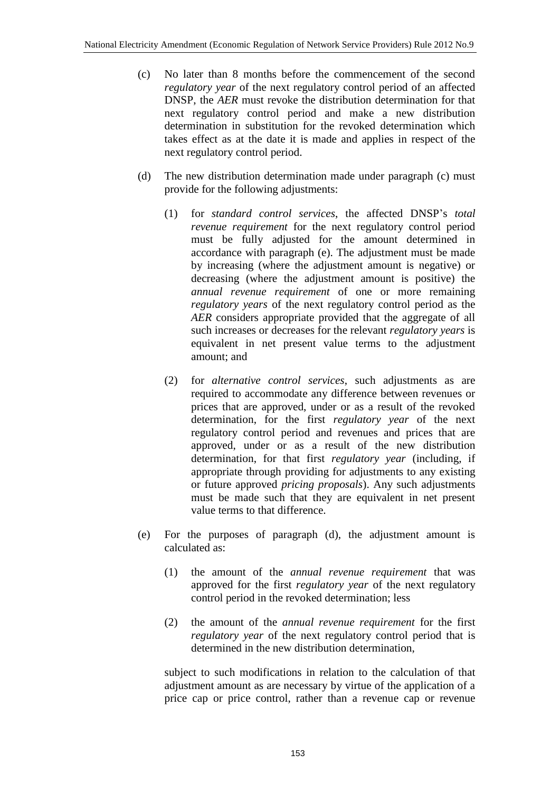- (c) No later than 8 months before the commencement of the second *regulatory year* of the next regulatory control period of an affected DNSP, the *AER* must revoke the distribution determination for that next regulatory control period and make a new distribution determination in substitution for the revoked determination which takes effect as at the date it is made and applies in respect of the next regulatory control period.
- (d) The new distribution determination made under paragraph (c) must provide for the following adjustments:
	- (1) for *standard control services*, the affected DNSP's *total revenue requirement* for the next regulatory control period must be fully adjusted for the amount determined in accordance with paragraph (e). The adjustment must be made by increasing (where the adjustment amount is negative) or decreasing (where the adjustment amount is positive) the *annual revenue requirement* of one or more remaining *regulatory years* of the next regulatory control period as the *AER* considers appropriate provided that the aggregate of all such increases or decreases for the relevant *regulatory years* is equivalent in net present value terms to the adjustment amount; and
	- (2) for *alternative control services*, such adjustments as are required to accommodate any difference between revenues or prices that are approved, under or as a result of the revoked determination, for the first *regulatory year* of the next regulatory control period and revenues and prices that are approved, under or as a result of the new distribution determination, for that first *regulatory year* (including, if appropriate through providing for adjustments to any existing or future approved *pricing proposals*). Any such adjustments must be made such that they are equivalent in net present value terms to that difference.
- (e) For the purposes of paragraph (d), the adjustment amount is calculated as:
	- (1) the amount of the *annual revenue requirement* that was approved for the first *regulatory year* of the next regulatory control period in the revoked determination; less
	- (2) the amount of the *annual revenue requirement* for the first *regulatory year* of the next regulatory control period that is determined in the new distribution determination,

subject to such modifications in relation to the calculation of that adjustment amount as are necessary by virtue of the application of a price cap or price control, rather than a revenue cap or revenue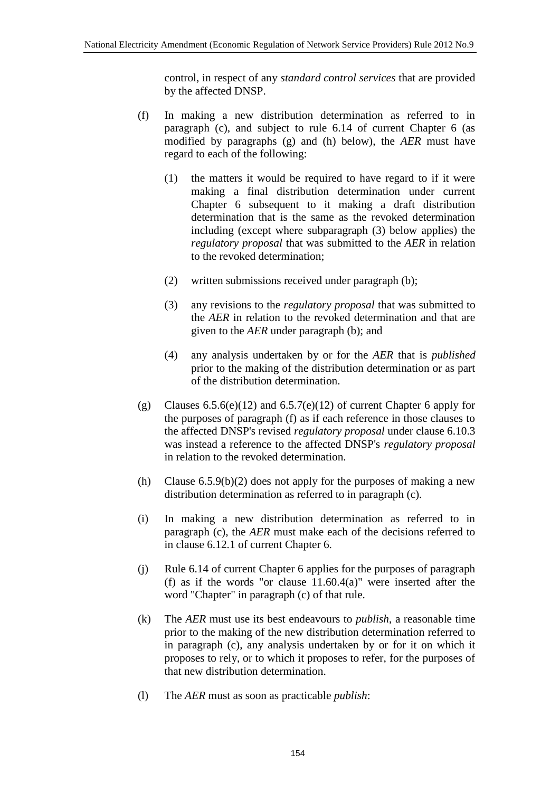control, in respect of any *standard control services* that are provided by the affected DNSP.

- (f) In making a new distribution determination as referred to in paragraph (c), and subject to rule 6.14 of current Chapter 6 (as modified by paragraphs (g) and (h) below), the *AER* must have regard to each of the following:
	- (1) the matters it would be required to have regard to if it were making a final distribution determination under current Chapter 6 subsequent to it making a draft distribution determination that is the same as the revoked determination including (except where subparagraph (3) below applies) the *regulatory proposal* that was submitted to the *AER* in relation to the revoked determination;
	- (2) written submissions received under paragraph (b);
	- (3) any revisions to the *regulatory proposal* that was submitted to the *AER* in relation to the revoked determination and that are given to the *AER* under paragraph (b); and
	- (4) any analysis undertaken by or for the *AER* that is *published* prior to the making of the distribution determination or as part of the distribution determination.
- (g) Clauses  $6.5.6(e)(12)$  and  $6.5.7(e)(12)$  of current Chapter 6 apply for the purposes of paragraph (f) as if each reference in those clauses to the affected DNSP's revised *regulatory proposal* under clause 6.10.3 was instead a reference to the affected DNSP's *regulatory proposal* in relation to the revoked determination.
- (h) Clause  $6.5.9(b)(2)$  does not apply for the purposes of making a new distribution determination as referred to in paragraph (c).
- (i) In making a new distribution determination as referred to in paragraph (c), the *AER* must make each of the decisions referred to in clause 6.12.1 of current Chapter 6.
- (j) Rule 6.14 of current Chapter 6 applies for the purposes of paragraph (f) as if the words "or clause  $11.60.4(a)$ " were inserted after the word "Chapter" in paragraph (c) of that rule.
- (k) The *AER* must use its best endeavours to *publish*, a reasonable time prior to the making of the new distribution determination referred to in paragraph (c), any analysis undertaken by or for it on which it proposes to rely, or to which it proposes to refer, for the purposes of that new distribution determination.
- (l) The *AER* must as soon as practicable *publish*: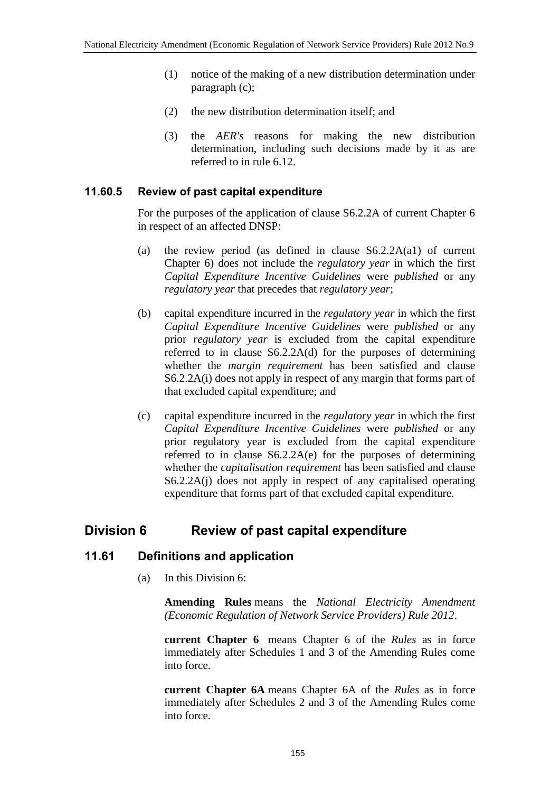- (1) notice of the making of a new distribution determination under paragraph (c);
- (2) the new distribution determination itself; and
- (3) the *AER's* reasons for making the new distribution determination, including such decisions made by it as are referred to in rule 6.12.

### **11.60.5 Review of past capital expenditure**

For the purposes of the application of clause S6.2.2A of current Chapter 6 in respect of an affected DNSP:

- (a) the review period (as defined in clause S6.2.2A(a1) of current Chapter 6) does not include the *regulatory year* in which the first *Capital Expenditure Incentive Guidelines* were *published* or any *regulatory year* that precedes that *regulatory year*;
- (b) capital expenditure incurred in the *regulatory year* in which the first *Capital Expenditure Incentive Guidelines* were *published* or any prior *regulatory year* is excluded from the capital expenditure referred to in clause S6.2.2A(d) for the purposes of determining whether the *margin requirement* has been satisfied and clause S6.2.2A(i) does not apply in respect of any margin that forms part of that excluded capital expenditure; and
- (c) capital expenditure incurred in the *regulatory year* in which the first *Capital Expenditure Incentive Guidelines* were *published* or any prior regulatory year is excluded from the capital expenditure referred to in clause S6.2.2A(e) for the purposes of determining whether the *capitalisation requirement* has been satisfied and clause S6.2.2A(j) does not apply in respect of any capitalised operating expenditure that forms part of that excluded capital expenditure.

# **Division 6 Review of past capital expenditure**

### **11.61 Definitions and application**

(a) In this Division 6:

**Amending Rules** means the *National Electricity Amendment (Economic Regulation of Network Service Providers) Rule 2012*.

**current Chapter 6** means Chapter 6 of the *Rules* as in force immediately after Schedules 1 and 3 of the Amending Rules come into force.

**current Chapter 6A** means Chapter 6A of the *Rules* as in force immediately after Schedules 2 and 3 of the Amending Rules come into force.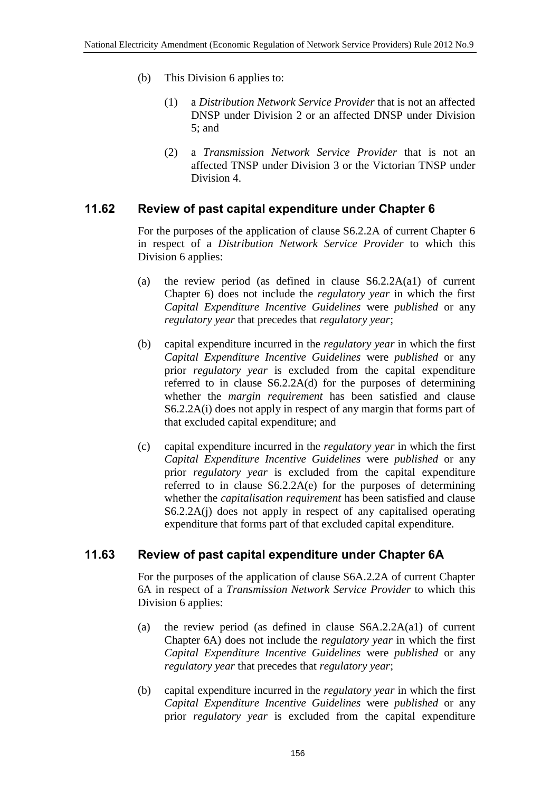- (b) This Division 6 applies to:
	- (1) a *Distribution Network Service Provider* that is not an affected DNSP under Division 2 or an affected DNSP under Division 5; and
	- (2) a *Transmission Network Service Provider* that is not an affected TNSP under Division 3 or the Victorian TNSP under Division 4.

# **11.62 Review of past capital expenditure under Chapter 6**

For the purposes of the application of clause S6.2.2A of current Chapter 6 in respect of a *Distribution Network Service Provider* to which this Division 6 applies:

- (a) the review period (as defined in clause S6.2.2A(a1) of current Chapter 6) does not include the *regulatory year* in which the first *Capital Expenditure Incentive Guidelines* were *published* or any *regulatory year* that precedes that *regulatory year*;
- (b) capital expenditure incurred in the *regulatory year* in which the first *Capital Expenditure Incentive Guidelines* were *published* or any prior *regulatory year* is excluded from the capital expenditure referred to in clause S6.2.2A(d) for the purposes of determining whether the *margin requirement* has been satisfied and clause S6.2.2A(i) does not apply in respect of any margin that forms part of that excluded capital expenditure; and
- (c) capital expenditure incurred in the *regulatory year* in which the first *Capital Expenditure Incentive Guidelines* were *published* or any prior *regulatory year* is excluded from the capital expenditure referred to in clause S6.2.2A(e) for the purposes of determining whether the *capitalisation requirement* has been satisfied and clause S6.2.2A(j) does not apply in respect of any capitalised operating expenditure that forms part of that excluded capital expenditure.

# **11.63 Review of past capital expenditure under Chapter 6A**

For the purposes of the application of clause S6A.2.2A of current Chapter 6A in respect of a *Transmission Network Service Provider* to which this Division 6 applies:

- (a) the review period (as defined in clause S6A.2.2A(a1) of current Chapter 6A) does not include the *regulatory year* in which the first *Capital Expenditure Incentive Guidelines* were *published* or any *regulatory year* that precedes that *regulatory year*;
- (b) capital expenditure incurred in the *regulatory year* in which the first *Capital Expenditure Incentive Guidelines* were *published* or any prior *regulatory year* is excluded from the capital expenditure